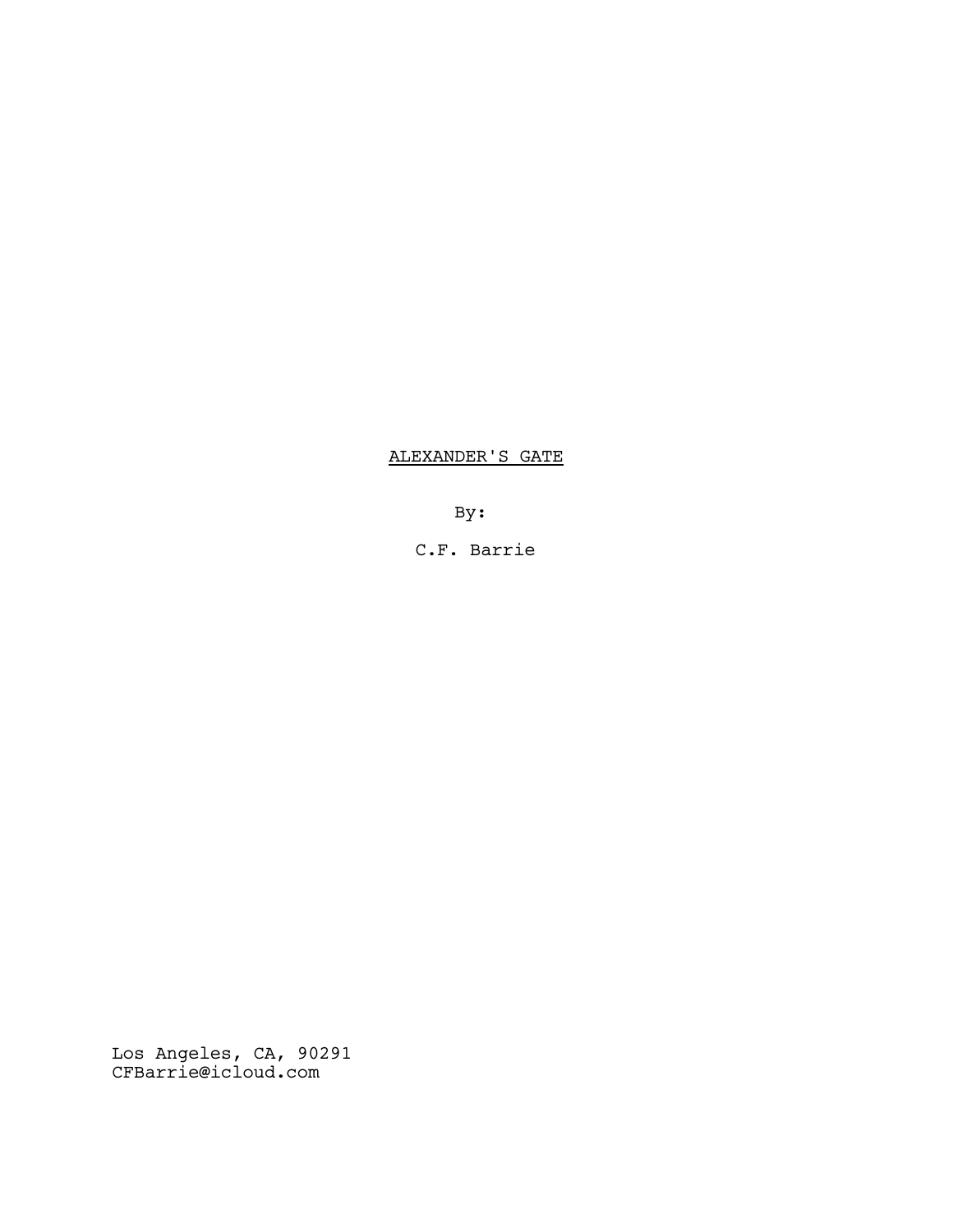# ALEXANDER'S GATE

By:

C.F. Barrie

Los Angeles, CA, 90291 CFBarrie@icloud.com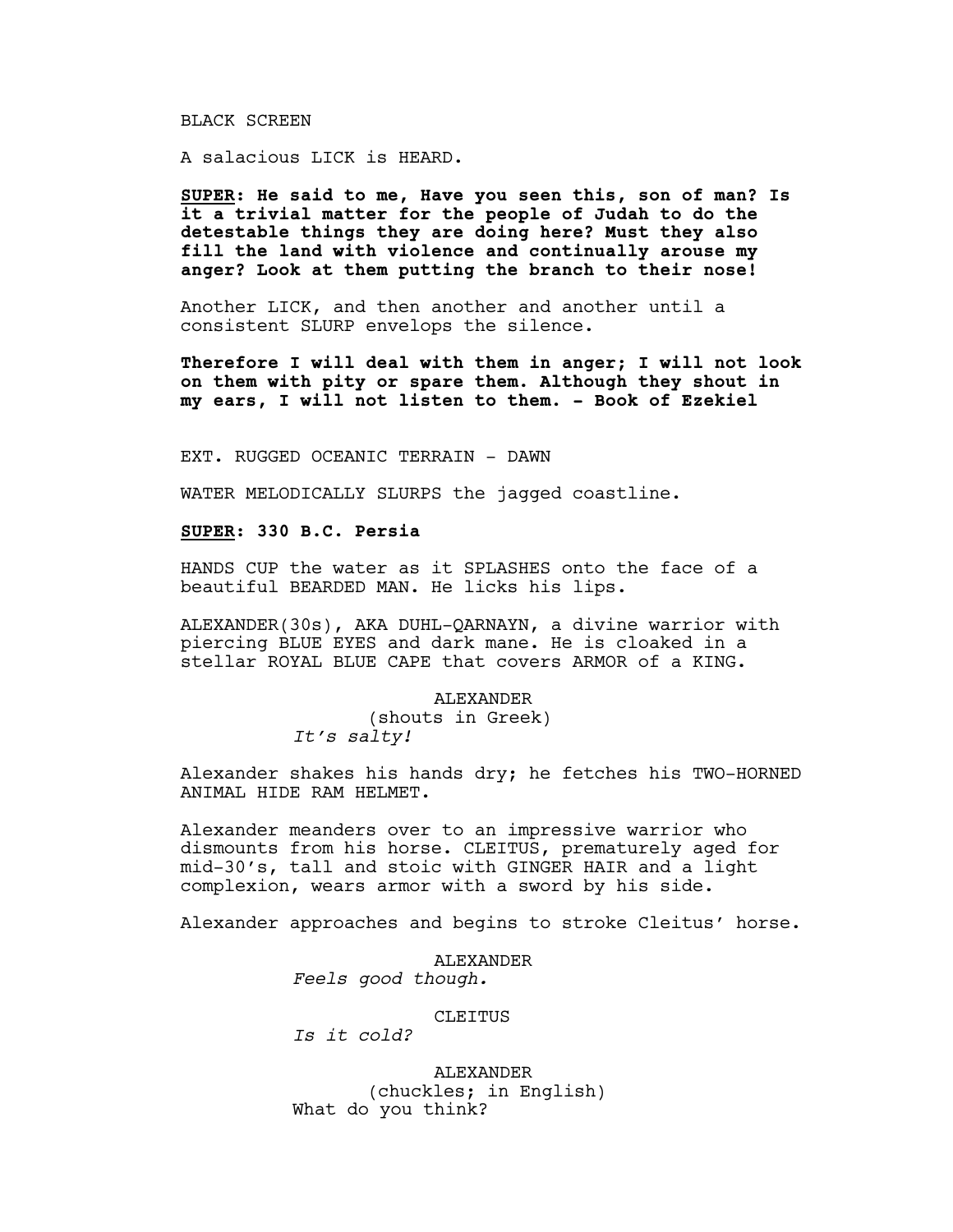# BLACK SCREEN

A salacious LICK is HEARD.

**SUPER: He said to me, Have you seen this, son of man? Is it a trivial matter for the people of Judah to do the detestable things they are doing here? Must they also fill the land with violence and continually arouse my anger? Look at them putting the branch to their nose!**

Another LICK, and then another and another until a consistent SLURP envelops the silence.

**Therefore I will deal with them in anger; I will not look on them with pity or spare them. Although they shout in my ears, I will not listen to them. - Book of Ezekiel**

EXT. RUGGED OCEANIC TERRAIN - DAWN

WATER MELODICALLY SLURPS the jagged coastline.

# **SUPER: 330 B.C. Persia**

HANDS CUP the water as it SPLASHES onto the face of a beautiful BEARDED MAN. He licks his lips.

ALEXANDER(30s), AKA DUHL-QARNAYN, a divine warrior with piercing BLUE EYES and dark mane. He is cloaked in a stellar ROYAL BLUE CAPE that covers ARMOR of a KING.

# ALEXANDER

(shouts in Greek) *It's salty!*

Alexander shakes his hands dry; he fetches his TWO-HORNED ANIMAL HIDE RAM HELMET.

Alexander meanders over to an impressive warrior who dismounts from his horse. CLEITUS, prematurely aged for mid-30's, tall and stoic with GINGER HAIR and a light complexion, wears armor with a sword by his side.

Alexander approaches and begins to stroke Cleitus' horse.

ALEXANDER *Feels good though.*

## CLEITUS

*Is it cold?*

ALEXANDER (chuckles; in English) What do you think?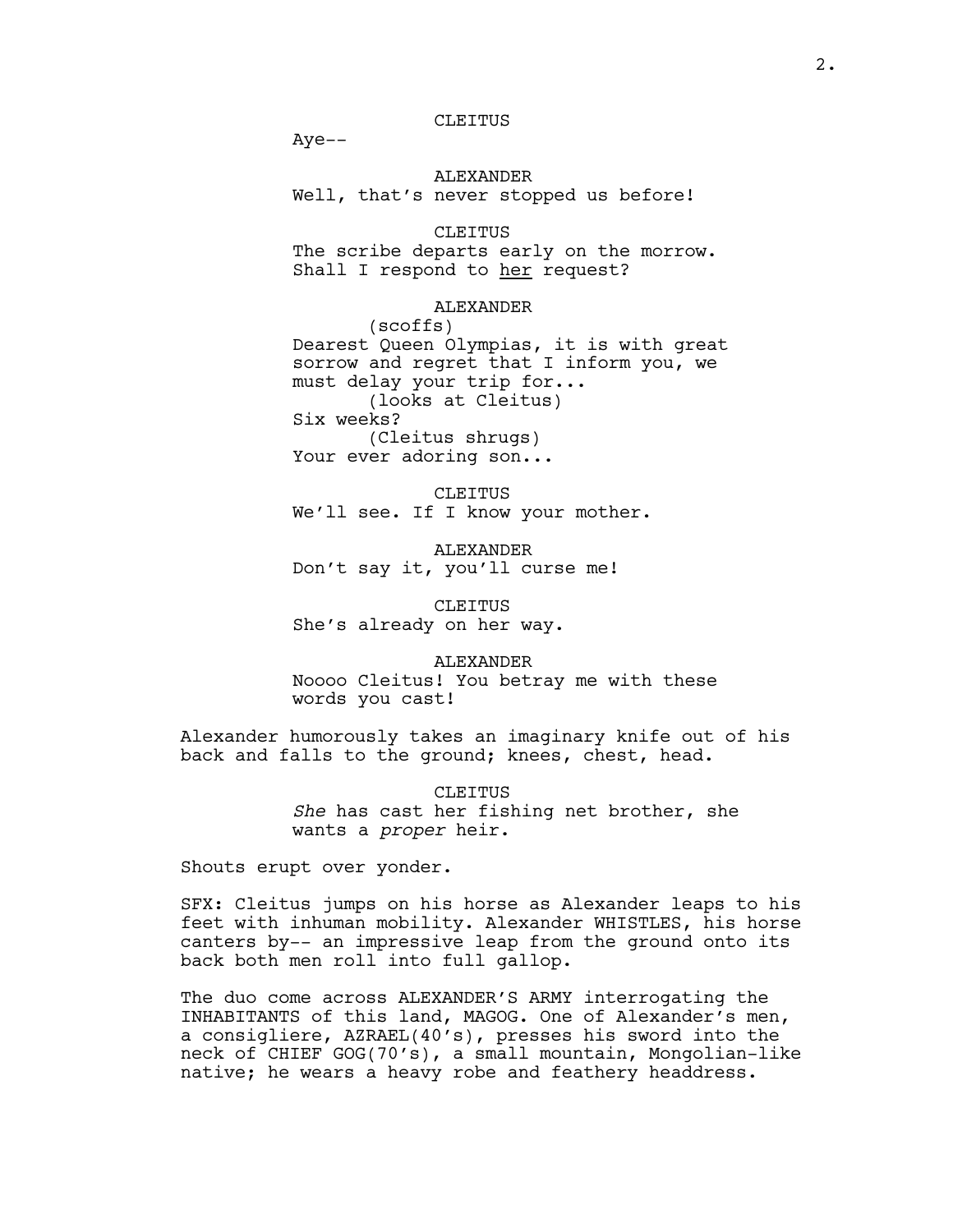Aye--

ALEXANDER Well, that's never stopped us before!

# CLEITUS

The scribe departs early on the morrow. Shall I respond to her request?

## ALEXANDER

(scoffs) Dearest Queen Olympias, it is with great sorrow and regret that I inform you, we must delay your trip for... (looks at Cleitus) Six weeks? (Cleitus shrugs) Your ever adoring son...

CLEITUS We'll see. If I know your mother.

ALEXANDER Don't say it, you'll curse me!

CLEITUS She's already on her way.

ALEXANDER Noooo Cleitus! You betray me with these words you cast!

Alexander humorously takes an imaginary knife out of his back and falls to the ground; knees, chest, head.

> CLEITUS *She* has cast her fishing net brother, she wants a *proper* heir.

Shouts erupt over yonder.

SFX: Cleitus jumps on his horse as Alexander leaps to his feet with inhuman mobility. Alexander WHISTLES, his horse canters by-- an impressive leap from the ground onto its back both men roll into full gallop.

The duo come across ALEXANDER'S ARMY interrogating the INHABITANTS of this land, MAGOG. One of Alexander's men, a consigliere, AZRAEL(40's), presses his sword into the neck of CHIEF GOG(70's), a small mountain, Mongolian-like native; he wears a heavy robe and feathery headdress.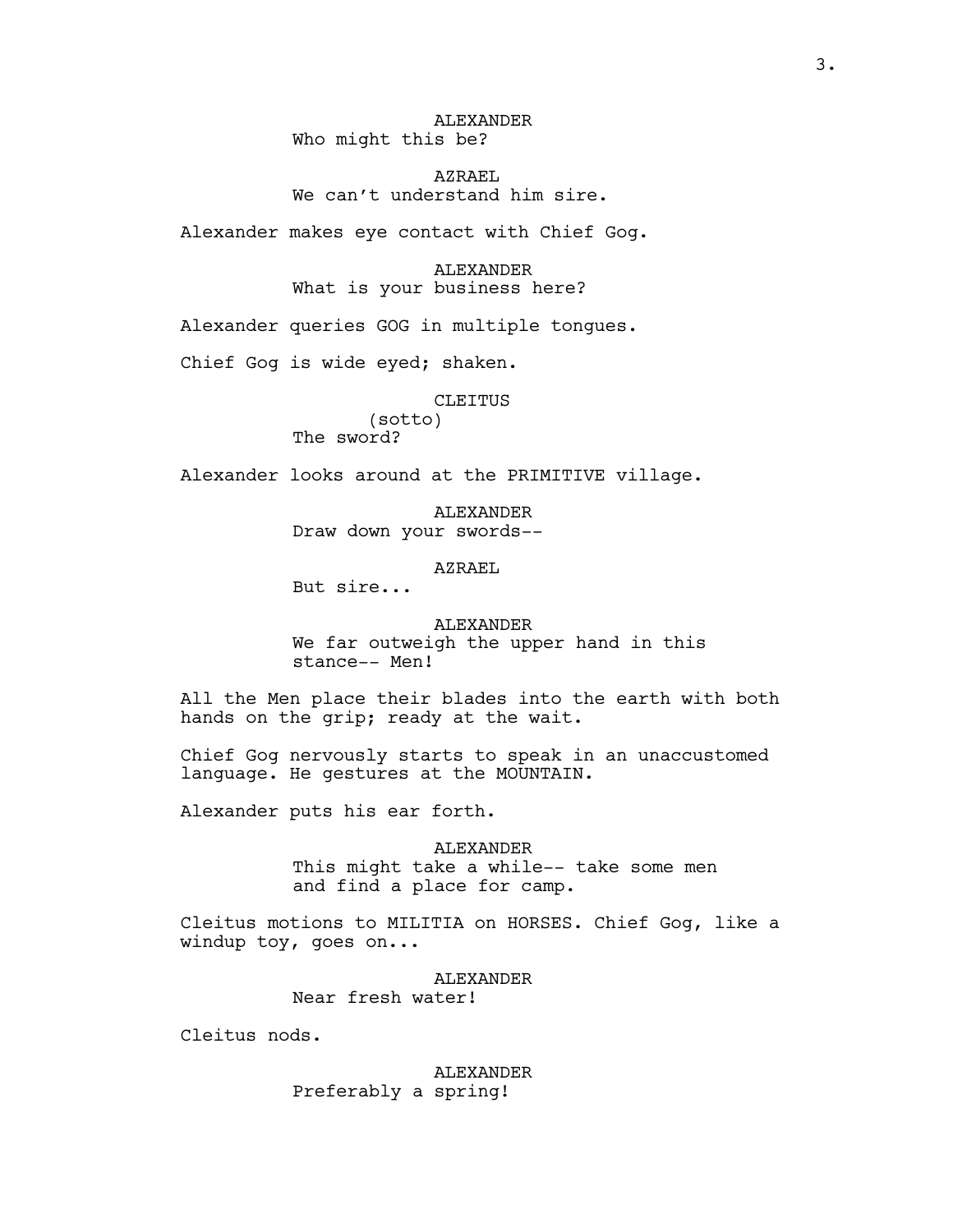ALEXANDER Who might this be?

AZRAEL We can't understand him sire.

Alexander makes eye contact with Chief Gog.

ALEXANDER What is your business here?

Alexander queries GOG in multiple tongues.

Chief Gog is wide eyed; shaken.

CLEITUS

(sotto) The sword?

Alexander looks around at the PRIMITIVE village.

ALEXANDER Draw down your swords--

# AZRAEL

But sire...

ALEXANDER We far outweigh the upper hand in this stance-- Men!

All the Men place their blades into the earth with both hands on the grip; ready at the wait.

Chief Gog nervously starts to speak in an unaccustomed language. He gestures at the MOUNTAIN.

Alexander puts his ear forth.

ALEXANDER This might take a while-- take some men and find a place for camp.

Cleitus motions to MILITIA on HORSES. Chief Gog, like a windup toy, goes on...

> **ALEXANDER** Near fresh water!

Cleitus nods.

ALEXANDER Preferably a spring!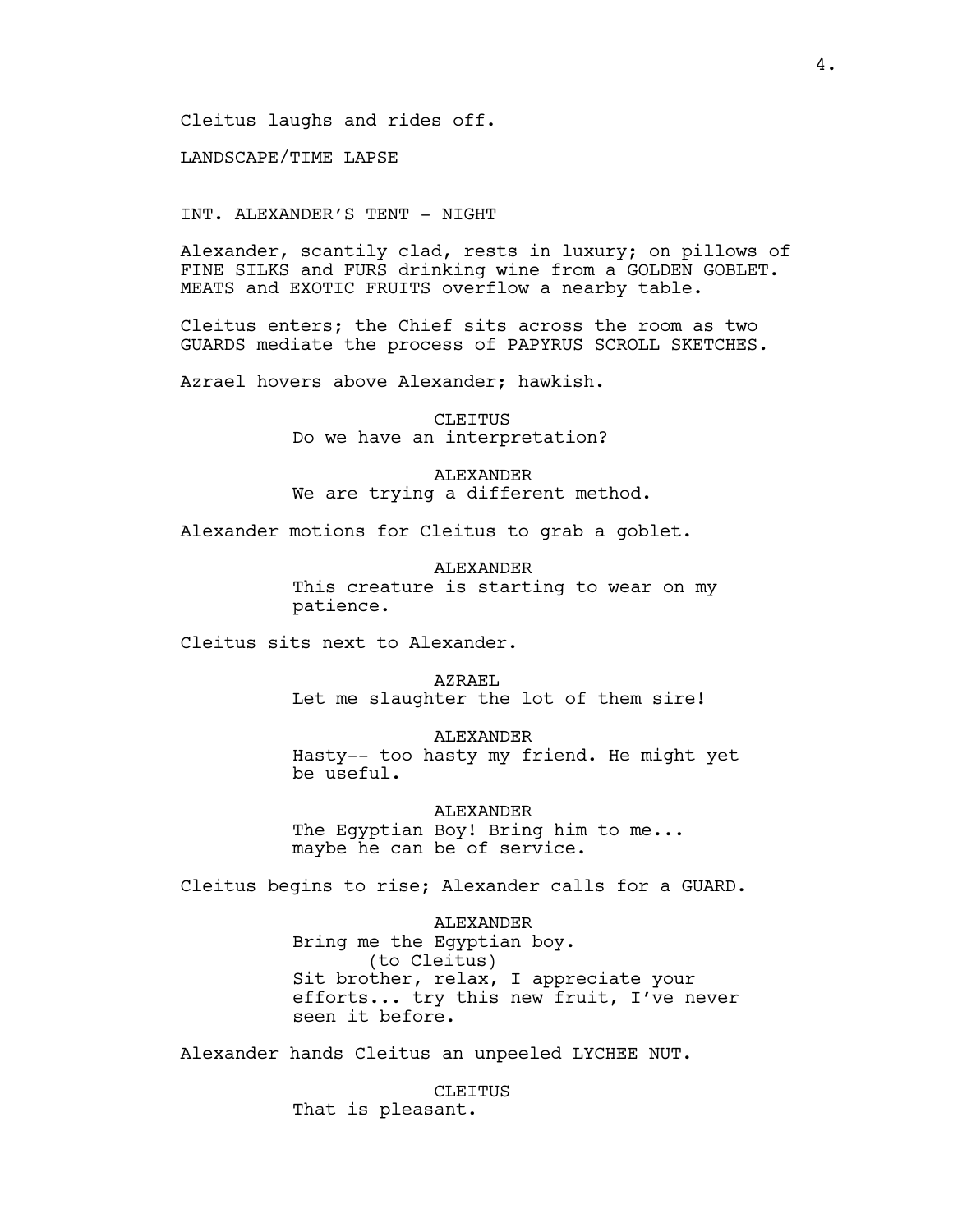Cleitus laughs and rides off.

LANDSCAPE/TIME LAPSE

INT. ALEXANDER'S TENT - NIGHT

Alexander, scantily clad, rests in luxury; on pillows of FINE SILKS and FURS drinking wine from a GOLDEN GOBLET. MEATS and EXOTIC FRUITS overflow a nearby table.

Cleitus enters; the Chief sits across the room as two GUARDS mediate the process of PAPYRUS SCROLL SKETCHES.

Azrael hovers above Alexander; hawkish.

CLEITUS Do we have an interpretation?

ALEXANDER We are trying a different method.

Alexander motions for Cleitus to grab a goblet.

**ALEXANDER** This creature is starting to wear on my patience.

Cleitus sits next to Alexander.

AZRAEL Let me slaughter the lot of them sire!

ALEXANDER Hasty-- too hasty my friend. He might yet be useful.

ALEXANDER The Egyptian Boy! Bring him to me... maybe he can be of service.

Cleitus begins to rise; Alexander calls for a GUARD.

ALEXANDER Bring me the Egyptian boy. (to Cleitus) Sit brother, relax, I appreciate your efforts... try this new fruit, I've never seen it before.

Alexander hands Cleitus an unpeeled LYCHEE NUT.

CLEITUS That is pleasant.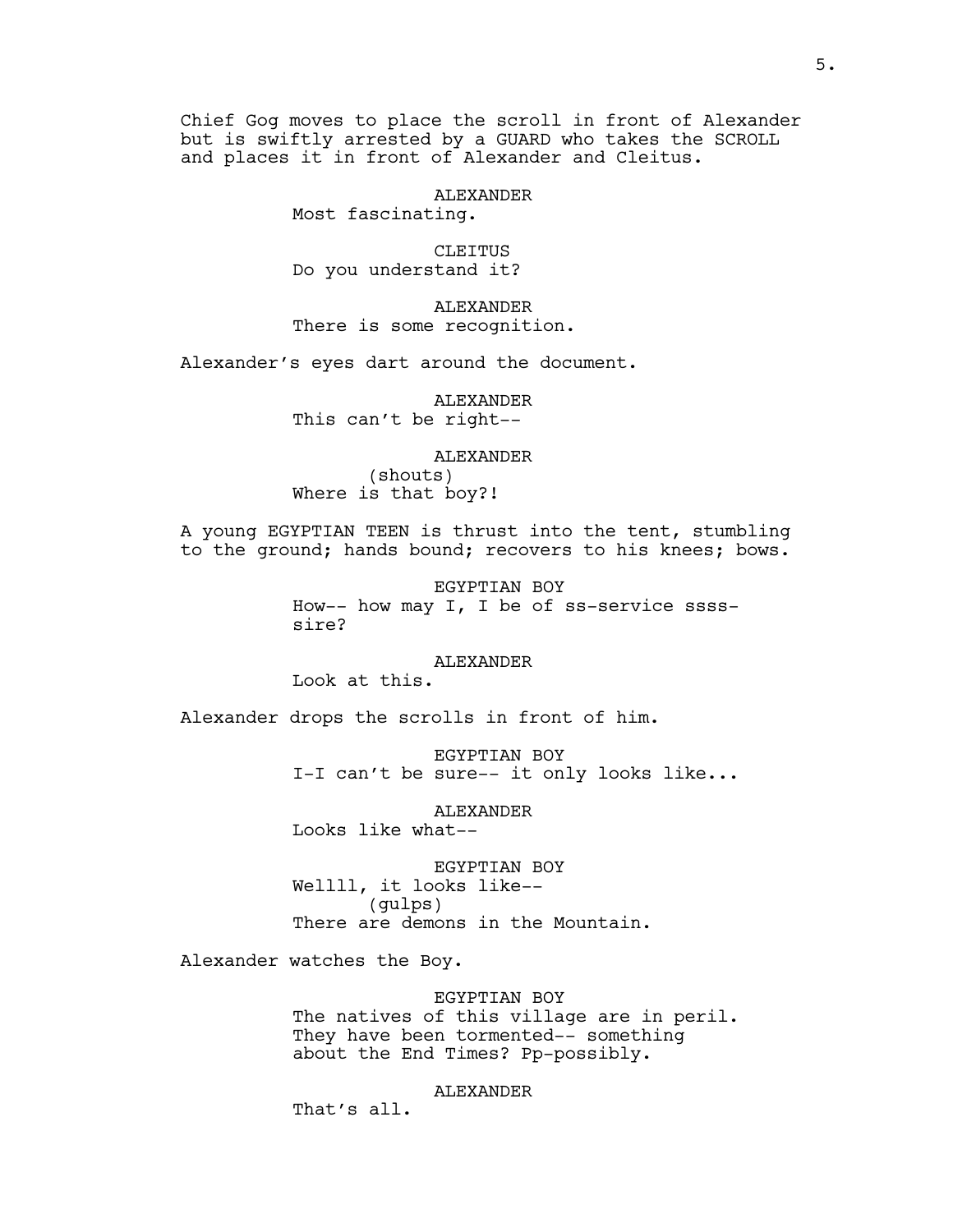Chief Gog moves to place the scroll in front of Alexander but is swiftly arrested by a GUARD who takes the SCROLL and places it in front of Alexander and Cleitus.

ALEXANDER

Most fascinating.

CLEITUS Do you understand it?

ALEXANDER There is some recognition.

Alexander's eyes dart around the document.

ALEXANDER This can't be right--

#### ALEXANDER

(shouts) Where is that boy?!

A young EGYPTIAN TEEN is thrust into the tent, stumbling to the ground; hands bound; recovers to his knees; bows.

> EGYPTIAN BOY How-- how may I, I be of ss-service sssssire?

#### **ALEXANDER**

Look at this.

Alexander drops the scrolls in front of him.

EGYPTIAN BOY I-I can't be sure-- it only looks like...

ALEXANDER

Looks like what--

EGYPTIAN BOY Wellll, it looks like-- (gulps) There are demons in the Mountain.

Alexander watches the Boy.

EGYPTIAN BOY The natives of this village are in peril. They have been tormented-- something about the End Times? Pp-possibly.

ALEXANDER

That's all.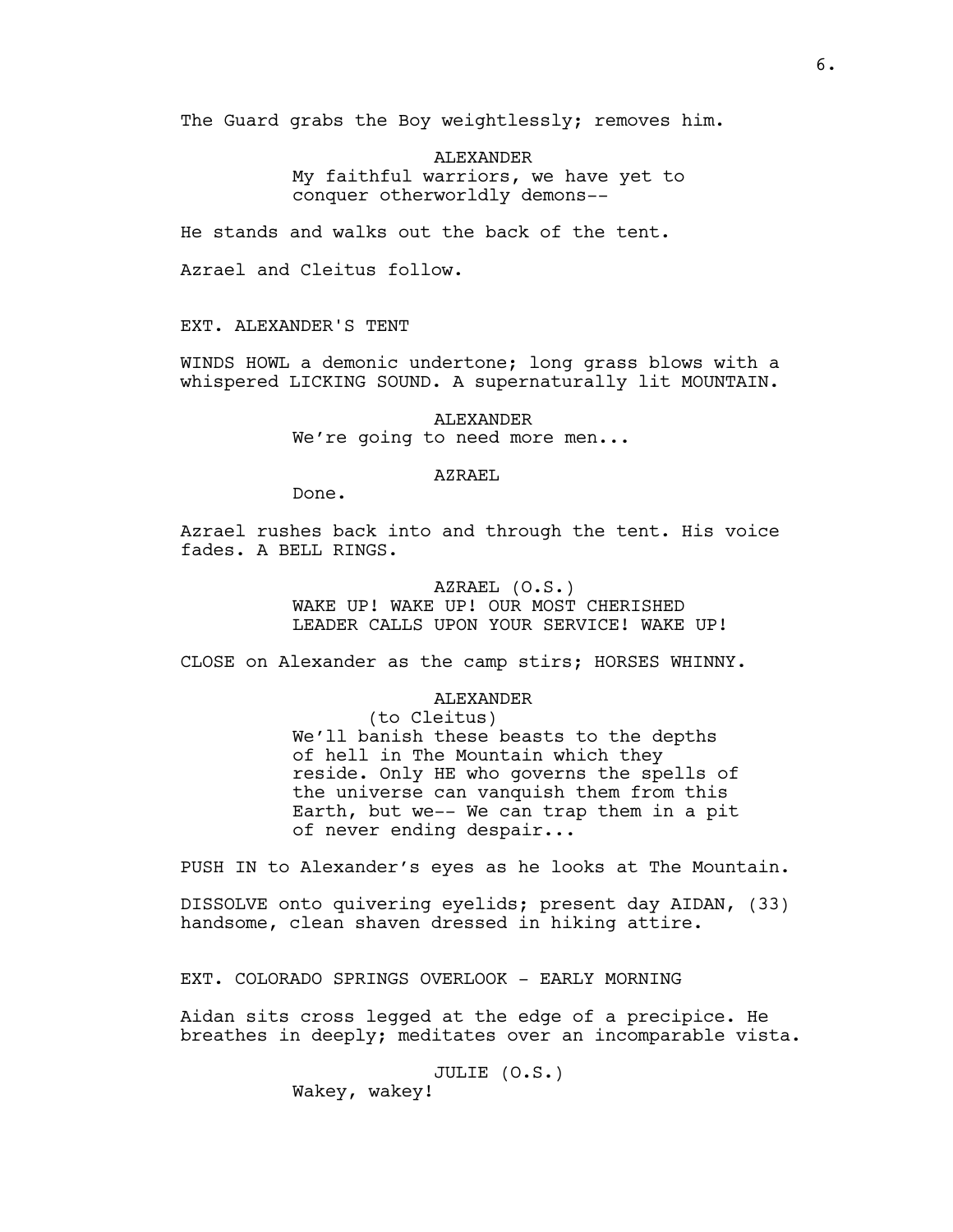The Guard grabs the Boy weightlessly; removes him.

ALEXANDER My faithful warriors, we have yet to conquer otherworldly demons--

He stands and walks out the back of the tent.

Azrael and Cleitus follow.

EXT. ALEXANDER'S TENT

WINDS HOWL a demonic undertone; long grass blows with a whispered LICKING SOUND. A supernaturally lit MOUNTAIN.

> ALEXANDER We're going to need more men...

#### AZRAEL

Done.

Azrael rushes back into and through the tent. His voice fades. A BELL RINGS.

> AZRAEL (O.S.) WAKE UP! WAKE UP! OUR MOST CHERISHED LEADER CALLS UPON YOUR SERVICE! WAKE UP!

CLOSE on Alexander as the camp stirs; HORSES WHINNY.

## ALEXANDER

(to Cleitus) We'll banish these beasts to the depths of hell in The Mountain which they reside. Only HE who governs the spells of the universe can vanquish them from this Earth, but we-- We can trap them in a pit of never ending despair...

PUSH IN to Alexander's eyes as he looks at The Mountain.

DISSOLVE onto quivering eyelids; present day AIDAN, (33) handsome, clean shaven dressed in hiking attire.

EXT. COLORADO SPRINGS OVERLOOK - EARLY MORNING

Aidan sits cross legged at the edge of a precipice. He breathes in deeply; meditates over an incomparable vista.

JULIE (O.S.)

Wakey, wakey!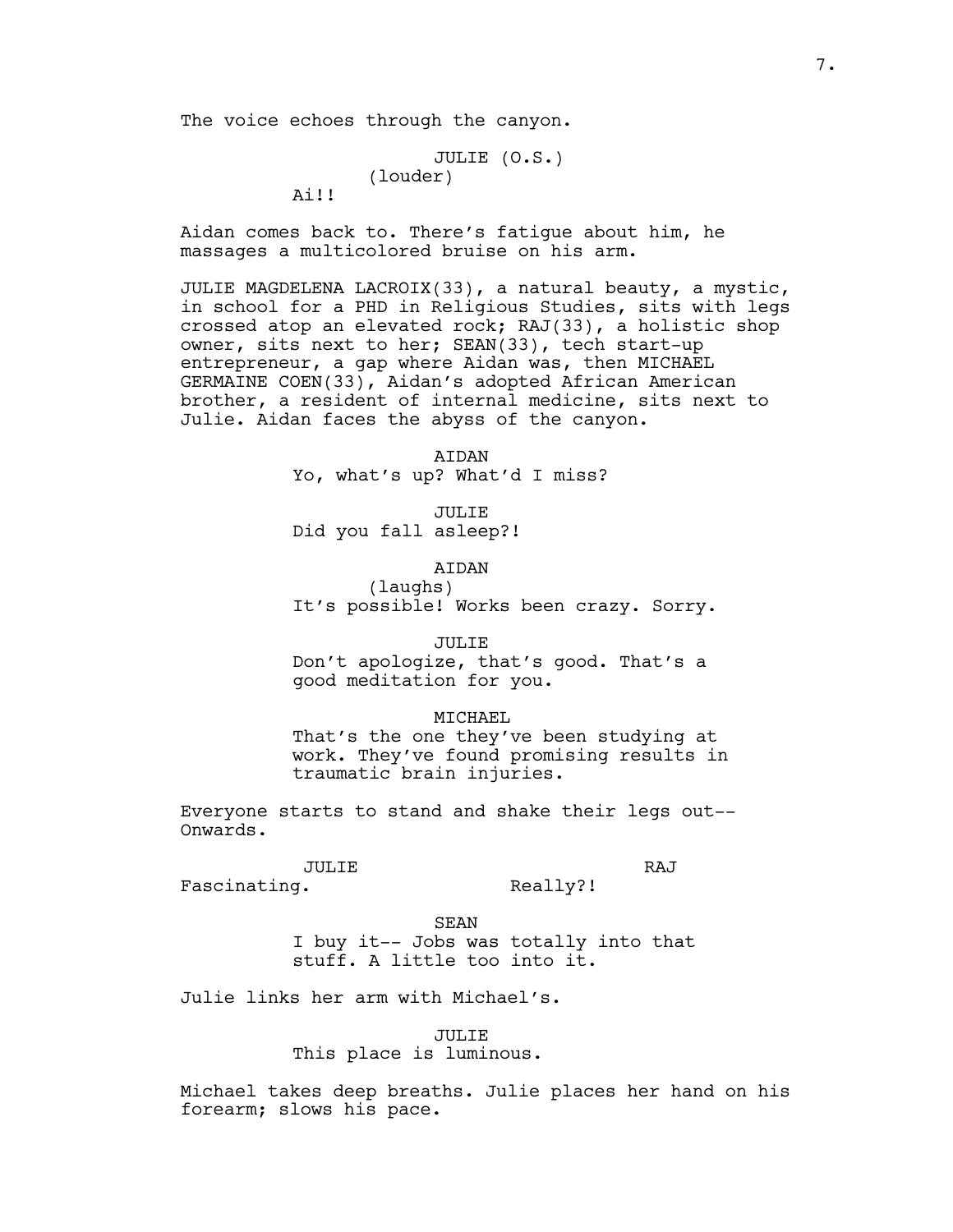The voice echoes through the canyon.

```
JULIE (O.S.)
(louder)
```
Ai!!

Aidan comes back to. There's fatigue about him, he massages a multicolored bruise on his arm.

JULIE MAGDELENA LACROIX(33), a natural beauty, a mystic, in school for a PHD in Religious Studies, sits with legs crossed atop an elevated rock; RAJ(33), a holistic shop owner, sits next to her; SEAN(33), tech start-up entrepreneur, a gap where Aidan was, then MICHAEL GERMAINE COEN(33), Aidan's adopted African American brother, a resident of internal medicine, sits next to Julie. Aidan faces the abyss of the canyon.

> AIDAN Yo, what's up? What'd I miss?

JULIE Did you fall asleep?!

**ATDAN** 

(laughs) It's possible! Works been crazy. Sorry.

JULIE

Don't apologize, that's good. That's a good meditation for you.

#### MICHAEL

That's the one they've been studying at work. They've found promising results in traumatic brain injuries.

Everyone starts to stand and shake their legs out-- Onwards.

JULIE

RAJ

Fascinating.

Really?!

SEAN

I buy it-- Jobs was totally into that stuff. A little too into it.

Julie links her arm with Michael's.

JULIE

This place is luminous.

Michael takes deep breaths. Julie places her hand on his forearm; slows his pace.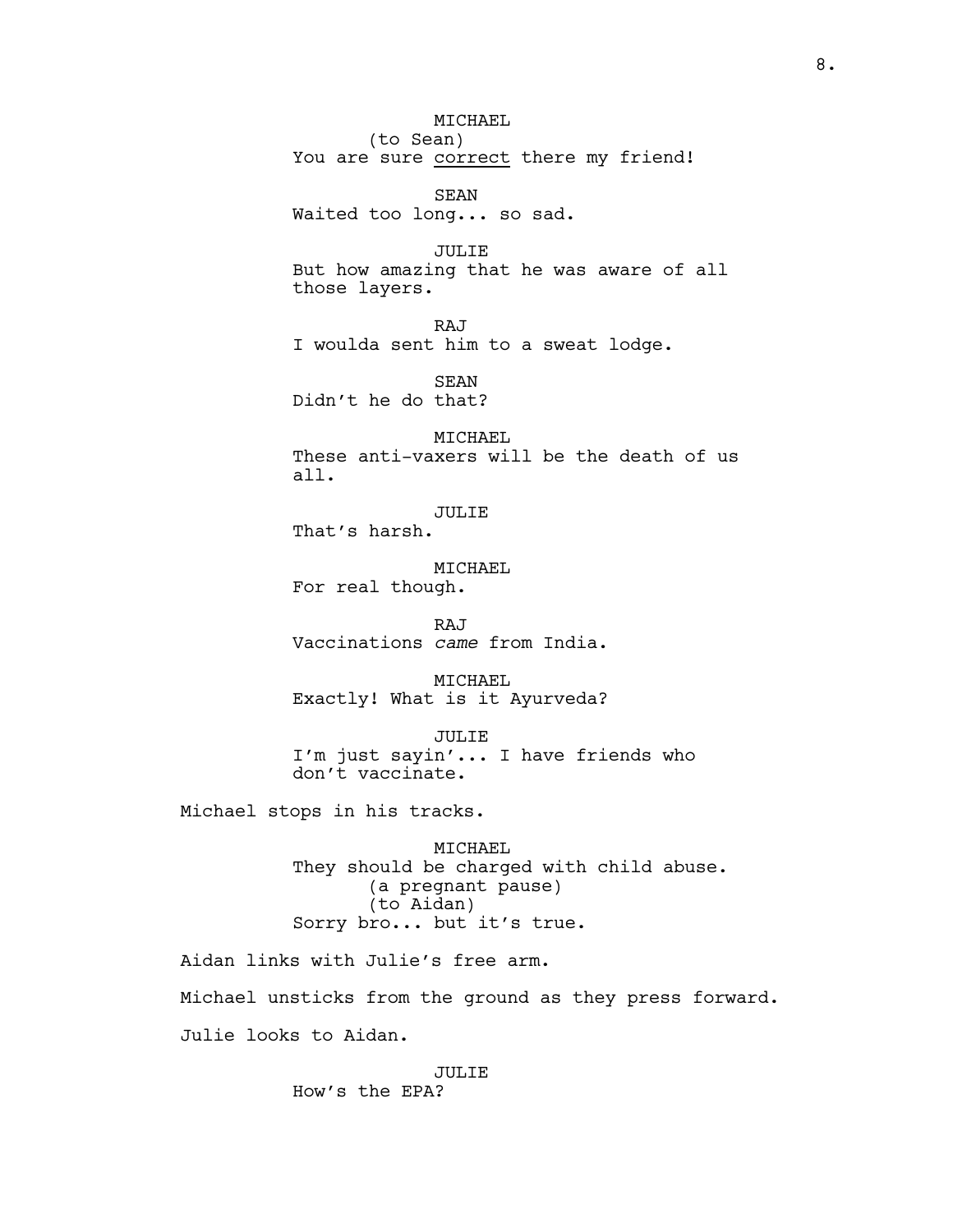MICHAEL (to Sean) You are sure correct there my friend!

SEAN Waited too long... so sad.

JULIE But how amazing that he was aware of all those layers.

RAJ I woulda sent him to a sweat lodge.

SEAN Didn't he do that?

MICHAEL These anti-vaxers will be the death of us all.

JULIE

That's harsh.

MICHAEL For real though.

RAJ Vaccinations *came* from India.

MICHAEL Exactly! What is it Ayurveda?

JULIE I'm just sayin'... I have friends who don't vaccinate.

Michael stops in his tracks.

MICHAEL They should be charged with child abuse. (a pregnant pause) (to Aidan) Sorry bro... but it's true.

Aidan links with Julie's free arm. Michael unsticks from the ground as they press forward. Julie looks to Aidan.

#### JULIE

How's the EPA?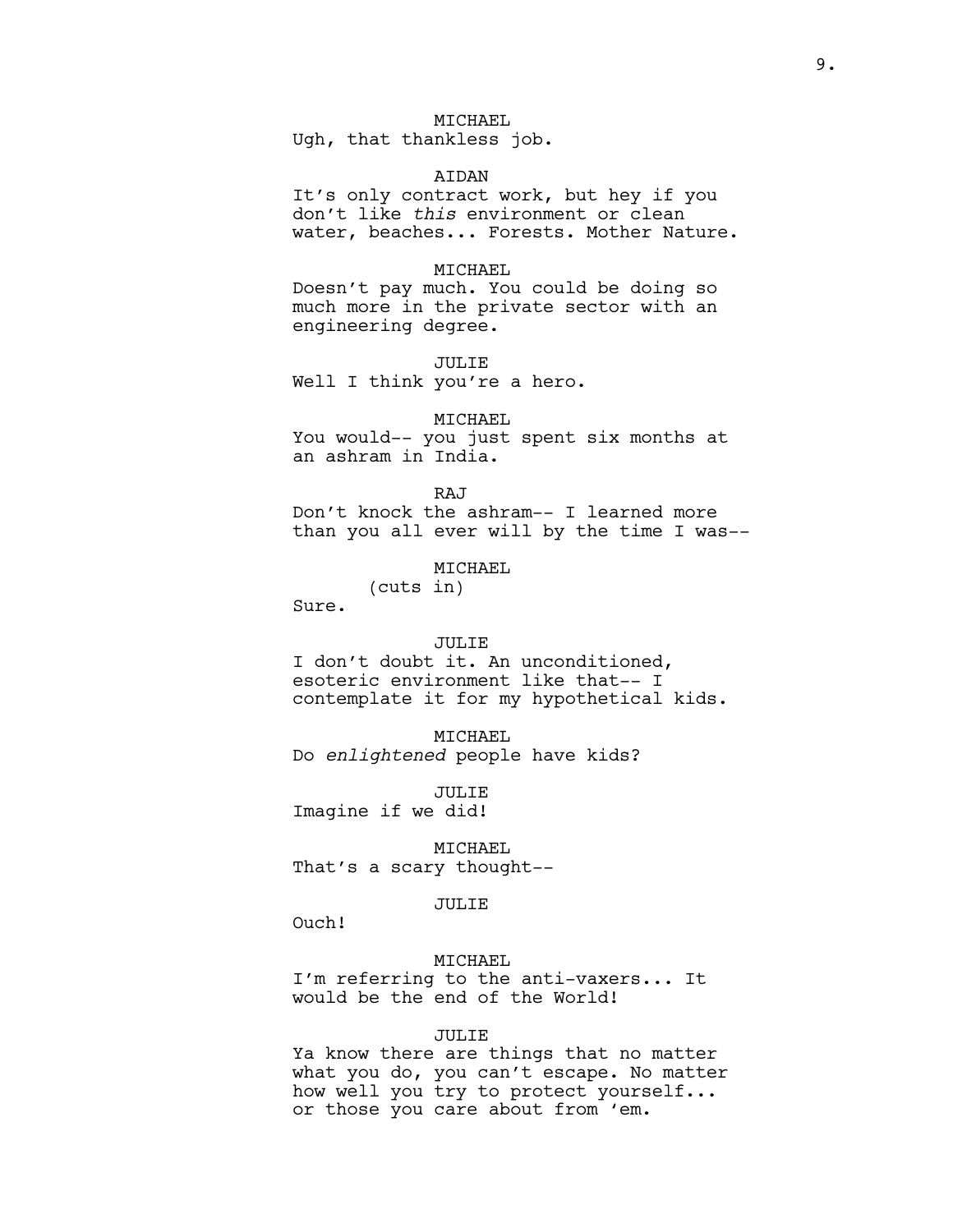# MICHAEL

Ugh, that thankless job.

#### AIDAN

It's only contract work, but hey if you don't like *this* environment or clean water, beaches... Forests. Mother Nature.

#### MICHAEL

Doesn't pay much. You could be doing so much more in the private sector with an engineering degree.

JULIE

Well I think you're a hero.

# MICHAEL

You would-- you just spent six months at an ashram in India.

RAJ

Don't knock the ashram-- I learned more than you all ever will by the time I was--

# MICHAEL

(cuts in)

Sure.

## JULIE

I don't doubt it. An unconditioned, esoteric environment like that-- I contemplate it for my hypothetical kids.

MICHAEL Do *enlightened* people have kids?

JULIE Imagine if we did!

MICHAEL That's a scary thought--

JULIE

Ouch!

# MICHAEL

I'm referring to the anti-vaxers... It would be the end of the World!

## JULIE

Ya know there are things that no matter what you do, you can't escape. No matter how well you try to protect yourself... or those you care about from 'em.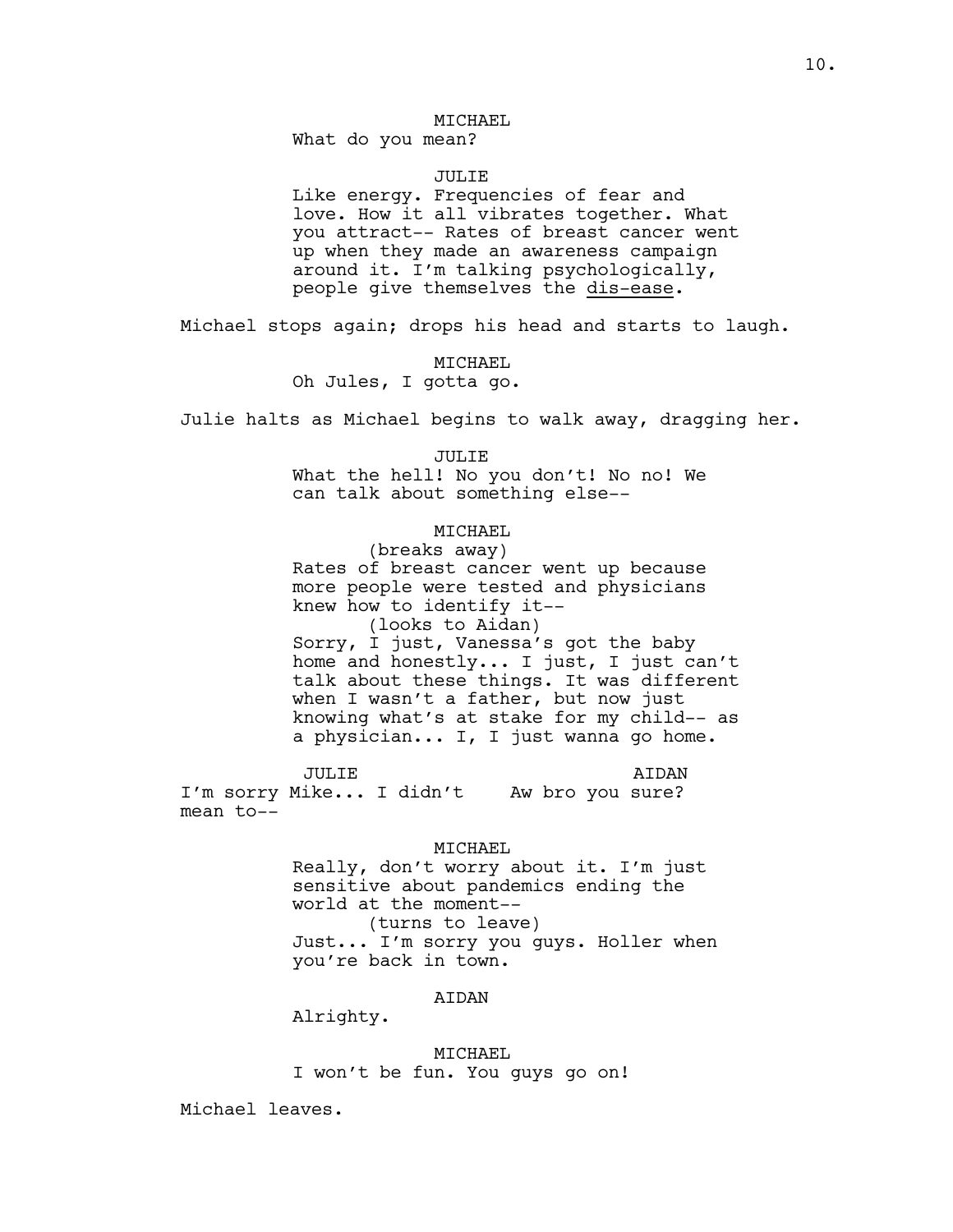# MICHAEL

What do you mean?

#### JULIE

Like energy. Frequencies of fear and love. How it all vibrates together. What you attract-- Rates of breast cancer went up when they made an awareness campaign around it. I'm talking psychologically, people give themselves the dis-ease.

Michael stops again; drops his head and starts to laugh.

MICHAEL Oh Jules, I gotta go.

Julie halts as Michael begins to walk away, dragging her.

JULIE What the hell! No you don't! No no! We can talk about something else--

## MICHAEL

(breaks away) Rates of breast cancer went up because more people were tested and physicians knew how to identify it-- (looks to Aidan) Sorry, I just, Vanessa's got the baby home and honestly... I just, I just can't talk about these things. It was different when I wasn't a father, but now just knowing what's at stake for my child-- as a physician... I, I just wanna go home.

JULIE I'm sorry Mike... I didn't Aw bro you sure? mean to-- AIDAN

#### MICHAEL

Really, don't worry about it. I'm just sensitive about pandemics ending the world at the moment-- (turns to leave) Just... I'm sorry you guys. Holler when

you're back in town.

#### AIDAN

Alrighty.

MICHAEL I won't be fun. You guys go on!

Michael leaves.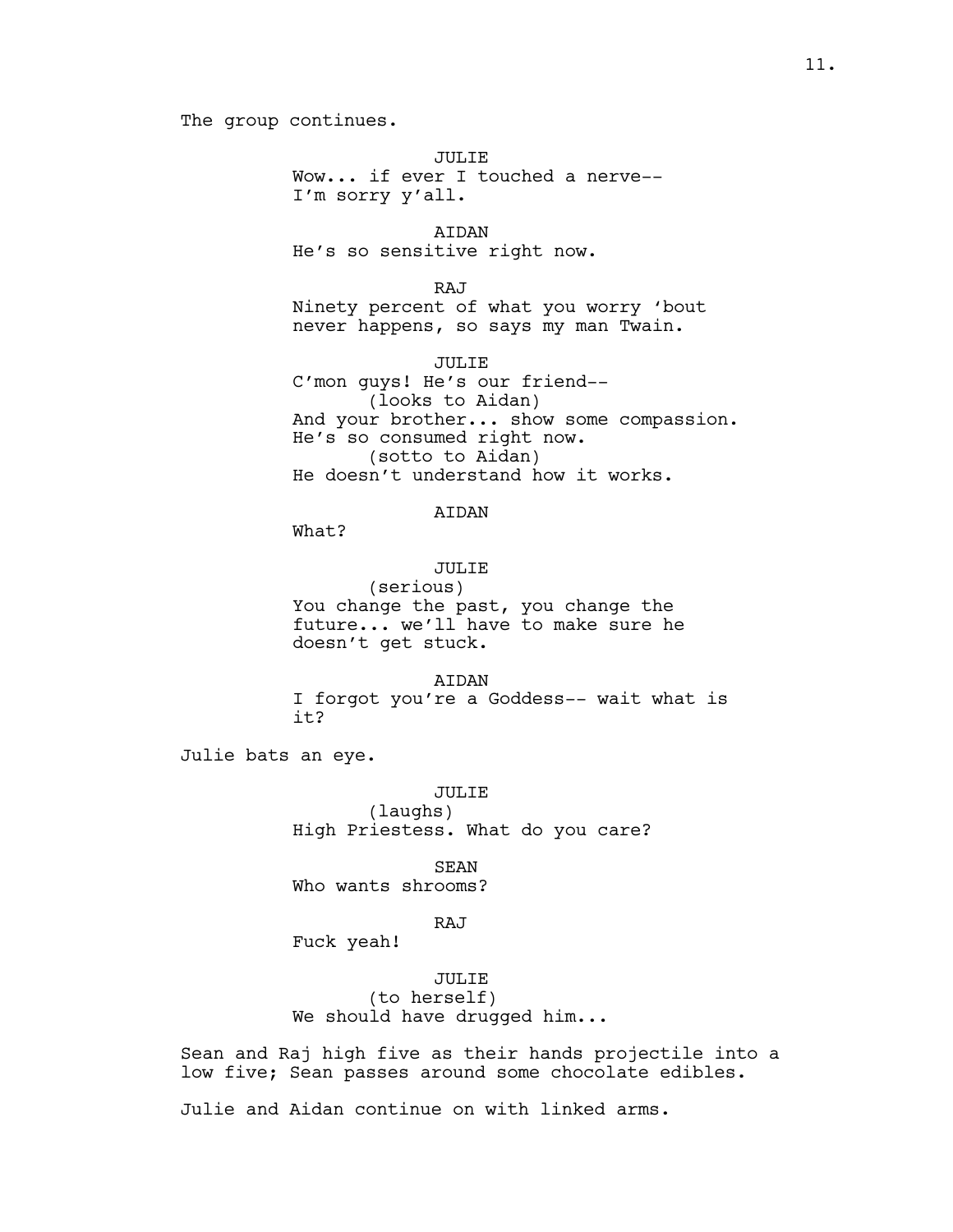## The group continues.

JULIE Wow... if ever I touched a nerve-- I'm sorry y'all.

AIDAN He's so sensitive right now.

RAJ Ninety percent of what you worry 'bout never happens, so says my man Twain.

JULIE C'mon guys! He's our friend-- (looks to Aidan) And your brother... show some compassion. He's so consumed right now. (sotto to Aidan) He doesn't understand how it works.

# AIDAN

What?

# JULIE

(serious) You change the past, you change the future... we'll have to make sure he doesn't get stuck.

AIDAN I forgot you're a Goddess-- wait what is it?

Julie bats an eye.

JULIE

(laughs) High Priestess. What do you care?

SEAN Who wants shrooms?

#### RAJ

Fuck yeah!

JULIE (to herself) We should have drugged him...

Sean and Raj high five as their hands projectile into a low five; Sean passes around some chocolate edibles.

Julie and Aidan continue on with linked arms.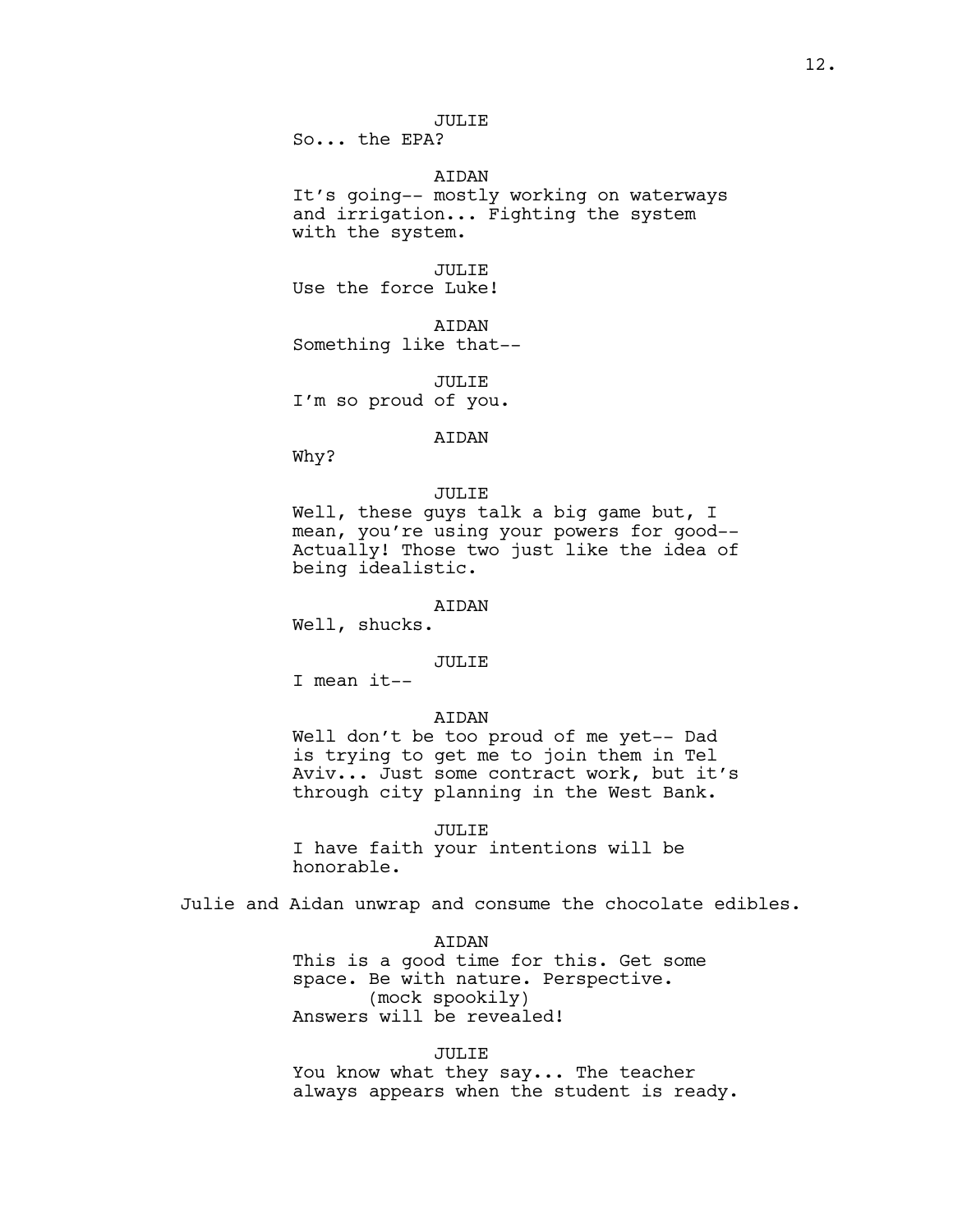JULIE

So... the EPA?

AIDAN

It's going-- mostly working on waterways and irrigation... Fighting the system with the system.

JULIE

Use the force Luke!

AIDAN Something like that--

JULIE I'm so proud of you.

AIDAN

Why?

#### JULIE

Well, these guys talk a big game but, I mean, you're using your powers for good-- Actually! Those two just like the idea of being idealistic.

# AIDAN

Well, shucks.

#### JULIE

I mean it--

# AIDAN

Well don't be too proud of me yet-- Dad is trying to get me to join them in Tel Aviv... Just some contract work, but it's through city planning in the West Bank.

#### JULIE

I have faith your intentions will be honorable.

Julie and Aidan unwrap and consume the chocolate edibles.

#### AIDAN

This is a good time for this. Get some space. Be with nature. Perspective. (mock spookily) Answers will be revealed!

#### JULIE

You know what they say... The teacher always appears when the student is ready.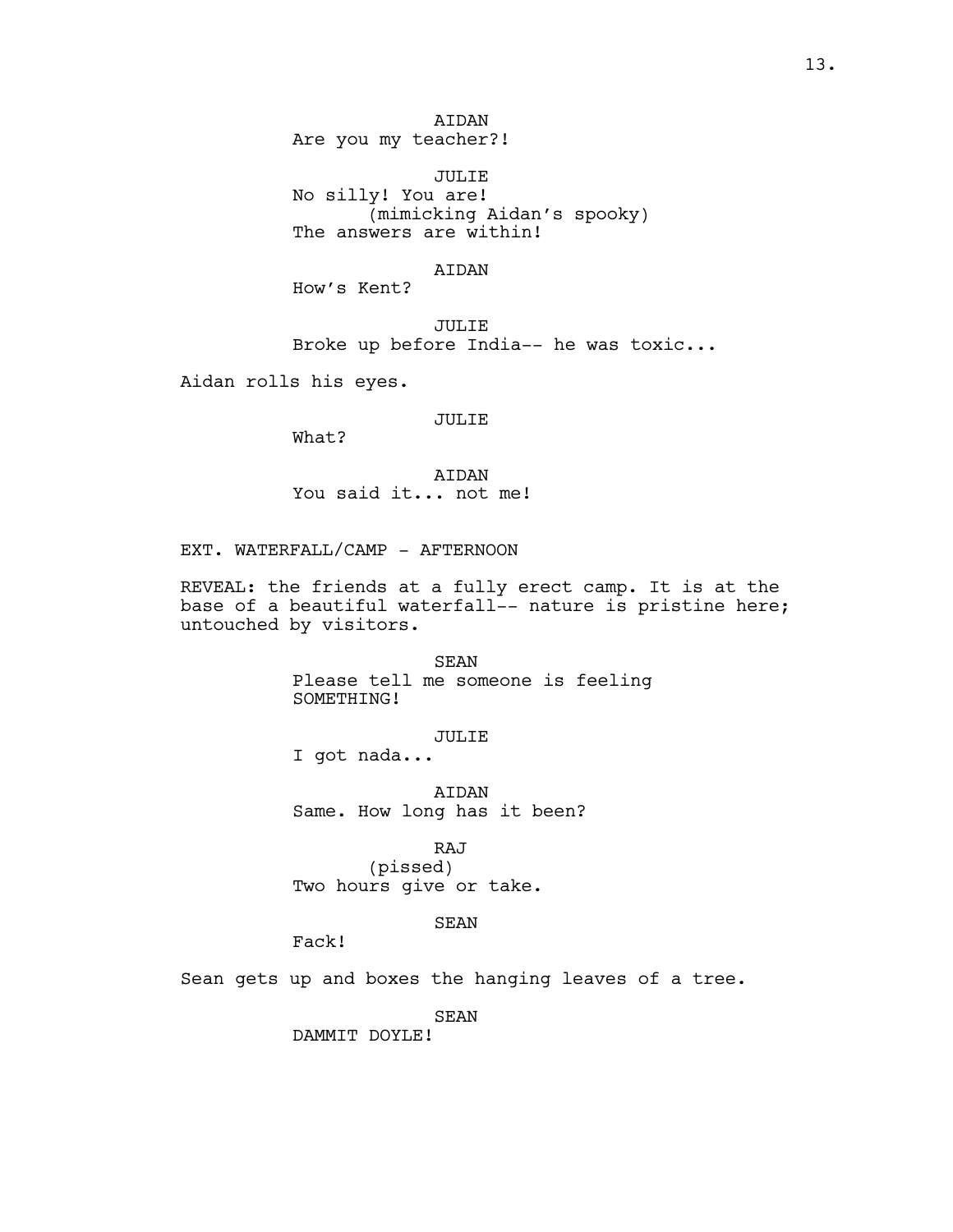AIDAN Are you my teacher?!

JULIE No silly! You are! (mimicking Aidan's spooky) The answers are within!

# AIDAN

How's Kent?

JULIE Broke up before India-- he was toxic...

Aidan rolls his eyes.

## JULIE

What?

AIDAN You said it... not me!

EXT. WATERFALL/CAMP - AFTERNOON

REVEAL: the friends at a fully erect camp. It is at the base of a beautiful waterfall-- nature is pristine here; untouched by visitors.

> SEAN Please tell me someone is feeling SOMETHING!

> > JULIE

I got nada...

AIDAN Same. How long has it been?

RAJ (pissed) Two hours give or take.

# SEAN

Fack!

Sean gets up and boxes the hanging leaves of a tree.

SEAN

DAMMIT DOYLE!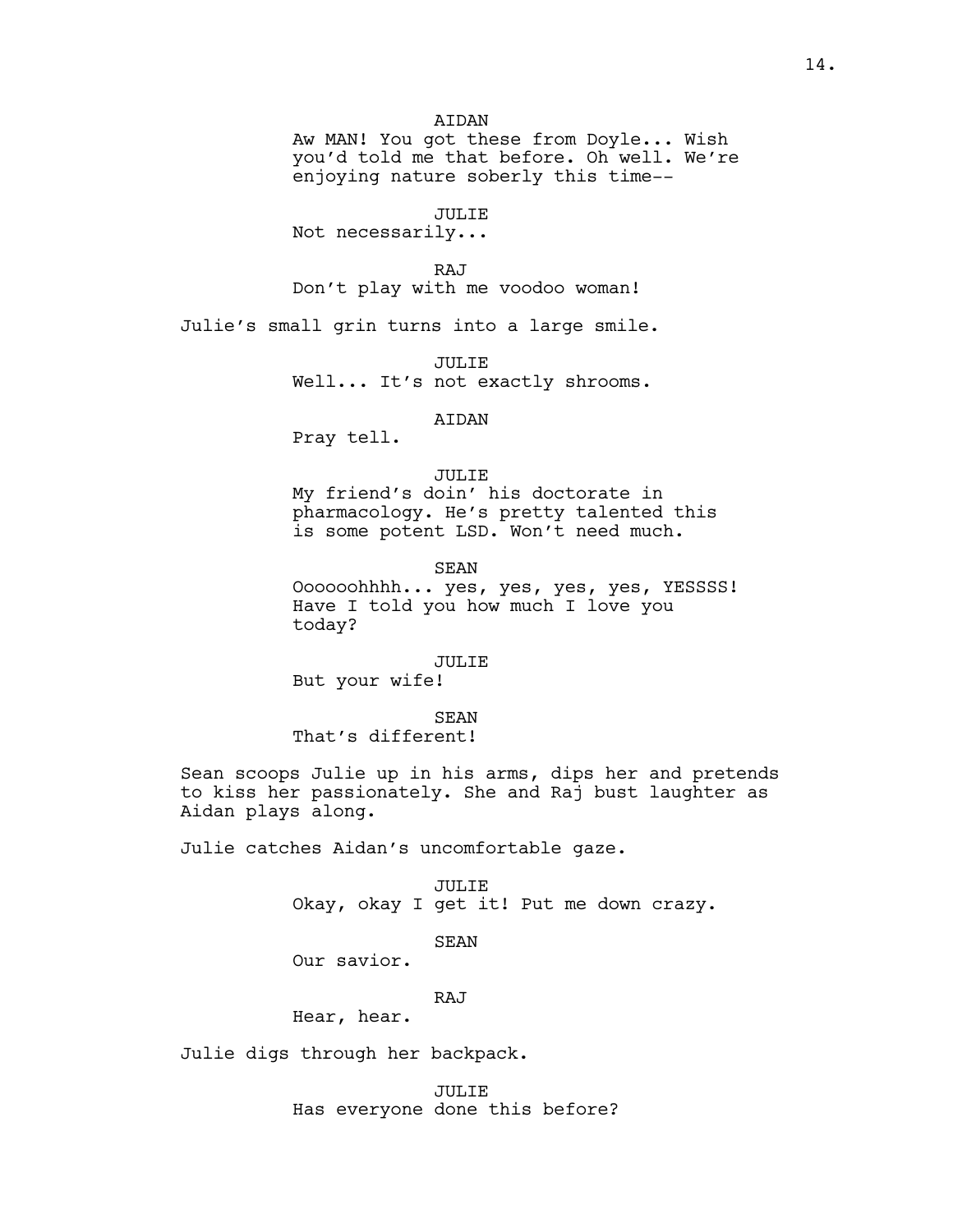# **ATDAN**

Aw MAN! You got these from Doyle... Wish you'd told me that before. Oh well. We're enjoying nature soberly this time--

JULIE

Not necessarily...

RAJ

Don't play with me voodoo woman!

Julie's small grin turns into a large smile.

JULIE Well... It's not exactly shrooms.

# AIDAN

Pray tell.

## JULIE

My friend's doin' his doctorate in pharmacology. He's pretty talented this is some potent LSD. Won't need much.

SEAN

Oooooohhhh... yes, yes, yes, yes, YESSSS! Have I told you how much I love you today?

#### JULIE

But your wife!

SEAN That's different!

Sean scoops Julie up in his arms, dips her and pretends to kiss her passionately. She and Raj bust laughter as Aidan plays along.

Julie catches Aidan's uncomfortable gaze.

#### JULIE

Okay, okay I get it! Put me down crazy.

# SEAN

Our savior.

#### RAJ

Hear, hear.

Julie digs through her backpack.

JULIE Has everyone done this before?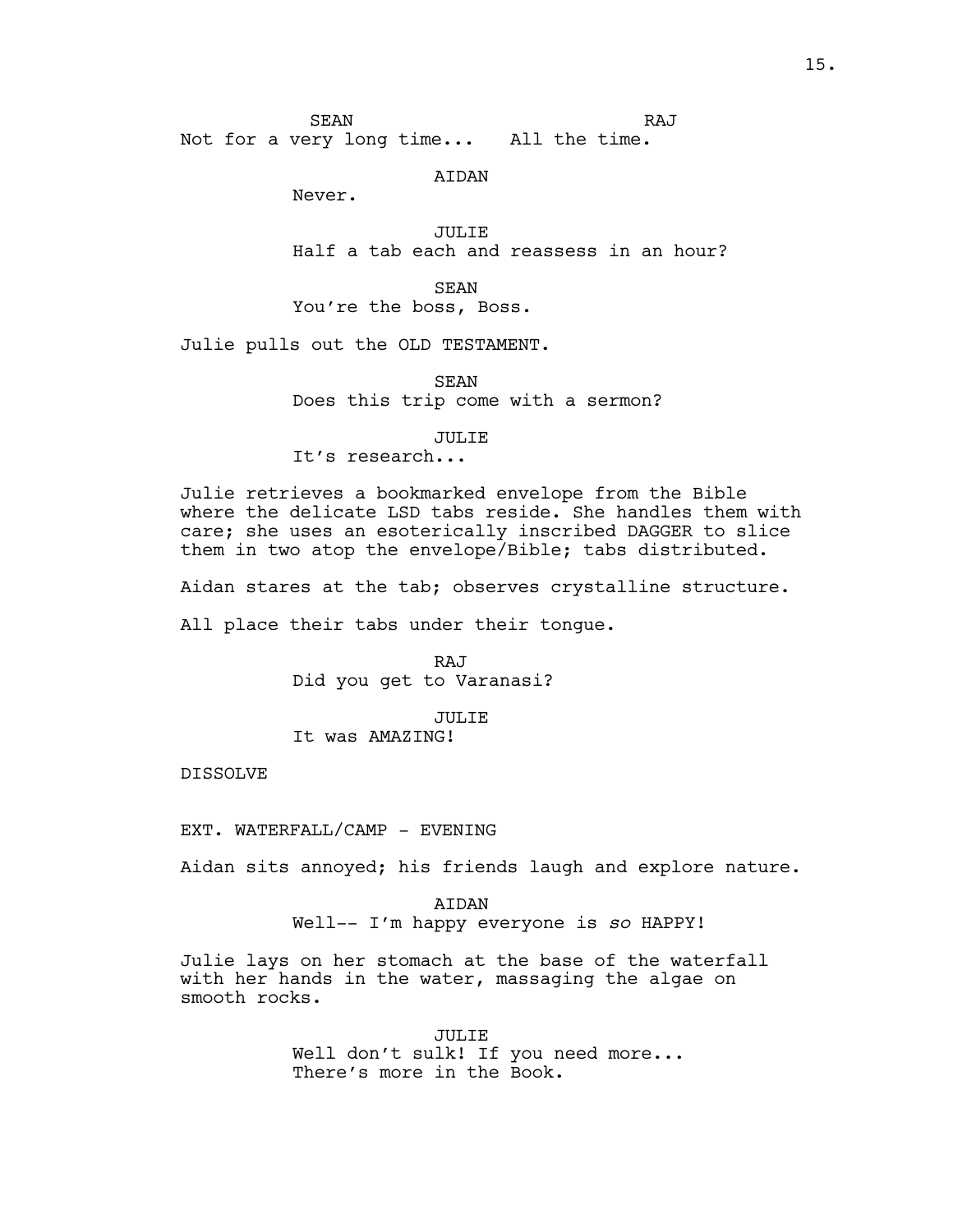SEAN Not for a very long time... All the time. RAJ

#### AIDAN

Never.

JULIE Half a tab each and reassess in an hour?

SEAN You're the boss, Boss.

Julie pulls out the OLD TESTAMENT.

SEAN Does this trip come with a sermon?

JULIE

It's research...

Julie retrieves a bookmarked envelope from the Bible where the delicate LSD tabs reside. She handles them with care; she uses an esoterically inscribed DAGGER to slice them in two atop the envelope/Bible; tabs distributed.

Aidan stares at the tab; observes crystalline structure.

All place their tabs under their tongue.

RAJ Did you get to Varanasi?

JULIE

It was AMAZING!

DISSOLVE

EXT. WATERFALL/CAMP - EVENING

Aidan sits annoyed; his friends laugh and explore nature.

AIDAN Well-- I'm happy everyone is *so* HAPPY!

Julie lays on her stomach at the base of the waterfall with her hands in the water, massaging the algae on smooth rocks.

> JULIE Well don't sulk! If you need more... There's more in the Book.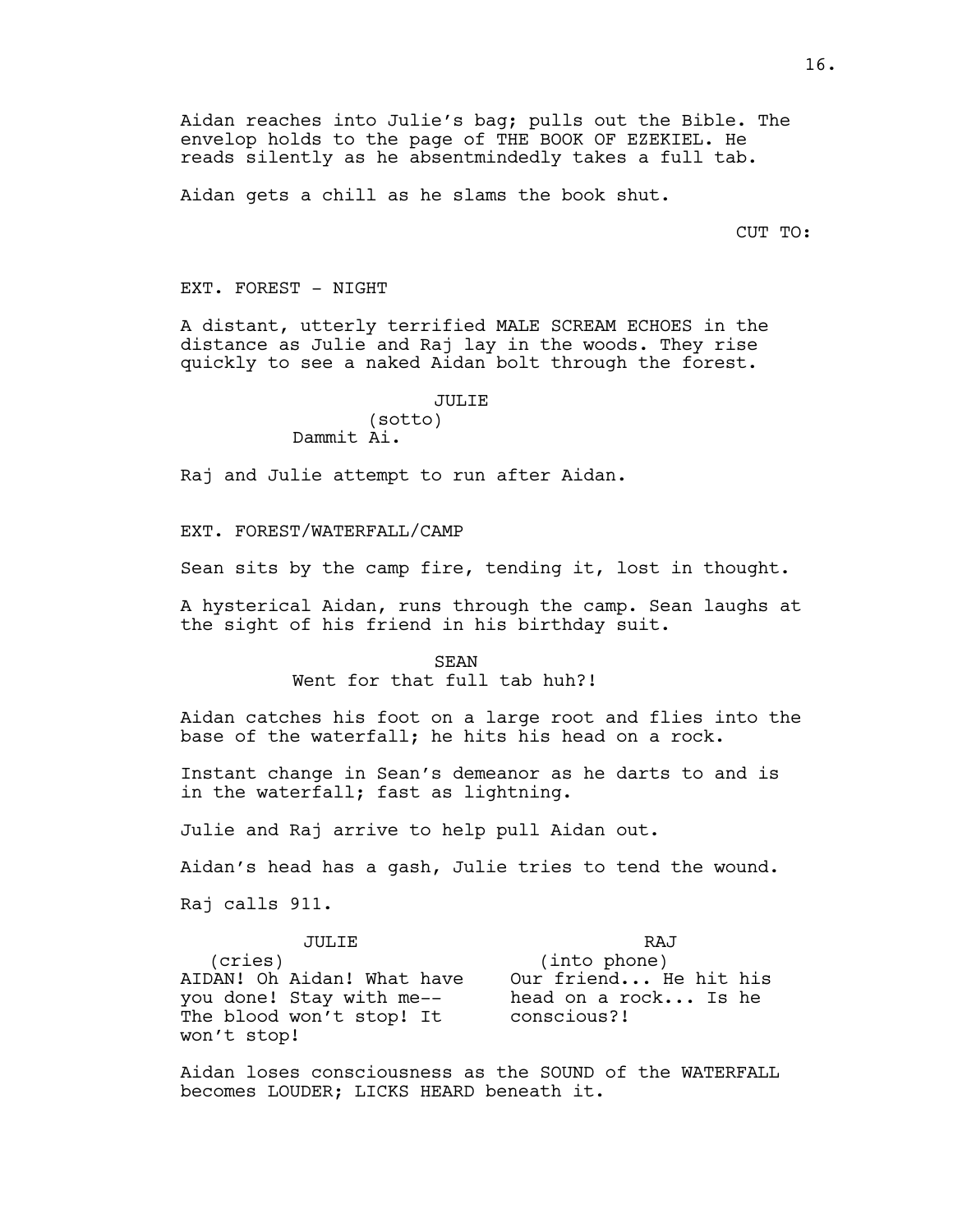Aidan reaches into Julie's bag; pulls out the Bible. The envelop holds to the page of THE BOOK OF EZEKIEL. He reads silently as he absentmindedly takes a full tab.

Aidan gets a chill as he slams the book shut.

CUT TO:

EXT. FOREST - NIGHT

A distant, utterly terrified MALE SCREAM ECHOES in the distance as Julie and Raj lay in the woods. They rise quickly to see a naked Aidan bolt through the forest.

#### JULIE

(sotto) Dammit Ai.

Raj and Julie attempt to run after Aidan.

EXT. FOREST/WATERFALL/CAMP

Sean sits by the camp fire, tending it, lost in thought.

A hysterical Aidan, runs through the camp. Sean laughs at the sight of his friend in his birthday suit.

> SEAN Went for that full tab huh?!

Aidan catches his foot on a large root and flies into the base of the waterfall; he hits his head on a rock.

Instant change in Sean's demeanor as he darts to and is in the waterfall; fast as lightning.

Julie and Raj arrive to help pull Aidan out.

Aidan's head has a gash, Julie tries to tend the wound.

Raj calls 911.

| JULTE.                     | RAJ                   |
|----------------------------|-----------------------|
| (cries)                    | (into phone)          |
| AIDAN! Oh Aidan! What have | Our friend He hit his |
| you done! Stay with me--   | head on a rock Is he  |
| The blood won't stop! It   | conscious?!           |
| won't stop!                |                       |

Aidan loses consciousness as the SOUND of the WATERFALL becomes LOUDER; LICKS HEARD beneath it.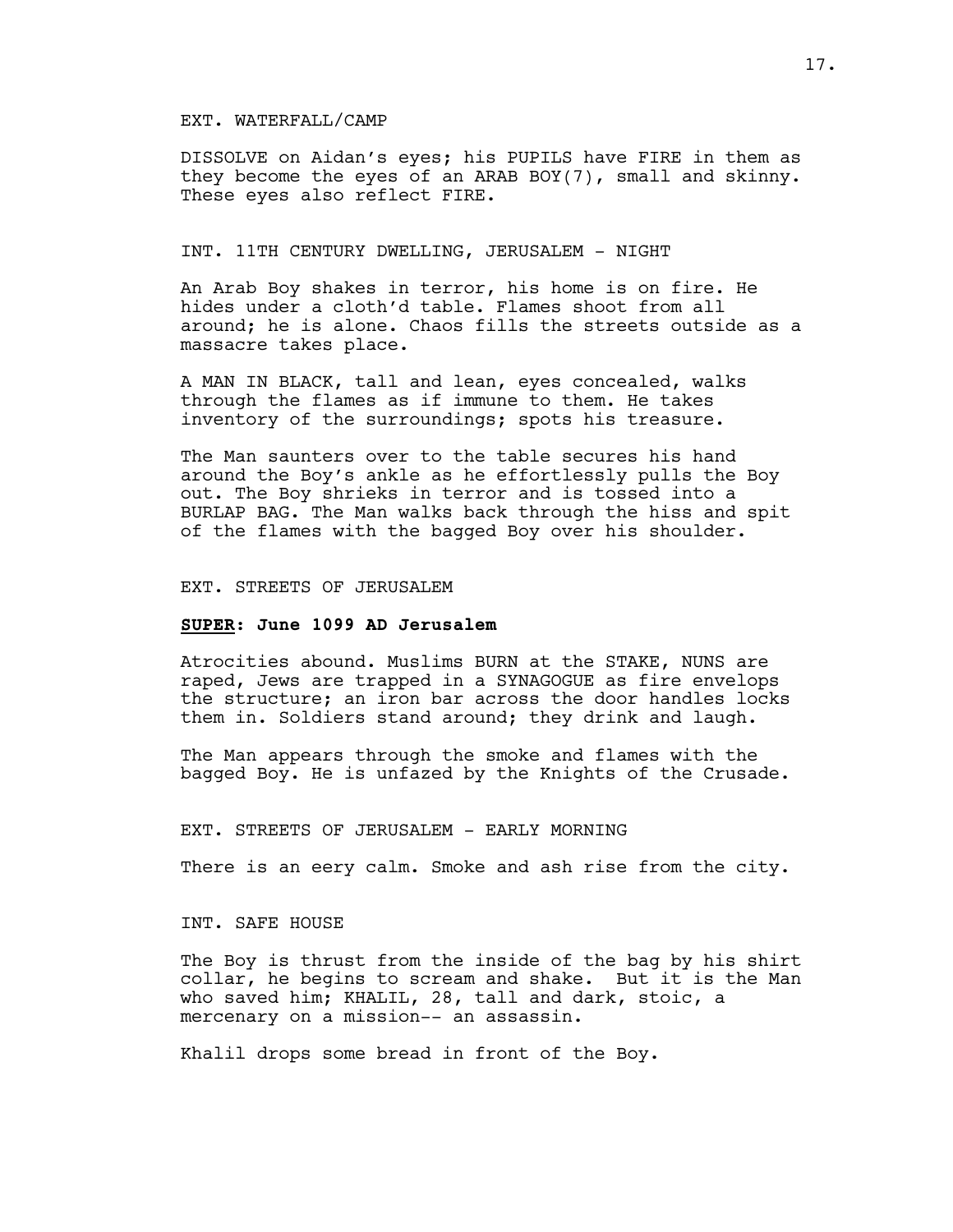## EXT. WATERFALL/CAMP

DISSOLVE on Aidan's eyes; his PUPILS have FIRE in them as they become the eyes of an ARAB BOY(7), small and skinny. These eyes also reflect FIRE.

## INT. 11TH CENTURY DWELLING, JERUSALEM - NIGHT

An Arab Boy shakes in terror, his home is on fire. He hides under a cloth'd table. Flames shoot from all around; he is alone. Chaos fills the streets outside as a massacre takes place.

A MAN IN BLACK, tall and lean, eyes concealed, walks through the flames as if immune to them. He takes inventory of the surroundings; spots his treasure.

The Man saunters over to the table secures his hand around the Boy's ankle as he effortlessly pulls the Boy out. The Boy shrieks in terror and is tossed into a BURLAP BAG. The Man walks back through the hiss and spit of the flames with the bagged Boy over his shoulder.

#### EXT. STREETS OF JERUSALEM

#### **SUPER: June 1099 AD Jerusalem**

Atrocities abound. Muslims BURN at the STAKE, NUNS are raped, Jews are trapped in a SYNAGOGUE as fire envelops the structure; an iron bar across the door handles locks them in. Soldiers stand around; they drink and laugh.

The Man appears through the smoke and flames with the bagged Boy. He is unfazed by the Knights of the Crusade.

#### EXT. STREETS OF JERUSALEM - EARLY MORNING

There is an eery calm. Smoke and ash rise from the city.

## INT. SAFE HOUSE

The Boy is thrust from the inside of the bag by his shirt collar, he begins to scream and shake. But it is the Man who saved him; KHALIL, 28, tall and dark, stoic, a mercenary on a mission-- an assassin.

Khalil drops some bread in front of the Boy.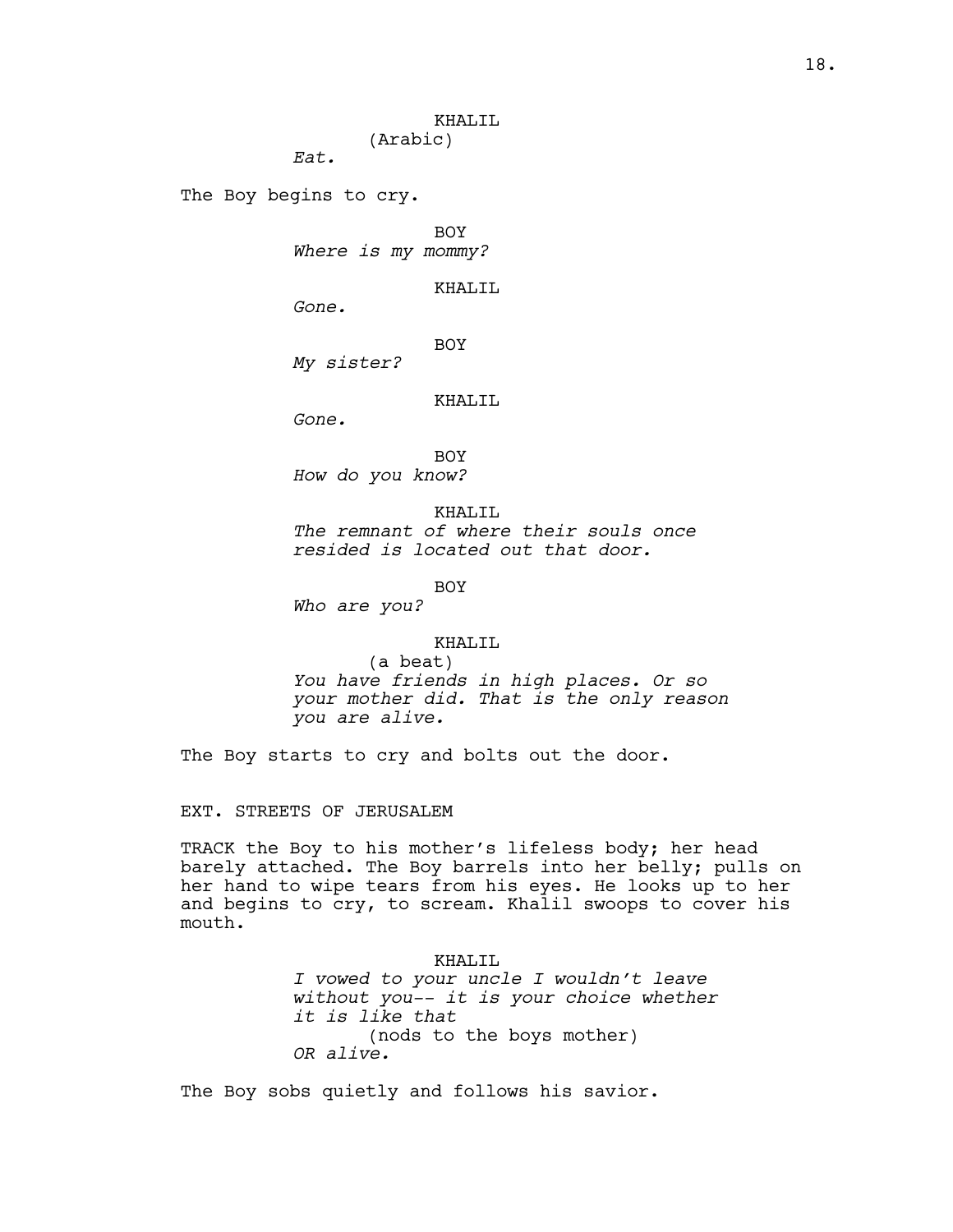## KHALIL (Arabic)

*Eat.*

The Boy begins to cry.

BOY *Where is my mommy?*

KHALIL

*Gone.*

BOY

*My sister?*

## KHALIL

*Gone.*

BOY *How do you know?*

KHALIL *The remnant of where their souls once resided is located out that door.*

BOY

*Who are you?*

# KHALIL

(a beat) *You have friends in high places. Or so your mother did. That is the only reason you are alive.*

The Boy starts to cry and bolts out the door.

EXT. STREETS OF JERUSALEM

TRACK the Boy to his mother's lifeless body; her head barely attached. The Boy barrels into her belly; pulls on her hand to wipe tears from his eyes. He looks up to her and begins to cry, to scream. Khalil swoops to cover his mouth.

> KHALIL *I vowed to your uncle I wouldn't leave without you-- it is your choice whether it is like that* (nods to the boys mother) *OR alive.*

The Boy sobs quietly and follows his savior.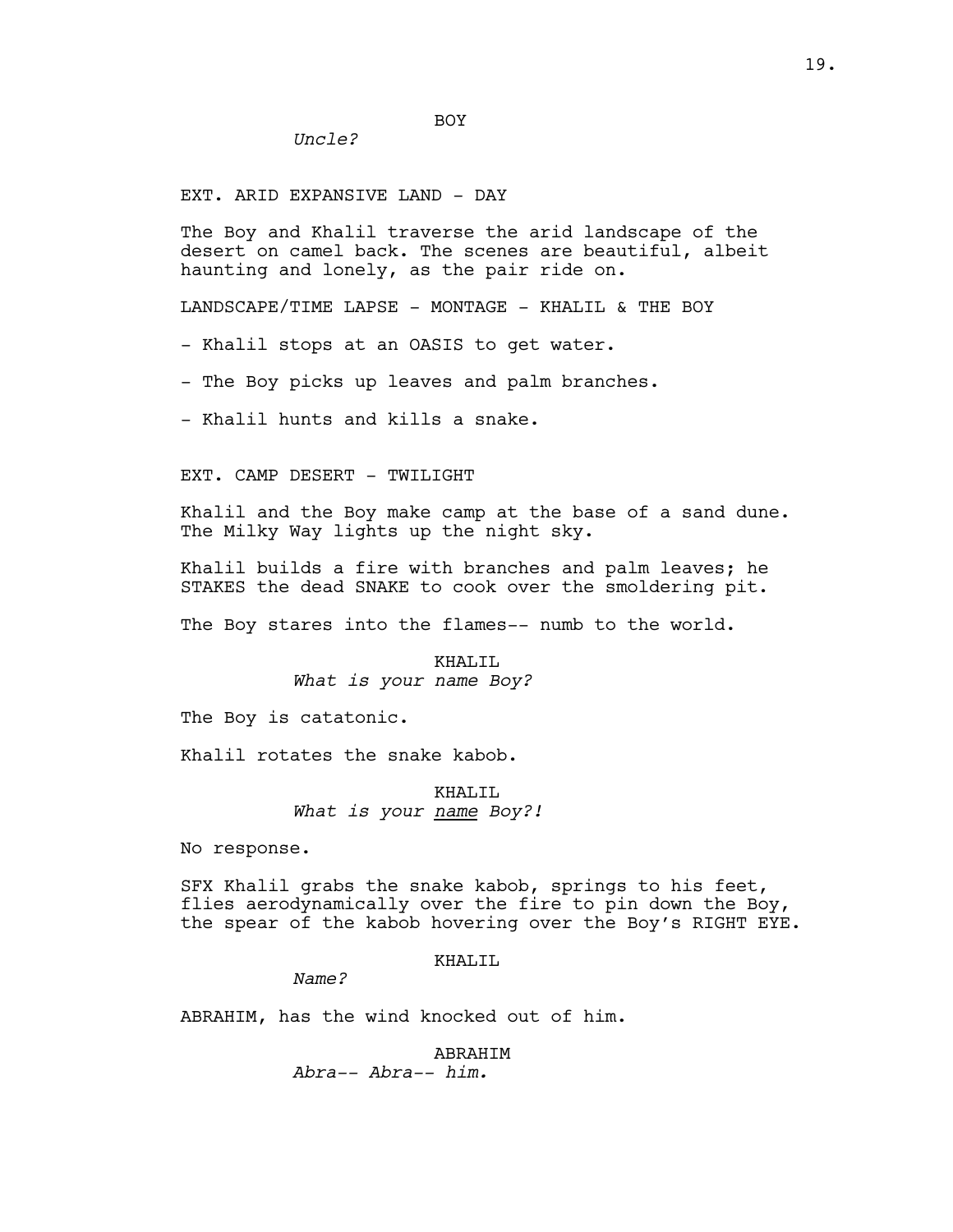EXT. ARID EXPANSIVE LAND - DAY

*Uncle?*

The Boy and Khalil traverse the arid landscape of the desert on camel back. The scenes are beautiful, albeit haunting and lonely, as the pair ride on.

LANDSCAPE/TIME LAPSE - MONTAGE - KHALIL & THE BOY

BOY

- Khalil stops at an OASIS to get water.

- The Boy picks up leaves and palm branches.

- Khalil hunts and kills a snake.

EXT. CAMP DESERT - TWILIGHT

Khalil and the Boy make camp at the base of a sand dune. The Milky Way lights up the night sky.

Khalil builds a fire with branches and palm leaves; he STAKES the dead SNAKE to cook over the smoldering pit.

The Boy stares into the flames-- numb to the world.

KHALIL *What is your name Boy?*

The Boy is catatonic.

Khalil rotates the snake kabob.

KHALIL *What is your name Boy?!*

No response.

SFX Khalil grabs the snake kabob, springs to his feet, flies aerodynamically over the fire to pin down the Boy, the spear of the kabob hovering over the Boy's RIGHT EYE.

KHALIL

*Name?*

ABRAHIM, has the wind knocked out of him.

ABRAHIM *Abra-- Abra-- him.*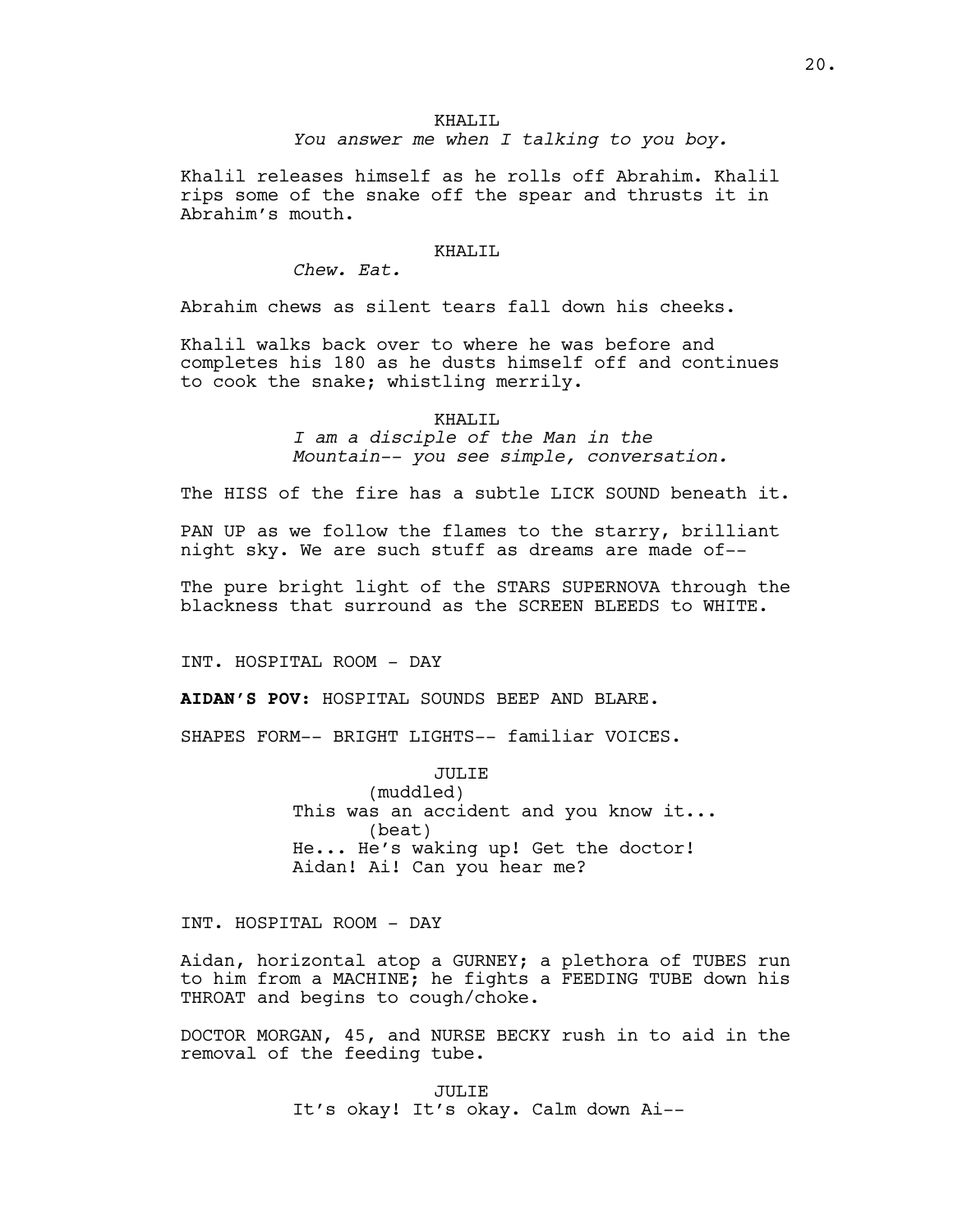# KHALIL *You answer me when I talking to you boy.*

Khalil releases himself as he rolls off Abrahim. Khalil rips some of the snake off the spear and thrusts it in Abrahim's mouth.

## KHALIL

*Chew. Eat.*

Abrahim chews as silent tears fall down his cheeks.

Khalil walks back over to where he was before and completes his 180 as he dusts himself off and continues to cook the snake; whistling merrily.

KHALIL

*I am a disciple of the Man in the Mountain-- you see simple, conversation.*

The HISS of the fire has a subtle LICK SOUND beneath it.

PAN UP as we follow the flames to the starry, brilliant night sky. We are such stuff as dreams are made of--

The pure bright light of the STARS SUPERNOVA through the blackness that surround as the SCREEN BLEEDS to WHITE.

INT. HOSPITAL ROOM - DAY

**AIDAN'S POV:** HOSPITAL SOUNDS BEEP AND BLARE.

SHAPES FORM-- BRIGHT LIGHTS-- familiar VOICES.

JULIE (muddled) This was an accident and you know it... (beat) He... He's waking up! Get the doctor! Aidan! Ai! Can you hear me?

INT. HOSPITAL ROOM - DAY

Aidan, horizontal atop a GURNEY; a plethora of TUBES run to him from a MACHINE; he fights a FEEDING TUBE down his THROAT and begins to cough/choke.

DOCTOR MORGAN, 45, and NURSE BECKY rush in to aid in the removal of the feeding tube.

> JULIE It's okay! It's okay. Calm down Ai--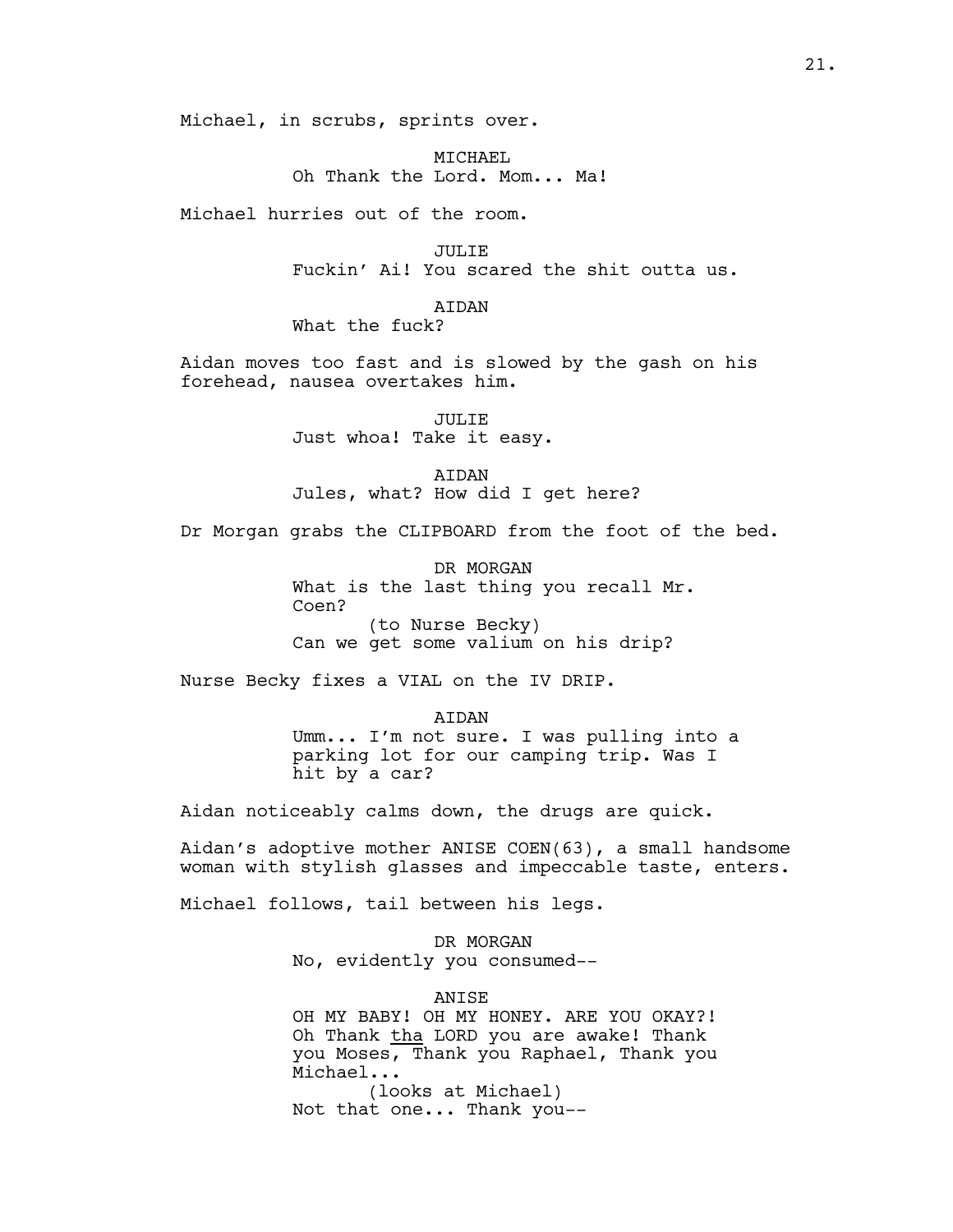Michael, in scrubs, sprints over.

MTCHAEL Oh Thank the Lord. Mom... Ma!

Michael hurries out of the room.

JULIE Fuckin' Ai! You scared the shit outta us.

# AIDAN

What the fuck?

Aidan moves too fast and is slowed by the gash on his forehead, nausea overtakes him.

> JULIE Just whoa! Take it easy.

AIDAN Jules, what? How did I get here?

Dr Morgan grabs the CLIPBOARD from the foot of the bed.

DR MORGAN What is the last thing you recall Mr. Coen? (to Nurse Becky) Can we get some valium on his drip?

Nurse Becky fixes a VIAL on the IV DRIP.

AIDAN Umm... I'm not sure. I was pulling into a parking lot for our camping trip. Was I hit by a car?

Aidan noticeably calms down, the drugs are quick.

Aidan's adoptive mother ANISE COEN(63), a small handsome woman with stylish glasses and impeccable taste, enters.

Michael follows, tail between his legs.

DR MORGAN No, evidently you consumed--

ANISE

OH MY BABY! OH MY HONEY. ARE YOU OKAY?! Oh Thank tha LORD you are awake! Thank you Moses, Thank you Raphael, Thank you Michael...

(looks at Michael) Not that one... Thank you--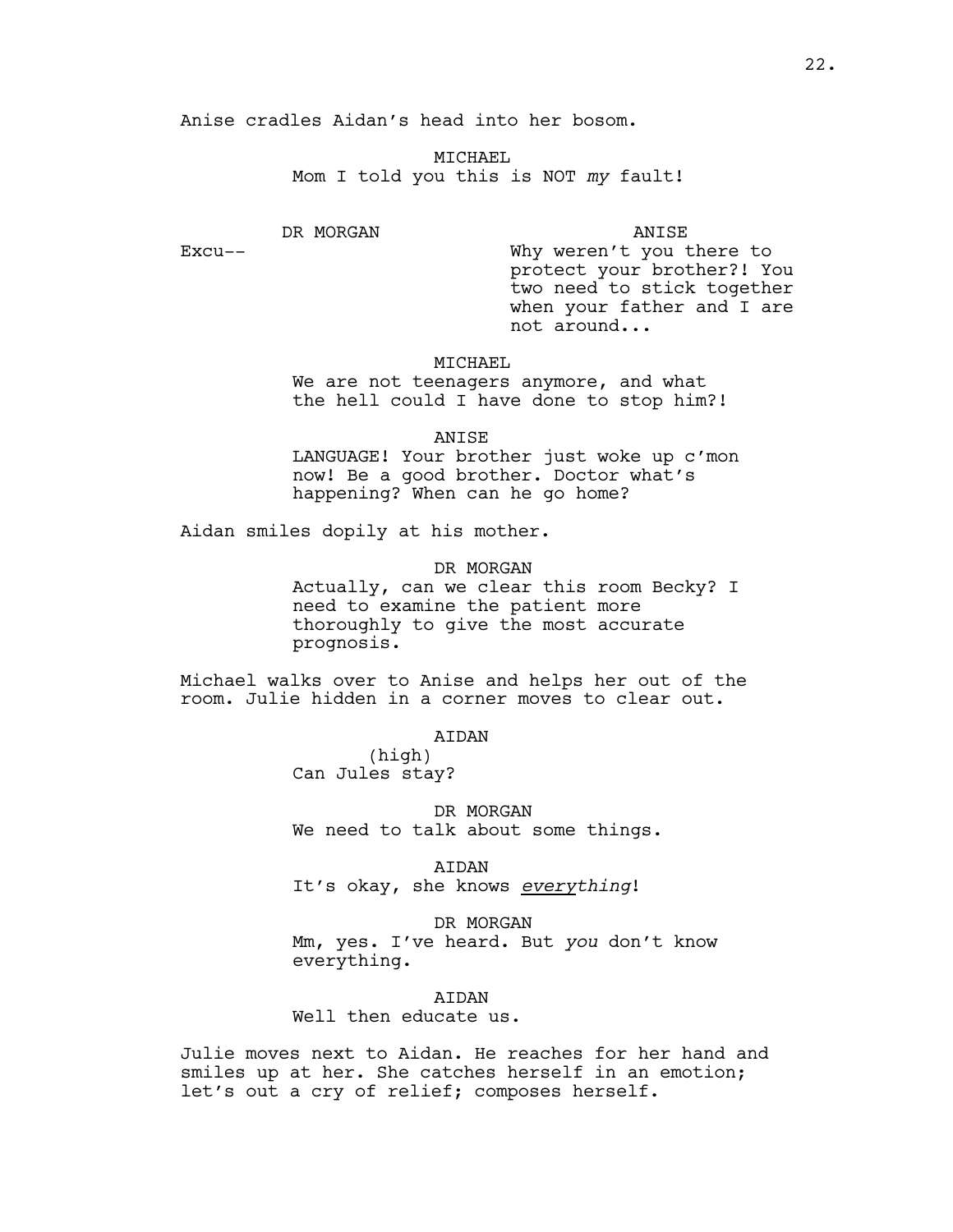Anise cradles Aidan's head into her bosom.

MTCHAEL Mom I told you this is NOT *my* fault!

DR MORGAN

Excu--

ANISE

Why weren't you there to protect your brother?! You two need to stick together when your father and I are not around...

# MICHAEL

We are not teenagers anymore, and what the hell could I have done to stop him?!

ANISE

LANGUAGE! Your brother just woke up c'mon now! Be a good brother. Doctor what's happening? When can he go home?

Aidan smiles dopily at his mother.

DR MORGAN Actually, can we clear this room Becky? I need to examine the patient more thoroughly to give the most accurate prognosis.

Michael walks over to Anise and helps her out of the room. Julie hidden in a corner moves to clear out.

AIDAN

(high) Can Jules stay?

DR MORGAN We need to talk about some things.

AIDAN

It's okay, she knows *everything*!

DR MORGAN

Mm, yes. I've heard. But *you* don't know everything.

AIDAN

Well then educate us.

Julie moves next to Aidan. He reaches for her hand and smiles up at her. She catches herself in an emotion; let's out a cry of relief; composes herself.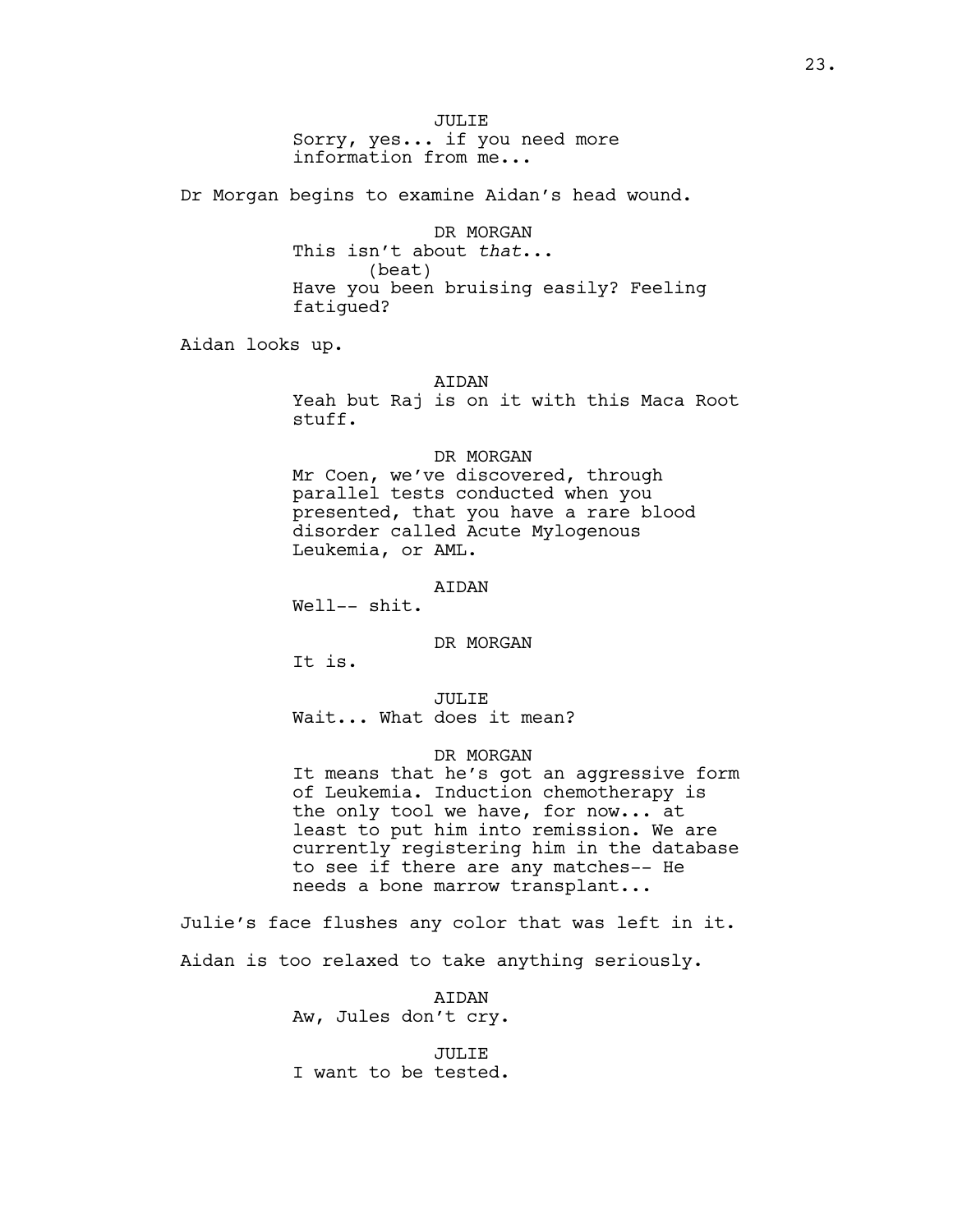JULIE Sorry, yes... if you need more information from me...

Dr Morgan begins to examine Aidan's head wound.

DR MORGAN This isn't about *that*... (beat) Have you been bruising easily? Feeling fatigued?

Aidan looks up.

AIDAN

Yeah but Raj is on it with this Maca Root stuff.

#### DR MORGAN

Mr Coen, we've discovered, through parallel tests conducted when you presented, that you have a rare blood disorder called Acute Mylogenous Leukemia, or AML.

#### AIDAN

Well-- shit.

#### DR MORGAN

It is.

JULIE Wait... What does it mean?

## DR MORGAN

It means that he's got an aggressive form of Leukemia. Induction chemotherapy is the only tool we have, for now... at least to put him into remission. We are currently registering him in the database to see if there are any matches-- He needs a bone marrow transplant...

Julie's face flushes any color that was left in it. Aidan is too relaxed to take anything seriously.

> AIDAN Aw, Jules don't cry.

> JULIE I want to be tested.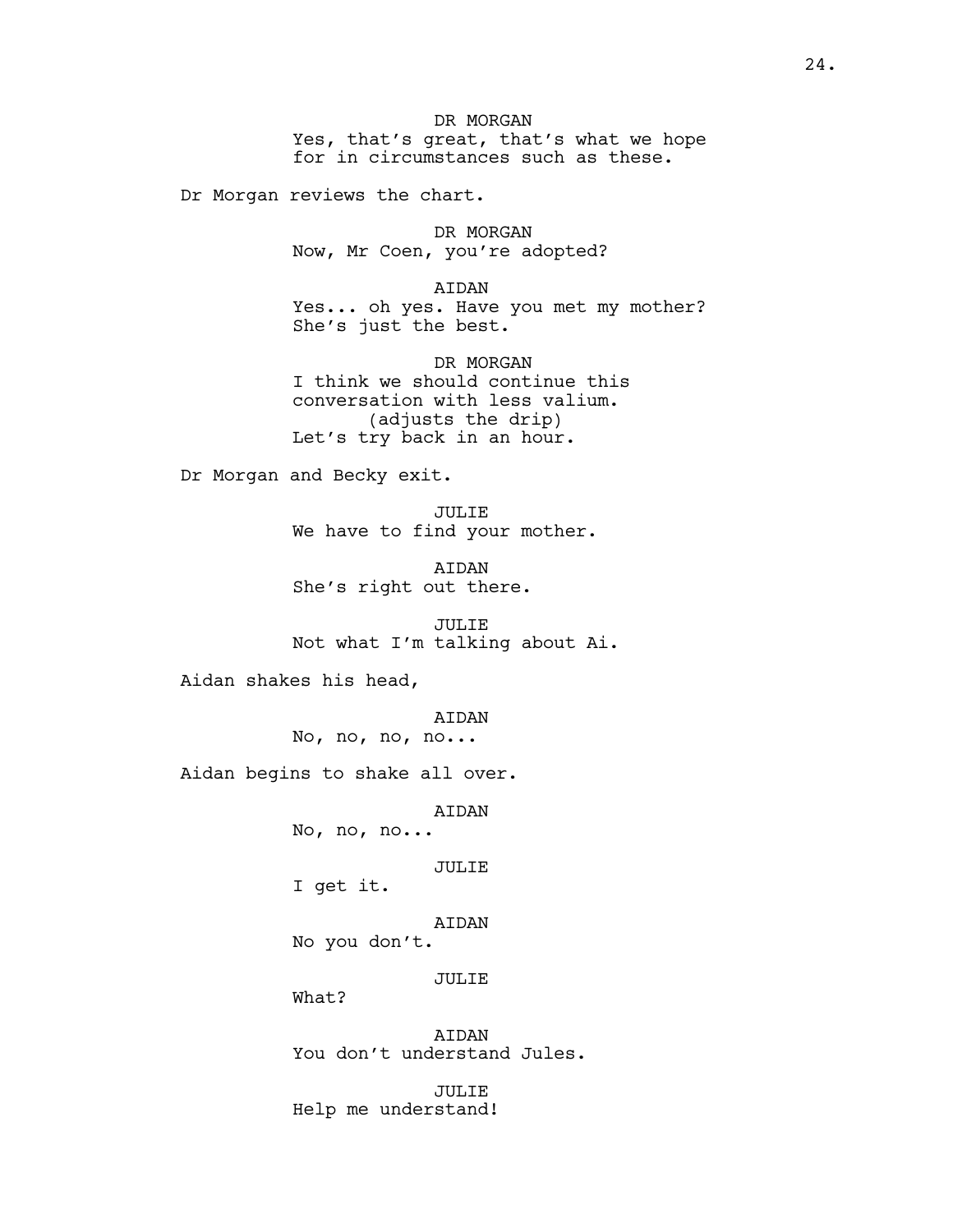DR MORGAN Yes, that's great, that's what we hope for in circumstances such as these.

Dr Morgan reviews the chart.

DR MORGAN Now, Mr Coen, you're adopted?

AIDAN Yes... oh yes. Have you met my mother? She's just the best.

DR MORGAN I think we should continue this conversation with less valium. (adjusts the drip) Let's try back in an hour.

Dr Morgan and Becky exit.

JULIE We have to find your mother.

AIDAN She's right out there.

JULIE Not what I'm talking about Ai.

Aidan shakes his head,

AIDAN No, no, no, no...

Aidan begins to shake all over.

AIDAN

No, no, no...

JULIE

I get it.

AIDAN No you don't.

JULIE

What?

AIDAN You don't understand Jules.

JULIE Help me understand!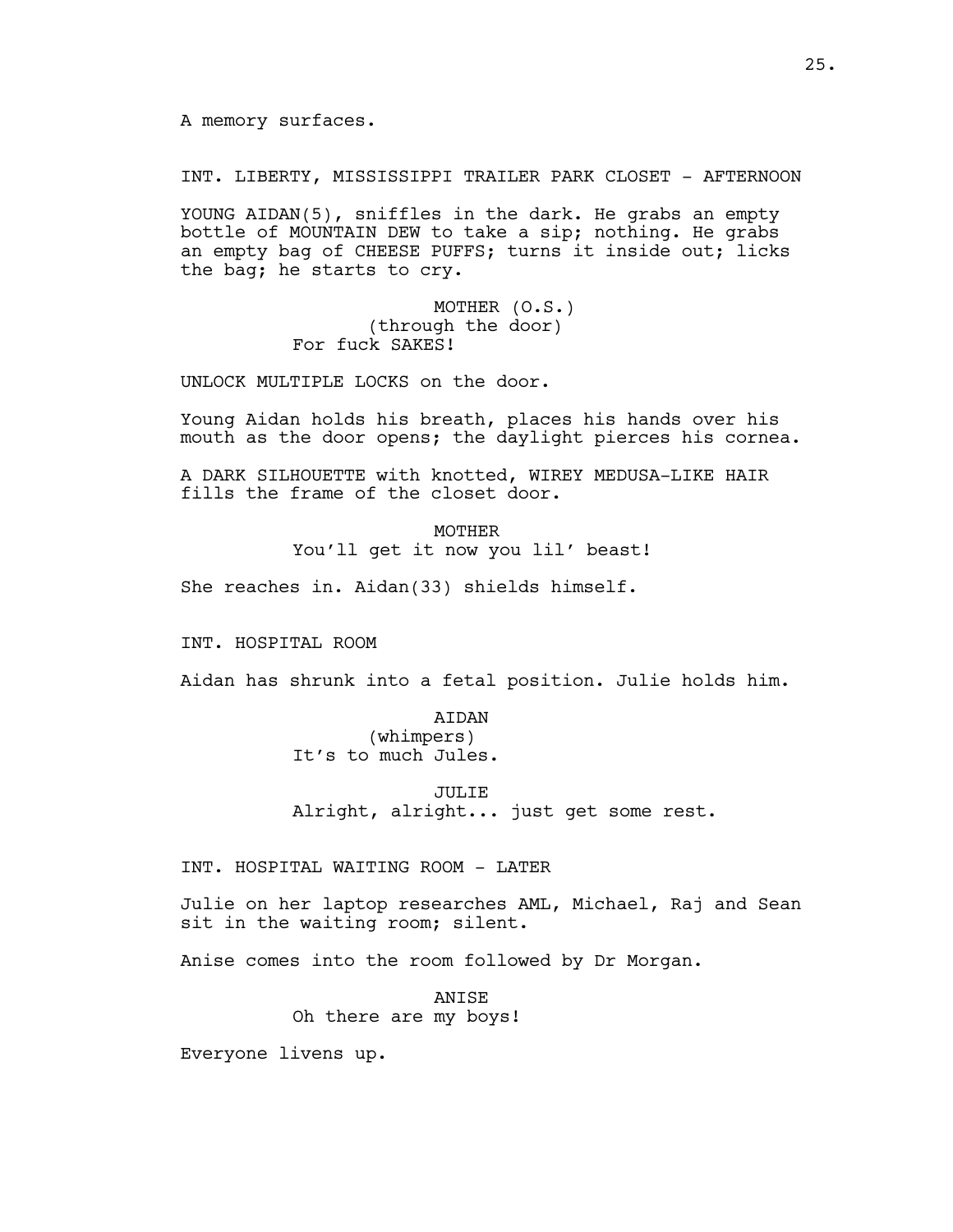A memory surfaces.

INT. LIBERTY, MISSISSIPPI TRAILER PARK CLOSET - AFTERNOON

YOUNG AIDAN(5), sniffles in the dark. He grabs an empty bottle of MOUNTAIN DEW to take a sip; nothing. He grabs an empty bag of CHEESE PUFFS; turns it inside out; licks the bag; he starts to cry.

> MOTHER (O.S.) (through the door) For fuck SAKES!

UNLOCK MULTIPLE LOCKS on the door.

Young Aidan holds his breath, places his hands over his mouth as the door opens; the daylight pierces his cornea.

A DARK SILHOUETTE with knotted, WIREY MEDUSA-LIKE HAIR fills the frame of the closet door.

> MOTHER You'll get it now you lil' beast!

She reaches in. Aidan(33) shields himself.

INT. HOSPITAL ROOM

Aidan has shrunk into a fetal position. Julie holds him.

AIDAN (whimpers) It's to much Jules.

JULIE Alright, alright... just get some rest.

INT. HOSPITAL WAITING ROOM - LATER

Julie on her laptop researches AML, Michael, Raj and Sean sit in the waiting room; silent.

Anise comes into the room followed by Dr Morgan.

ANISE Oh there are my boys!

Everyone livens up.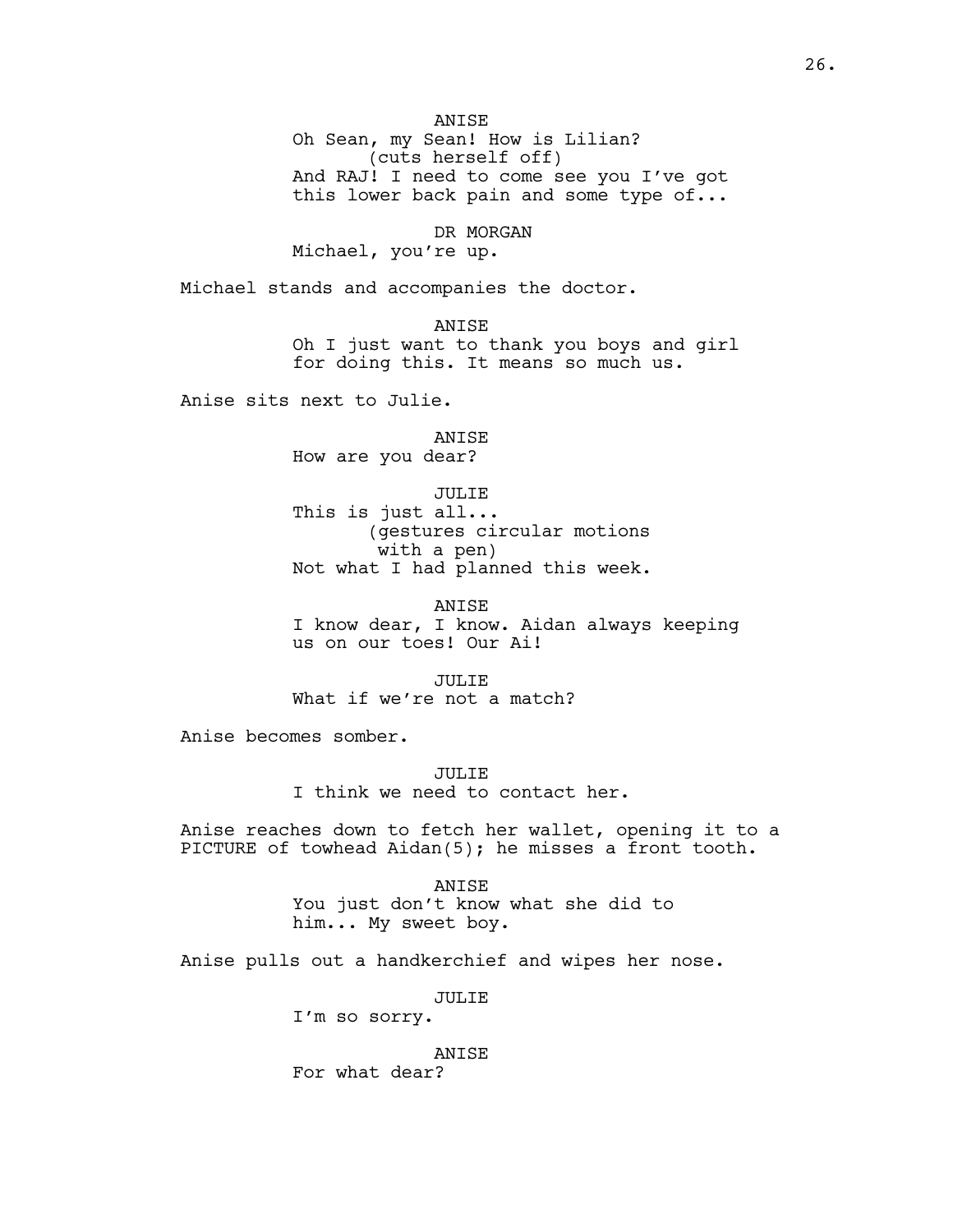ANISE

Oh Sean, my Sean! How is Lilian? (cuts herself off) And RAJ! I need to come see you I've got this lower back pain and some type of...

DR MORGAN

Michael, you're up.

Michael stands and accompanies the doctor.

ANISE Oh I just want to thank you boys and girl for doing this. It means so much us.

Anise sits next to Julie.

ANISE How are you dear?

JULIE This is just all... (gestures circular motions with a pen) Not what I had planned this week.

ANISE I know dear, I know. Aidan always keeping us on our toes! Our Ai!

JULIE What if we're not a match?

Anise becomes somber.

JULIE I think we need to contact her.

Anise reaches down to fetch her wallet, opening it to a PICTURE of towhead Aidan(5); he misses a front tooth.

> ANISE You just don't know what she did to him... My sweet boy.

Anise pulls out a handkerchief and wipes her nose.

JULIE

I'm so sorry.

ANISE For what dear?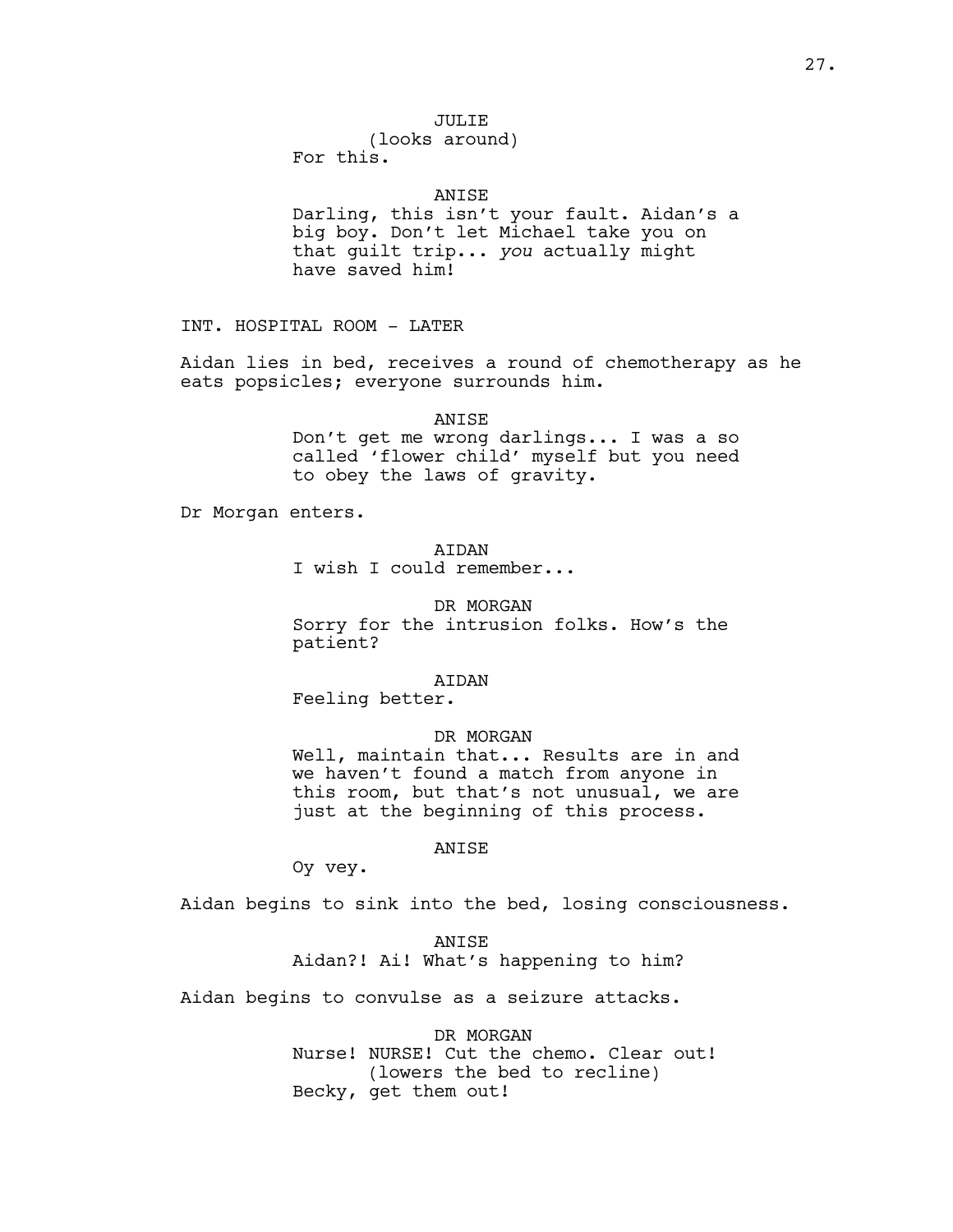# JULIE

(looks around) For this.

#### ANISE

Darling, this isn't your fault. Aidan's a big boy. Don't let Michael take you on that guilt trip... *you* actually might have saved him!

INT. HOSPITAL ROOM - LATER

Aidan lies in bed, receives a round of chemotherapy as he eats popsicles; everyone surrounds him.

ANISE

Don't get me wrong darlings... I was a so called 'flower child' myself but you need to obey the laws of gravity.

Dr Morgan enters.

# AIDAN

I wish I could remember...

DR MORGAN Sorry for the intrusion folks. How's the patient?

## AIDAN

Feeling better.

## DR MORGAN

Well, maintain that... Results are in and we haven't found a match from anyone in this room, but that's not unusual, we are just at the beginning of this process.

# ANISE

Oy vey.

Aidan begins to sink into the bed, losing consciousness.

ANISE Aidan?! Ai! What's happening to him?

Aidan begins to convulse as a seizure attacks.

DR MORGAN Nurse! NURSE! Cut the chemo. Clear out! (lowers the bed to recline) Becky, get them out!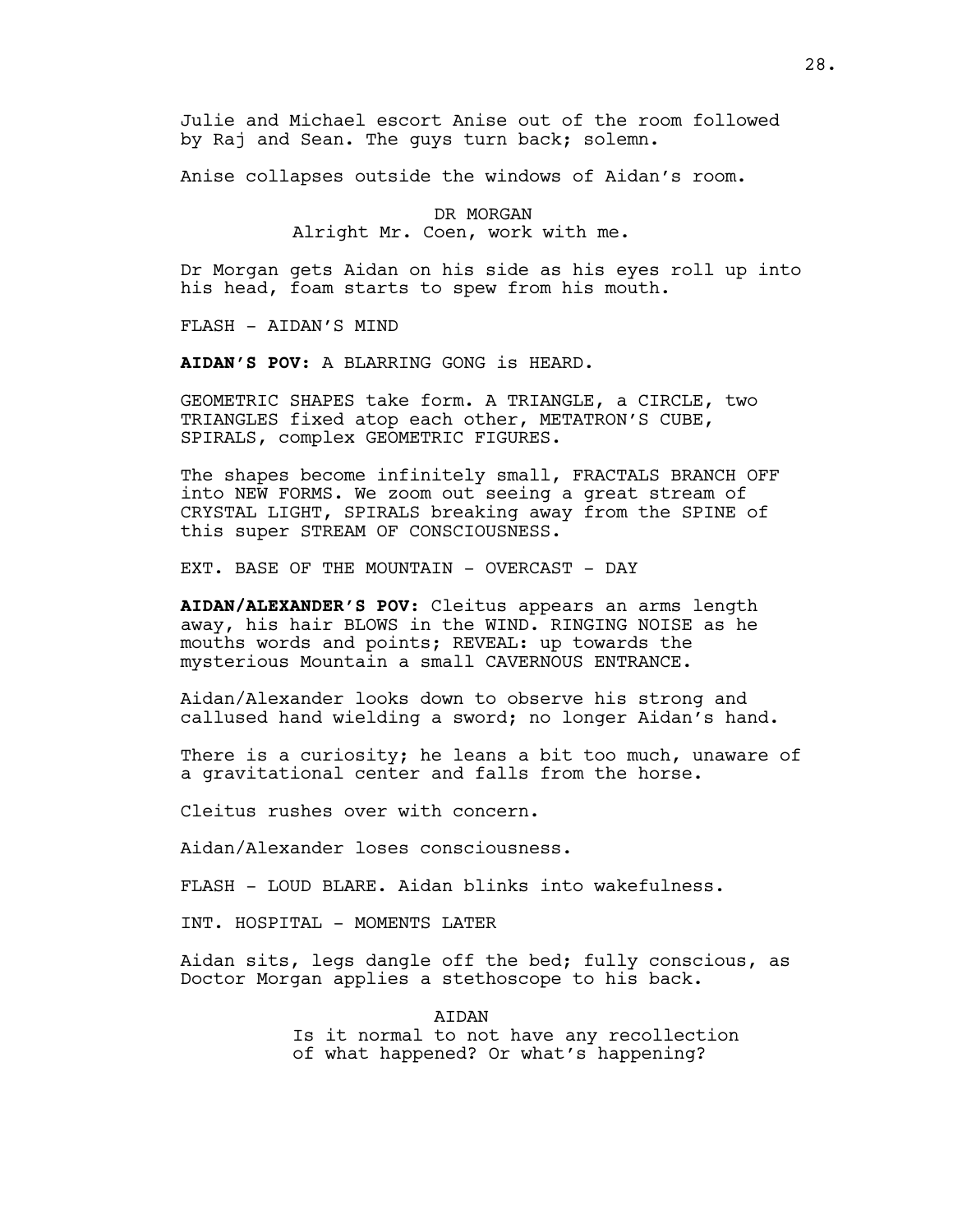Julie and Michael escort Anise out of the room followed by Raj and Sean. The guys turn back; solemn.

Anise collapses outside the windows of Aidan's room.

DR MORGAN Alright Mr. Coen, work with me.

Dr Morgan gets Aidan on his side as his eyes roll up into his head, foam starts to spew from his mouth.

FLASH - AIDAN'S MIND

**AIDAN'S POV**: A BLARRING GONG is HEARD.

GEOMETRIC SHAPES take form. A TRIANGLE, a CIRCLE, two TRIANGLES fixed atop each other, METATRON'S CUBE, SPIRALS, complex GEOMETRIC FIGURES.

The shapes become infinitely small, FRACTALS BRANCH OFF into NEW FORMS. We zoom out seeing a great stream of CRYSTAL LIGHT, SPIRALS breaking away from the SPINE of this super STREAM OF CONSCIOUSNESS.

EXT. BASE OF THE MOUNTAIN - OVERCAST - DAY

**AIDAN/ALEXANDER'S POV**: Cleitus appears an arms length away, his hair BLOWS in the WIND. RINGING NOISE as he mouths words and points; REVEAL: up towards the mysterious Mountain a small CAVERNOUS ENTRANCE.

Aidan/Alexander looks down to observe his strong and callused hand wielding a sword; no longer Aidan's hand.

There is a curiosity; he leans a bit too much, unaware of a gravitational center and falls from the horse.

Cleitus rushes over with concern.

Aidan/Alexander loses consciousness.

FLASH - LOUD BLARE. Aidan blinks into wakefulness.

INT. HOSPITAL - MOMENTS LATER

Aidan sits, legs dangle off the bed; fully conscious, as Doctor Morgan applies a stethoscope to his back.

> ATDAN Is it normal to not have any recollection of what happened? Or what's happening?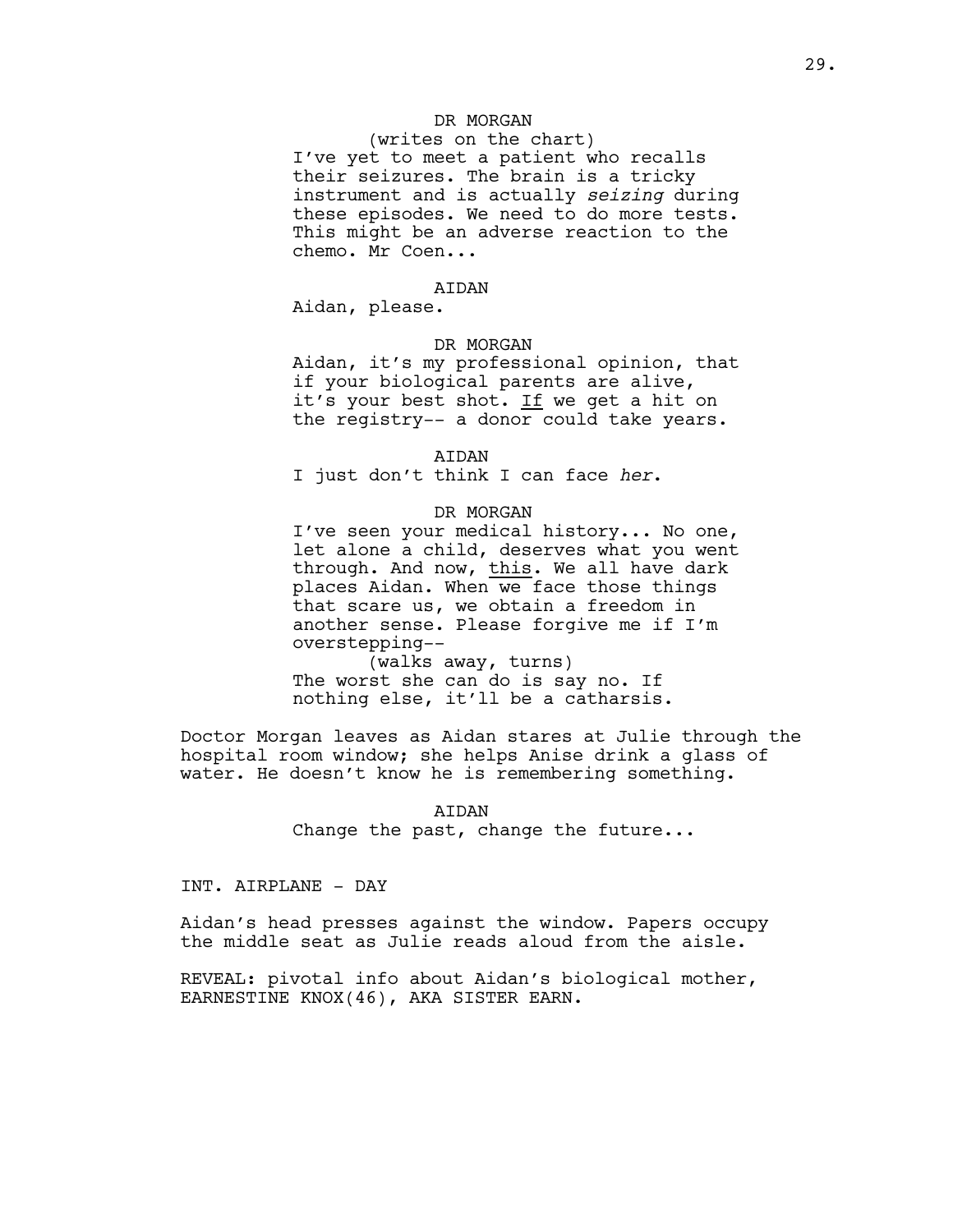# DR MORGAN

(writes on the chart) I've yet to meet a patient who recalls their seizures. The brain is a tricky instrument and is actually *seizing* during these episodes. We need to do more tests. This might be an adverse reaction to the chemo. Mr Coen...

#### **ATDAN**

Aidan, please.

# DR MORGAN

Aidan, it's my professional opinion, that if your biological parents are alive, it's your best shot. If we get a hit on the registry-- a donor could take years.

#### AIDAN

I just don't think I can face *her*.

## DR MORGAN

I've seen your medical history... No one, let alone a child, deserves what you went through. And now, this. We all have dark places Aidan. When we face those things that scare us, we obtain a freedom in another sense. Please forgive me if I'm overstepping--

(walks away, turns) The worst she can do is say no. If nothing else, it'll be a catharsis.

Doctor Morgan leaves as Aidan stares at Julie through the hospital room window; she helps Anise drink a glass of water. He doesn't know he is remembering something.

> AIDAN Change the past, change the future...

INT. AIRPLANE - DAY

Aidan's head presses against the window. Papers occupy the middle seat as Julie reads aloud from the aisle.

REVEAL: pivotal info about Aidan's biological mother, EARNESTINE KNOX(46), AKA SISTER EARN.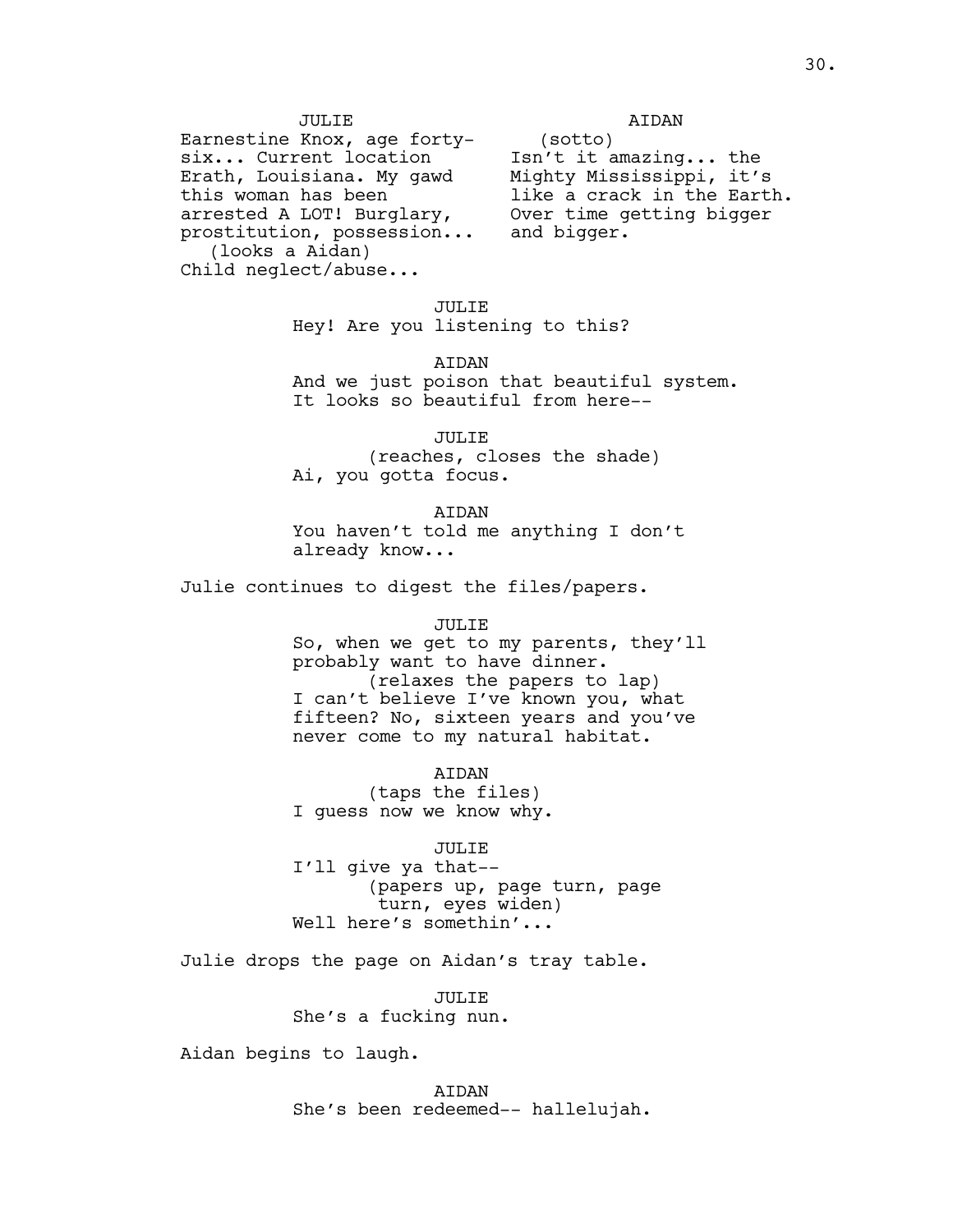JULIE

Earnestine Knox, age fortysix... Current location Erath, Louisiana. My gawd this woman has been arrested A LOT! Burglary, prostitution, possession... (looks a Aidan) Child neglect/abuse...

(sotto) Isn't it amazing... the Mighty Mississippi, it's like a crack in the Earth. Over time getting bigger and bigger.

AIDAN

# JULIE

Hey! Are you listening to this?

AIDAN

And we just poison that beautiful system. It looks so beautiful from here--

JULIE (reaches, closes the shade) Ai, you gotta focus.

AIDAN You haven't told me anything I don't already know...

Julie continues to digest the files/papers.

#### JULIE

So, when we get to my parents, they'll probably want to have dinner. (relaxes the papers to lap) I can't believe I've known you, what fifteen? No, sixteen years and you've never come to my natural habitat.

AIDAN (taps the files) I guess now we know why.

JULIE

I'll give ya that-- (papers up, page turn, page turn, eyes widen) Well here's somethin'...

Julie drops the page on Aidan's tray table.

JULIE She's a fucking nun.

Aidan begins to laugh.

AIDAN She's been redeemed-- hallelujah.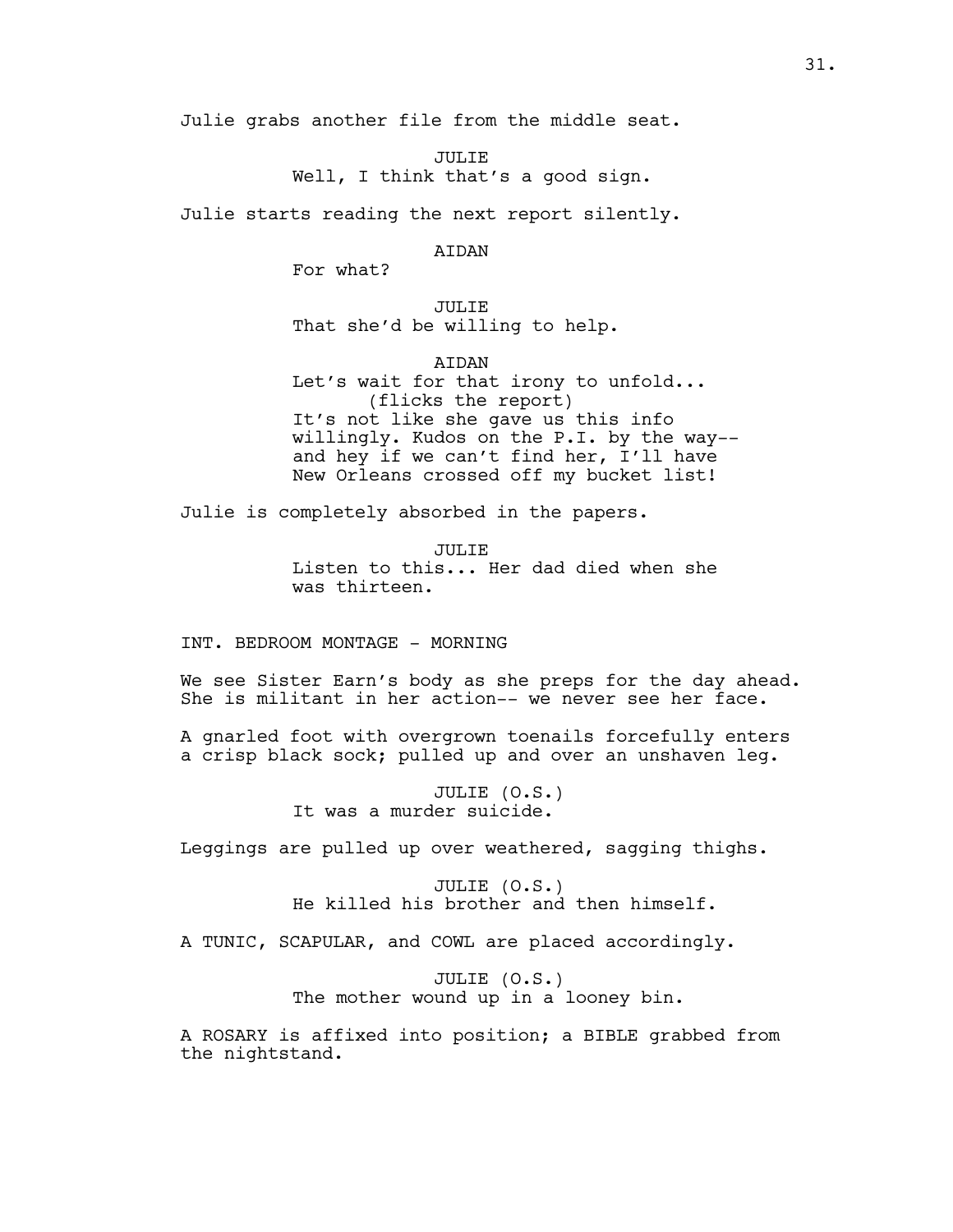Julie grabs another file from the middle seat.

JULIE Well, I think that's a good sign.

Julie starts reading the next report silently.

AIDAN

For what?

JULIE That she'd be willing to help.

AIDAN

Let's wait for that irony to unfold... (flicks the report) It's not like she gave us this info willingly. Kudos on the P.I. by the way- and hey if we can't find her, I'll have New Orleans crossed off my bucket list!

Julie is completely absorbed in the papers.

JULIE Listen to this... Her dad died when she was thirteen.

INT. BEDROOM MONTAGE - MORNING

We see Sister Earn's body as she preps for the day ahead. She is militant in her action-- we never see her face.

A gnarled foot with overgrown toenails forcefully enters a crisp black sock; pulled up and over an unshaven leg.

> JULIE (O.S.) It was a murder suicide.

Leggings are pulled up over weathered, sagging thighs.

JULIE (O.S.) He killed his brother and then himself.

A TUNIC, SCAPULAR, and COWL are placed accordingly.

JULIE (O.S.) The mother wound up in a looney bin.

A ROSARY is affixed into position; a BIBLE grabbed from the nightstand.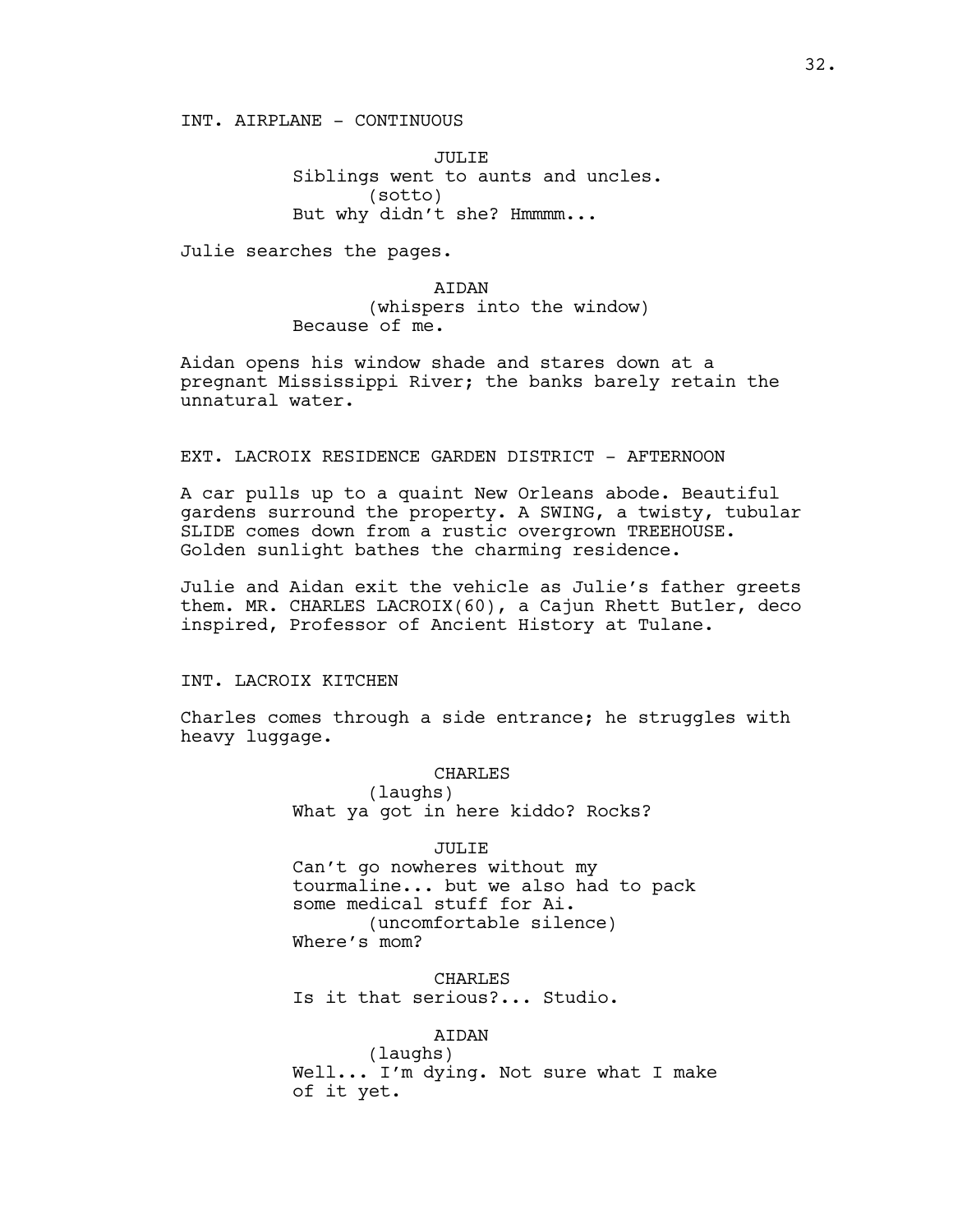INT. AIRPLANE - CONTINUOUS

JULIE Siblings went to aunts and uncles. (sotto) But why didn't she? Hmmmm...

Julie searches the pages.

AIDAN (whispers into the window) Because of me.

Aidan opens his window shade and stares down at a pregnant Mississippi River; the banks barely retain the unnatural water.

#### EXT. LACROIX RESIDENCE GARDEN DISTRICT - AFTERNOON

A car pulls up to a quaint New Orleans abode. Beautiful gardens surround the property. A SWING, a twisty, tubular SLIDE comes down from a rustic overgrown TREEHOUSE. Golden sunlight bathes the charming residence.

Julie and Aidan exit the vehicle as Julie's father greets them. MR. CHARLES LACROIX(60), a Cajun Rhett Butler, deco inspired, Professor of Ancient History at Tulane.

## INT. LACROIX KITCHEN

Charles comes through a side entrance; he struggles with heavy luggage.

# **CHARLES**

(laughs) What ya got in here kiddo? Rocks?

#### JULIE

Can't go nowheres without my tourmaline... but we also had to pack some medical stuff for Ai. (uncomfortable silence) Where's mom?

**CHARLES** Is it that serious?... Studio.

# AIDAN

(laughs) Well... I'm dying. Not sure what I make of it yet.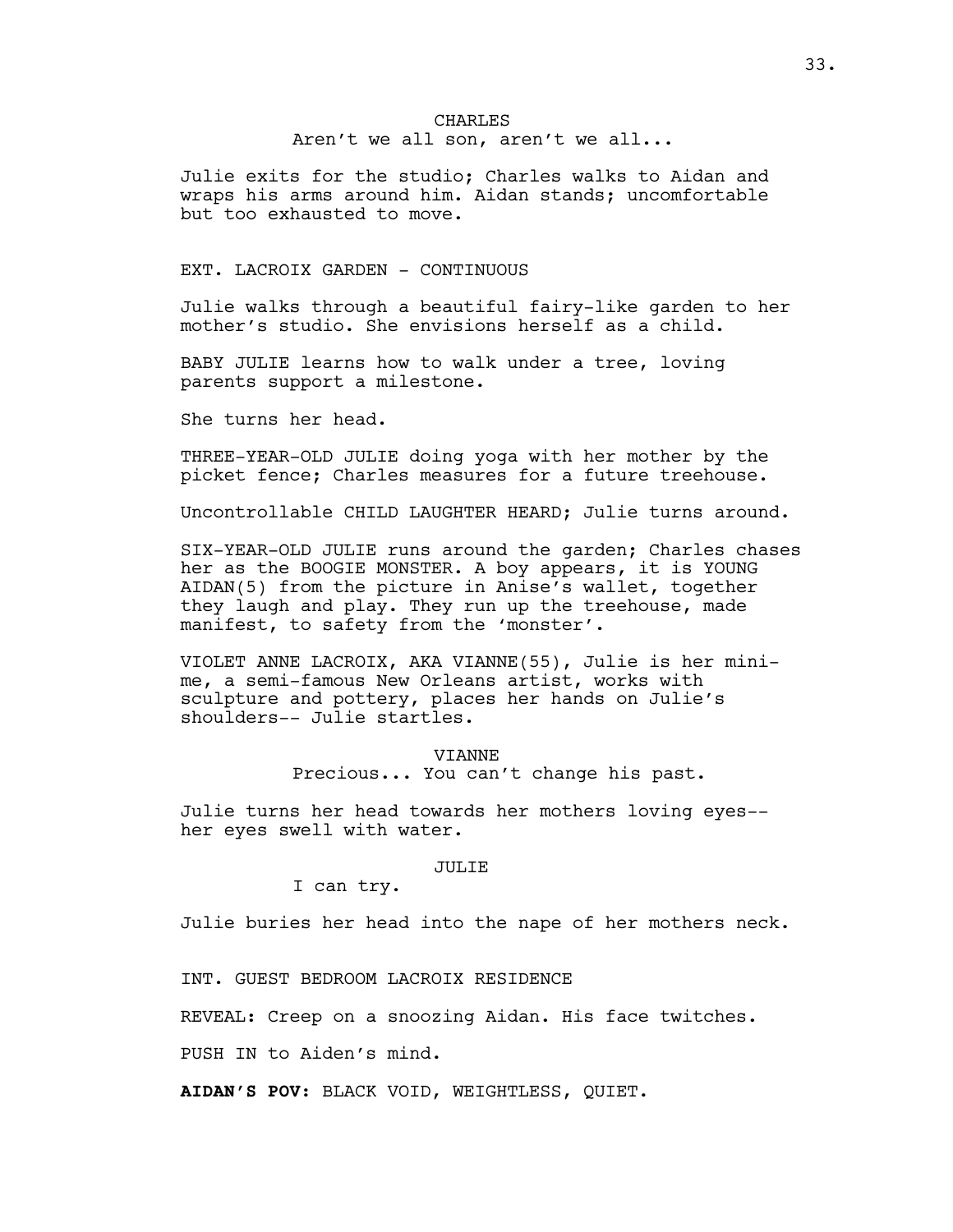## CHARLES Aren't we all son, aren't we all...

Julie exits for the studio; Charles walks to Aidan and wraps his arms around him. Aidan stands; uncomfortable but too exhausted to move.

# EXT. LACROIX GARDEN - CONTINUOUS

Julie walks through a beautiful fairy-like garden to her mother's studio. She envisions herself as a child.

BABY JULIE learns how to walk under a tree, loving parents support a milestone.

She turns her head.

THREE-YEAR-OLD JULIE doing yoga with her mother by the picket fence; Charles measures for a future treehouse.

Uncontrollable CHILD LAUGHTER HEARD; Julie turns around.

SIX-YEAR-OLD JULIE runs around the garden; Charles chases her as the BOOGIE MONSTER. A boy appears, it is YOUNG AIDAN(5) from the picture in Anise's wallet, together they laugh and play. They run up the treehouse, made manifest, to safety from the 'monster'.

VIOLET ANNE LACROIX, AKA VIANNE(55), Julie is her minime, a semi-famous New Orleans artist, works with sculpture and pottery, places her hands on Julie's shoulders-- Julie startles.

> VIANNE Precious... You can't change his past.

Julie turns her head towards her mothers loving eyes- her eyes swell with water.

#### JULIE

I can try.

Julie buries her head into the nape of her mothers neck.

INT. GUEST BEDROOM LACROIX RESIDENCE

REVEAL: Creep on a snoozing Aidan. His face twitches.

PUSH IN to Aiden's mind.

**AIDAN'S POV**: BLACK VOID, WEIGHTLESS, QUIET.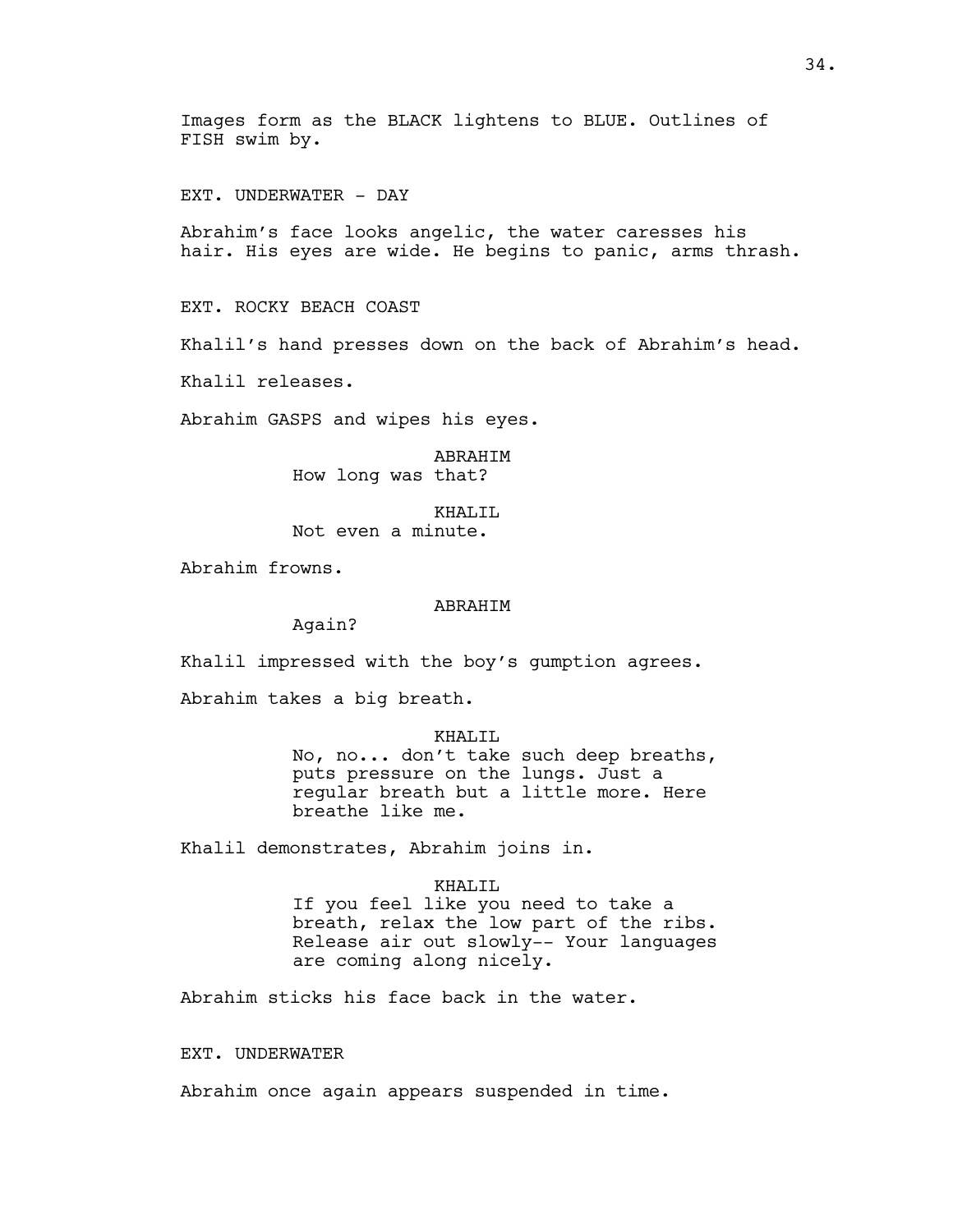Images form as the BLACK lightens to BLUE. Outlines of FISH swim by.

EXT. UNDERWATER - DAY

Abrahim's face looks angelic, the water caresses his hair. His eyes are wide. He begins to panic, arms thrash.

EXT. ROCKY BEACH COAST

Khalil's hand presses down on the back of Abrahim's head.

Khalil releases.

Abrahim GASPS and wipes his eyes.

ABRAHIM How long was that?

KHALIL Not even a minute.

Abrahim frowns.

#### ABRAHIM

Again?

Khalil impressed with the boy's gumption agrees.

Abrahim takes a big breath.

#### KHALIL

No, no... don't take such deep breaths, puts pressure on the lungs. Just a regular breath but a little more. Here breathe like me.

Khalil demonstrates, Abrahim joins in.

#### KHALIL

If you feel like you need to take a breath, relax the low part of the ribs. Release air out slowly-- Your languages are coming along nicely.

Abrahim sticks his face back in the water.

EXT. UNDERWATER

Abrahim once again appears suspended in time.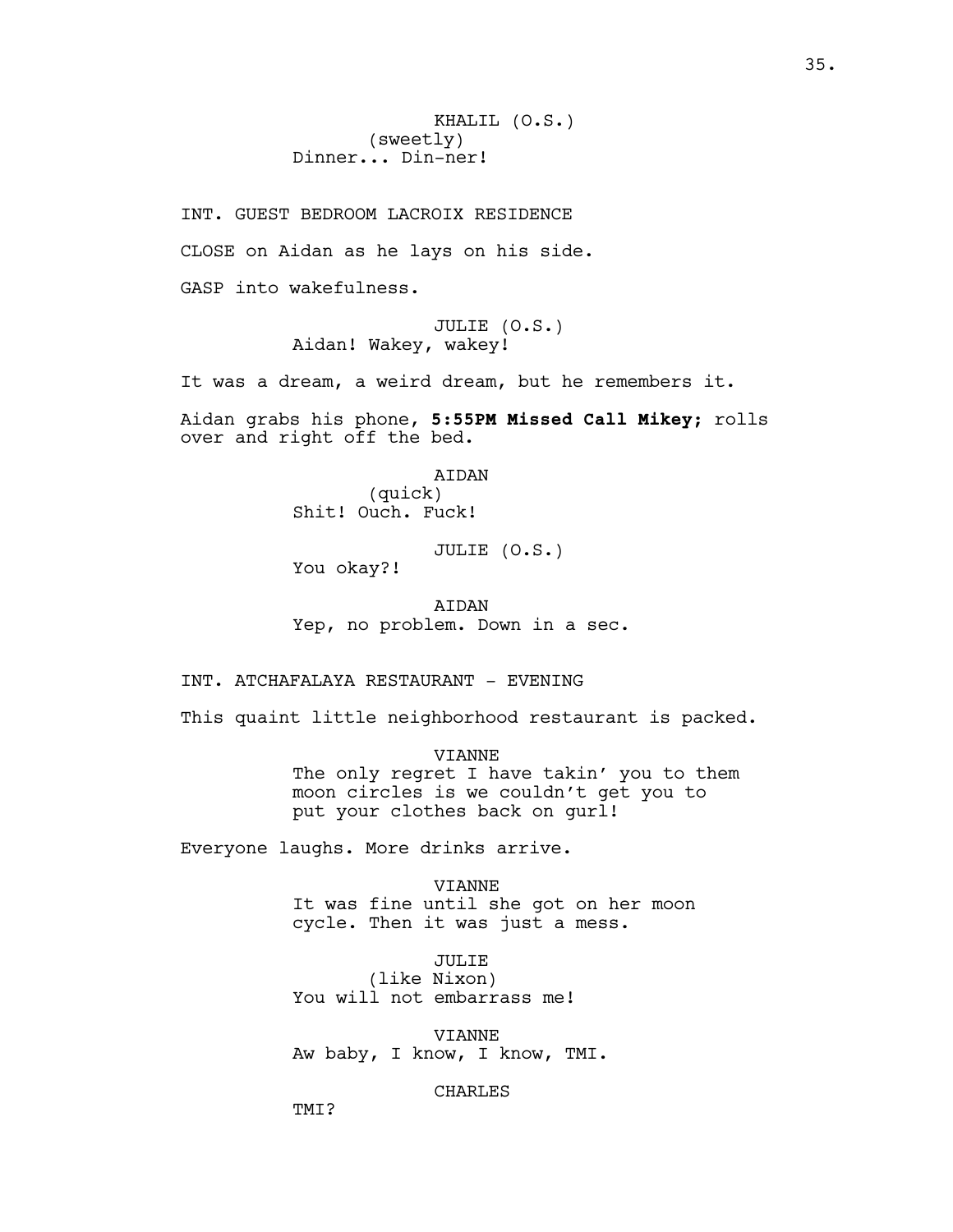INT. GUEST BEDROOM LACROIX RESIDENCE CLOSE on Aidan as he lays on his side. GASP into wakefulness.

> JULIE (O.S.) Aidan! Wakey, wakey!

It was a dream, a weird dream, but he remembers it.

Aidan grabs his phone, **5:55PM Missed Call Mikey;** rolls over and right off the bed.

> AIDAN (quick) Shit! Ouch. Fuck!

> > JULIE (O.S.)

You okay?!

AIDAN Yep, no problem. Down in a sec.

INT. ATCHAFALAYA RESTAURANT - EVENING

This quaint little neighborhood restaurant is packed.

VIANNE The only regret I have takin' you to them moon circles is we couldn't get you to put your clothes back on gurl!

Everyone laughs. More drinks arrive.

VIANNE It was fine until she got on her moon cycle. Then it was just a mess.

JULIE (like Nixon) You will not embarrass me!

VIANNE Aw baby, I know, I know, TMI.

CHARLES

TM<sub>T</sub>?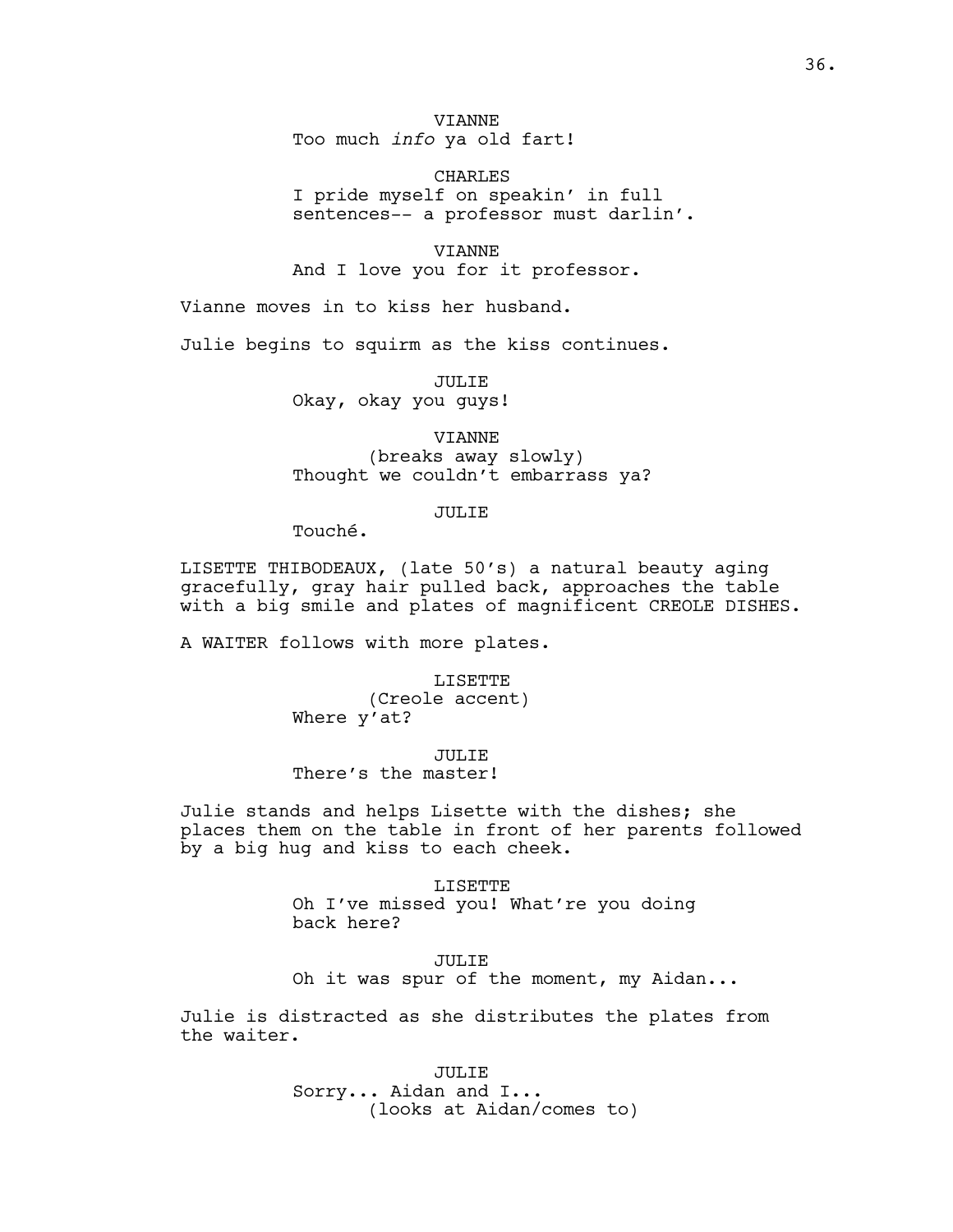VIANNE Too much *info* ya old fart!

CHARLES I pride myself on speakin' in full sentences-- a professor must darlin'.

VIANNE And I love you for it professor.

Vianne moves in to kiss her husband.

Julie begins to squirm as the kiss continues.

JULIE Okay, okay you guys!

# VIANNE (breaks away slowly) Thought we couldn't embarrass ya?

# JULIE

Touché.

LISETTE THIBODEAUX, (late 50's) a natural beauty aging gracefully, gray hair pulled back, approaches the table with a big smile and plates of magnificent CREOLE DISHES.

A WAITER follows with more plates.

LISETTE (Creole accent) Where y'at?

# JULIE

There's the master!

Julie stands and helps Lisette with the dishes; she places them on the table in front of her parents followed by a big hug and kiss to each cheek.

> LISETTE Oh I've missed you! What're you doing back here?

JULIE Oh it was spur of the moment, my Aidan...

Julie is distracted as she distributes the plates from the waiter.

> JULIE Sorry... Aidan and I... (looks at Aidan/comes to)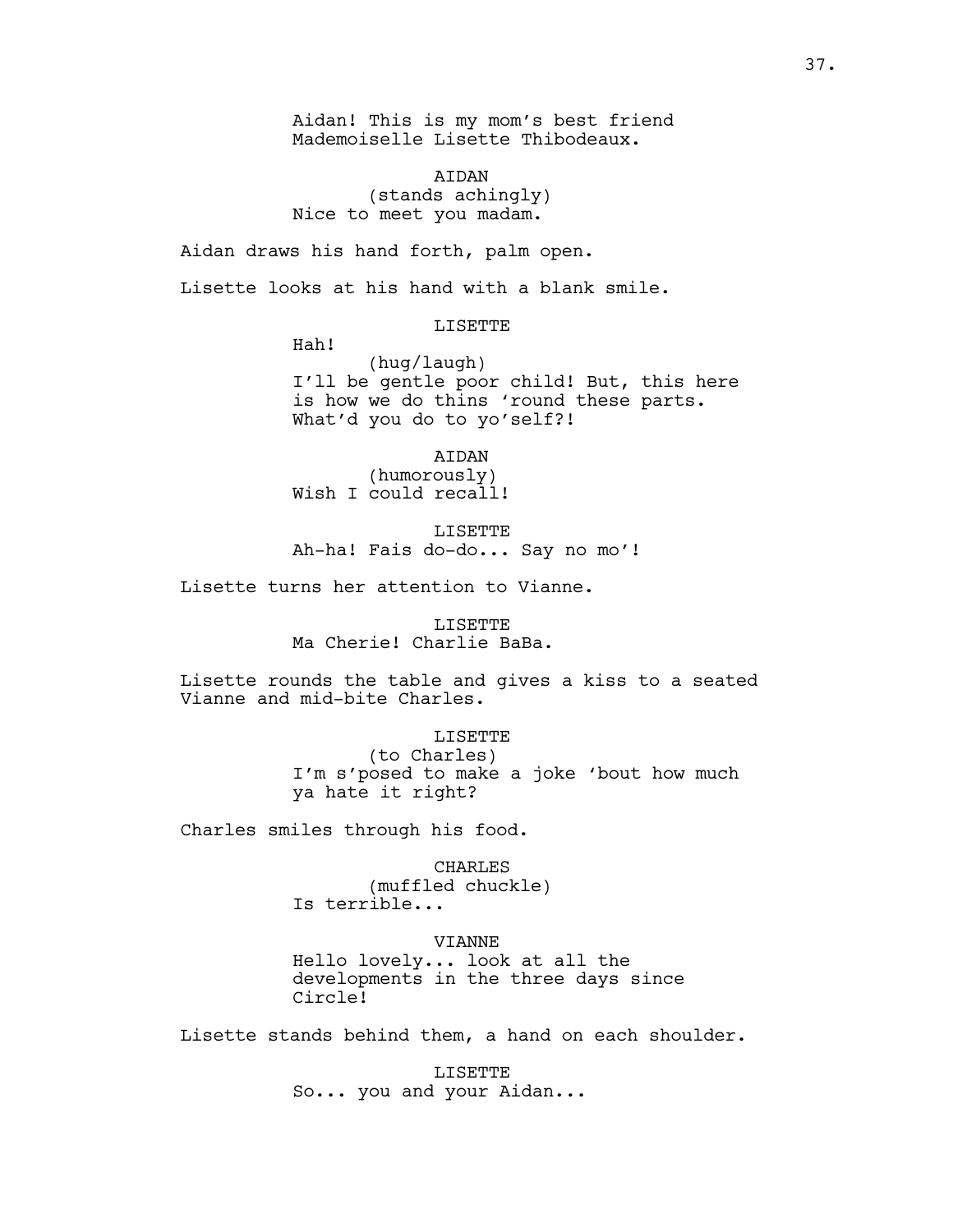Aidan! This is my mom's best friend Mademoiselle Lisette Thibodeaux.

AIDAN (stands achingly) Nice to meet you madam.

Aidan draws his hand forth, palm open.

Lisette looks at his hand with a blank smile.

LISETTE

Hah!

(hug/laugh) I'll be gentle poor child! But, this here is how we do thins 'round these parts. What'd you do to yo'self?!

AIDAN (humorously) Wish I could recall!

LISETTE Ah-ha! Fais do-do... Say no mo'!

Lisette turns her attention to Vianne.

LISETTE Ma Cherie! Charlie BaBa.

Lisette rounds the table and gives a kiss to a seated Vianne and mid-bite Charles.

LISETTE

(to Charles) I'm s'posed to make a joke 'bout how much ya hate it right?

Charles smiles through his food.

CHARLES (muffled chuckle) Is terrible...

VIANNE

Hello lovely... look at all the developments in the three days since Circle!

Lisette stands behind them, a hand on each shoulder.

LISETTE So... you and your Aidan...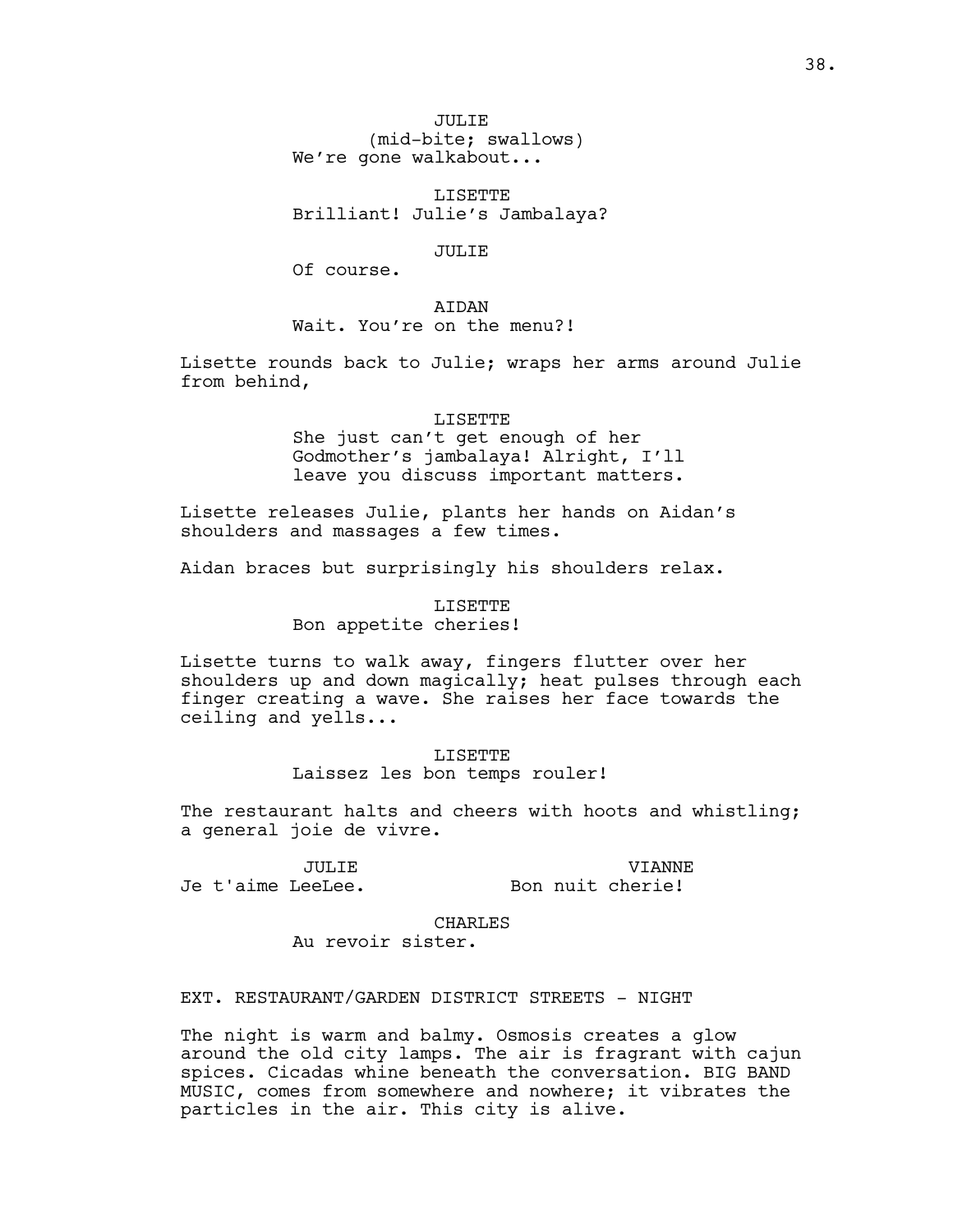JULIE (mid-bite; swallows) We're gone walkabout...

LISETTE Brilliant! Julie's Jambalaya?

JULIE

Of course.

AIDAN

Wait. You're on the menu?!

Lisette rounds back to Julie; wraps her arms around Julie from behind,

## LISETTE

She just can't get enough of her Godmother's jambalaya! Alright, I'll leave you discuss important matters.

Lisette releases Julie, plants her hands on Aidan's shoulders and massages a few times.

Aidan braces but surprisingly his shoulders relax.

LISETTE Bon appetite cheries!

Lisette turns to walk away, fingers flutter over her shoulders up and down magically; heat pulses through each finger creating a wave. She raises her face towards the ceiling and yells...

> LISETTE Laissez les bon temps rouler!

The restaurant halts and cheers with hoots and whistling; a general joie de vivre.

JULIE

VIANNE Bon nuit cherie!

Je t'aime LeeLee.

CHARLES Au revoir sister.

EXT. RESTAURANT/GARDEN DISTRICT STREETS - NIGHT

The night is warm and balmy. Osmosis creates a glow around the old city lamps. The air is fragrant with cajun spices. Cicadas whine beneath the conversation. BIG BAND MUSIC, comes from somewhere and nowhere; it vibrates the particles in the air. This city is alive.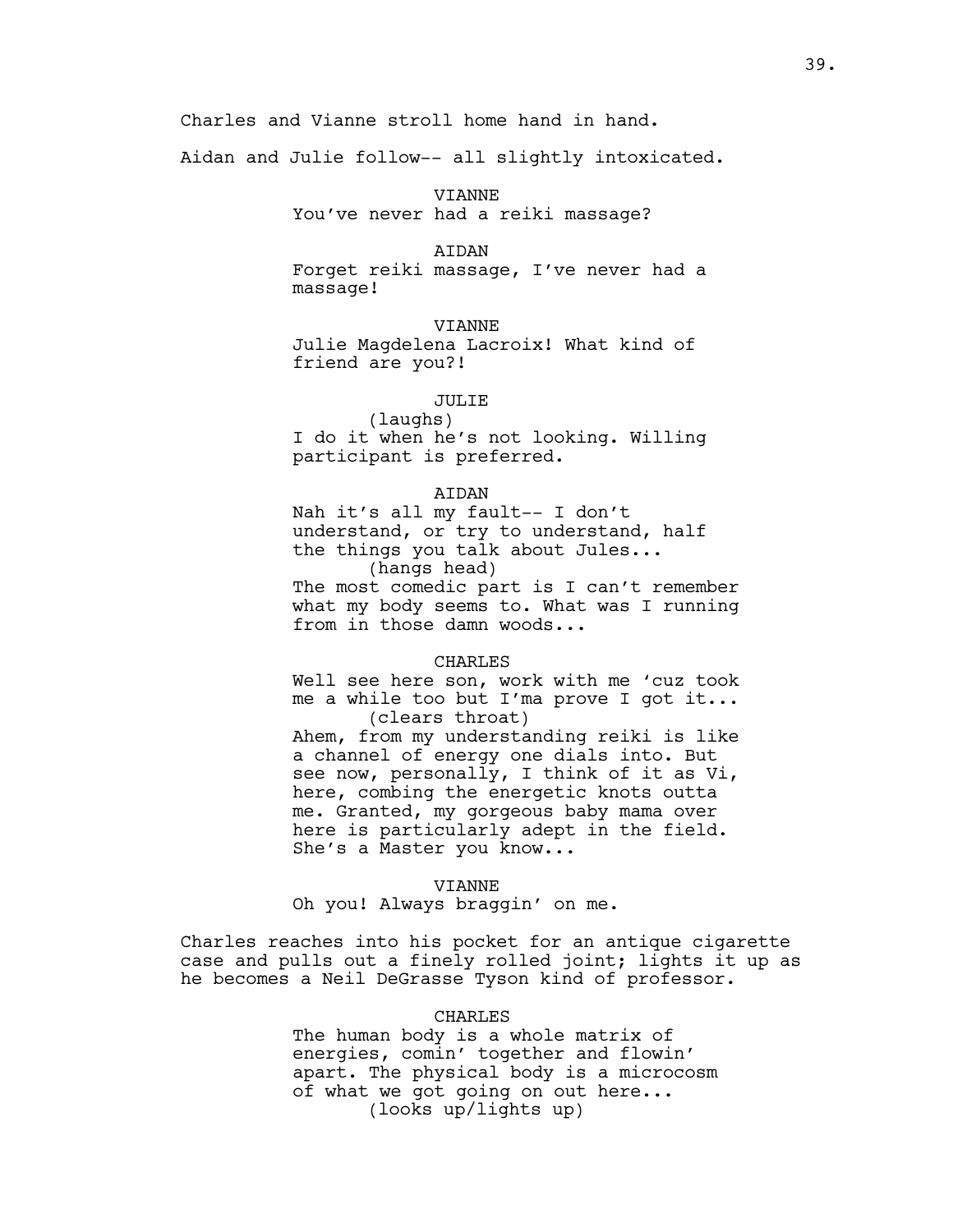Aidan and Julie follow-- all slightly intoxicated.

# VIANNE You've never had a reiki massage?

### AIDAN

Forget reiki massage, I've never had a massage!

# VIANNE

Julie Magdelena Lacroix! What kind of friend are you?!

# JULIE

(laughs) I do it when he's not looking. Willing participant is preferred.

## AIDAN

Nah it's all my fault-- I don't understand, or try to understand, half the things you talk about Jules... (hangs head) The most comedic part is I can't remember what my body seems to. What was I running from in those damn woods...

### CHARLES

Well see here son, work with me 'cuz took me a while too but I'ma prove I got it... (clears throat)

Ahem, from my understanding reiki is like a channel of energy one dials into. But see now, personally, I think of it as Vi, here, combing the energetic knots outta me. Granted, my gorgeous baby mama over here is particularly adept in the field. She's a Master you know...

#### VIANNE

Oh you! Always braggin' on me.

Charles reaches into his pocket for an antique cigarette case and pulls out a finely rolled joint; lights it up as he becomes a Neil DeGrasse Tyson kind of professor.

# CHARLES

The human body is a whole matrix of energies, comin' together and flowin' apart. The physical body is a microcosm of what we got going on out here... (looks up/lights up)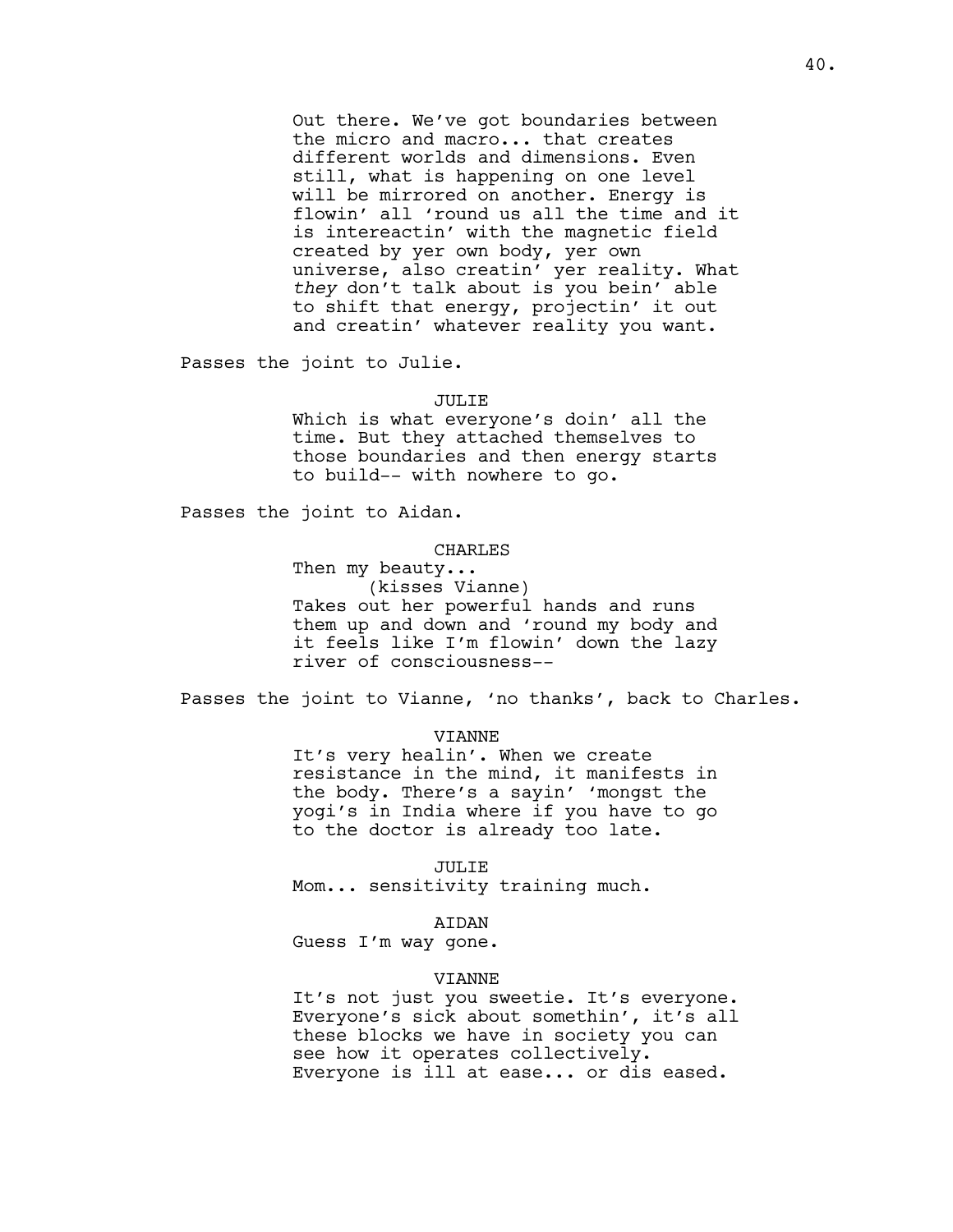Out there. We've got boundaries between the micro and macro... that creates different worlds and dimensions. Even still, what is happening on one level will be mirrored on another. Energy is flowin' all 'round us all the time and it is intereactin' with the magnetic field created by yer own body, yer own universe, also creatin' yer reality. What *they* don't talk about is you bein' able to shift that energy, projectin' it out and creatin' whatever reality you want.

Passes the joint to Julie.

#### JULIE

Which is what everyone's doin' all the time. But they attached themselves to those boundaries and then energy starts to build-- with nowhere to go.

Passes the joint to Aidan.

### CHARLES

Then my beauty... (kisses Vianne) Takes out her powerful hands and runs them up and down and 'round my body and it feels like I'm flowin' down the lazy river of consciousness--

Passes the joint to Vianne, 'no thanks', back to Charles.

## VIANNE

It's very healin'. When we create resistance in the mind, it manifests in the body. There's a sayin' 'mongst the yogi's in India where if you have to go to the doctor is already too late.

### JULIE

Mom... sensitivity training much.

### AIDAN

Guess I'm way gone.

#### VIANNE

It's not just you sweetie. It's everyone. Everyone's sick about somethin', it's all these blocks we have in society you can see how it operates collectively. Everyone is ill at ease... or dis eased.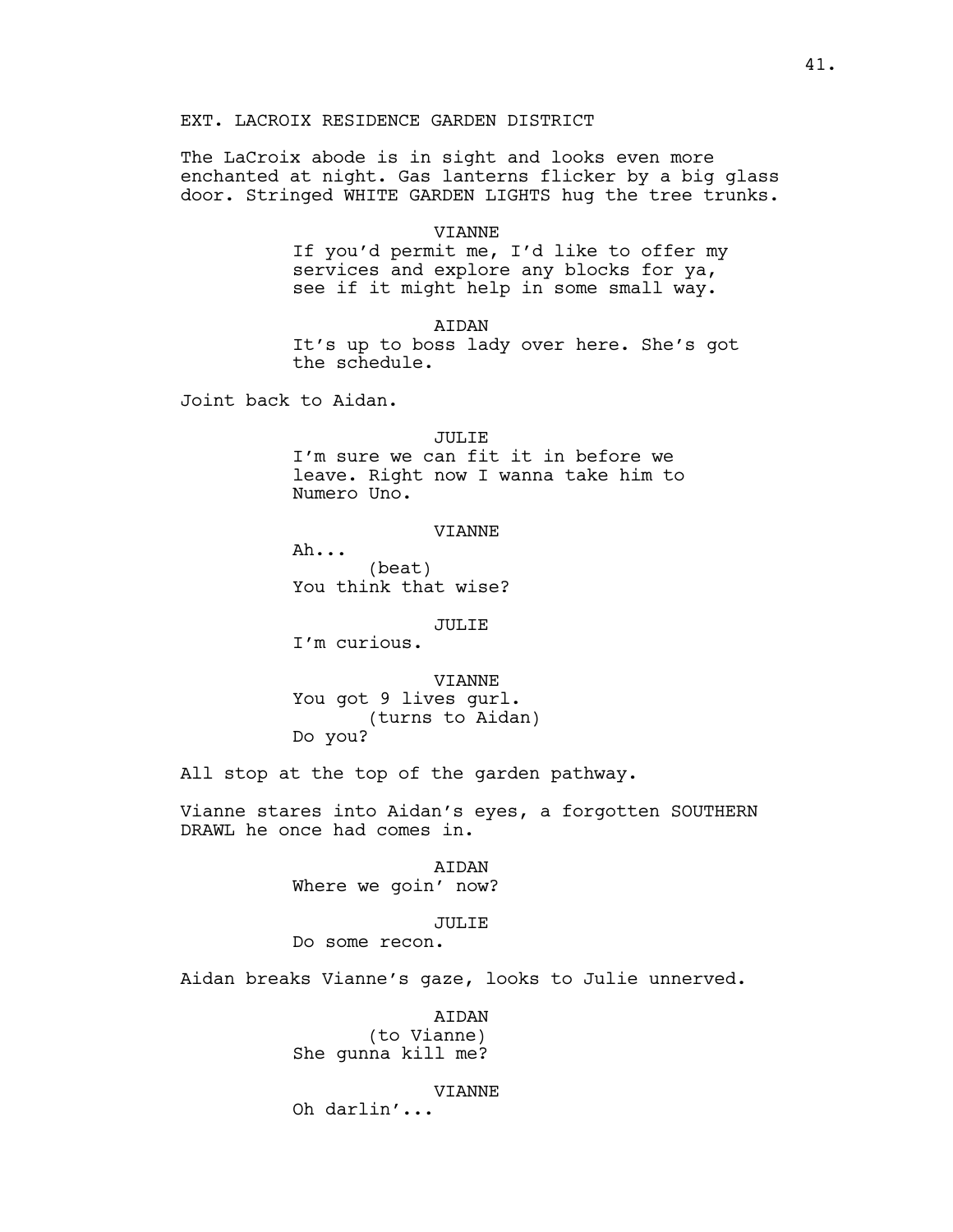# EXT. LACROIX RESIDENCE GARDEN DISTRICT

The LaCroix abode is in sight and looks even more enchanted at night. Gas lanterns flicker by a big glass door. Stringed WHITE GARDEN LIGHTS hug the tree trunks.

### VIANNE

If you'd permit me, I'd like to offer my services and explore any blocks for ya, see if it might help in some small way.

AIDAN It's up to boss lady over here. She's got the schedule.

Joint back to Aidan.

# JULIE I'm sure we can fit it in before we leave. Right now I wanna take him to Numero Uno.

# VIANNE

Ah... (beat) You think that wise?

## JULIE

I'm curious.

VIANNE You got 9 lives gurl. (turns to Aidan) Do you?

All stop at the top of the garden pathway.

Vianne stares into Aidan's eyes, a forgotten SOUTHERN DRAWL he once had comes in.

> AIDAN Where we goin' now?

### JULIE

Do some recon.

Aidan breaks Vianne's gaze, looks to Julie unnerved.

AIDAN (to Vianne) She gunna kill me?

VIANNE

Oh darlin'...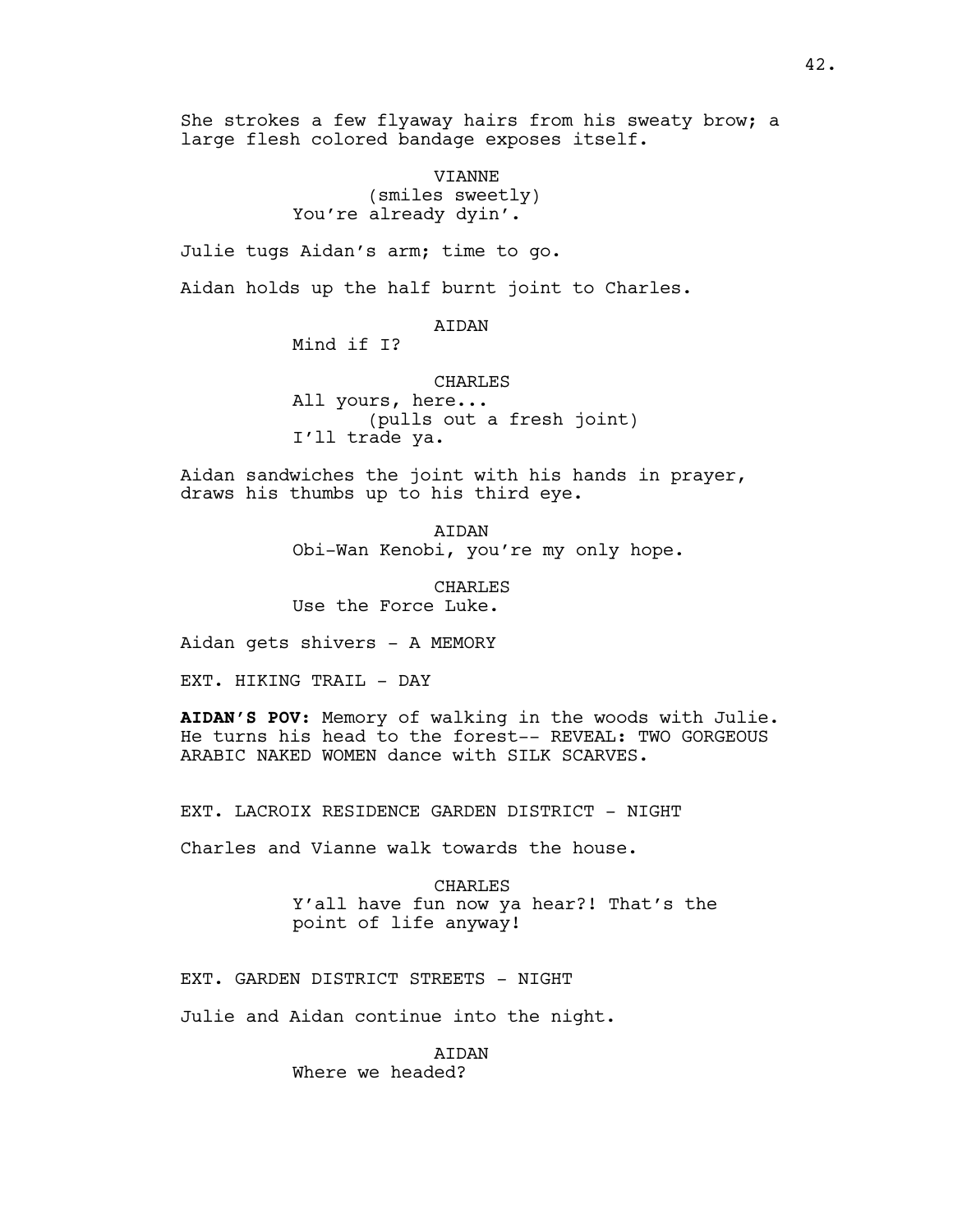She strokes a few flyaway hairs from his sweaty brow; a large flesh colored bandage exposes itself.

> VIANNE (smiles sweetly) You're already dyin'.

Julie tugs Aidan's arm; time to go.

Aidan holds up the half burnt joint to Charles.

AIDAN

Mind if I?

CHARLES All yours, here... (pulls out a fresh joint) I'll trade ya.

Aidan sandwiches the joint with his hands in prayer, draws his thumbs up to his third eye.

> **ATDAN** Obi-Wan Kenobi, you're my only hope.

CHARLES Use the Force Luke.

Aidan gets shivers - A MEMORY

EXT. HIKING TRAIL - DAY

**AIDAN'S POV**: Memory of walking in the woods with Julie. He turns his head to the forest-- REVEAL: TWO GORGEOUS ARABIC NAKED WOMEN dance with SILK SCARVES.

EXT. LACROIX RESIDENCE GARDEN DISTRICT - NIGHT

Charles and Vianne walk towards the house.

CHARLES Y'all have fun now ya hear?! That's the point of life anyway!

EXT. GARDEN DISTRICT STREETS - NIGHT

Julie and Aidan continue into the night.

AIDAN Where we headed?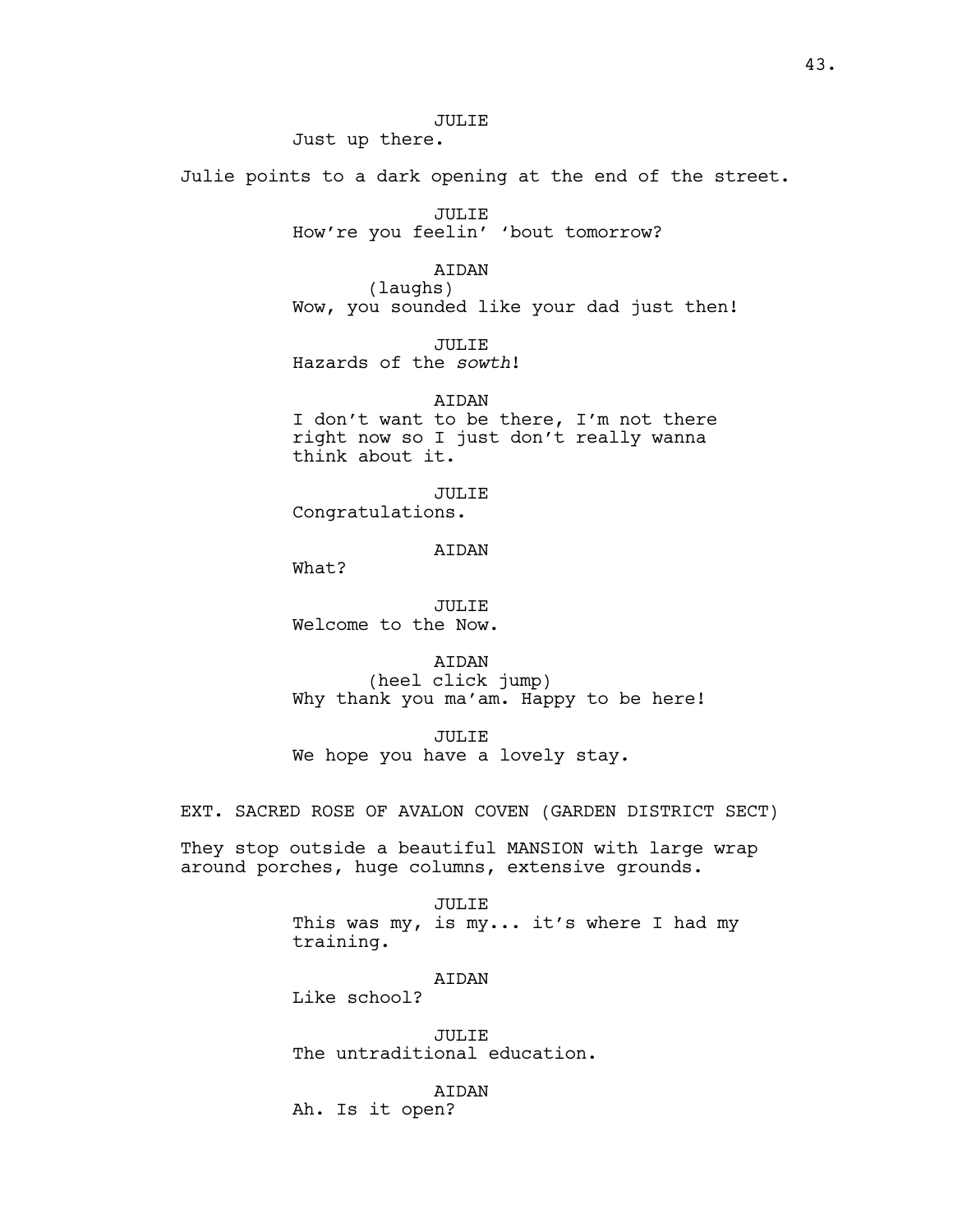# JULIE

Just up there.

Julie points to a dark opening at the end of the street.

JULIE How're you feelin' 'bout tomorrow?

AIDAN

(laughs) Wow, you sounded like your dad just then!

JULIE Hazards of the *sowth*!

**ATDAN** I don't want to be there, I'm not there right now so I just don't really wanna think about it.

JULIE Congratulations.

# AIDAN

What?

JULIE Welcome to the Now.

AIDAN (heel click jump) Why thank you ma'am. Happy to be here!

JULIE We hope you have a lovely stay.

EXT. SACRED ROSE OF AVALON COVEN (GARDEN DISTRICT SECT)

They stop outside a beautiful MANSION with large wrap around porches, huge columns, extensive grounds.

> JULIE This was my, is my... it's where I had my training.

> > AIDAN

Like school?

JULIE The untraditional education.

AIDAN

Ah. Is it open?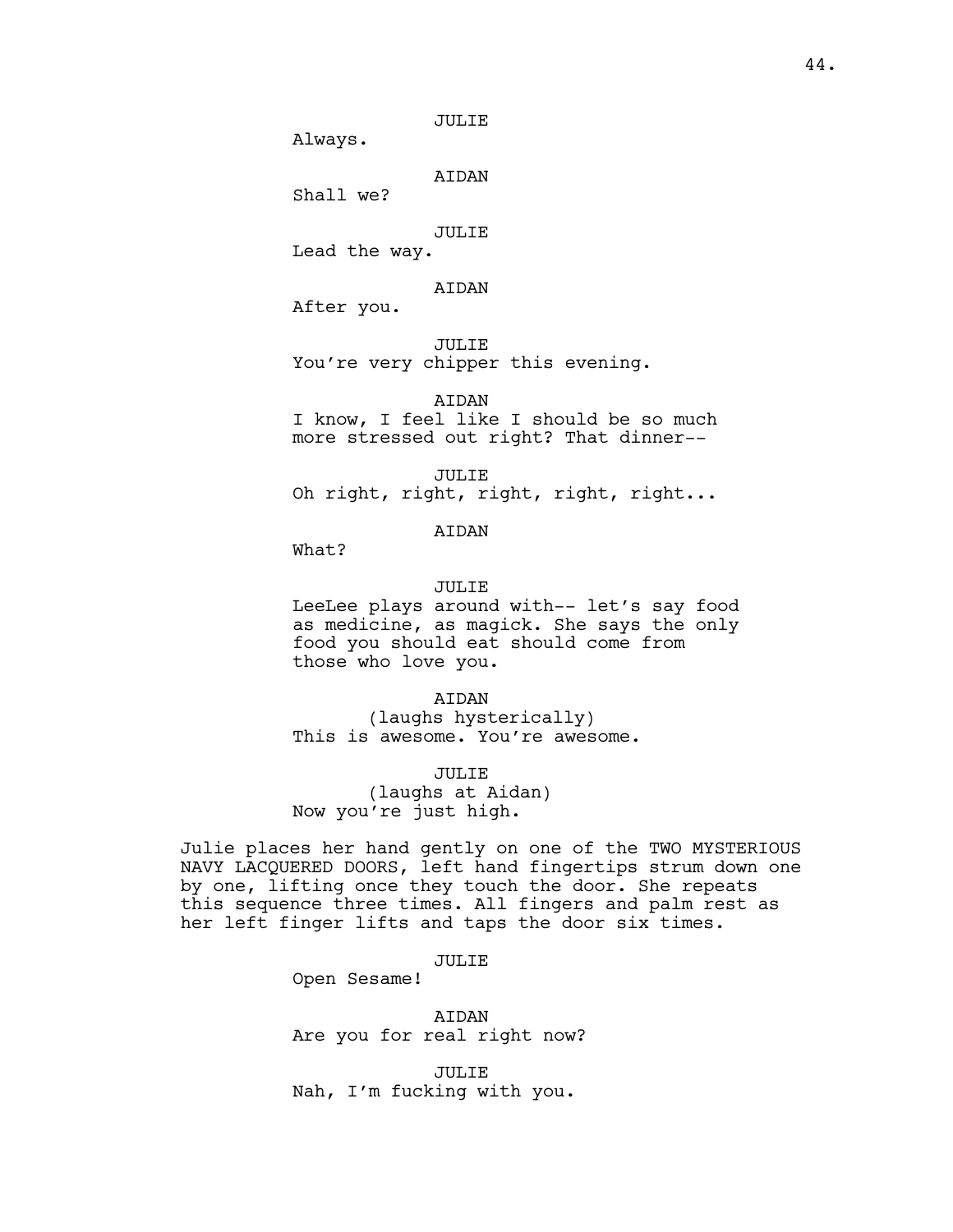JULIE

Always.

AIDAN

Shall we?

# JULIE

Lead the way.

# AIDAN

After you.

JULIE

You're very chipper this evening.

AIDAN

I know, I feel like I should be so much more stressed out right? That dinner--

JULIE Oh right, right, right, right, right...

# AIDAN

What?

### JULIE

LeeLee plays around with-- let's say food as medicine, as magick. She says the only food you should eat should come from those who love you.

#### AIDAN

(laughs hysterically) This is awesome. You're awesome.

# JULIE

(laughs at Aidan) Now you're just high.

Julie places her hand gently on one of the TWO MYSTERIOUS NAVY LACQUERED DOORS, left hand fingertips strum down one by one, lifting once they touch the door. She repeats this sequence three times. All fingers and palm rest as her left finger lifts and taps the door six times.

## JULIE

Open Sesame!

AIDAN Are you for real right now?

JULIE Nah, I'm fucking with you.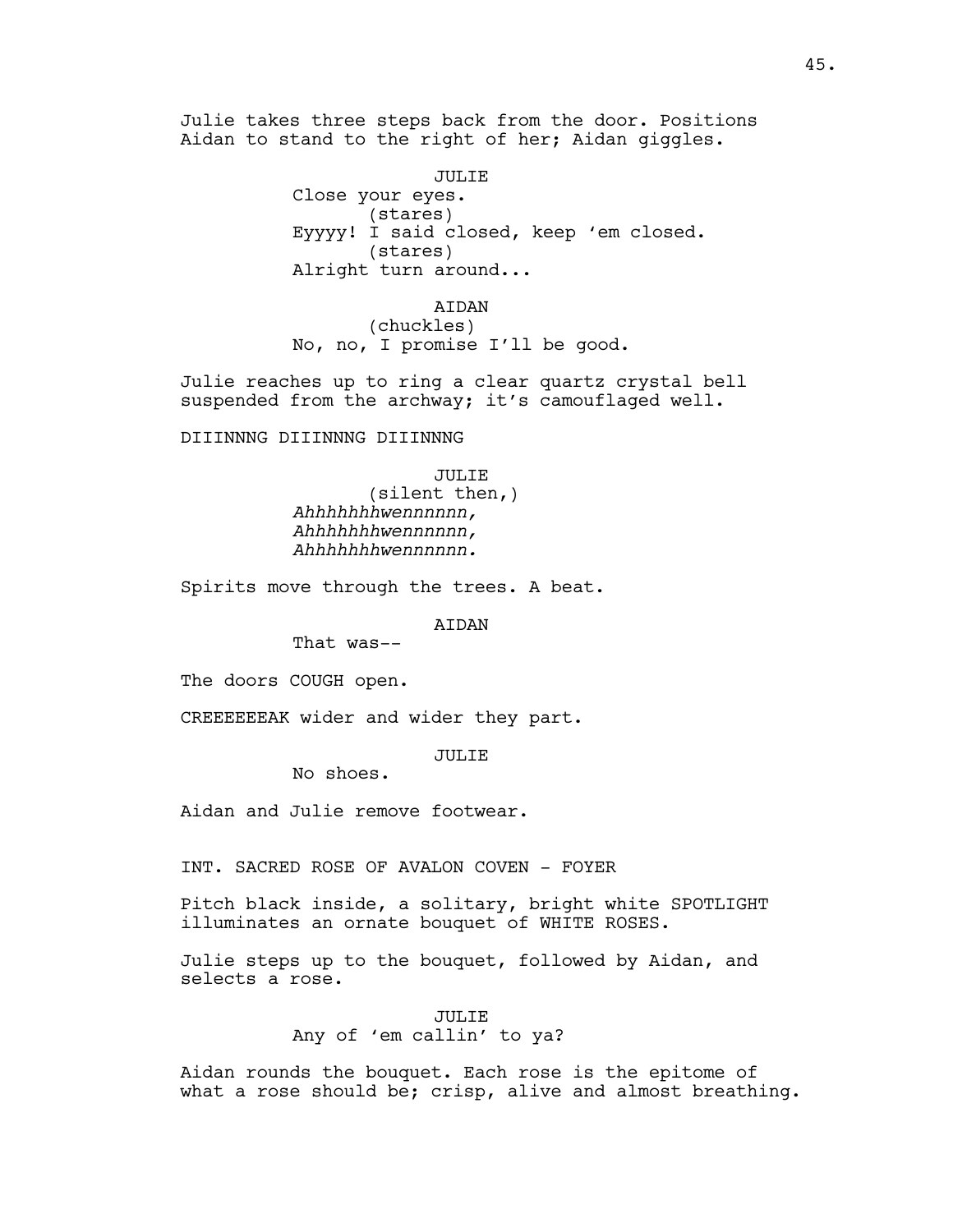Julie takes three steps back from the door. Positions Aidan to stand to the right of her; Aidan giggles.

> JULIE Close your eyes. (stares) Eyyyy! I said closed, keep 'em closed. (stares) Alright turn around...

AIDAN (chuckles) No, no, I promise I'll be good.

Julie reaches up to ring a clear quartz crystal bell suspended from the archway; it's camouflaged well.

DIIINNNG DIIINNNG DIIINNNG

JULIE (silent then,) *Ahhhhhhhwennnnnn, Ahhhhhhhwennnnnn, Ahhhhhhhwennnnnn.*

Spirits move through the trees. A beat.

AIDAN

That was--

The doors COUGH open.

CREEEEEEAK wider and wider they part.

JULIE

No shoes.

Aidan and Julie remove footwear.

INT. SACRED ROSE OF AVALON COVEN - FOYER

Pitch black inside, a solitary, bright white SPOTLIGHT illuminates an ornate bouquet of WHITE ROSES.

Julie steps up to the bouquet, followed by Aidan, and selects a rose.

> JULIE Any of 'em callin' to ya?

Aidan rounds the bouquet. Each rose is the epitome of what a rose should be; crisp, alive and almost breathing.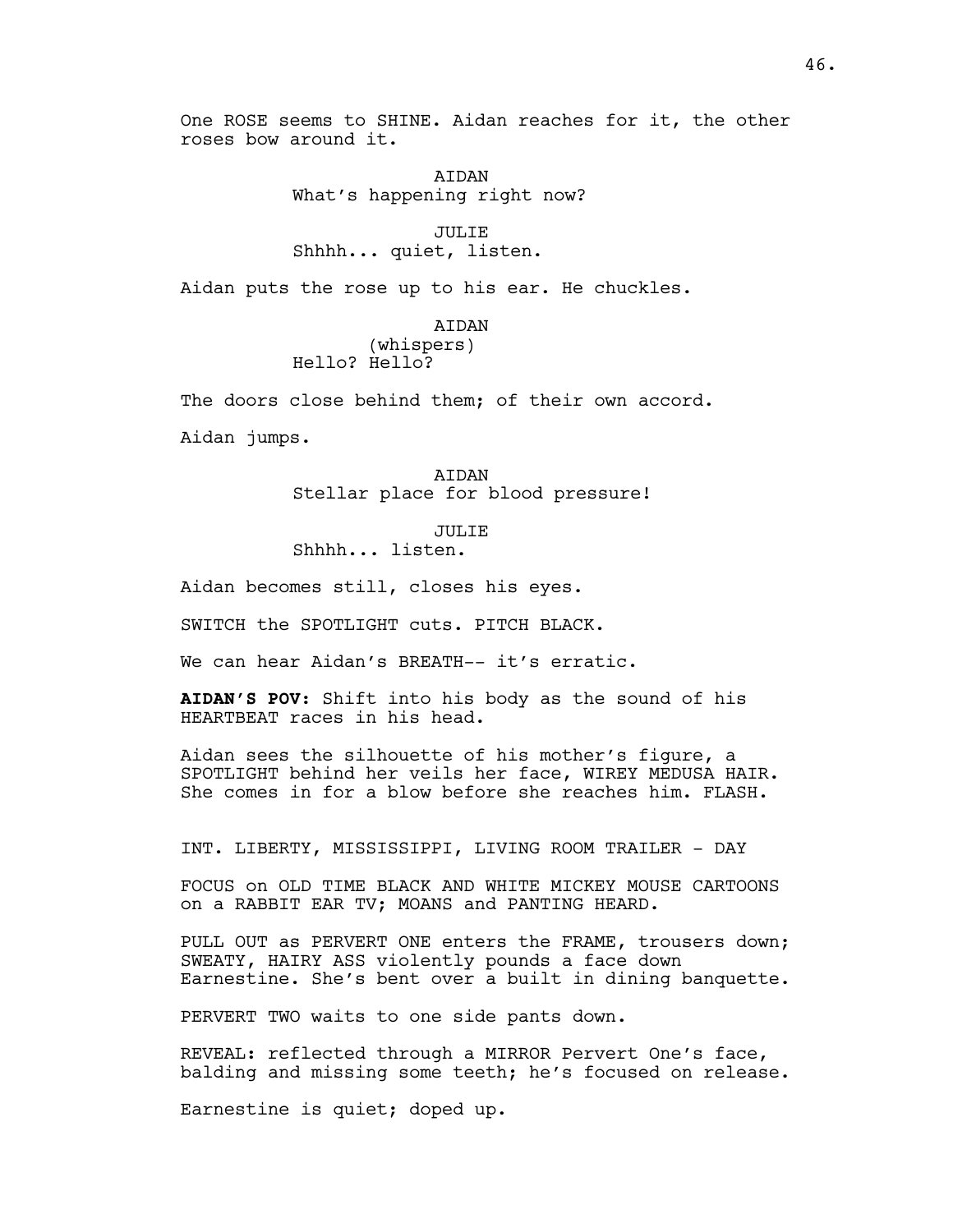One ROSE seems to SHINE. Aidan reaches for it, the other roses bow around it.

> **ATDAN** What's happening right now?

JULIE Shhhh... quiet, listen.

Aidan puts the rose up to his ear. He chuckles.

AIDAN (whispers) Hello? Hello?

The doors close behind them; of their own accord.

Aidan jumps.

AIDAN Stellar place for blood pressure!

JULIE

Shhhh... listen.

Aidan becomes still, closes his eyes.

SWITCH the SPOTLIGHT cuts. PITCH BLACK.

We can hear Aidan's BREATH-- it's erratic.

**AIDAN'S POV**: Shift into his body as the sound of his HEARTBEAT races in his head.

Aidan sees the silhouette of his mother's figure, a SPOTLIGHT behind her veils her face, WIREY MEDUSA HAIR. She comes in for a blow before she reaches him. FLASH.

INT. LIBERTY, MISSISSIPPI, LIVING ROOM TRAILER - DAY

FOCUS on OLD TIME BLACK AND WHITE MICKEY MOUSE CARTOONS on a RABBIT EAR TV; MOANS and PANTING HEARD.

PULL OUT as PERVERT ONE enters the FRAME, trousers down; SWEATY, HAIRY ASS violently pounds a face down Earnestine. She's bent over a built in dining banquette.

PERVERT TWO waits to one side pants down.

REVEAL: reflected through a MIRROR Pervert One's face, balding and missing some teeth; he's focused on release.

Earnestine is quiet; doped up.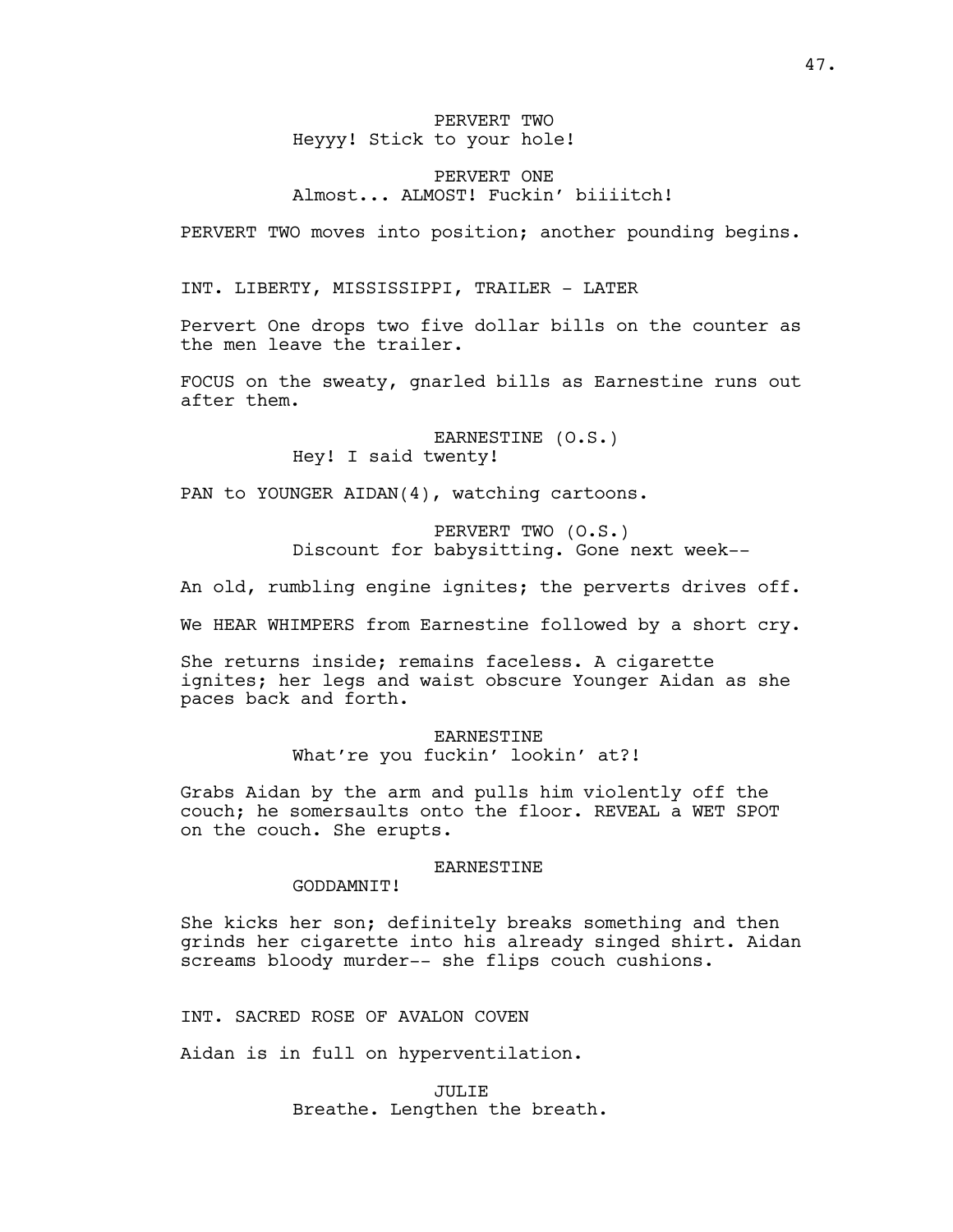# PERVERT TWO Heyyy! Stick to your hole!

# PERVERT ONE Almost... ALMOST! Fuckin' biiiitch!

PERVERT TWO moves into position; another pounding begins.

INT. LIBERTY, MISSISSIPPI, TRAILER - LATER

Pervert One drops two five dollar bills on the counter as the men leave the trailer.

FOCUS on the sweaty, gnarled bills as Earnestine runs out after them.

> EARNESTINE (O.S.) Hey! I said twenty!

PAN to YOUNGER AIDAN(4), watching cartoons.

PERVERT TWO (O.S.) Discount for babysitting. Gone next week--

An old, rumbling engine ignites; the perverts drives off.

We HEAR WHIMPERS from Earnestine followed by a short cry.

She returns inside; remains faceless. A cigarette ignites; her legs and waist obscure Younger Aidan as she paces back and forth.

> EARNESTINE What're you fuckin' lookin' at?!

Grabs Aidan by the arm and pulls him violently off the couch; he somersaults onto the floor. REVEAL a WET SPOT on the couch. She erupts.

### EARNESTINE

GODDAMNIT!

She kicks her son; definitely breaks something and then grinds her cigarette into his already singed shirt. Aidan screams bloody murder-- she flips couch cushions.

INT. SACRED ROSE OF AVALON COVEN

Aidan is in full on hyperventilation.

JULIE Breathe. Lengthen the breath.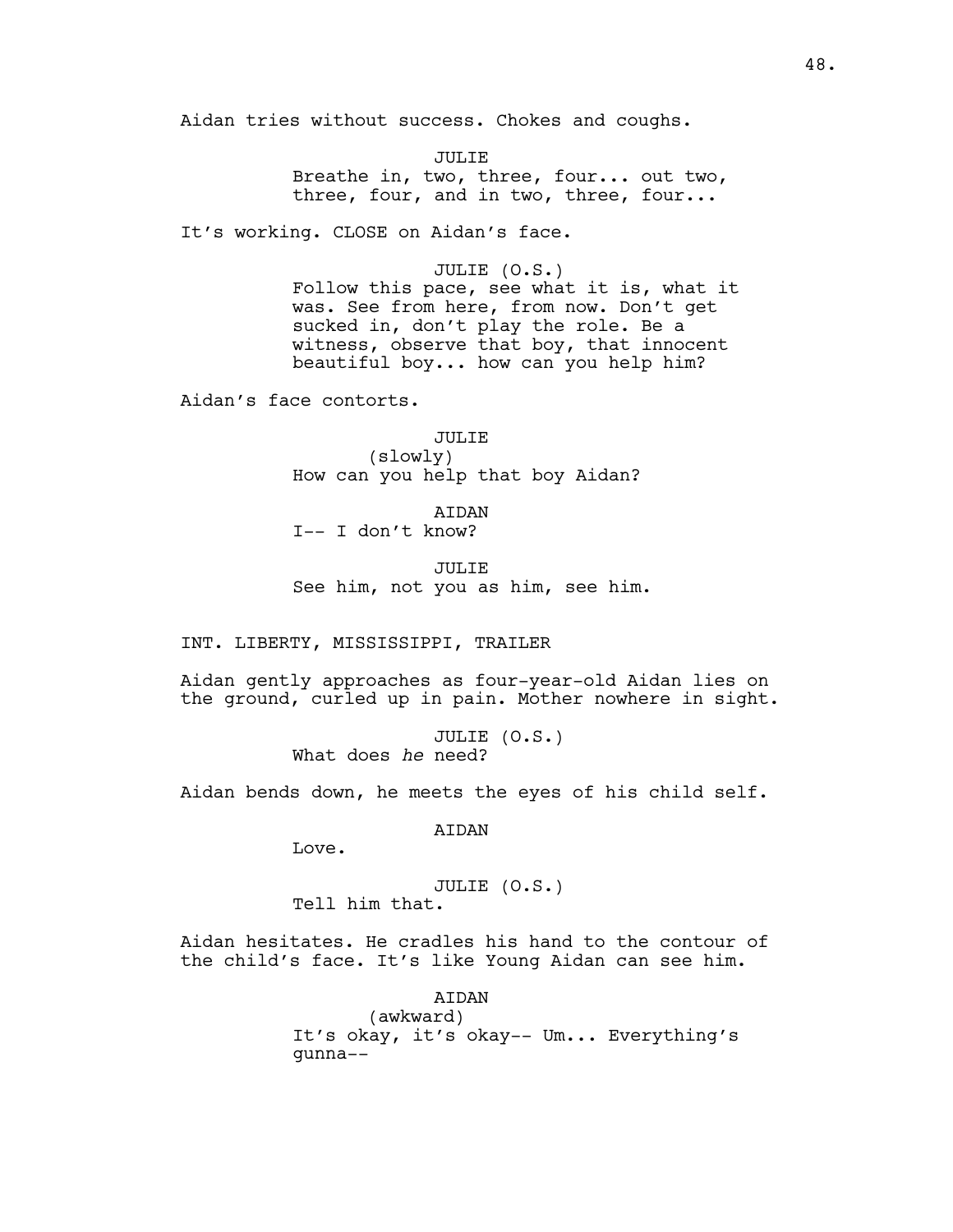Aidan tries without success. Chokes and coughs.

JULIE Breathe in, two, three, four... out two, three, four, and in two, three, four...

It's working. CLOSE on Aidan's face.

### JULIE (O.S.)

Follow this pace, see what it is, what it was. See from here, from now. Don't get sucked in, don't play the role. Be a witness, observe that boy, that innocent beautiful boy... how can you help him?

Aidan's face contorts.

JULIE (slowly) How can you help that boy Aidan?

AIDAN I-- I don't know?

JULIE See him, not you as him, see him.

INT. LIBERTY, MISSISSIPPI, TRAILER

Aidan gently approaches as four-year-old Aidan lies on the ground, curled up in pain. Mother nowhere in sight.

> JULIE (O.S.) What does *he* need?

Aidan bends down, he meets the eyes of his child self.

AIDAN

Love.

JULIE (O.S.) Tell him that.

Aidan hesitates. He cradles his hand to the contour of the child's face. It's like Young Aidan can see him.

AIDAN

(awkward) It's okay, it's okay-- Um... Everything's gunna--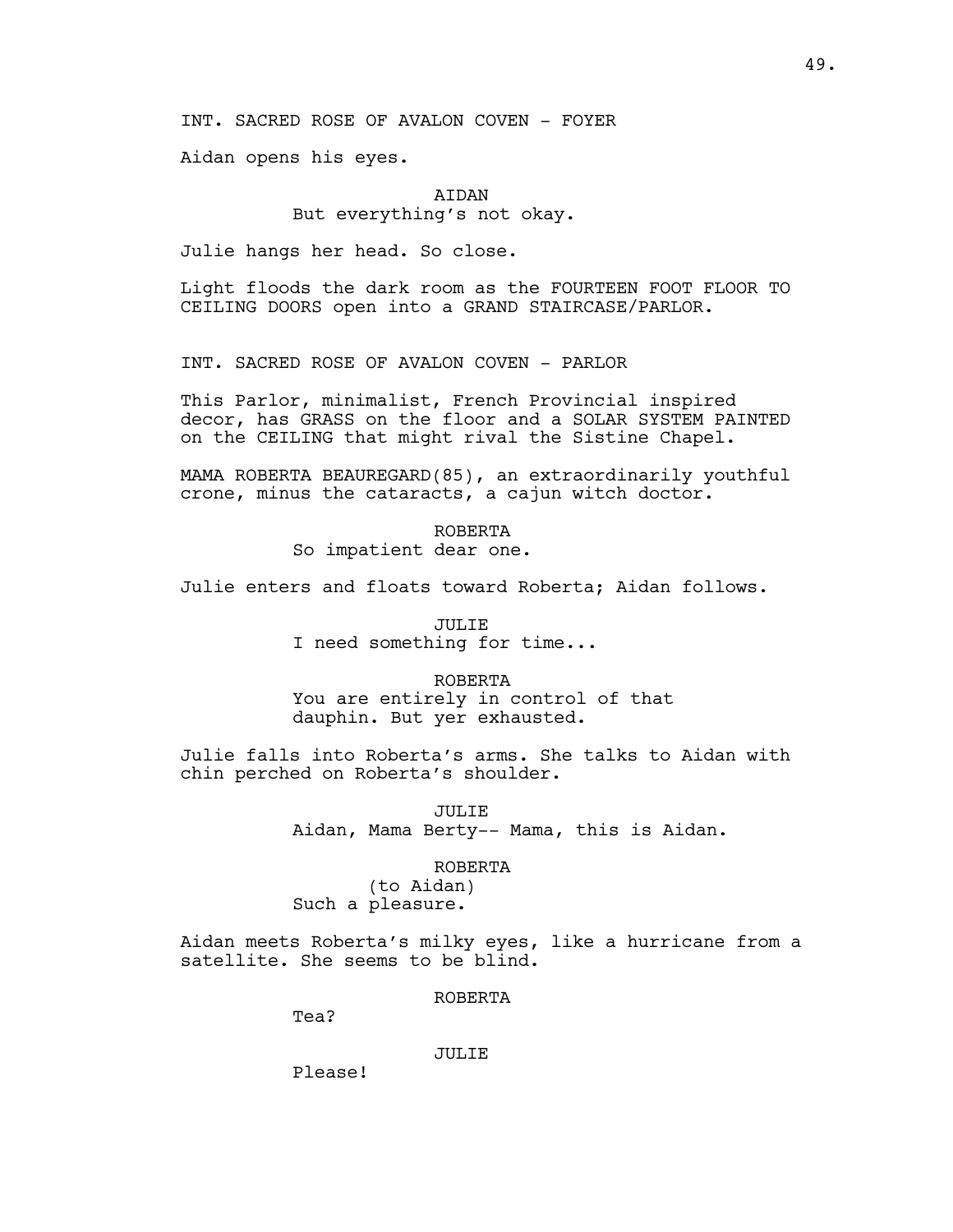Aidan opens his eyes.

# AIDAN But everything's not okay.

Julie hangs her head. So close.

Light floods the dark room as the FOURTEEN FOOT FLOOR TO CEILING DOORS open into a GRAND STAIRCASE/PARLOR.

INT. SACRED ROSE OF AVALON COVEN - PARLOR

This Parlor, minimalist, French Provincial inspired decor, has GRASS on the floor and a SOLAR SYSTEM PAINTED on the CEILING that might rival the Sistine Chapel.

MAMA ROBERTA BEAUREGARD(85), an extraordinarily youthful crone, minus the cataracts, a cajun witch doctor.

> ROBERTA So impatient dear one.

Julie enters and floats toward Roberta; Aidan follows.

JULIE I need something for time...

ROBERTA You are entirely in control of that dauphin. But yer exhausted.

Julie falls into Roberta's arms. She talks to Aidan with chin perched on Roberta's shoulder.

> JULIE Aidan, Mama Berty-- Mama, this is Aidan.

> > ROBERTA

(to Aidan) Such a pleasure.

Aidan meets Roberta's milky eyes, like a hurricane from a satellite. She seems to be blind.

ROBERTA

Tea?

JULIE

Please!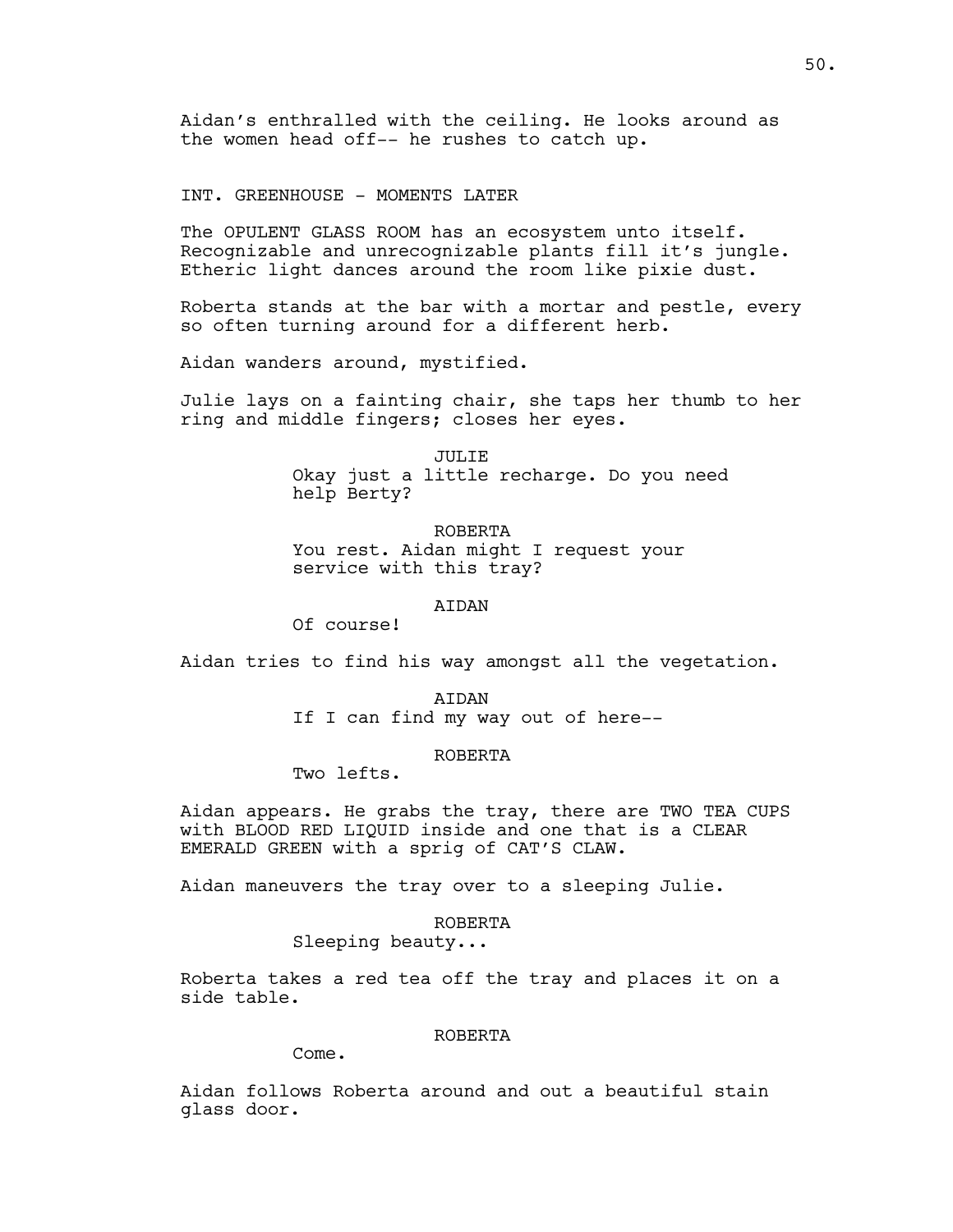Aidan's enthralled with the ceiling. He looks around as the women head off-- he rushes to catch up.

INT. GREENHOUSE - MOMENTS LATER

The OPULENT GLASS ROOM has an ecosystem unto itself. Recognizable and unrecognizable plants fill it's jungle. Etheric light dances around the room like pixie dust.

Roberta stands at the bar with a mortar and pestle, every so often turning around for a different herb.

Aidan wanders around, mystified.

Julie lays on a fainting chair, she taps her thumb to her ring and middle fingers; closes her eyes.

> JULIE Okay just a little recharge. Do you need help Berty?

ROBERTA You rest. Aidan might I request your service with this tray?

**ATDAN** 

Of course!

Aidan tries to find his way amongst all the vegetation.

AIDAN If I can find my way out of here--

# ROBERTA

Two lefts.

Aidan appears. He grabs the tray, there are TWO TEA CUPS with BLOOD RED LIQUID inside and one that is a CLEAR EMERALD GREEN with a sprig of CAT'S CLAW.

Aidan maneuvers the tray over to a sleeping Julie.

### ROBERTA

Sleeping beauty...

Roberta takes a red tea off the tray and places it on a side table.

# ROBERTA

Come.

Aidan follows Roberta around and out a beautiful stain glass door.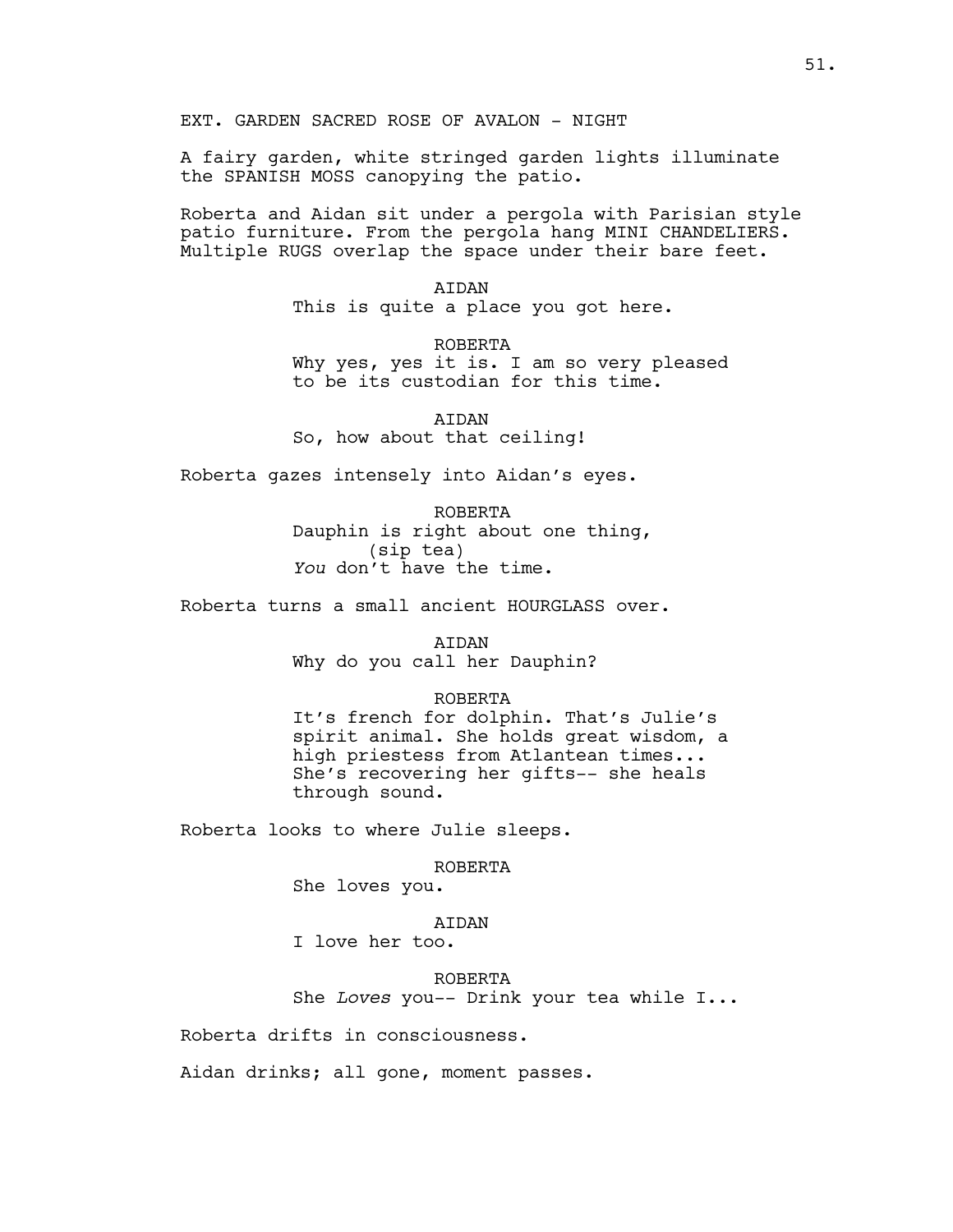A fairy garden, white stringed garden lights illuminate the SPANISH MOSS canopying the patio.

Roberta and Aidan sit under a pergola with Parisian style patio furniture. From the pergola hang MINI CHANDELIERS. Multiple RUGS overlap the space under their bare feet.

> AIDAN This is quite a place you got here.

ROBERTA Why yes, yes it is. I am so very pleased to be its custodian for this time.

AIDAN So, how about that ceiling!

Roberta gazes intensely into Aidan's eyes.

ROBERTA Dauphin is right about one thing, (sip tea) *You* don't have the time.

Roberta turns a small ancient HOURGLASS over.

AIDAN Why do you call her Dauphin?

# ROBERTA

It's french for dolphin. That's Julie's spirit animal. She holds great wisdom, a high priestess from Atlantean times... She's recovering her gifts-- she heals through sound.

Roberta looks to where Julie sleeps.

ROBERTA

She loves you.

## AIDAN

I love her too.

ROBERTA She *Loves* you-- Drink your tea while I...

Roberta drifts in consciousness.

Aidan drinks; all gone, moment passes.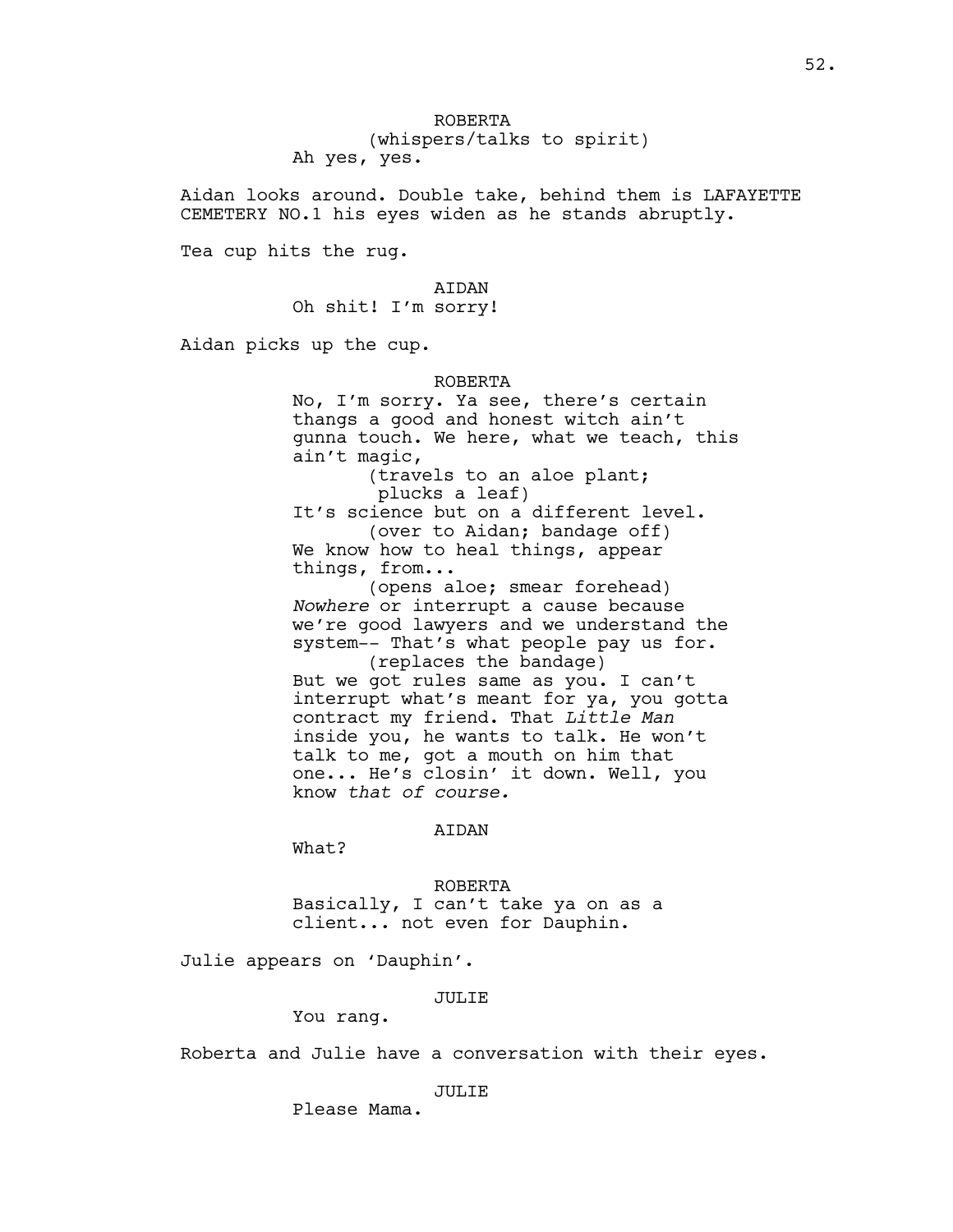ROBERTA (whispers/talks to spirit) Ah yes, yes.

Aidan looks around. Double take, behind them is LAFAYETTE CEMETERY NO.1 his eyes widen as he stands abruptly.

Tea cup hits the rug.

# AIDAN

Oh shit! I'm sorry!

Aidan picks up the cup.

#### ROBERTA

No, I'm sorry. Ya see, there's certain thangs a good and honest witch ain't gunna touch. We here, what we teach, this ain't magic,

> (travels to an aloe plant; plucks a leaf)

It's science but on a different level. (over to Aidan; bandage off) We know how to heal things, appear things, from...

(opens aloe; smear forehead) *Nowhere* or interrupt a cause because we're good lawyers and we understand the system-- That's what people pay us for. (replaces the bandage)

But we got rules same as you. I can't interrupt what's meant for ya, you gotta contract my friend. That *Little Man* inside you, he wants to talk. He won't talk to me, got a mouth on him that one... He's closin' it down. Well, you know *that of course.*

# AIDAN

What?

#### ROBERTA

Basically, I can't take ya on as a client... not even for Dauphin.

Julie appears on 'Dauphin'.

### JULIE

You rang.

Roberta and Julie have a conversation with their eyes.

#### JULIE

Please Mama.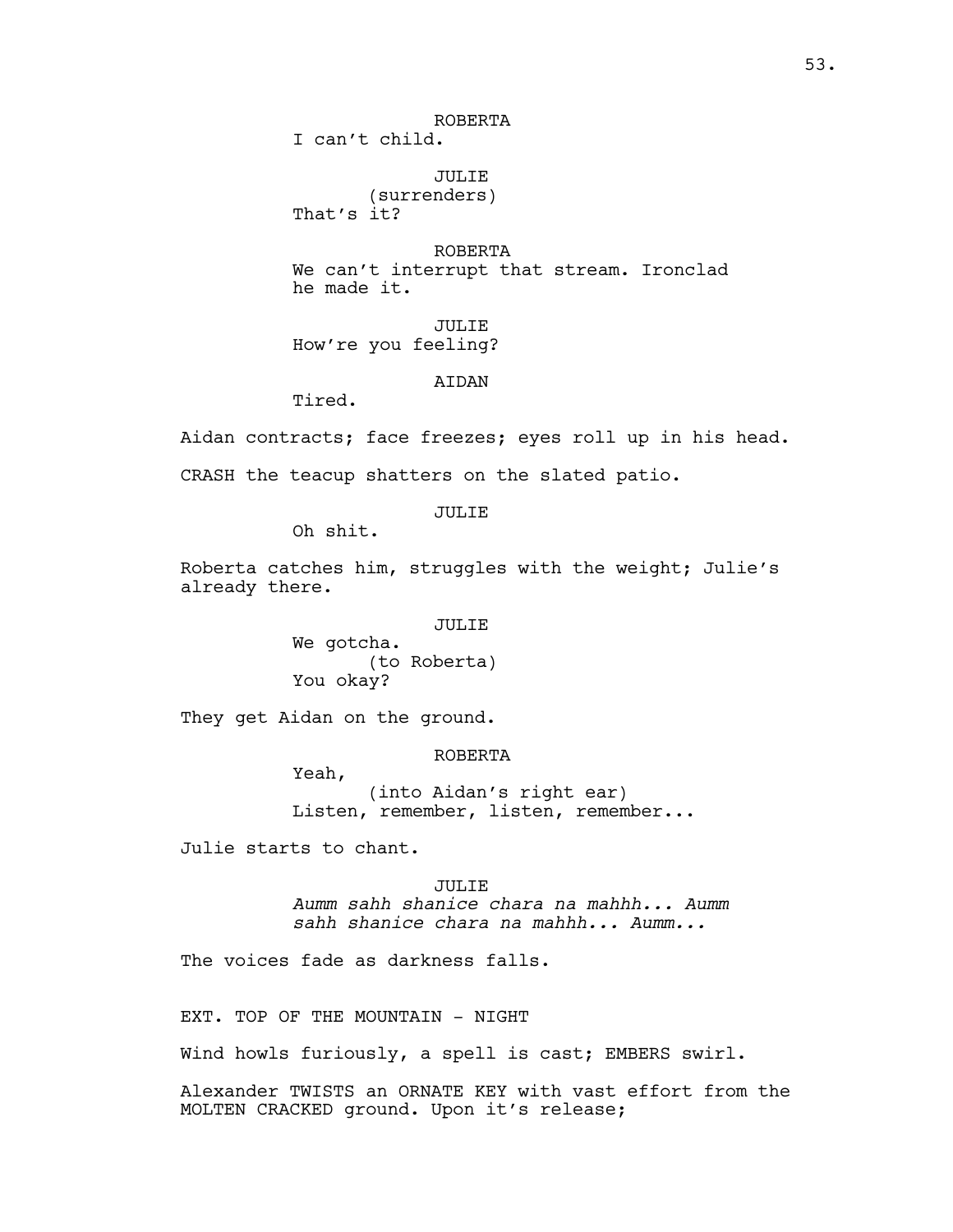ROBERTA

I can't child.

JULIE (surrenders) That's it?

ROBERTA We can't interrupt that stream. Ironclad he made it.

JULIE How're you feeling?

AIDAN

Tired.

Aidan contracts; face freezes; eyes roll up in his head. CRASH the teacup shatters on the slated patio.

JULIE

Oh shit.

Roberta catches him, struggles with the weight; Julie's already there.

JULIE

We gotcha. (to Roberta) You okay?

They get Aidan on the ground.

ROBERTA

Yeah, (into Aidan's right ear) Listen, remember, listen, remember...

Julie starts to chant.

JULIE *Aumm sahh shanice chara na mahhh... Aumm sahh shanice chara na mahhh... Aumm...*

The voices fade as darkness falls.

EXT. TOP OF THE MOUNTAIN - NIGHT

Wind howls furiously, a spell is cast; EMBERS swirl.

Alexander TWISTS an ORNATE KEY with vast effort from the MOLTEN CRACKED ground. Upon it's release;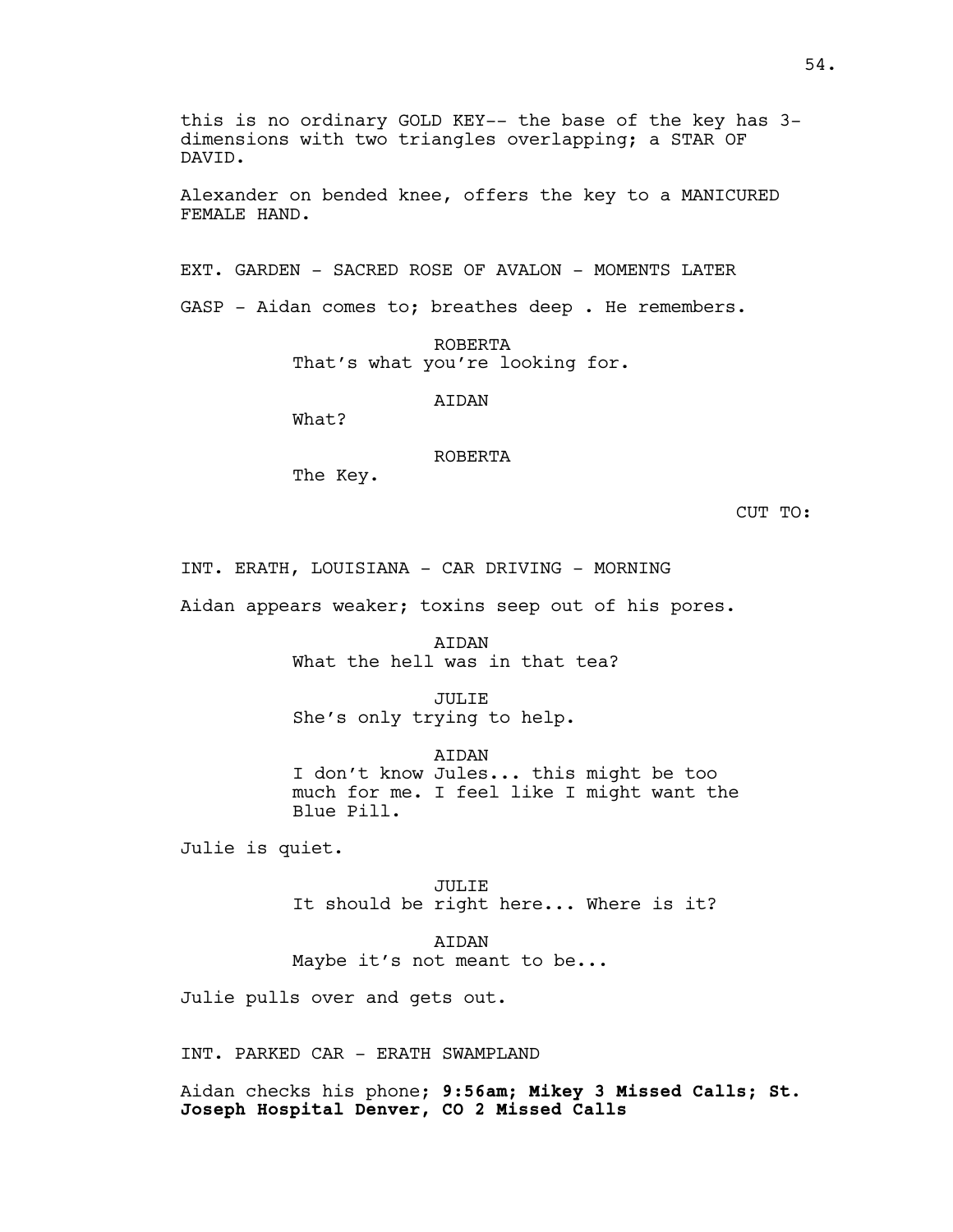this is no ordinary GOLD KEY-- the base of the key has 3 dimensions with two triangles overlapping; a STAR OF DAVID.

Alexander on bended knee, offers the key to a MANICURED FEMALE HAND.

EXT. GARDEN - SACRED ROSE OF AVALON - MOMENTS LATER

GASP - Aidan comes to; breathes deep . He remembers.

ROBERTA That's what you're looking for.

**ATDAN** 

What?

ROBERTA

The Key.

CUT TO:

INT. ERATH, LOUISIANA - CAR DRIVING - MORNING

Aidan appears weaker; toxins seep out of his pores.

AIDAN What the hell was in that tea?

JULIE She's only trying to help.

AIDAN I don't know Jules... this might be too much for me. I feel like I might want the Blue Pill.

Julie is quiet.

JULIE It should be right here... Where is it?

AIDAN Maybe it's not meant to be...

Julie pulls over and gets out.

INT. PARKED CAR - ERATH SWAMPLAND

Aidan checks his phone; **9:56am; Mikey 3 Missed Calls; St. Joseph Hospital Denver, CO 2 Missed Calls**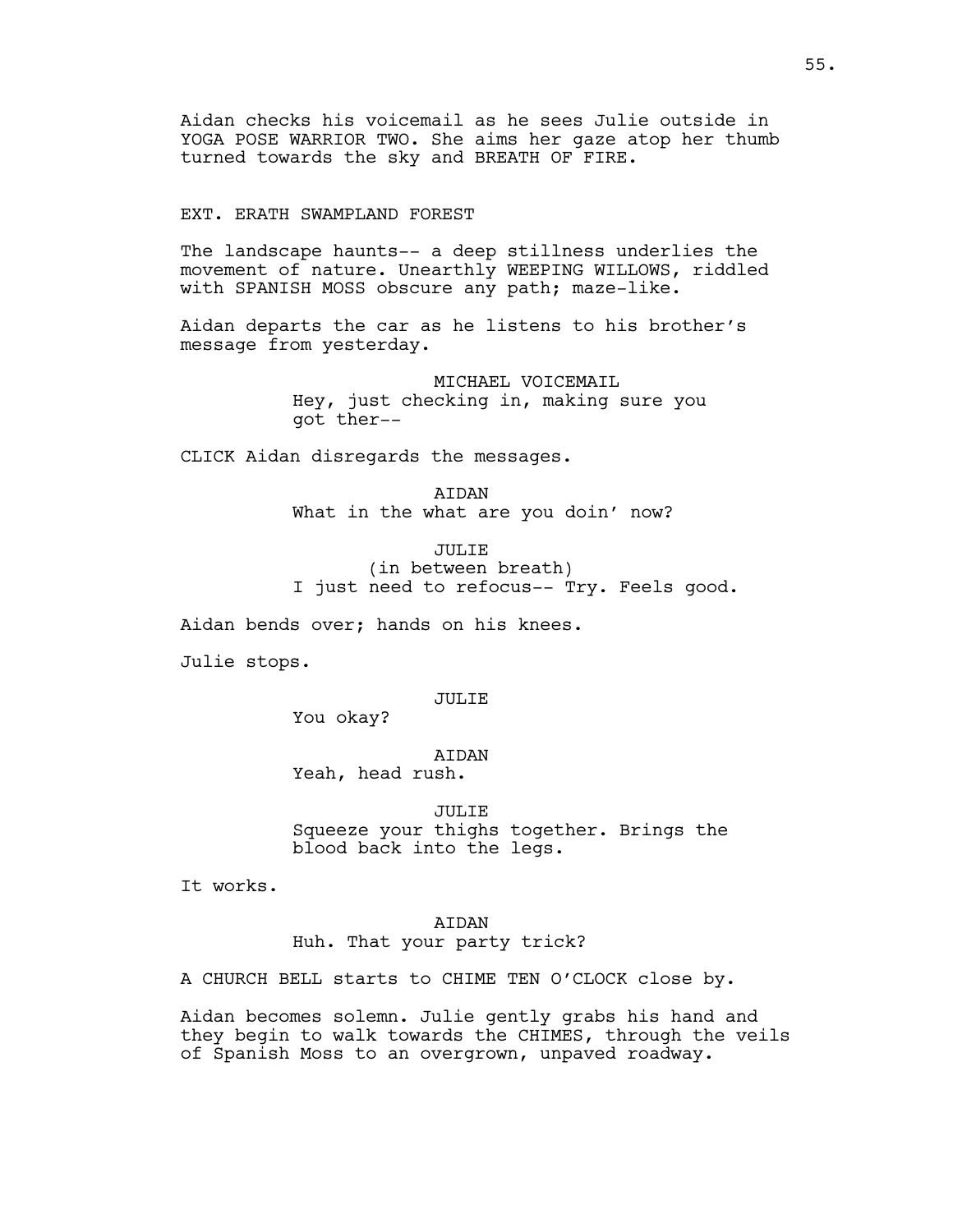Aidan checks his voicemail as he sees Julie outside in YOGA POSE WARRIOR TWO. She aims her gaze atop her thumb turned towards the sky and BREATH OF FIRE.

# EXT. ERATH SWAMPLAND FOREST

The landscape haunts-- a deep stillness underlies the movement of nature. Unearthly WEEPING WILLOWS, riddled with SPANISH MOSS obscure any path; maze-like.

Aidan departs the car as he listens to his brother's message from yesterday.

> MICHAEL VOICEMAIL Hey, just checking in, making sure you got ther--

CLICK Aidan disregards the messages.

ATDAN What in the what are you doin' now?

JULIE (in between breath) I just need to refocus-- Try. Feels good.

Aidan bends over; hands on his knees.

Julie stops.

# JULIE

You okay?

# AIDAN

Yeah, head rush.

JULIE Squeeze your thighs together. Brings the blood back into the legs.

It works.

# AIDAN Huh. That your party trick?

A CHURCH BELL starts to CHIME TEN O'CLOCK close by.

Aidan becomes solemn. Julie gently grabs his hand and they begin to walk towards the CHIMES, through the veils of Spanish Moss to an overgrown, unpaved roadway.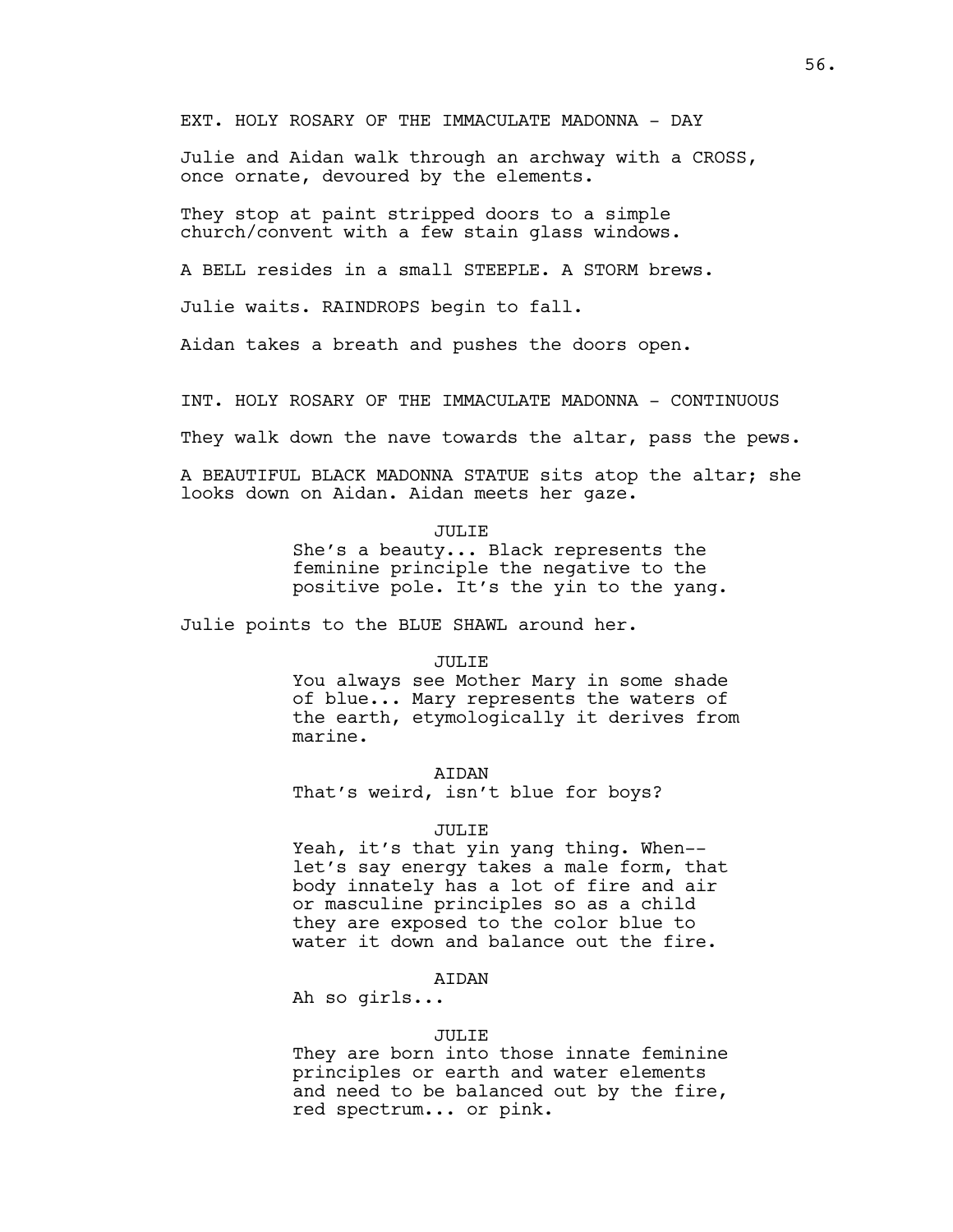EXT. HOLY ROSARY OF THE IMMACULATE MADONNA - DAY

Julie and Aidan walk through an archway with a CROSS, once ornate, devoured by the elements.

They stop at paint stripped doors to a simple church/convent with a few stain glass windows.

A BELL resides in a small STEEPLE. A STORM brews.

Julie waits. RAINDROPS begin to fall.

Aidan takes a breath and pushes the doors open.

INT. HOLY ROSARY OF THE IMMACULATE MADONNA - CONTINUOUS

They walk down the nave towards the altar, pass the pews.

A BEAUTIFUL BLACK MADONNA STATUE sits atop the altar; she looks down on Aidan. Aidan meets her gaze.

JULIE

She's a beauty... Black represents the feminine principle the negative to the positive pole. It's the yin to the yang.

Julie points to the BLUE SHAWL around her.

JULIE

You always see Mother Mary in some shade of blue... Mary represents the waters of the earth, etymologically it derives from marine.

**ATDAN** 

That's weird, isn't blue for boys?

### JULIE

Yeah, it's that yin yang thing. When- let's say energy takes a male form, that body innately has a lot of fire and air or masculine principles so as a child they are exposed to the color blue to water it down and balance out the fire.

# AIDAN

Ah so girls...

### JULIE

They are born into those innate feminine principles or earth and water elements and need to be balanced out by the fire, red spectrum... or pink.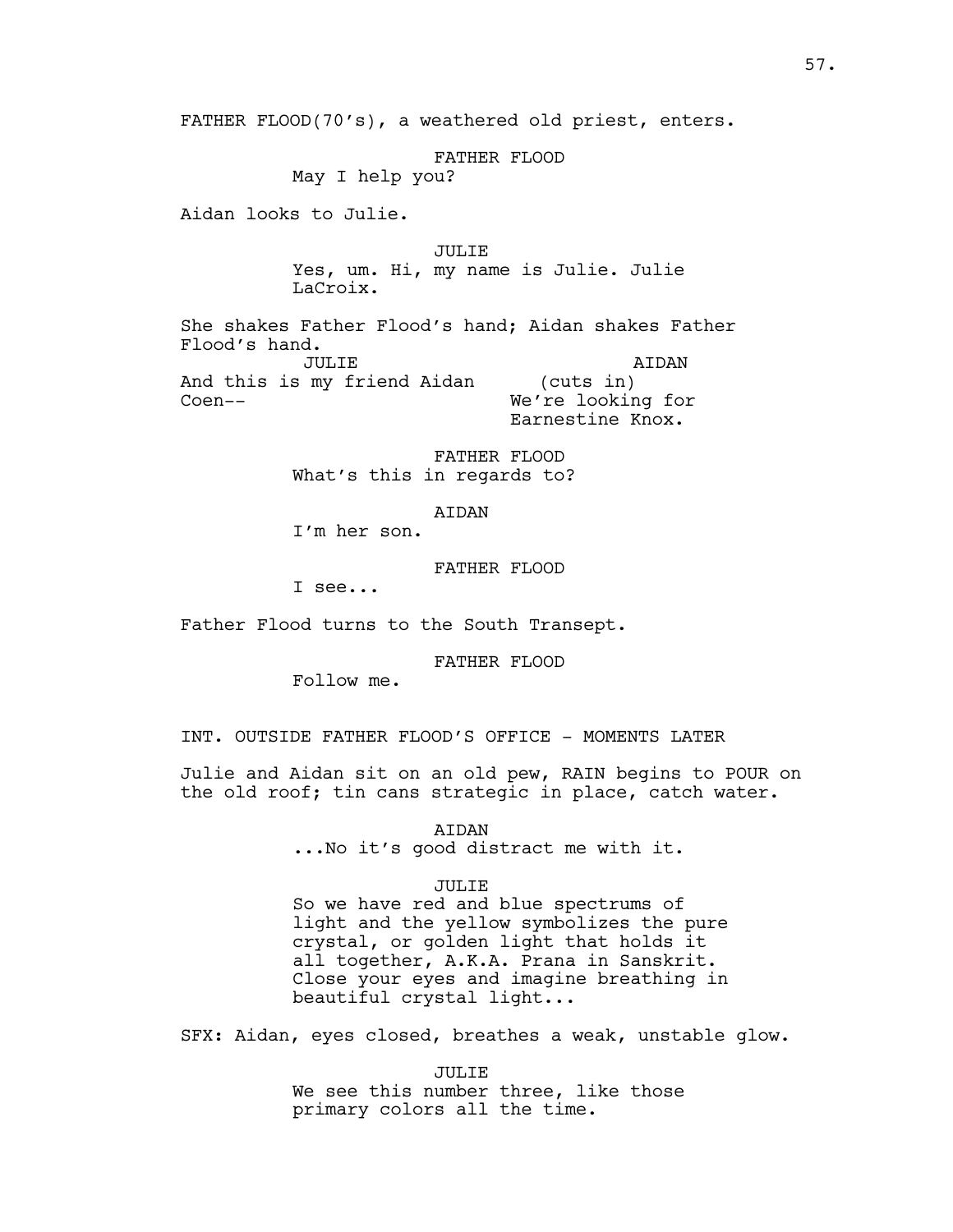FATHER FLOOD(70's), a weathered old priest, enters.

FATHER FLOOD

May I help you?

Aidan looks to Julie.

Coen--

JULIE

Yes, um. Hi, my name is Julie. Julie LaCroix.

She shakes Father Flood's hand; Aidan shakes Father Flood's hand. JULIE And this is my friend Aidan AIDAN (cuts in)

We're looking for Earnestine Knox.

FATHER FLOOD What's this in regards to?

## AIDAN

I'm her son.

FATHER FLOOD

I see...

Father Flood turns to the South Transept.

FATHER FLOOD

Follow me.

INT. OUTSIDE FATHER FLOOD'S OFFICE - MOMENTS LATER

Julie and Aidan sit on an old pew, RAIN begins to POUR on the old roof; tin cans strategic in place, catch water.

> AIDAN ...No it's good distract me with it.

### JULIE

So we have red and blue spectrums of light and the yellow symbolizes the pure crystal, or golden light that holds it all together, A.K.A. Prana in Sanskrit. Close your eyes and imagine breathing in beautiful crystal light...

SFX: Aidan, eyes closed, breathes a weak, unstable glow.

JULIE We see this number three, like those primary colors all the time.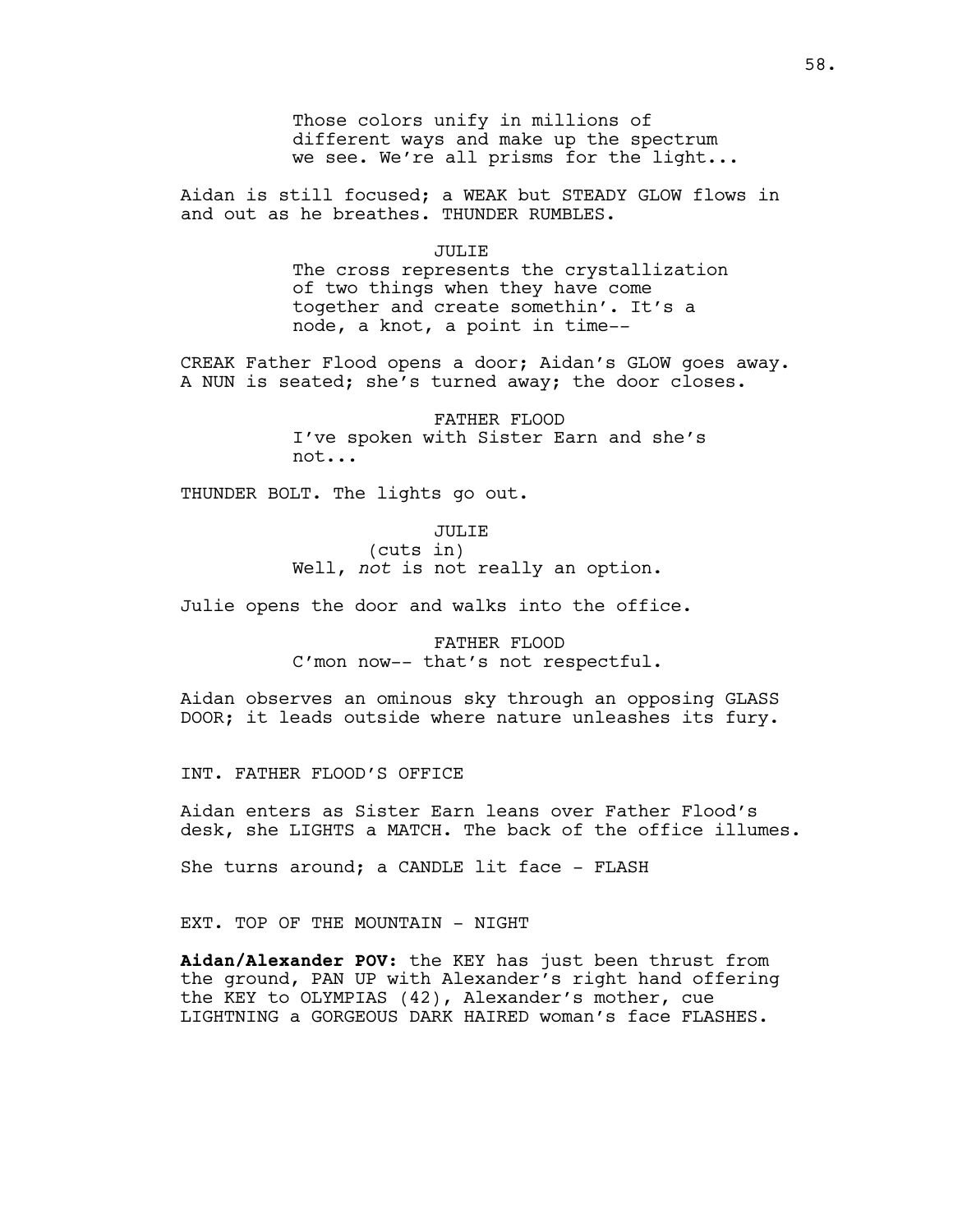Those colors unify in millions of different ways and make up the spectrum we see. We're all prisms for the light...

Aidan is still focused; a WEAK but STEADY GLOW flows in and out as he breathes. THUNDER RUMBLES.

#### JULIE

The cross represents the crystallization of two things when they have come together and create somethin'. It's a node, a knot, a point in time--

CREAK Father Flood opens a door; Aidan's GLOW goes away. A NUN is seated; she's turned away; the door closes.

> FATHER FLOOD I've spoken with Sister Earn and she's not...

THUNDER BOLT. The lights go out.

JULIE (cuts in) Well, *not* is not really an option.

Julie opens the door and walks into the office.

FATHER FLOOD C'mon now-- that's not respectful.

Aidan observes an ominous sky through an opposing GLASS DOOR; it leads outside where nature unleashes its fury.

INT. FATHER FLOOD'S OFFICE

Aidan enters as Sister Earn leans over Father Flood's desk, she LIGHTS a MATCH. The back of the office illumes.

She turns around; a CANDLE lit face - FLASH

EXT. TOP OF THE MOUNTAIN - NIGHT

**Aidan/Alexander POV**: the KEY has just been thrust from the ground, PAN UP with Alexander's right hand offering the KEY to OLYMPIAS (42), Alexander's mother, cue LIGHTNING a GORGEOUS DARK HAIRED woman's face FLASHES.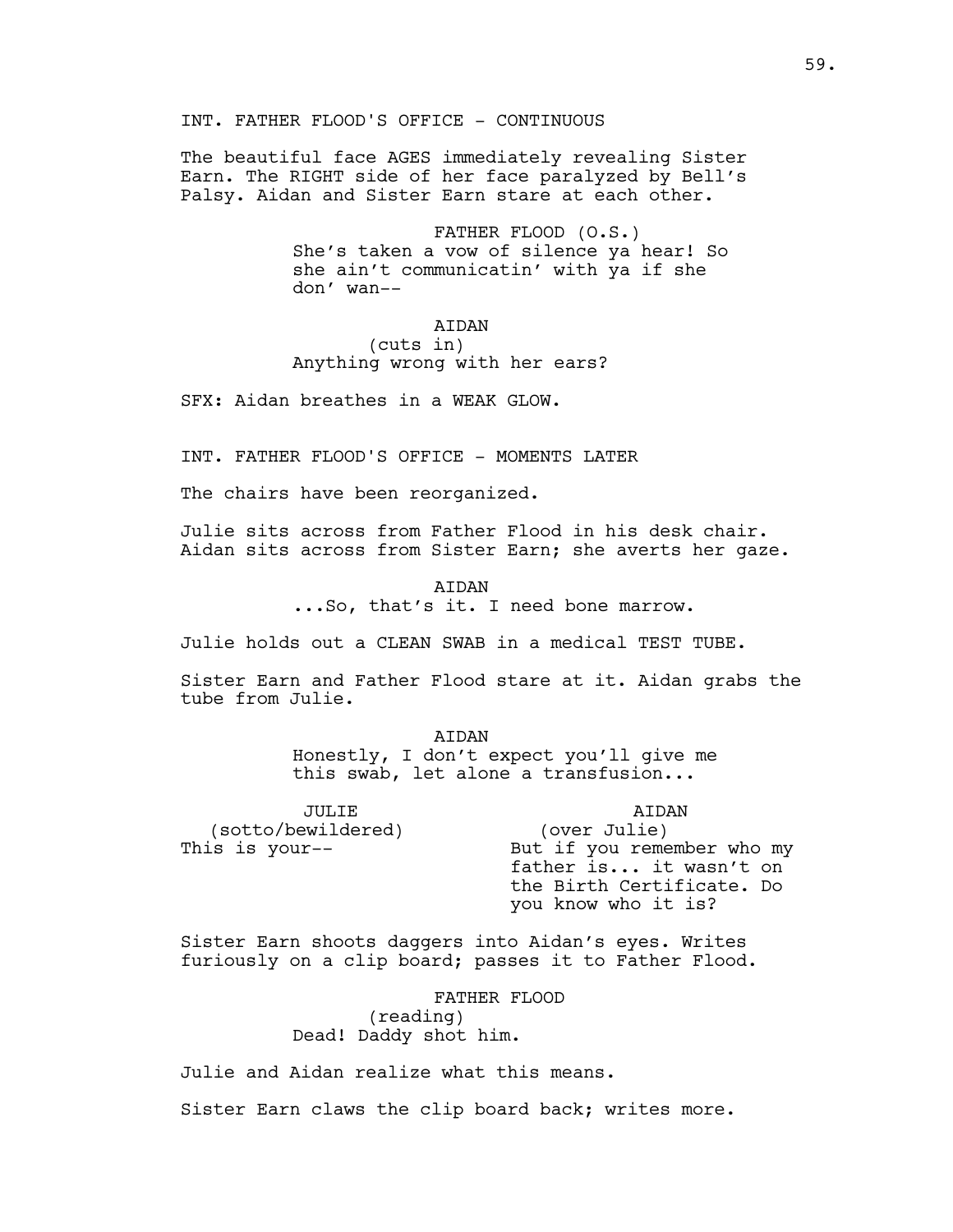# INT. FATHER FLOOD'S OFFICE - CONTINUOUS

The beautiful face AGES immediately revealing Sister Earn. The RIGHT side of her face paralyzed by Bell's Palsy. Aidan and Sister Earn stare at each other.

> FATHER FLOOD (O.S.) She's taken a vow of silence ya hear! So she ain't communicatin' with ya if she don' wan--

# AIDAN

# (cuts in) Anything wrong with her ears?

SFX: Aidan breathes in a WEAK GLOW.

INT. FATHER FLOOD'S OFFICE - MOMENTS LATER

The chairs have been reorganized.

Julie sits across from Father Flood in his desk chair. Aidan sits across from Sister Earn; she averts her gaze.

> AIDAN ...So, that's it. I need bone marrow.

Julie holds out a CLEAN SWAB in a medical TEST TUBE.

Sister Earn and Father Flood stare at it. Aidan grabs the tube from Julie.

> AIDAN Honestly, I don't expect you'll give me this swab, let alone a transfusion...

JULIE (sotto/bewildered) This is your--

AIDAN (over Julie) But if you remember who my father is... it wasn't on the Birth Certificate. Do you know who it is?

Sister Earn shoots daggers into Aidan's eyes. Writes furiously on a clip board; passes it to Father Flood.

> FATHER FLOOD (reading) Dead! Daddy shot him.

Julie and Aidan realize what this means.

Sister Earn claws the clip board back; writes more.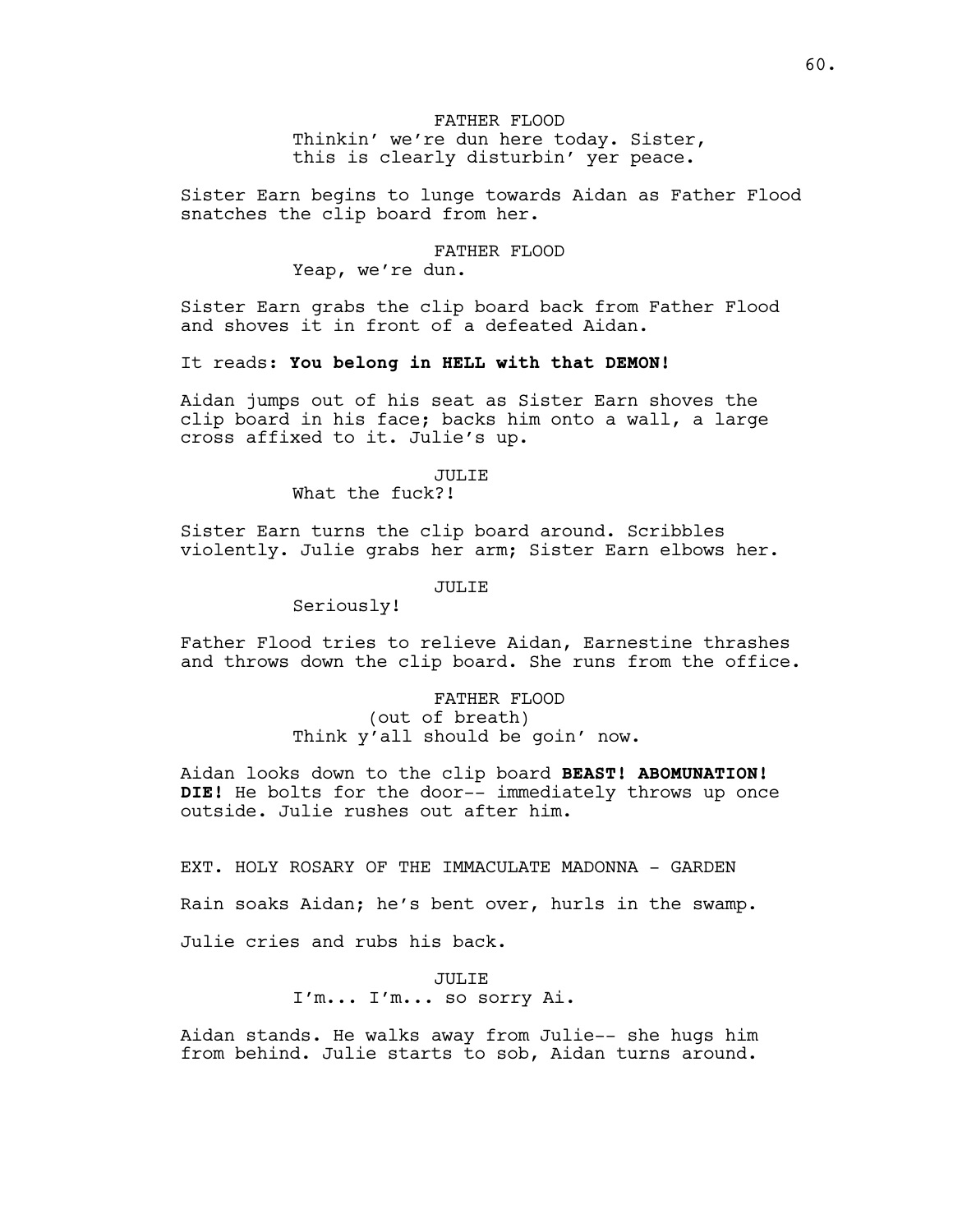# FATHER FLOOD Thinkin' we're dun here today. Sister, this is clearly disturbin' yer peace.

Sister Earn begins to lunge towards Aidan as Father Flood snatches the clip board from her.

# FATHER FLOOD

Yeap, we're dun.

Sister Earn grabs the clip board back from Father Flood and shoves it in front of a defeated Aidan.

It reads: **You belong in HELL with that DEMON!**

Aidan jumps out of his seat as Sister Earn shoves the clip board in his face; backs him onto a wall, a large cross affixed to it. Julie's up.

## JULIE

What the fuck?!

Sister Earn turns the clip board around. Scribbles violently. Julie grabs her arm; Sister Earn elbows her.

### JULIE

Seriously!

Father Flood tries to relieve Aidan, Earnestine thrashes and throws down the clip board. She runs from the office.

> FATHER FLOOD (out of breath) Think y'all should be goin' now.

Aidan looks down to the clip board **BEAST! ABOMUNATION! DIE!** He bolts for the door-- immediately throws up once outside. Julie rushes out after him.

EXT. HOLY ROSARY OF THE IMMACULATE MADONNA - GARDEN

Rain soaks Aidan; he's bent over, hurls in the swamp.

Julie cries and rubs his back.

JULIE I'm... I'm... so sorry Ai.

Aidan stands. He walks away from Julie-- she hugs him from behind. Julie starts to sob, Aidan turns around.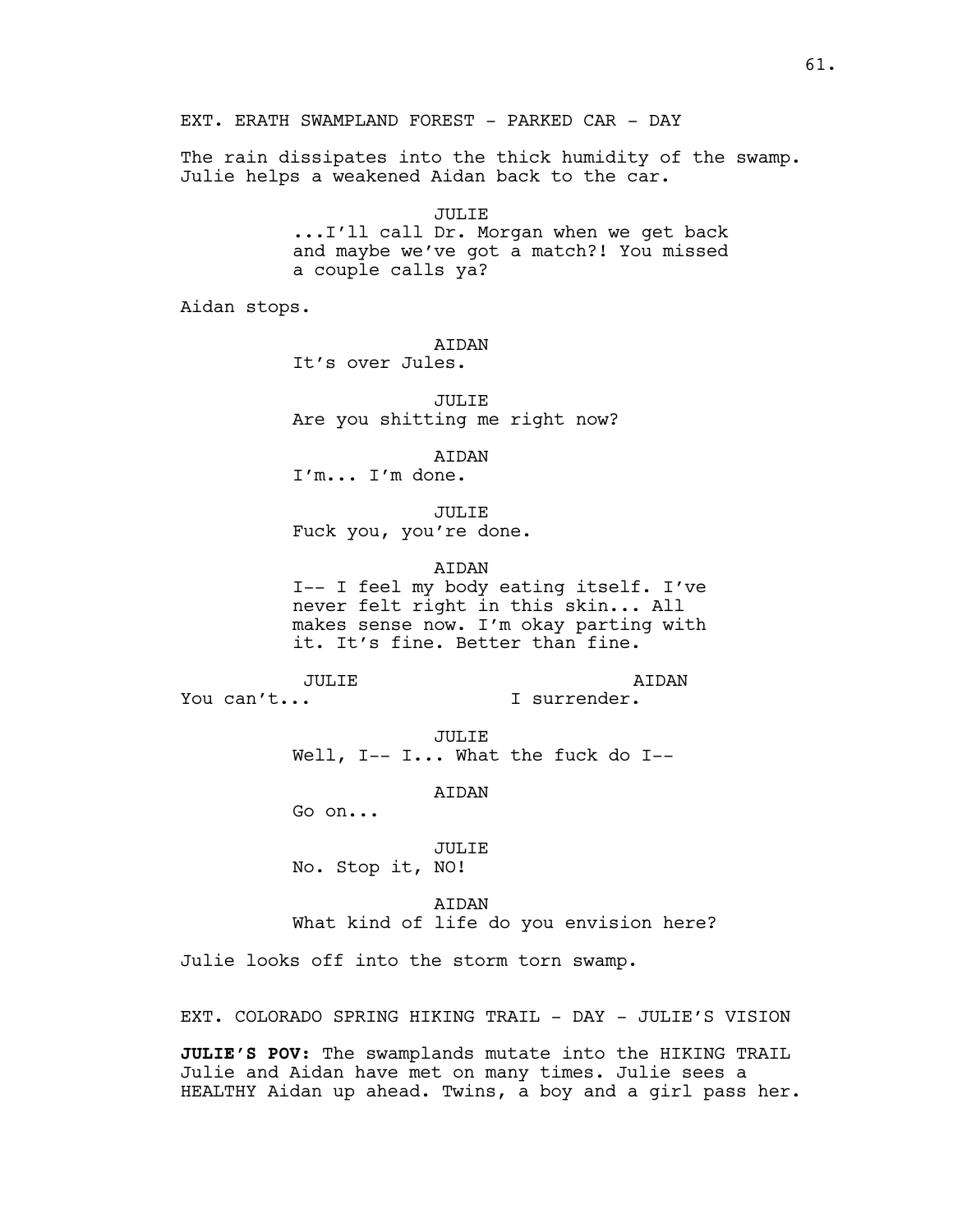EXT. ERATH SWAMPLAND FOREST - PARKED CAR - DAY

The rain dissipates into the thick humidity of the swamp. Julie helps a weakened Aidan back to the car.

> JULIE ...I'll call Dr. Morgan when we get back and maybe we've got a match?! You missed a couple calls ya?

Aidan stops.

AIDAN

It's over Jules.

JULIE Are you shitting me right now?

AIDAN

I'm... I'm done.

JULIE Fuck you, you're done.

**ATDAN** 

I-- I feel my body eating itself. I've never felt right in this skin... All makes sense now. I'm okay parting with it. It's fine. Better than fine.

JULIE

AIDAN I surrender.

You can't...

JULIE

Well, I-- I... What the fuck do I--

AIDAN

Go on...

# JULIE

No. Stop it, NO!

AIDAN What kind of life do you envision here?

Julie looks off into the storm torn swamp.

EXT. COLORADO SPRING HIKING TRAIL - DAY - JULIE'S VISION

**JULIE'S POV**: The swamplands mutate into the HIKING TRAIL Julie and Aidan have met on many times. Julie sees a HEALTHY Aidan up ahead. Twins, a boy and a girl pass her.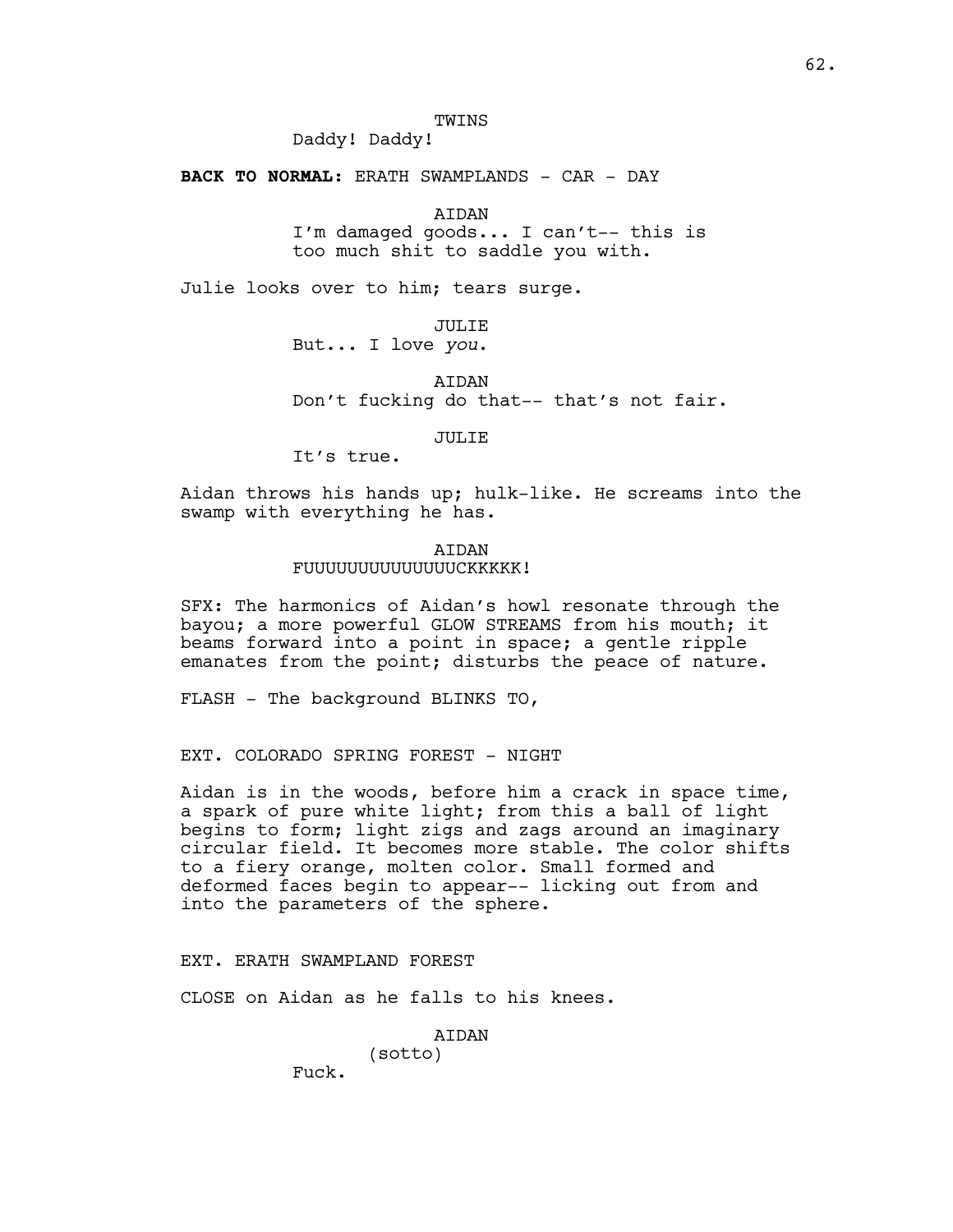# TWINS

Daddy! Daddy!

**BACK TO NORMAL:** ERATH SWAMPLANDS - CAR - DAY

AIDAN

I'm damaged goods... I can't-- this is too much shit to saddle you with.

Julie looks over to him; tears surge.

JULIE But... I love *you*.

AIDAN Don't fucking do that-- that's not fair.

JULIE

It's true.

Aidan throws his hands up; hulk-like. He screams into the swamp with everything he has.

### AIDAN FUUUUUUUUUUUUUUCKKKKK!

SFX: The harmonics of Aidan's howl resonate through the bayou; a more powerful GLOW STREAMS from his mouth; it beams forward into a point in space; a gentle ripple emanates from the point; disturbs the peace of nature.

FLASH - The background BLINKS TO,

EXT. COLORADO SPRING FOREST - NIGHT

Aidan is in the woods, before him a crack in space time, a spark of pure white light; from this a ball of light begins to form; light zigs and zags around an imaginary circular field. It becomes more stable. The color shifts to a fiery orange, molten color. Small formed and deformed faces begin to appear-- licking out from and into the parameters of the sphere.

# EXT. ERATH SWAMPLAND FOREST

CLOSE on Aidan as he falls to his knees.

(sotto)

AIDAN

Fuck.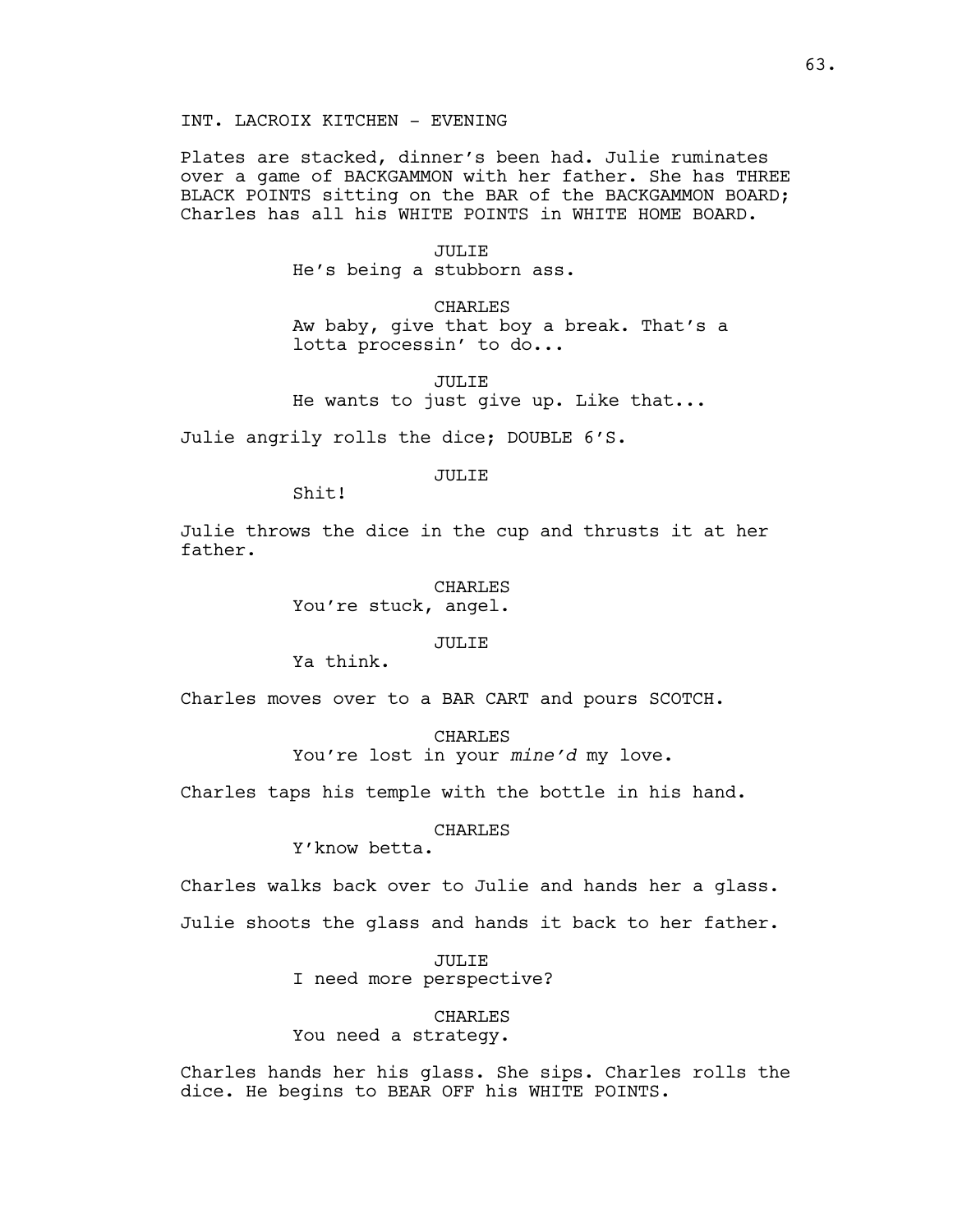Plates are stacked, dinner's been had. Julie ruminates over a game of BACKGAMMON with her father. She has THREE BLACK POINTS sitting on the BAR of the BACKGAMMON BOARD; Charles has all his WHITE POINTS in WHITE HOME BOARD.

#### JULIE

He's being a stubborn ass.

CHARLES

Aw baby, give that boy a break. That's a lotta processin' to do...

JULIE He wants to just give up. Like that...

Julie angrily rolls the dice; DOUBLE 6'S.

#### JULIE

Shit!

Julie throws the dice in the cup and thrusts it at her father.

CHARLES

You're stuck, angel.

JULIE

Ya think.

Charles moves over to a BAR CART and pours SCOTCH.

CHARLES You're lost in your *mine'd* my love.

Charles taps his temple with the bottle in his hand.

# CHARLES

Y'know betta.

Charles walks back over to Julie and hands her a glass. Julie shoots the glass and hands it back to her father.

> JULIE I need more perspective?

> > CHARLES

You need a strategy.

Charles hands her his glass. She sips. Charles rolls the dice. He begins to BEAR OFF his WHITE POINTS.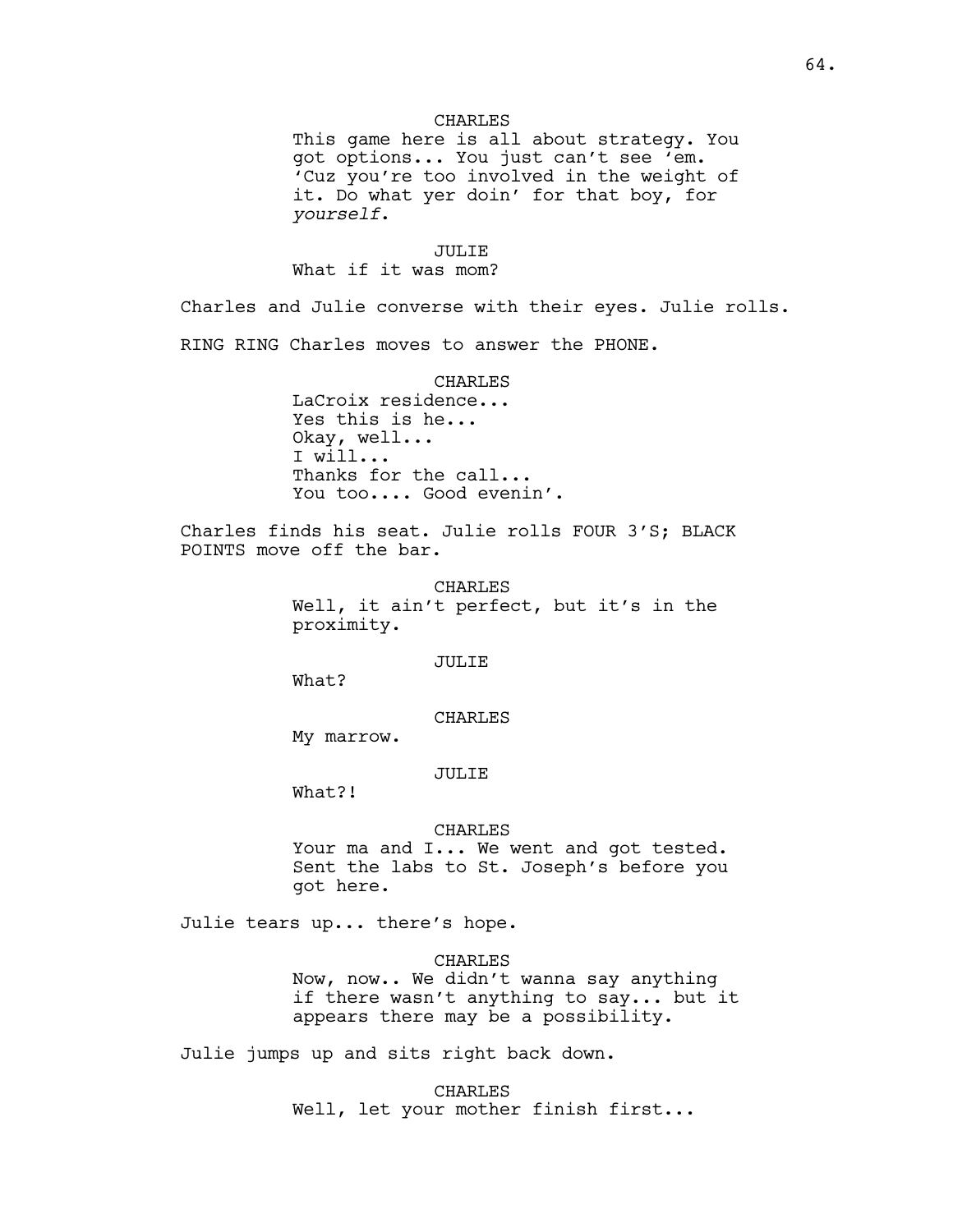# CHARLES

This game here is all about strategy. You got options... You just can't see 'em. 'Cuz you're too involved in the weight of it. Do what yer doin' for that boy, for *yourself*.

## JULIE

What if it was mom?

Charles and Julie converse with their eyes. Julie rolls. RING RING Charles moves to answer the PHONE.

#### CHARLES

LaCroix residence... Yes this is he... Okay, well... I will... Thanks for the call... You too.... Good evenin'.

Charles finds his seat. Julie rolls FOUR 3'S; BLACK POINTS move off the bar.

> CHARLES Well, it ain't perfect, but it's in the proximity.

### JULIE

What?

# CHARLES

My marrow.

# JULIE

What?!

#### CHARLES

Your ma and I... We went and got tested. Sent the labs to St. Joseph's before you got here.

Julie tears up... there's hope.

## CHARLES

Now, now.. We didn't wanna say anything if there wasn't anything to say... but it appears there may be a possibility.

Julie jumps up and sits right back down.

CHARLES

Well, let your mother finish first...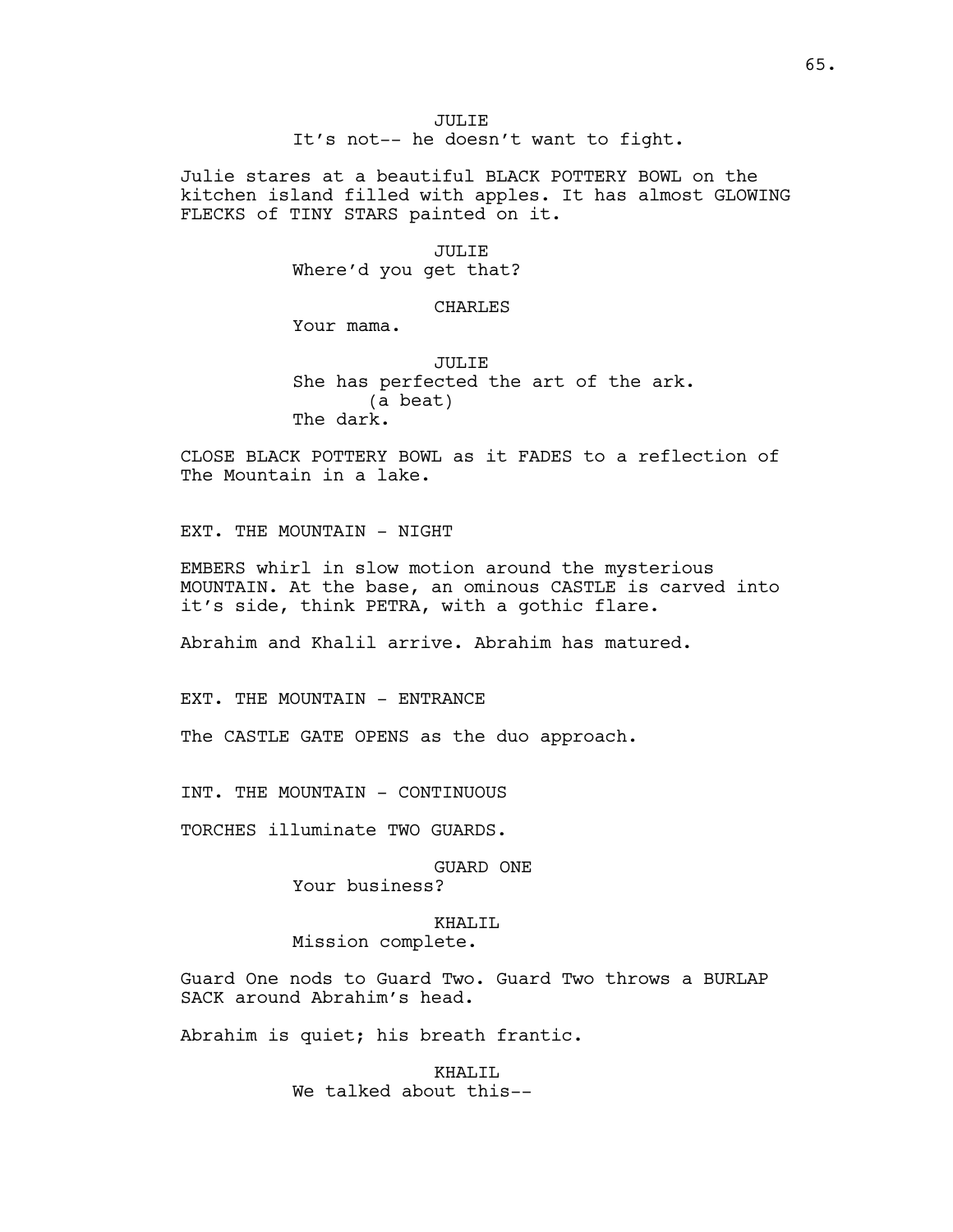JULIE It's not-- he doesn't want to fight.

Julie stares at a beautiful BLACK POTTERY BOWL on the kitchen island filled with apples. It has almost GLOWING FLECKS of TINY STARS painted on it.

#### JULIE

Where'd you get that?

# CHARLES

Your mama.

JULIE She has perfected the art of the ark. (a beat) The dark.

CLOSE BLACK POTTERY BOWL as it FADES to a reflection of The Mountain in a lake.

EXT. THE MOUNTAIN - NIGHT

EMBERS whirl in slow motion around the mysterious MOUNTAIN. At the base, an ominous CASTLE is carved into it's side, think PETRA, with a gothic flare.

Abrahim and Khalil arrive. Abrahim has matured.

EXT. THE MOUNTAIN - ENTRANCE

The CASTLE GATE OPENS as the duo approach.

INT. THE MOUNTAIN - CONTINUOUS

TORCHES illuminate TWO GUARDS.

GUARD ONE

Your business?

# KHALIL

Mission complete.

Guard One nods to Guard Two. Guard Two throws a BURLAP SACK around Abrahim's head.

Abrahim is quiet; his breath frantic.

KHAL<sub>I</sub>TI, We talked about this--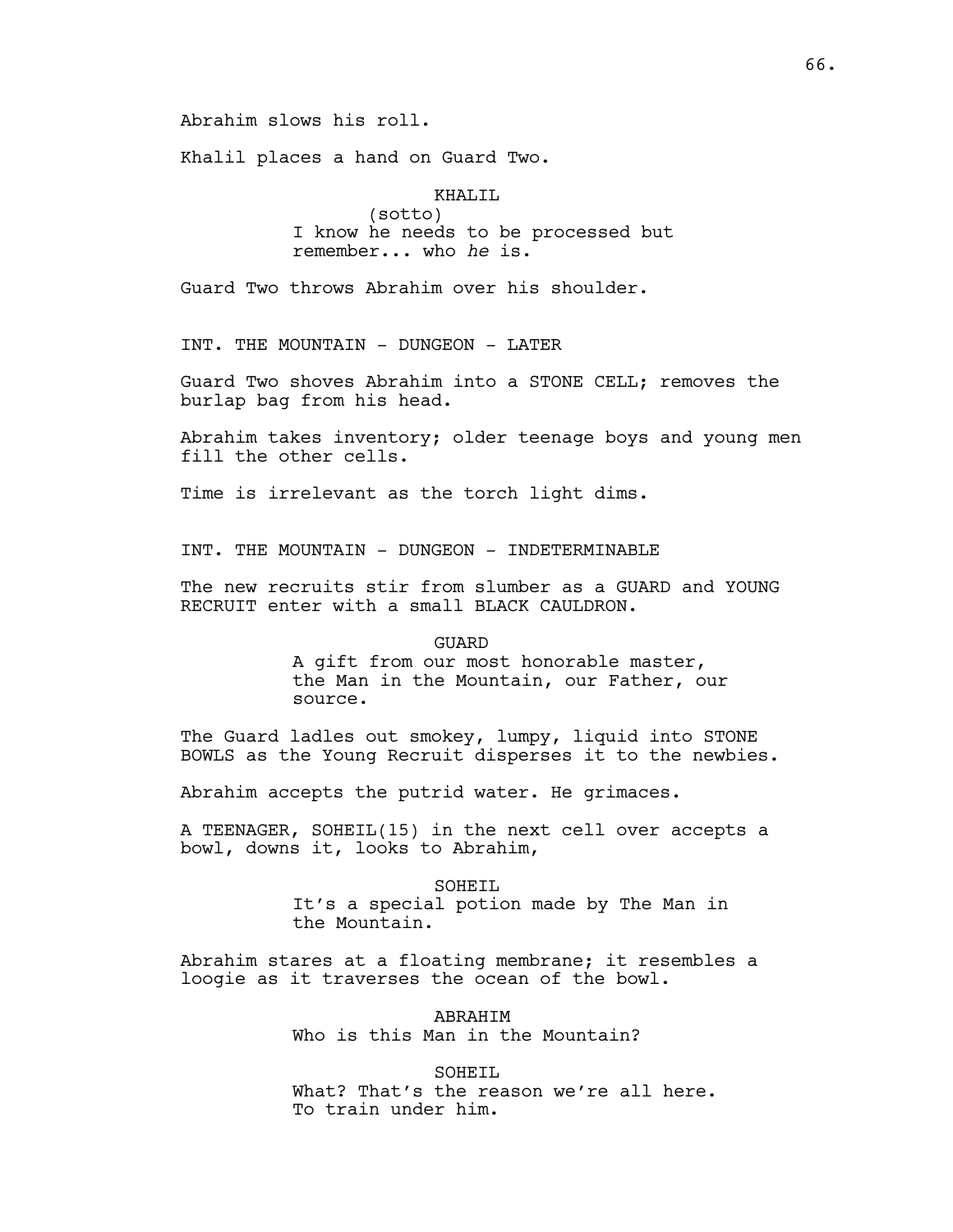Abrahim slows his roll.

Khalil places a hand on Guard Two.

KHALIL (sotto) I know he needs to be processed but remember... who *he* is.

Guard Two throws Abrahim over his shoulder.

INT. THE MOUNTAIN - DUNGEON - LATER

Guard Two shoves Abrahim into a STONE CELL; removes the burlap bag from his head.

Abrahim takes inventory; older teenage boys and young men fill the other cells.

Time is irrelevant as the torch light dims.

INT. THE MOUNTAIN - DUNGEON - INDETERMINABLE

The new recruits stir from slumber as a GUARD and YOUNG RECRUIT enter with a small BLACK CAULDRON.

#### GUARD

A gift from our most honorable master, the Man in the Mountain, our Father, our source.

The Guard ladles out smokey, lumpy, liquid into STONE BOWLS as the Young Recruit disperses it to the newbies.

Abrahim accepts the putrid water. He grimaces.

A TEENAGER, SOHEIL(15) in the next cell over accepts a bowl, downs it, looks to Abrahim,

> SOHEIL It's a special potion made by The Man in the Mountain.

Abrahim stares at a floating membrane; it resembles a loogie as it traverses the ocean of the bowl.

> ABRAHIM Who is this Man in the Mountain?

SOHEIL What? That's the reason we're all here. To train under him.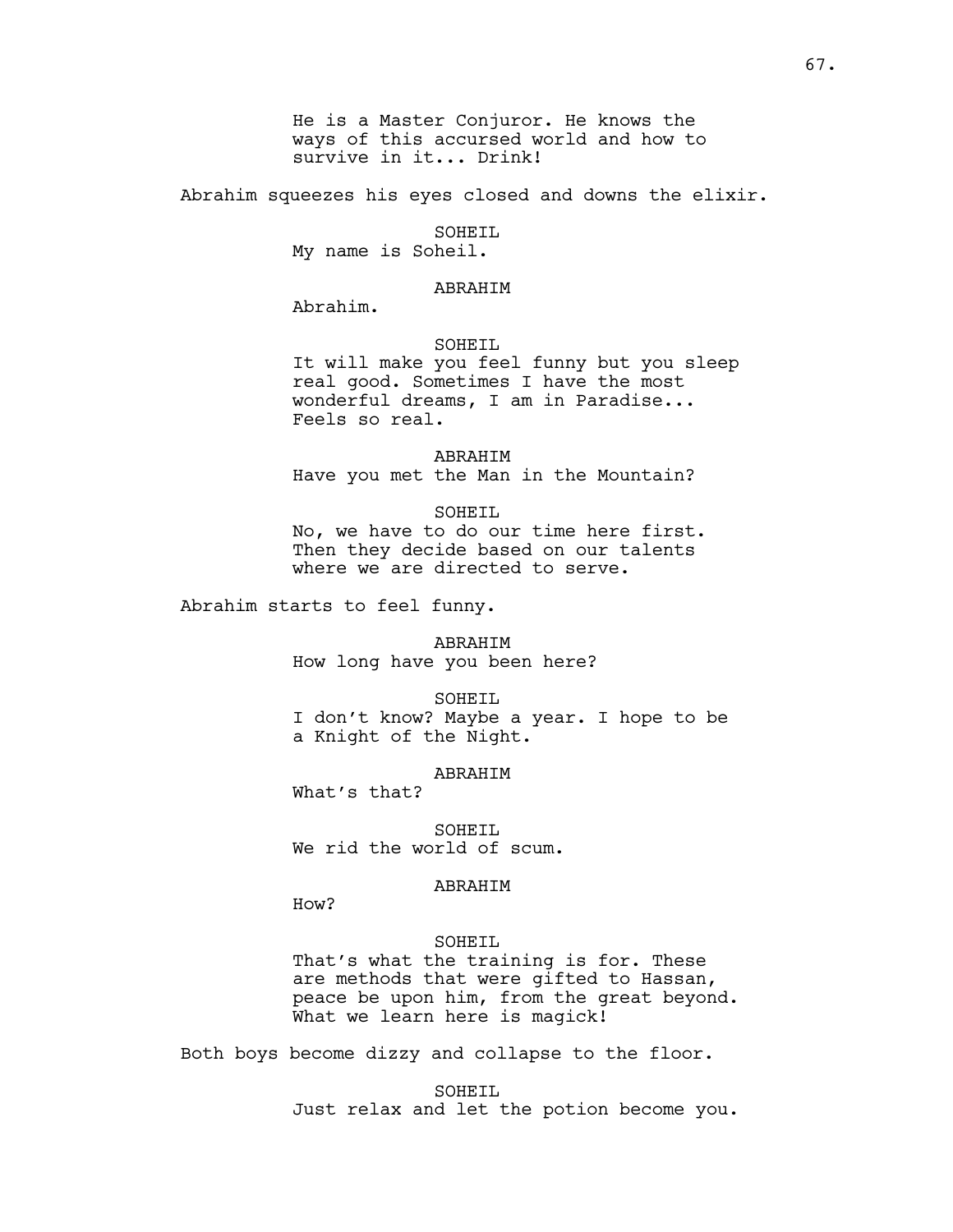He is a Master Conjuror. He knows the ways of this accursed world and how to survive in it... Drink!

Abrahim squeezes his eyes closed and downs the elixir.

# SOHEIL

My name is Soheil.

# ABRAHIM

Abrahim.

## SOHEIL

It will make you feel funny but you sleep real good. Sometimes I have the most wonderful dreams, I am in Paradise... Feels so real.

ABRAHIM Have you met the Man in the Mountain?

### SOHEIL

No, we have to do our time here first. Then they decide based on our talents where we are directed to serve.

Abrahim starts to feel funny.

ABRAHIM How long have you been here?

SOHETT.

I don't know? Maybe a year. I hope to be a Knight of the Night.

# ABRAHIM

What's that?

SOHEIL We rid the world of scum.

## ABRAHIM

How?

### SOHEIL

That's what the training is for. These are methods that were gifted to Hassan, peace be upon him, from the great beyond. What we learn here is magick!

Both boys become dizzy and collapse to the floor.

SOHEIL Just relax and let the potion become you.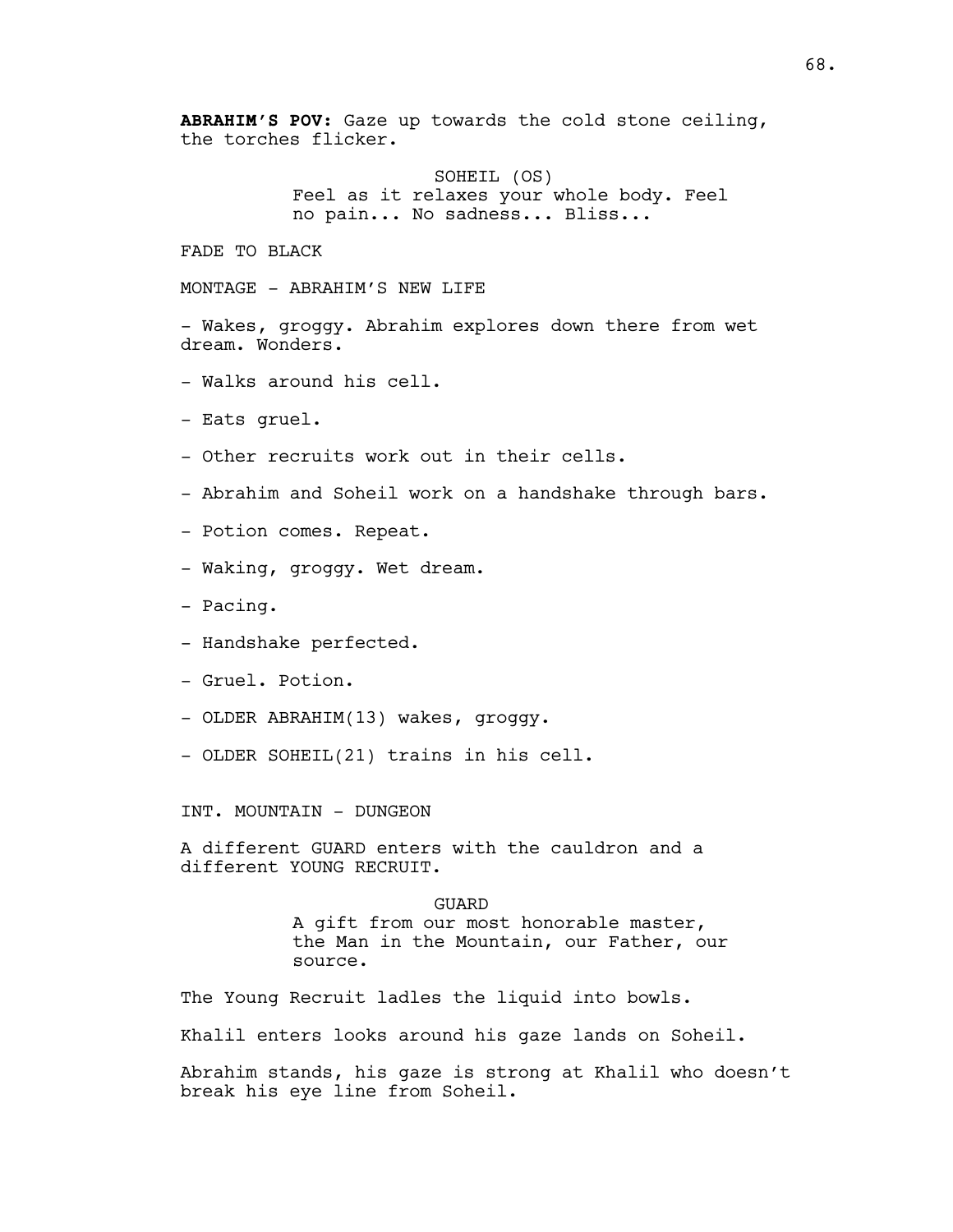**ABRAHIM'S POV:** Gaze up towards the cold stone ceiling, the torches flicker.

> SOHEIL (OS) Feel as it relaxes your whole body. Feel no pain... No sadness... Bliss...

FADE TO BLACK

MONTAGE - ABRAHIM'S NEW LIFE

- Wakes, groggy. Abrahim explores down there from wet dream. Wonders.

- Walks around his cell.
- Eats gruel.
- Other recruits work out in their cells.
- Abrahim and Soheil work on a handshake through bars.
- Potion comes. Repeat.
- Waking, groggy. Wet dream.
- Pacing.
- Handshake perfected.
- Gruel. Potion.
- OLDER ABRAHIM(13) wakes, groggy.
- OLDER SOHEIL(21) trains in his cell.

INT. MOUNTAIN - DUNGEON

A different GUARD enters with the cauldron and a different YOUNG RECRUIT.

> GUARD A gift from our most honorable master, the Man in the Mountain, our Father, our source.

The Young Recruit ladles the liquid into bowls.

Khalil enters looks around his gaze lands on Soheil.

Abrahim stands, his gaze is strong at Khalil who doesn't break his eye line from Soheil.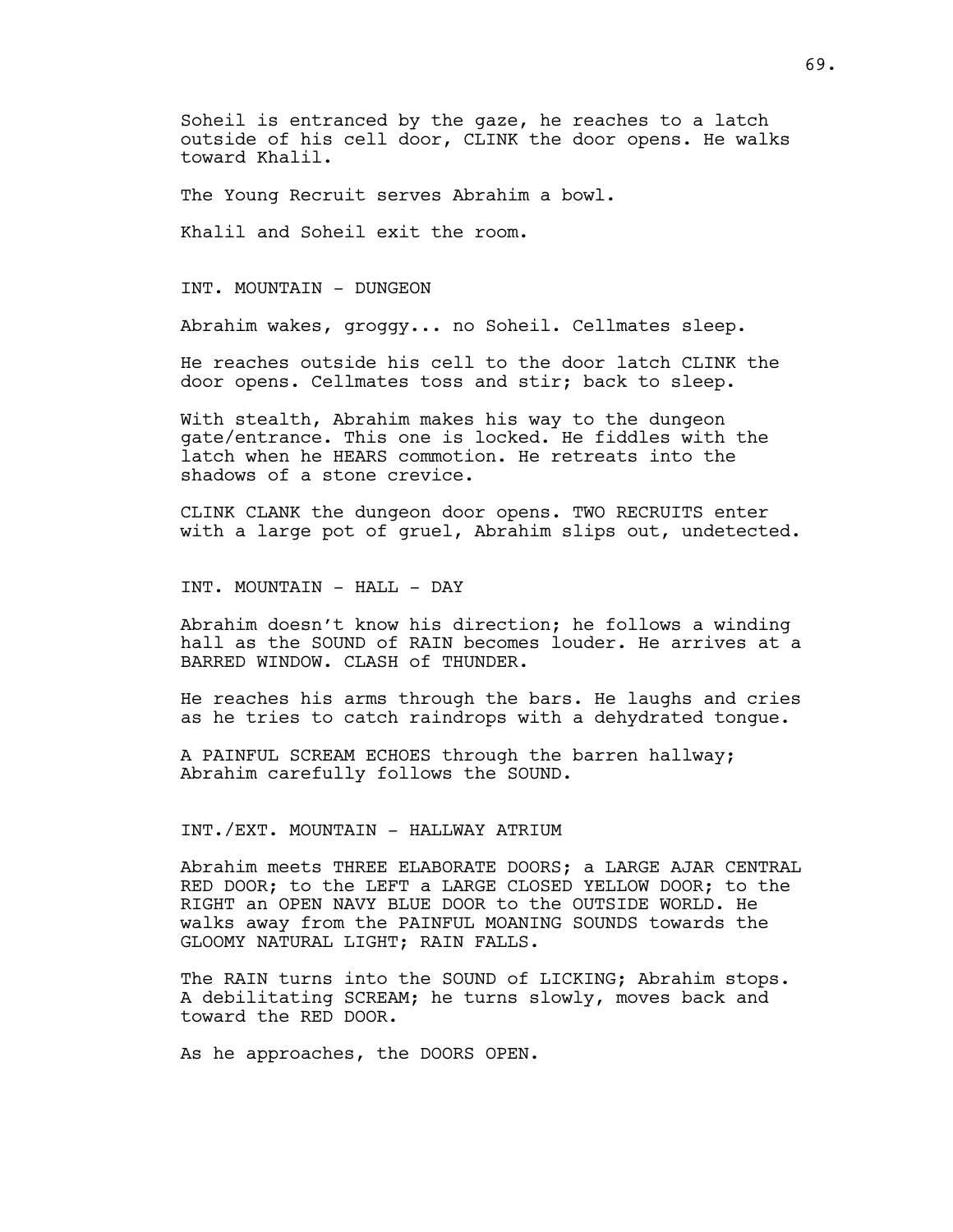Soheil is entranced by the gaze, he reaches to a latch outside of his cell door, CLINK the door opens. He walks toward Khalil.

The Young Recruit serves Abrahim a bowl.

Khalil and Soheil exit the room.

INT. MOUNTAIN - DUNGEON

Abrahim wakes, groggy... no Soheil. Cellmates sleep.

He reaches outside his cell to the door latch CLINK the door opens. Cellmates toss and stir; back to sleep.

With stealth, Abrahim makes his way to the dungeon gate/entrance. This one is locked. He fiddles with the latch when he HEARS commotion. He retreats into the shadows of a stone crevice.

CLINK CLANK the dungeon door opens. TWO RECRUITS enter with a large pot of gruel, Abrahim slips out, undetected.

INT. MOUNTAIN - HALL - DAY

Abrahim doesn't know his direction; he follows a winding hall as the SOUND of RAIN becomes louder. He arrives at a BARRED WINDOW. CLASH of THUNDER.

He reaches his arms through the bars. He laughs and cries as he tries to catch raindrops with a dehydrated tongue.

A PAINFUL SCREAM ECHOES through the barren hallway; Abrahim carefully follows the SOUND.

INT./EXT. MOUNTAIN - HALLWAY ATRIUM

Abrahim meets THREE ELABORATE DOORS; a LARGE AJAR CENTRAL RED DOOR; to the LEFT a LARGE CLOSED YELLOW DOOR; to the RIGHT an OPEN NAVY BLUE DOOR to the OUTSIDE WORLD. He walks away from the PAINFUL MOANING SOUNDS towards the GLOOMY NATURAL LIGHT; RAIN FALLS.

The RAIN turns into the SOUND of LICKING; Abrahim stops. A debilitating SCREAM; he turns slowly, moves back and toward the RED DOOR.

As he approaches, the DOORS OPEN.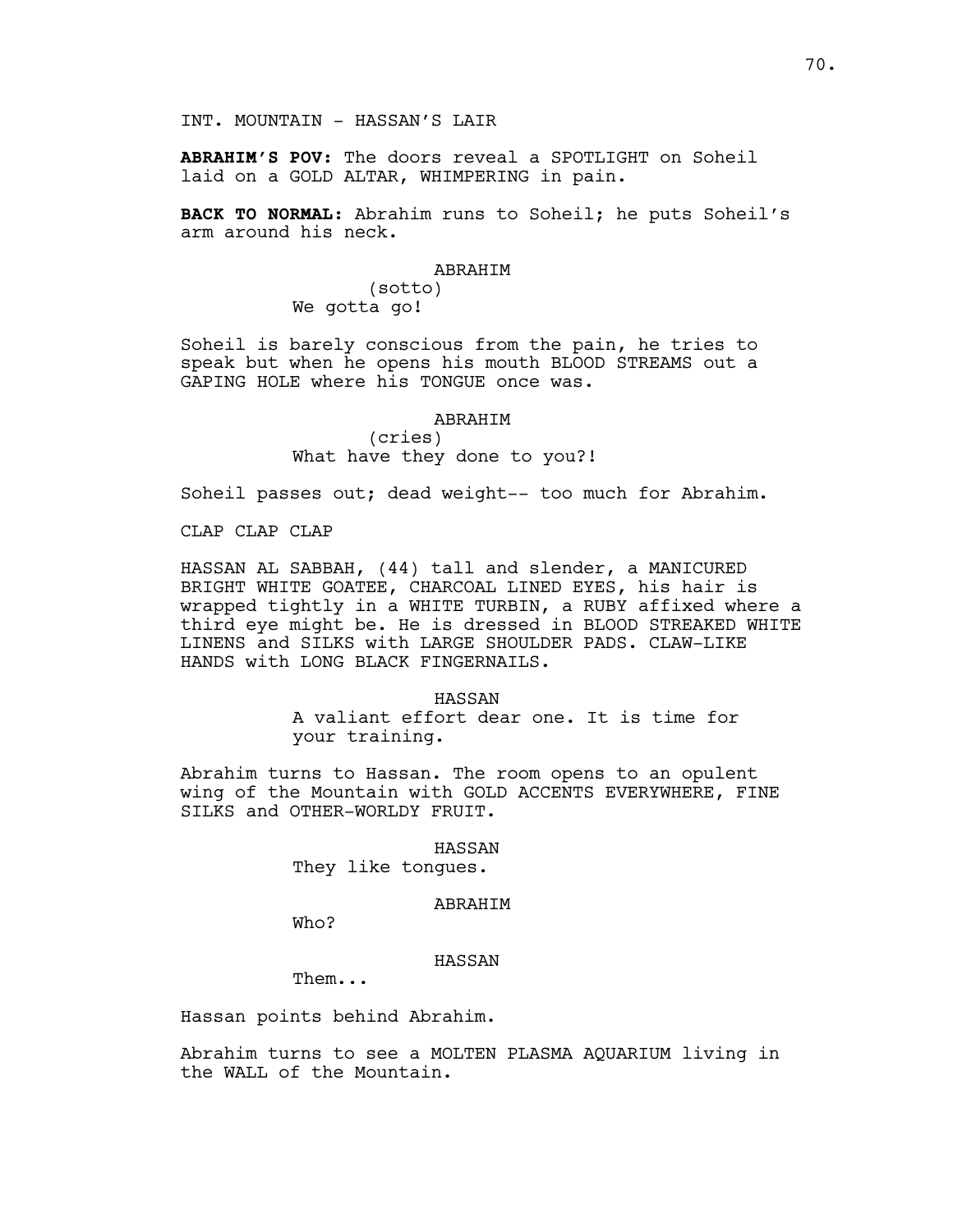INT. MOUNTAIN - HASSAN'S LAIR

**ABRAHIM'S POV**: The doors reveal a SPOTLIGHT on Soheil laid on a GOLD ALTAR, WHIMPERING in pain.

**BACK TO NORMAL**: Abrahim runs to Soheil; he puts Soheil's arm around his neck.

### ABRAHIM

(sotto) We gotta go!

Soheil is barely conscious from the pain, he tries to speak but when he opens his mouth BLOOD STREAMS out a GAPING HOLE where his TONGUE once was.

# ABRAHIM

(cries) What have they done to you?!

Soheil passes out; dead weight-- too much for Abrahim.

CLAP CLAP CLAP

HASSAN AL SABBAH, (44) tall and slender, a MANICURED BRIGHT WHITE GOATEE, CHARCOAL LINED EYES, his hair is wrapped tightly in a WHITE TURBIN, a RUBY affixed where a third eye might be. He is dressed in BLOOD STREAKED WHITE LINENS and SILKS with LARGE SHOULDER PADS. CLAW-LIKE HANDS with LONG BLACK FINGERNAILS.

> HASSAN A valiant effort dear one. It is time for your training.

Abrahim turns to Hassan. The room opens to an opulent wing of the Mountain with GOLD ACCENTS EVERYWHERE, FINE SILKS and OTHER-WORLDY FRUIT.

HASSAN

They like tongues.

# ABRAHIM

Who?

## HASSAN

Them...

Hassan points behind Abrahim.

Abrahim turns to see a MOLTEN PLASMA AQUARIUM living in the WALL of the Mountain.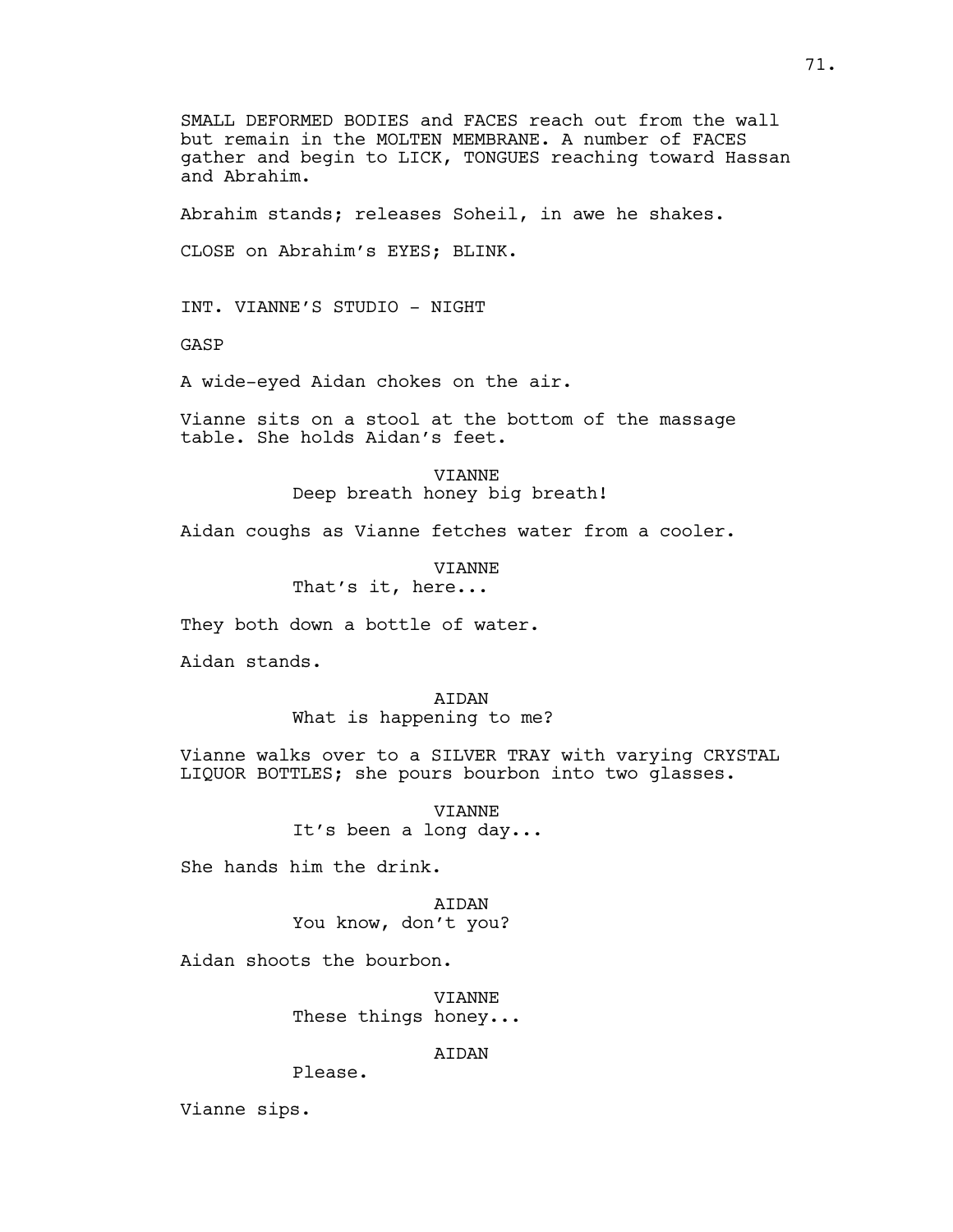SMALL DEFORMED BODIES and FACES reach out from the wall but remain in the MOLTEN MEMBRANE. A number of FACES gather and begin to LICK, TONGUES reaching toward Hassan and Abrahim.

Abrahim stands; releases Soheil, in awe he shakes.

CLOSE on Abrahim's EYES; BLINK.

INT. VIANNE'S STUDIO - NIGHT

GASP

A wide-eyed Aidan chokes on the air.

Vianne sits on a stool at the bottom of the massage table. She holds Aidan's feet.

> VIANNE Deep breath honey big breath!

Aidan coughs as Vianne fetches water from a cooler.

VIANNE That's it, here...

They both down a bottle of water.

Aidan stands.

**ATDAN** What is happening to me?

Vianne walks over to a SILVER TRAY with varying CRYSTAL LIQUOR BOTTLES; she pours bourbon into two glasses.

> VIANNE It's been a long day...

She hands him the drink.

**ATDAN** You know, don't you?

Aidan shoots the bourbon.

VIANNE These things honey...

AIDAN

Please.

Vianne sips.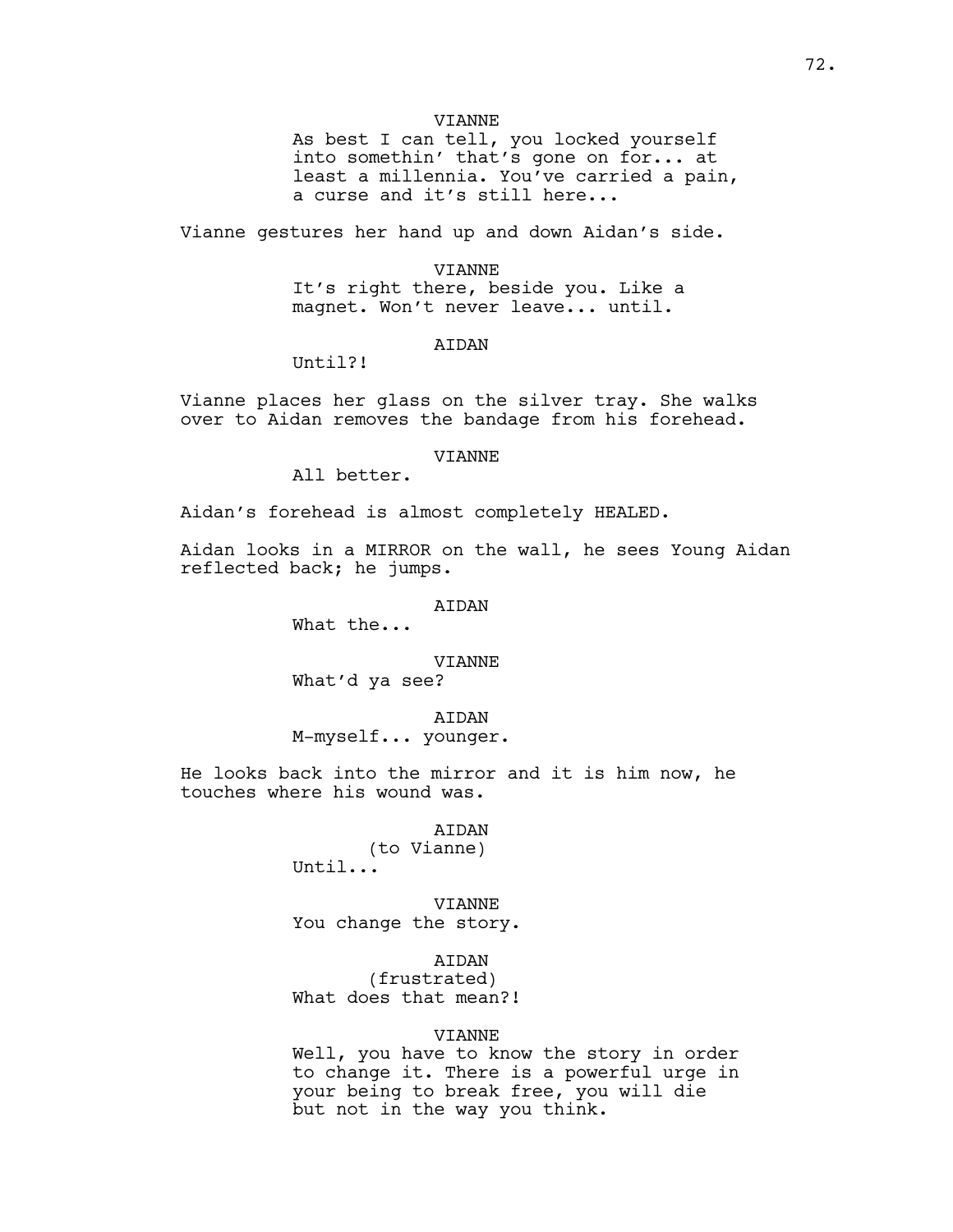#### VIANNE

As best I can tell, you locked yourself into somethin' that's gone on for... at least a millennia. You've carried a pain, a curse and it's still here...

Vianne gestures her hand up and down Aidan's side.

### VIANNE It's right there, beside you. Like a magnet. Won't never leave... until.

### AIDAN

Until?!

Vianne places her glass on the silver tray. She walks over to Aidan removes the bandage from his forehead.

#### VIANNE

All better.

Aidan's forehead is almost completely HEALED.

Aidan looks in a MIRROR on the wall, he sees Young Aidan reflected back; he jumps.

### AIDAN

What the...

#### VIANNE

What'd ya see?

AIDAN M-myself... younger.

He looks back into the mirror and it is him now, he touches where his wound was.

# AIDAN

(to Vianne) Until...

VIANNE You change the story.

AIDAN

(frustrated) What does that mean?!

### VIANNE

Well, you have to know the story in order to change it. There is a powerful urge in your being to break free, you will die but not in the way you think.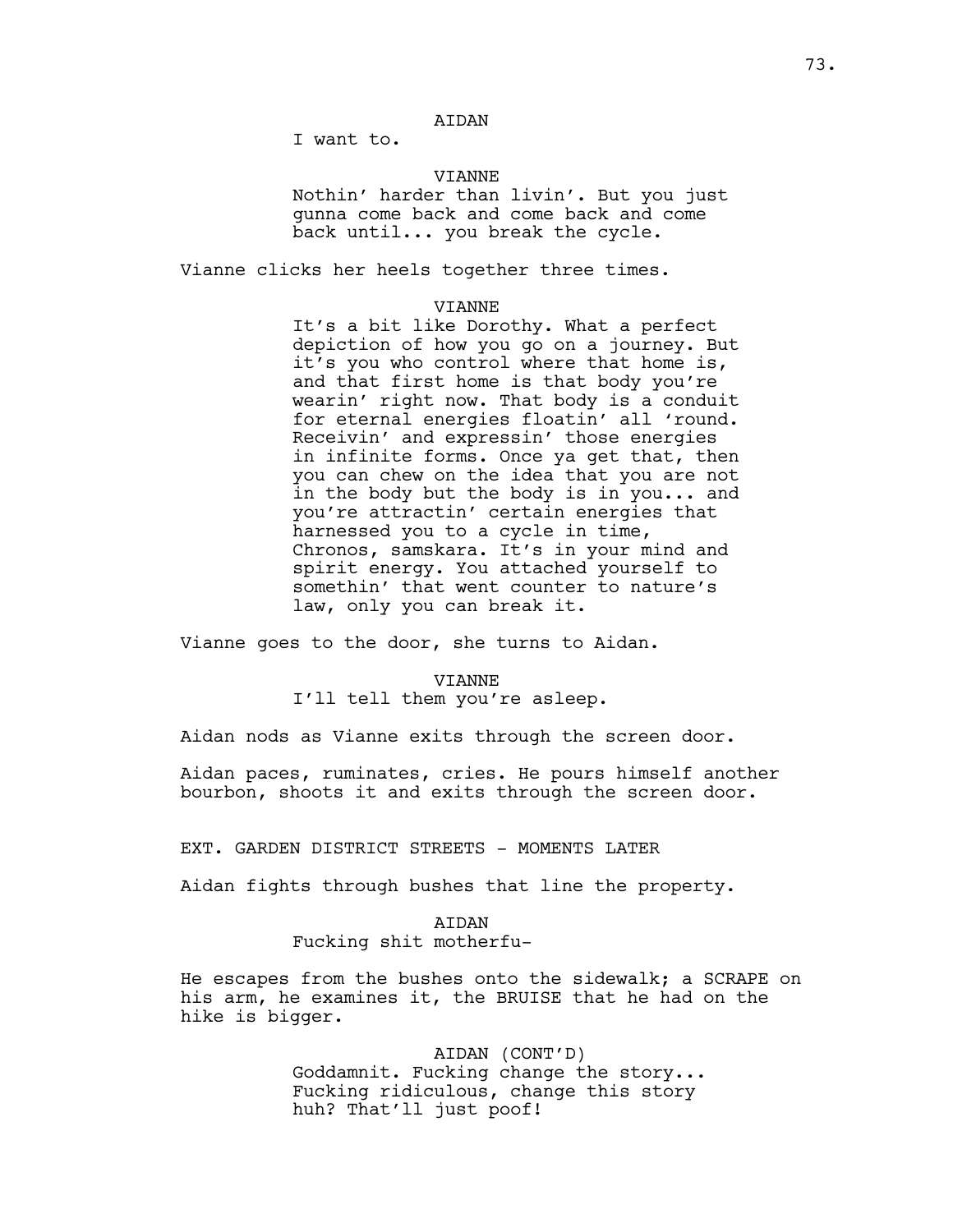I want to.

### VIANNE

Nothin' harder than livin'. But you just gunna come back and come back and come back until... you break the cycle.

Vianne clicks her heels together three times.

#### VIANNE

It's a bit like Dorothy. What a perfect depiction of how you go on a journey. But it's you who control where that home is, and that first home is that body you're wearin' right now. That body is a conduit for eternal energies floatin' all 'round. Receivin' and expressin' those energies in infinite forms. Once ya get that, then you can chew on the idea that you are not in the body but the body is in you... and you're attractin' certain energies that harnessed you to a cycle in time, Chronos, samskara. It's in your mind and spirit energy. You attached yourself to somethin' that went counter to nature's law, only you can break it.

Vianne goes to the door, she turns to Aidan.

#### VIANNE

I'll tell them you're asleep.

Aidan nods as Vianne exits through the screen door.

Aidan paces, ruminates, cries. He pours himself another bourbon, shoots it and exits through the screen door.

EXT. GARDEN DISTRICT STREETS - MOMENTS LATER

Aidan fights through bushes that line the property.

#### AIDAN

# Fucking shit motherfu-

He escapes from the bushes onto the sidewalk; a SCRAPE on his arm, he examines it, the BRUISE that he had on the hike is bigger.

> AIDAN (CONT'D) Goddamnit. Fucking change the story... Fucking ridiculous, change this story huh? That'll just poof!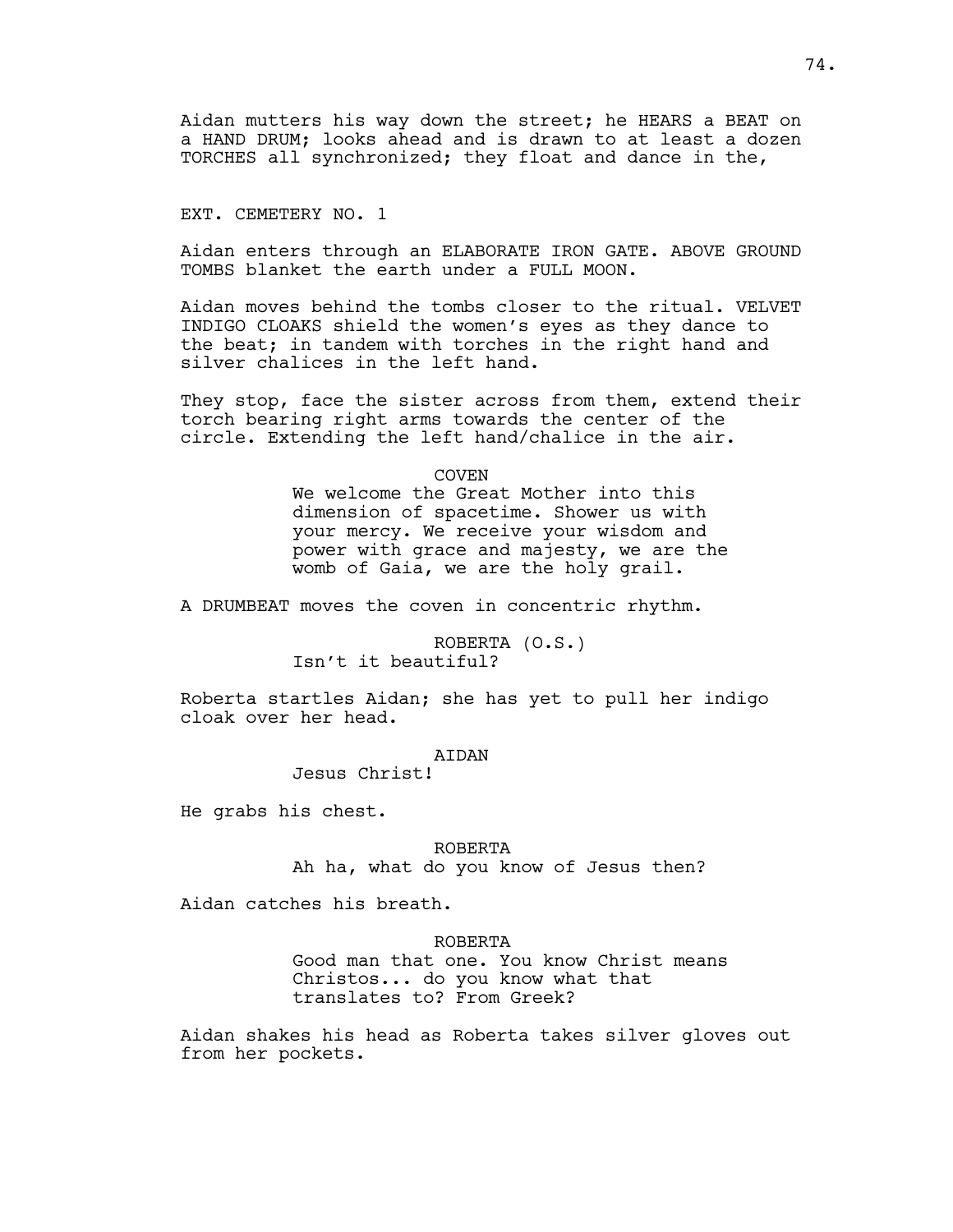Aidan mutters his way down the street; he HEARS a BEAT on a HAND DRUM; looks ahead and is drawn to at least a dozen TORCHES all synchronized; they float and dance in the,

EXT. CEMETERY NO. 1

Aidan enters through an ELABORATE IRON GATE. ABOVE GROUND TOMBS blanket the earth under a FULL MOON.

Aidan moves behind the tombs closer to the ritual. VELVET INDIGO CLOAKS shield the women's eyes as they dance to the beat; in tandem with torches in the right hand and silver chalices in the left hand.

They stop, face the sister across from them, extend their torch bearing right arms towards the center of the circle. Extending the left hand/chalice in the air.

COVEN

We welcome the Great Mother into this dimension of spacetime. Shower us with your mercy. We receive your wisdom and power with grace and majesty, we are the womb of Gaia, we are the holy grail.

A DRUMBEAT moves the coven in concentric rhythm.

ROBERTA (O.S.) Isn't it beautiful?

Roberta startles Aidan; she has yet to pull her indigo cloak over her head.

AIDAN

Jesus Christ!

He grabs his chest.

ROBERTA Ah ha, what do you know of Jesus then?

Aidan catches his breath.

ROBERTA

Good man that one. You know Christ means Christos... do you know what that translates to? From Greek?

Aidan shakes his head as Roberta takes silver gloves out from her pockets.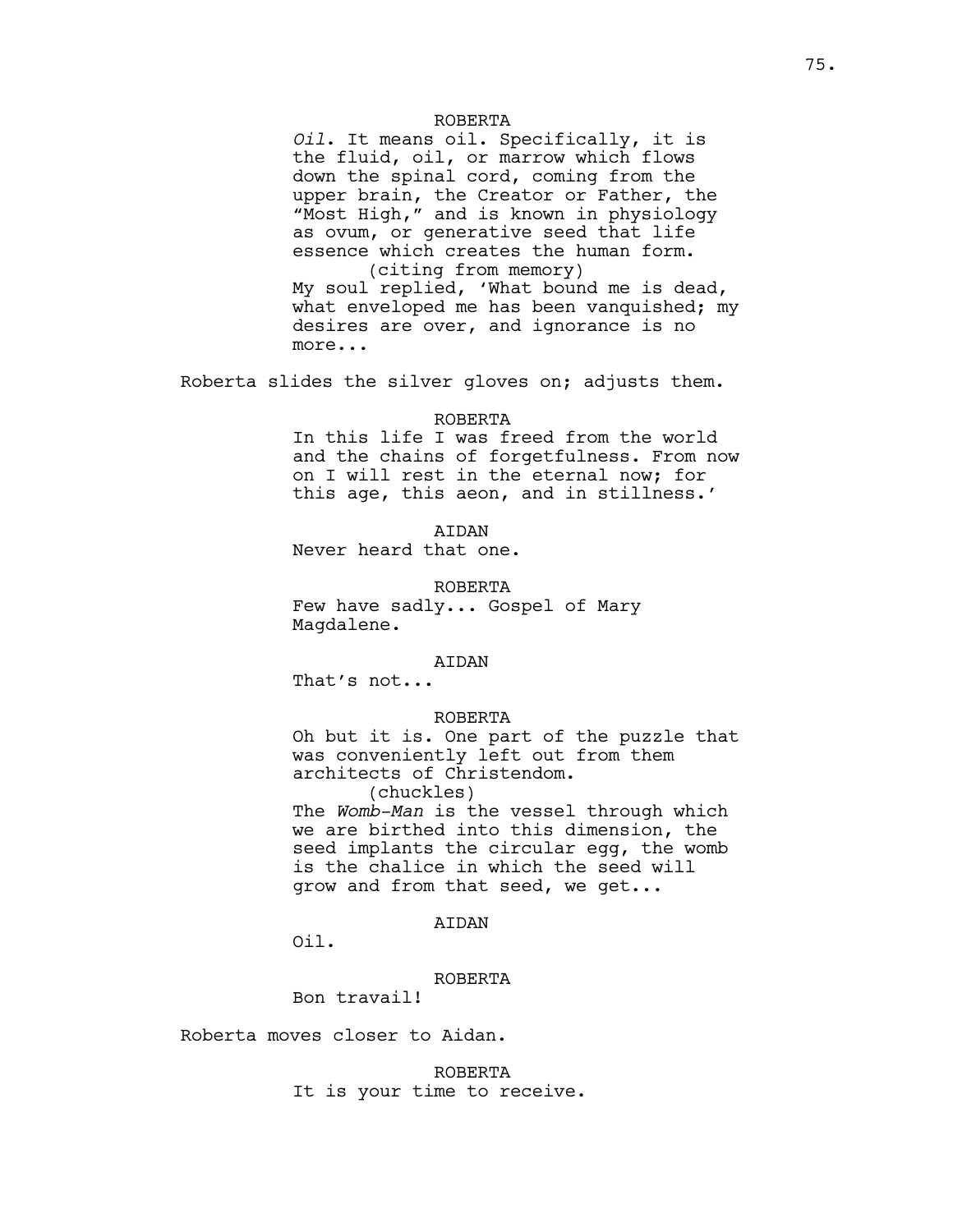### ROBERTA

*Oil*. It means oil. Specifically, it is the fluid, oil, or marrow which flows down the spinal cord, coming from the upper brain, the Creator or Father, the "Most High," and is known in physiology as ovum, or generative seed that life essence which creates the human form. (citing from memory)

My soul replied, 'What bound me is dead, what enveloped me has been vanquished; my desires are over, and ignorance is no more...

Roberta slides the silver gloves on; adjusts them.

#### ROBERTA

In this life I was freed from the world and the chains of forgetfulness. From now on I will rest in the eternal now; for this age, this aeon, and in stillness.'

**ATDAN** 

Never heard that one.

ROBERTA

Few have sadly... Gospel of Mary Magdalene.

#### AIDAN

That's not...

### ROBERTA

Oh but it is. One part of the puzzle that was conveniently left out from them architects of Christendom.

(chuckles)

The *Womb-Man* is the vessel through which we are birthed into this dimension, the seed implants the circular egg, the womb is the chalice in which the seed will grow and from that seed, we get...

### AIDAN

Oil.

### ROBERTA

Bon travail!

Roberta moves closer to Aidan.

ROBERTA It is your time to receive.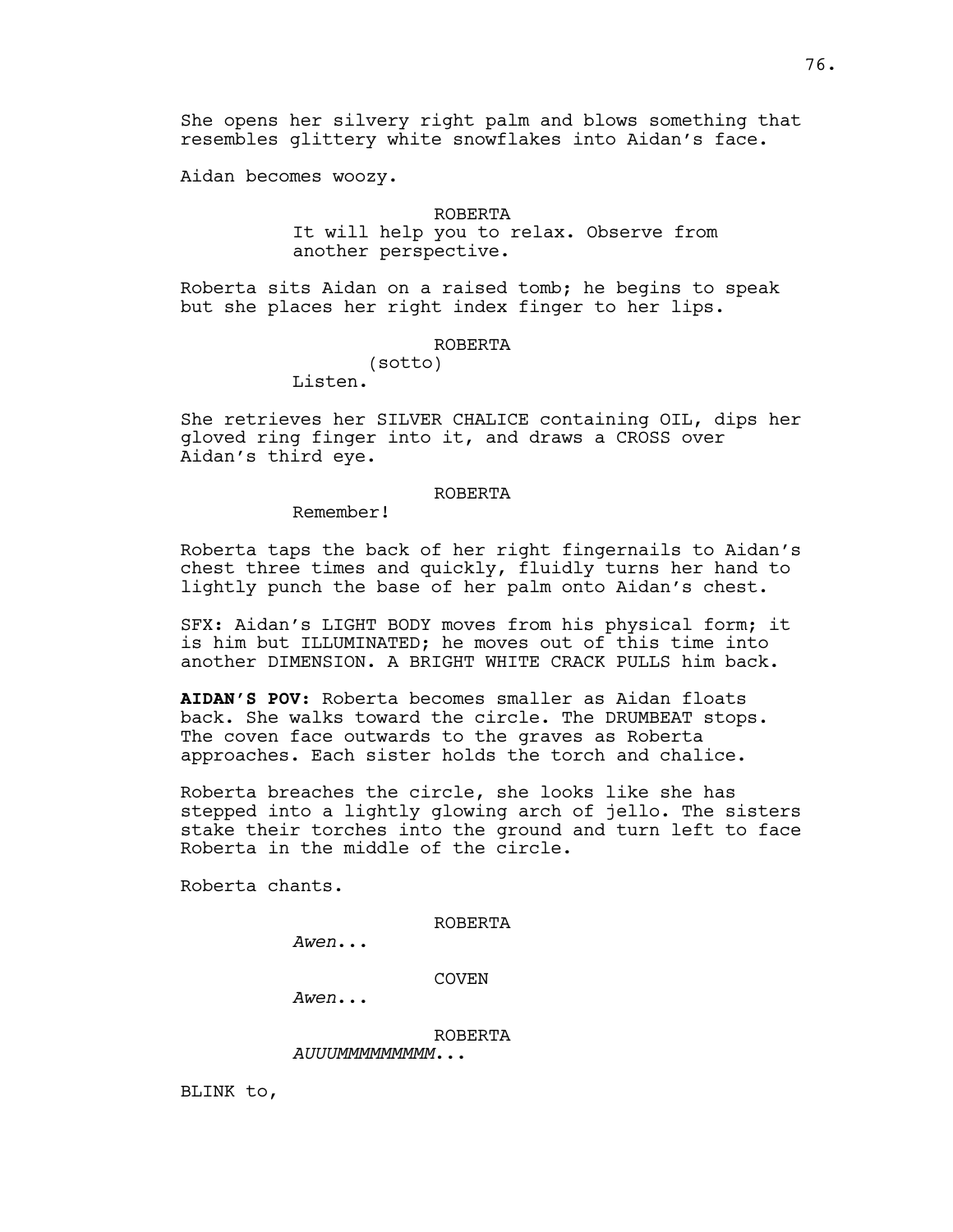She opens her silvery right palm and blows something that resembles glittery white snowflakes into Aidan's face.

Aidan becomes woozy.

### ROBERTA

It will help you to relax. Observe from another perspective.

Roberta sits Aidan on a raised tomb; he begins to speak but she places her right index finger to her lips.

#### ROBERTA

(sotto)

Listen.

She retrieves her SILVER CHALICE containing OIL, dips her gloved ring finger into it, and draws a CROSS over Aidan's third eye.

### ROBERTA

Remember!

Roberta taps the back of her right fingernails to Aidan's chest three times and quickly, fluidly turns her hand to lightly punch the base of her palm onto Aidan's chest.

SFX: Aidan's LIGHT BODY moves from his physical form; it is him but ILLUMINATED; he moves out of this time into another DIMENSION. A BRIGHT WHITE CRACK PULLS him back.

**AIDAN'S POV:** Roberta becomes smaller as Aidan floats back. She walks toward the circle. The DRUMBEAT stops. The coven face outwards to the graves as Roberta approaches. Each sister holds the torch and chalice.

Roberta breaches the circle, she looks like she has stepped into a lightly glowing arch of jello. The sisters stake their torches into the ground and turn left to face Roberta in the middle of the circle.

Roberta chants.

ROBERTA

*Awen*...

COVEN

*Awen*...

ROBERTA

*AUUUMMMMMMMMM*...

BLINK to,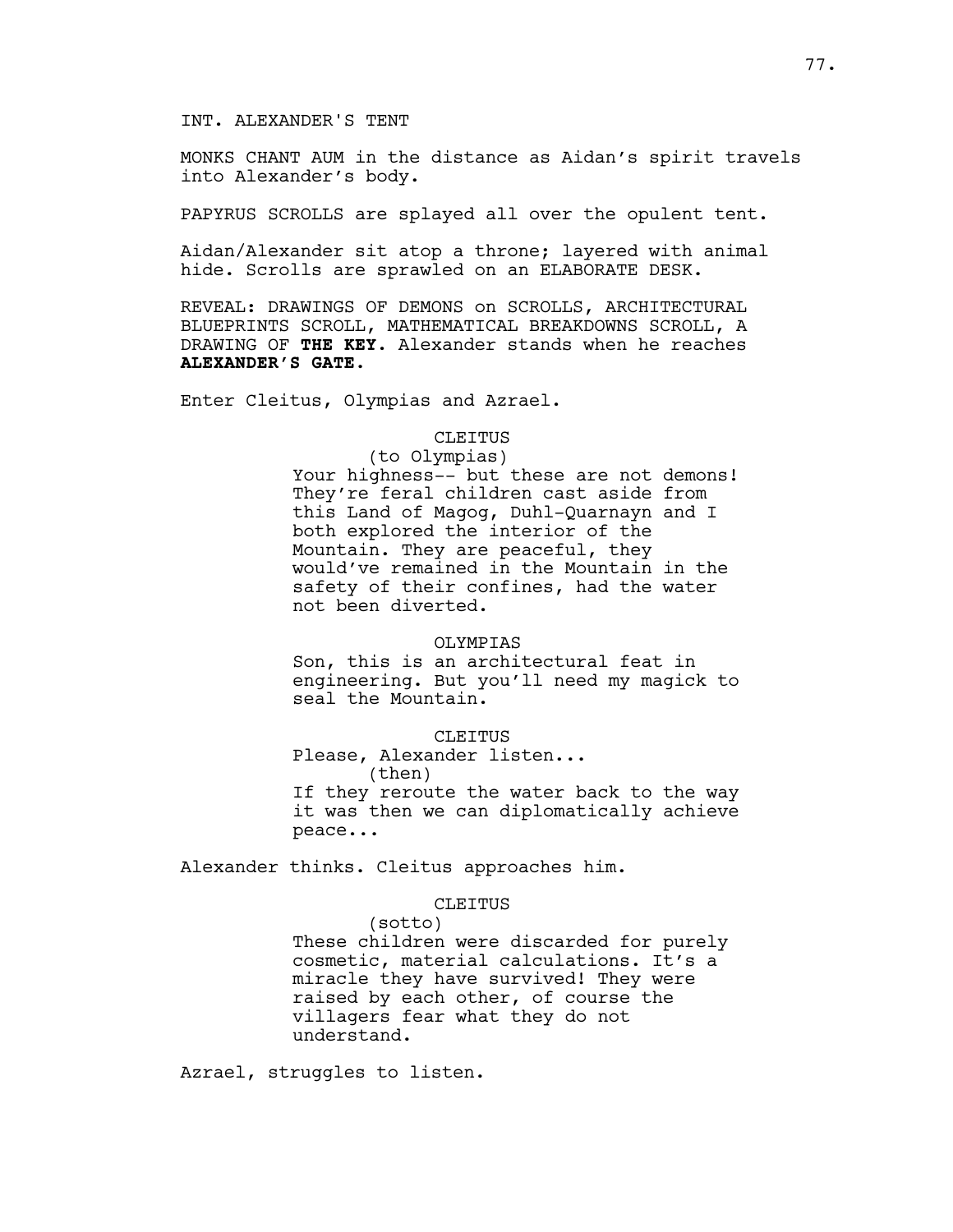### INT. ALEXANDER'S TENT

MONKS CHANT AUM in the distance as Aidan's spirit travels into Alexander's body.

PAPYRUS SCROLLS are splayed all over the opulent tent.

Aidan/Alexander sit atop a throne; layered with animal hide. Scrolls are sprawled on an ELABORATE DESK.

REVEAL: DRAWINGS OF DEMONS on SCROLLS, ARCHITECTURAL BLUEPRINTS SCROLL, MATHEMATICAL BREAKDOWNS SCROLL, A DRAWING OF **THE KEY**. Alexander stands when he reaches **ALEXANDER'S GATE**.

Enter Cleitus, Olympias and Azrael.

## CLEITUS

(to Olympias) Your highness-- but these are not demons! They're feral children cast aside from this Land of Magog, Duhl-Quarnayn and I both explored the interior of the Mountain. They are peaceful, they would've remained in the Mountain in the safety of their confines, had the water not been diverted.

#### OLYMPIAS

Son, this is an architectural feat in engineering. But you'll need my magick to seal the Mountain.

### CLEITUS

Please, Alexander listen... (then)

If they reroute the water back to the way it was then we can diplomatically achieve peace...

Alexander thinks. Cleitus approaches him.

#### CLEITUS

(sotto) These children were discarded for purely cosmetic, material calculations. It's a miracle they have survived! They were raised by each other, of course the villagers fear what they do not understand.

Azrael, struggles to listen.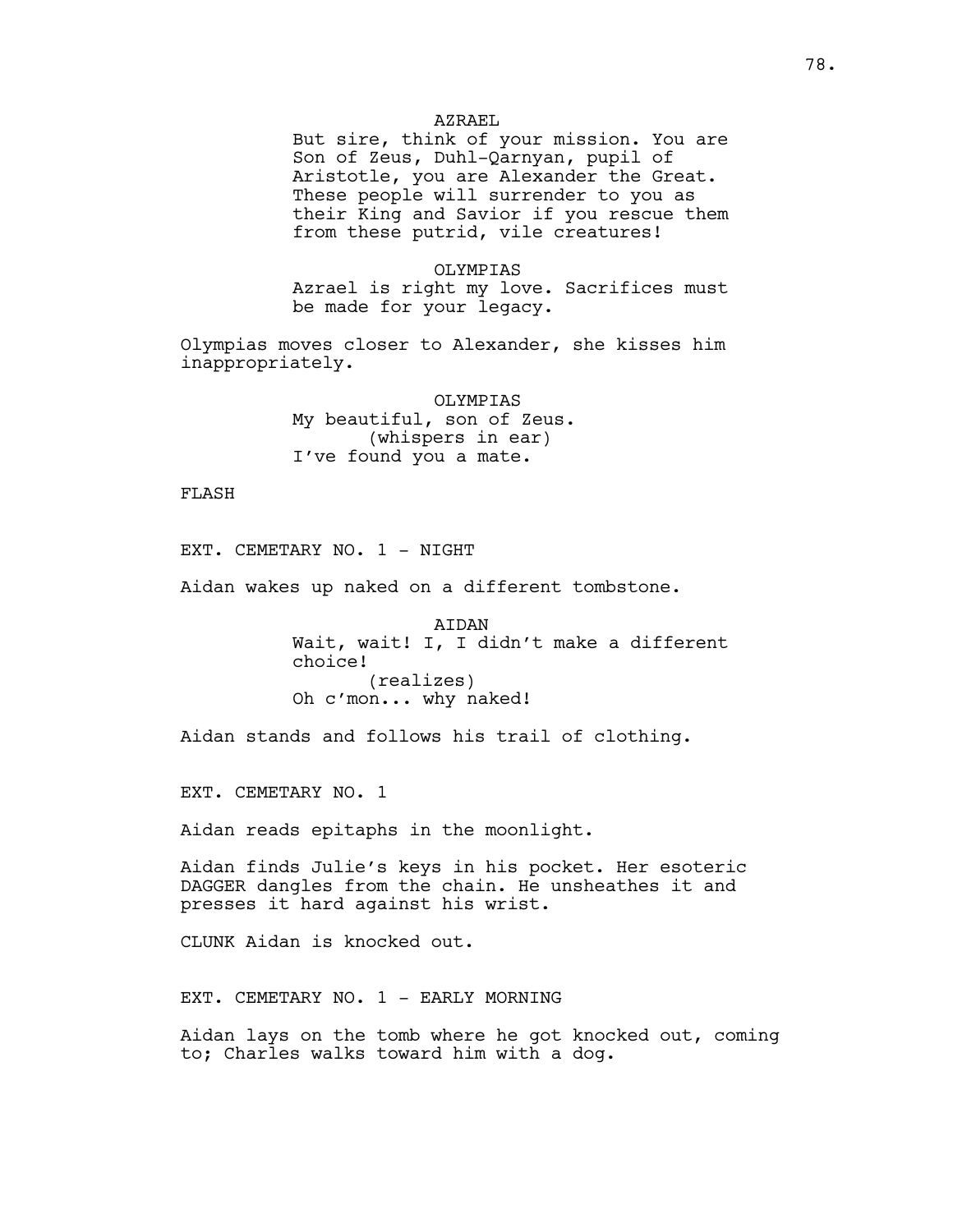### AZRAEL

But sire, think of your mission. You are Son of Zeus, Duhl-Qarnyan, pupil of Aristotle, you are Alexander the Great. These people will surrender to you as their King and Savior if you rescue them from these putrid, vile creatures!

### OLYMPIAS

Azrael is right my love. Sacrifices must be made for your legacy.

Olympias moves closer to Alexander, she kisses him inappropriately.

> OLYMPIAS My beautiful, son of Zeus. (whispers in ear) I've found you a mate.

FLASH

EXT. CEMETARY NO. 1 - NIGHT

Aidan wakes up naked on a different tombstone.

AIDAN Wait, wait! I, I didn't make a different choice! (realizes) Oh c'mon... why naked!

Aidan stands and follows his trail of clothing.

EXT. CEMETARY NO. 1

Aidan reads epitaphs in the moonlight.

Aidan finds Julie's keys in his pocket. Her esoteric DAGGER dangles from the chain. He unsheathes it and presses it hard against his wrist.

CLUNK Aidan is knocked out.

EXT. CEMETARY NO. 1 - EARLY MORNING

Aidan lays on the tomb where he got knocked out, coming to; Charles walks toward him with a dog.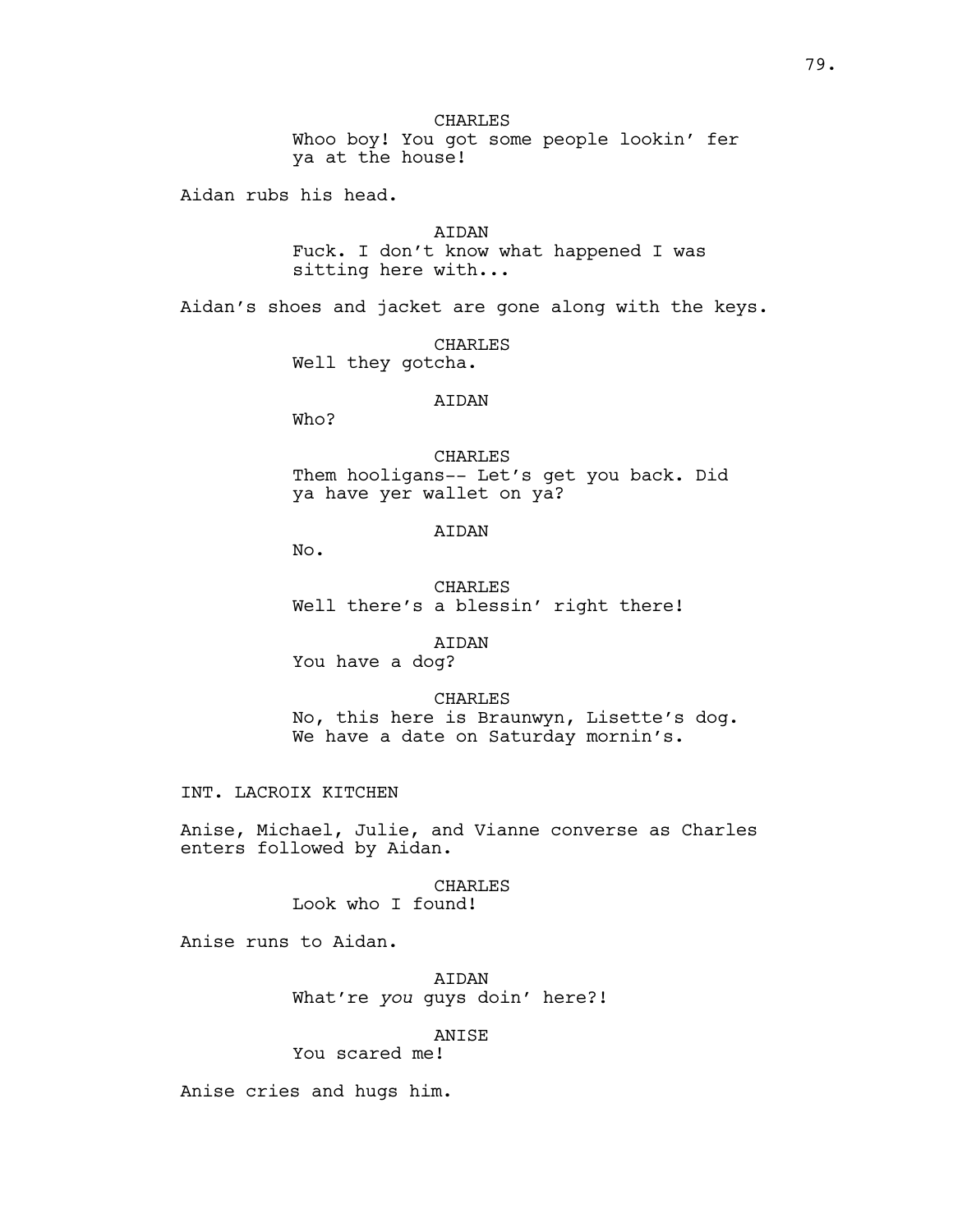CHARLES Whoo boy! You got some people lookin' fer ya at the house!

Aidan rubs his head.

AIDAN Fuck. I don't know what happened I was sitting here with...

Aidan's shoes and jacket are gone along with the keys.

CHARLES Well they gotcha.

### **ATDAN**

Who?

CHARLES Them hooligans-- Let's get you back. Did ya have yer wallet on ya?

### AIDAN

No.

CHARLES Well there's a blessin' right there!

AIDAN

You have a dog?

CHARLES No, this here is Braunwyn, Lisette's dog. We have a date on Saturday mornin's.

INT. LACROIX KITCHEN

Anise, Michael, Julie, and Vianne converse as Charles enters followed by Aidan.

CHARLES

Look who I found!

Anise runs to Aidan.

AIDAN What're *you* guys doin' here?!

## ANISE

You scared me!

Anise cries and hugs him.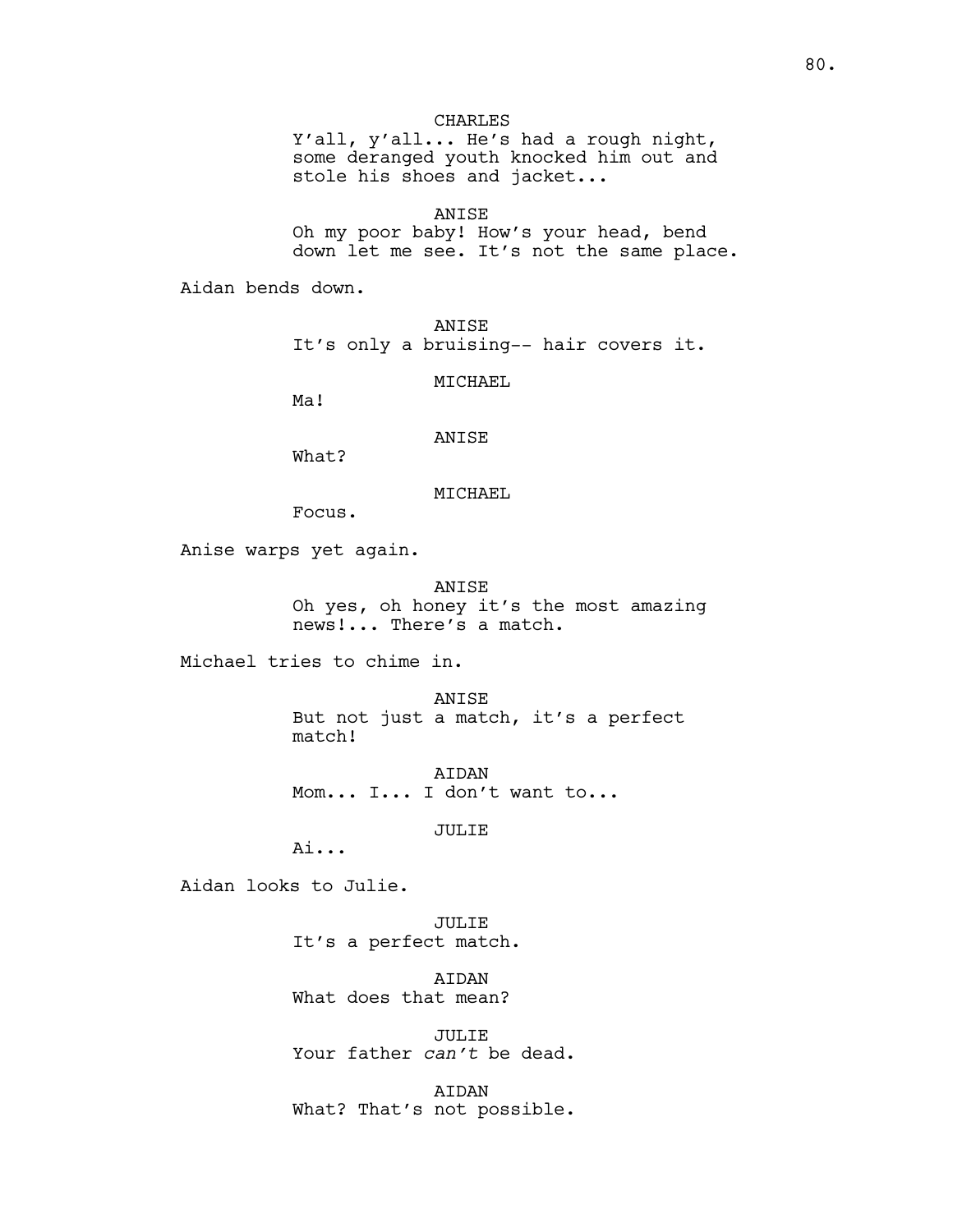## CHARLES

Y'all, y'all... He's had a rough night, some deranged youth knocked him out and stole his shoes and jacket...

ANISE

Oh my poor baby! How's your head, bend down let me see. It's not the same place.

Aidan bends down.

ANISE It's only a bruising-- hair covers it.

MICHAEL

Ma!

## ANISE

What?

### MICHAEL

Focus.

Anise warps yet again.

ANISE Oh yes, oh honey it's the most amazing news!... There's a match.

Michael tries to chime in.

ANISE But not just a match, it's a perfect match!

AIDAN Mom... I... I don't want to...

### JULIE

Ai...

Aidan looks to Julie.

JULIE It's a perfect match.

**ATDAN** What does that mean?

JULIE Your father *can't* be dead.

AIDAN What? That's not possible.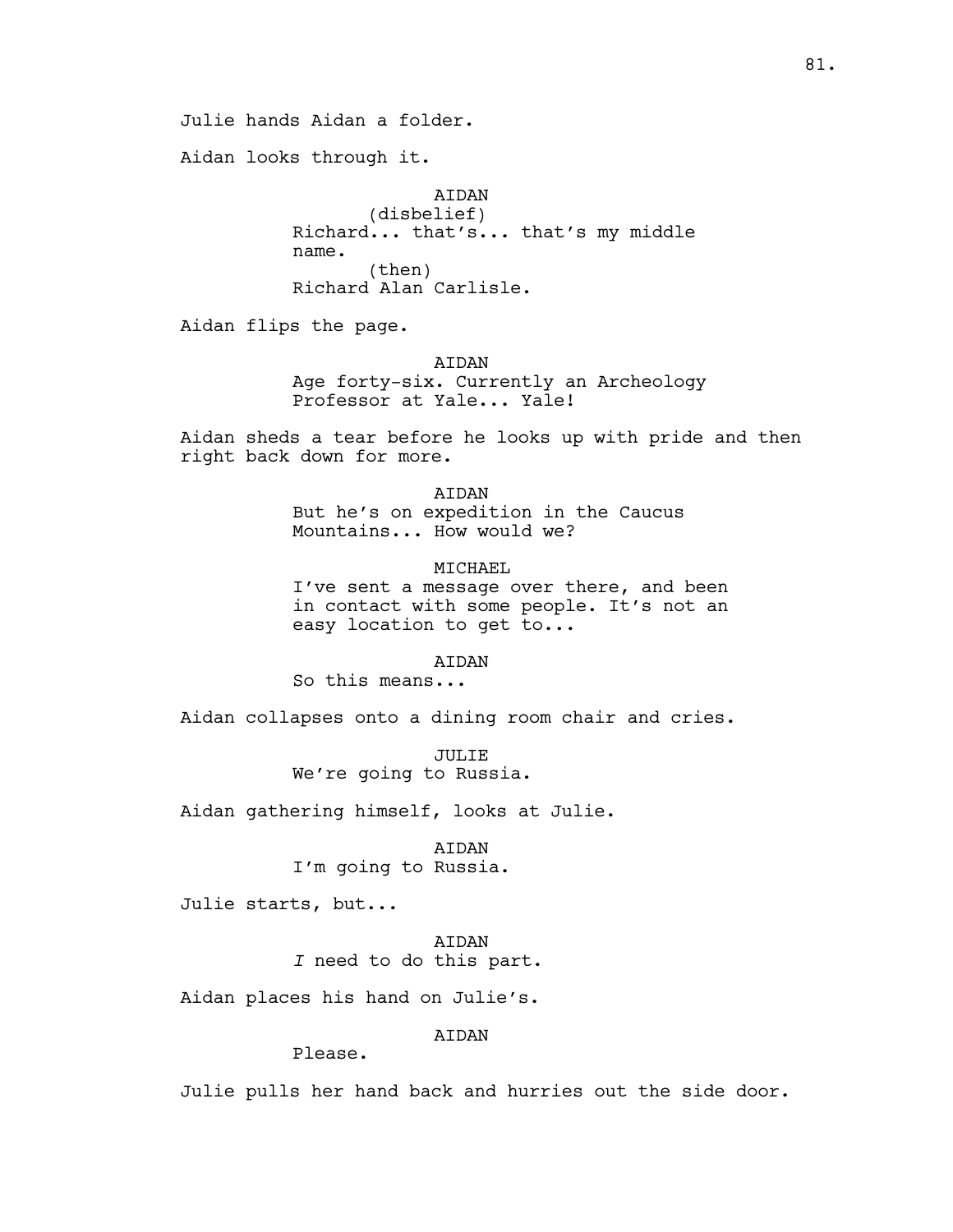Julie hands Aidan a folder.

Aidan looks through it.

AIDAN (disbelief) Richard... that's... that's my middle name. (then) Richard Alan Carlisle.

Aidan flips the page.

AIDAN Age forty-six. Currently an Archeology Professor at Yale... Yale!

Aidan sheds a tear before he looks up with pride and then right back down for more.

> AIDAN But he's on expedition in the Caucus Mountains... How would we?

MTCHAEL I've sent a message over there, and been in contact with some people. It's not an easy location to get to...

AIDAN

So this means...

Aidan collapses onto a dining room chair and cries.

JULIE We're going to Russia.

Aidan gathering himself, looks at Julie.

AIDAN I'm going to Russia.

Julie starts, but...

AIDAN *I* need to do this part.

Aidan places his hand on Julie's.

# AIDAN

Please.

Julie pulls her hand back and hurries out the side door.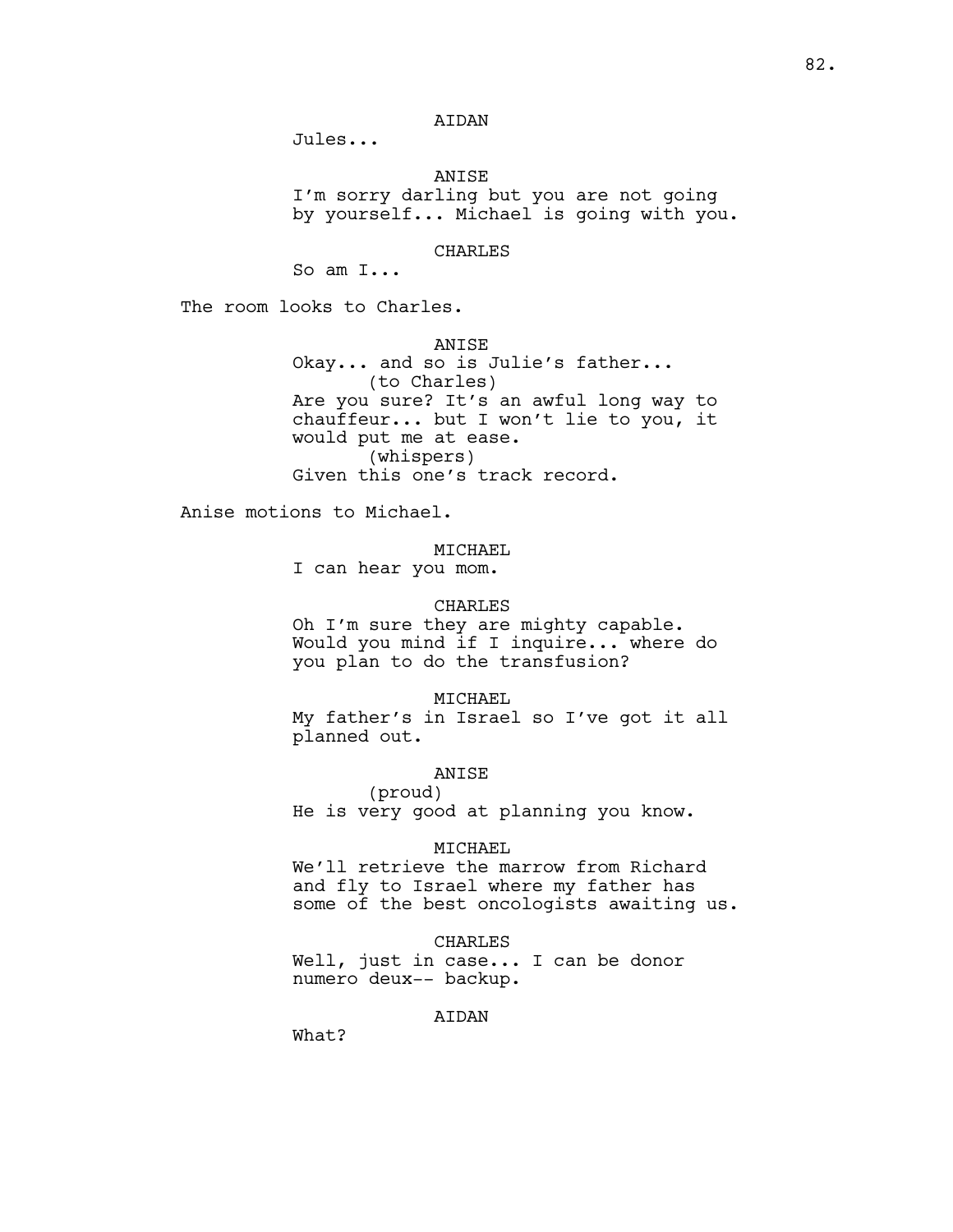## AIDAN

Jules...

ANISE

I'm sorry darling but you are not going by yourself... Michael is going with you.

CHARLES

So am I...

The room looks to Charles.

ANISE Okay... and so is Julie's father... (to Charles) Are you sure? It's an awful long way to chauffeur... but I won't lie to you, it would put me at ease. (whispers) Given this one's track record.

Anise motions to Michael.

### MICHAEL

I can hear you mom.

#### CHARLES

Oh I'm sure they are mighty capable. Would you mind if I inquire... where do you plan to do the transfusion?

MICHAEL

My father's in Israel so I've got it all planned out.

## ANISE

(proud) He is very good at planning you know.

### MICHAEL

We'll retrieve the marrow from Richard and fly to Israel where my father has some of the best oncologists awaiting us.

### CHARLES

Well, just in case... I can be donor numero deux-- backup.

## AIDAN

What?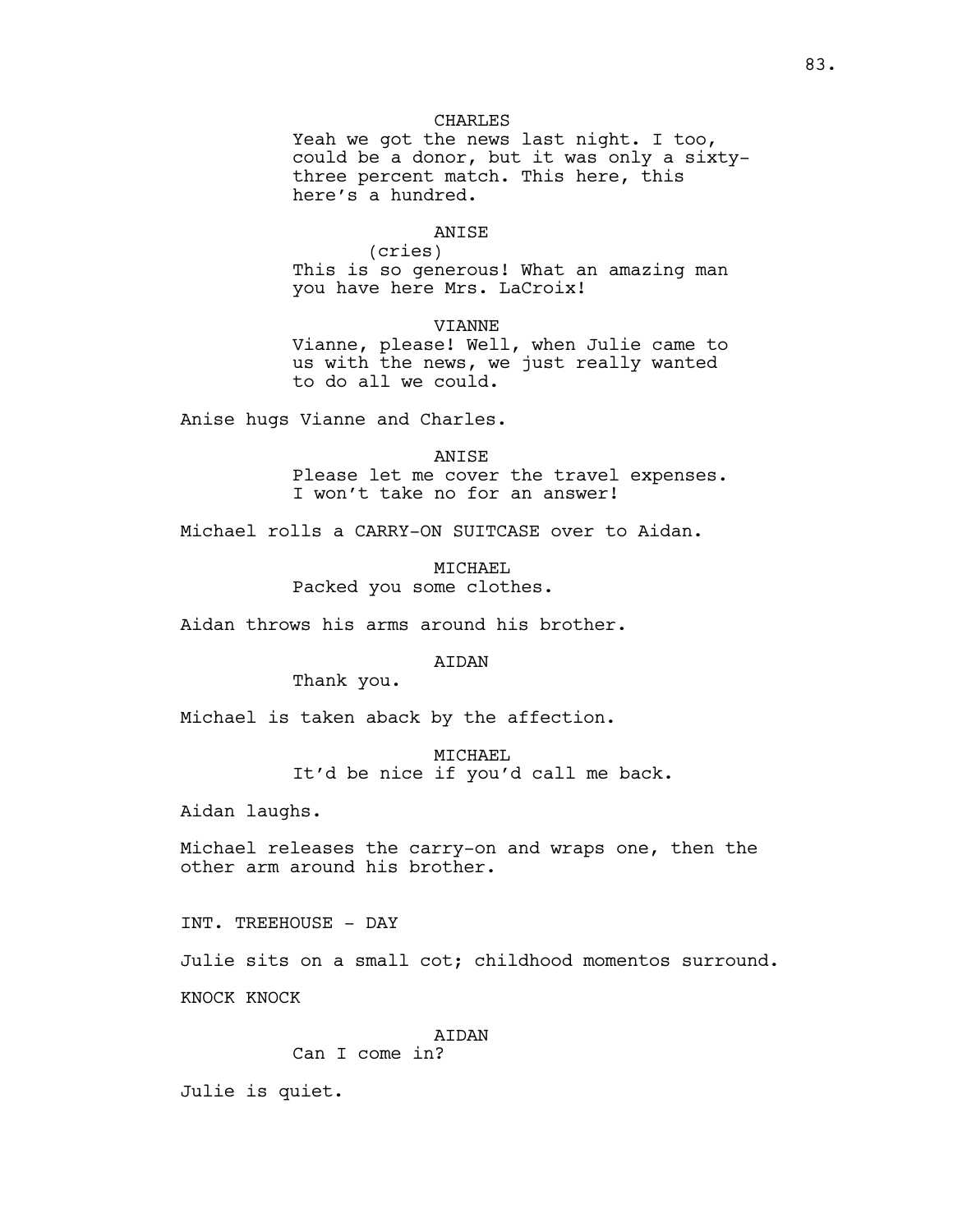## CHARLES

Yeah we got the news last night. I too, could be a donor, but it was only a sixtythree percent match. This here, this here's a hundred.

## ANISE

(cries) This is so generous! What an amazing man you have here Mrs. LaCroix!

#### VIANNE

Vianne, please! Well, when Julie came to us with the news, we just really wanted to do all we could.

Anise hugs Vianne and Charles.

#### ANISE

Please let me cover the travel expenses. I won't take no for an answer!

Michael rolls a CARRY-ON SUITCASE over to Aidan.

MTCHAEL Packed you some clothes.

Aidan throws his arms around his brother.

#### AIDAN

Thank you.

Michael is taken aback by the affection.

MICHAEL It'd be nice if you'd call me back.

Aidan laughs.

Michael releases the carry-on and wraps one, then the other arm around his brother.

INT. TREEHOUSE - DAY

Julie sits on a small cot; childhood momentos surround. KNOCK KNOCK

### AIDAN

Can I come in?

Julie is quiet.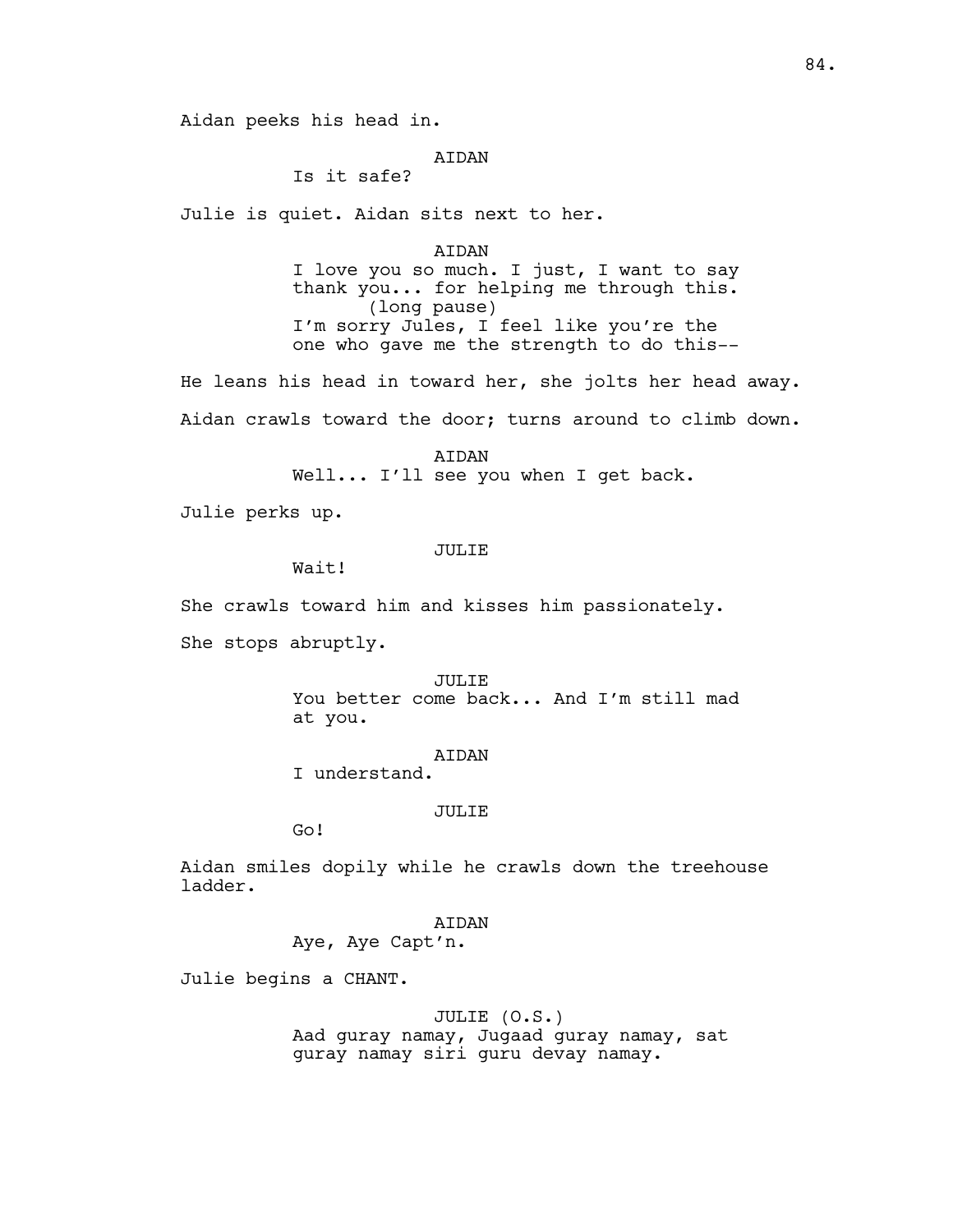Aidan peeks his head in.

## **ATDAN**

Is it safe?

Julie is quiet. Aidan sits next to her.

#### AIDAN

I love you so much. I just, I want to say thank you... for helping me through this. (long pause) I'm sorry Jules, I feel like you're the one who gave me the strength to do this--

He leans his head in toward her, she jolts her head away. Aidan crawls toward the door; turns around to climb down.

> AIDAN Well... I'll see you when I get back.

Julie perks up.

### JULIE

Wait!

She crawls toward him and kisses him passionately.

She stops abruptly.

JULIE You better come back... And I'm still mad at you.

AIDAN

I understand.

#### JULIE

Go!

Aidan smiles dopily while he crawls down the treehouse ladder.

> AIDAN Aye, Aye Capt'n.

Julie begins a CHANT.

#### JULIE (O.S.)

Aad guray namay, Jugaad guray namay, sat guray namay siri guru devay namay.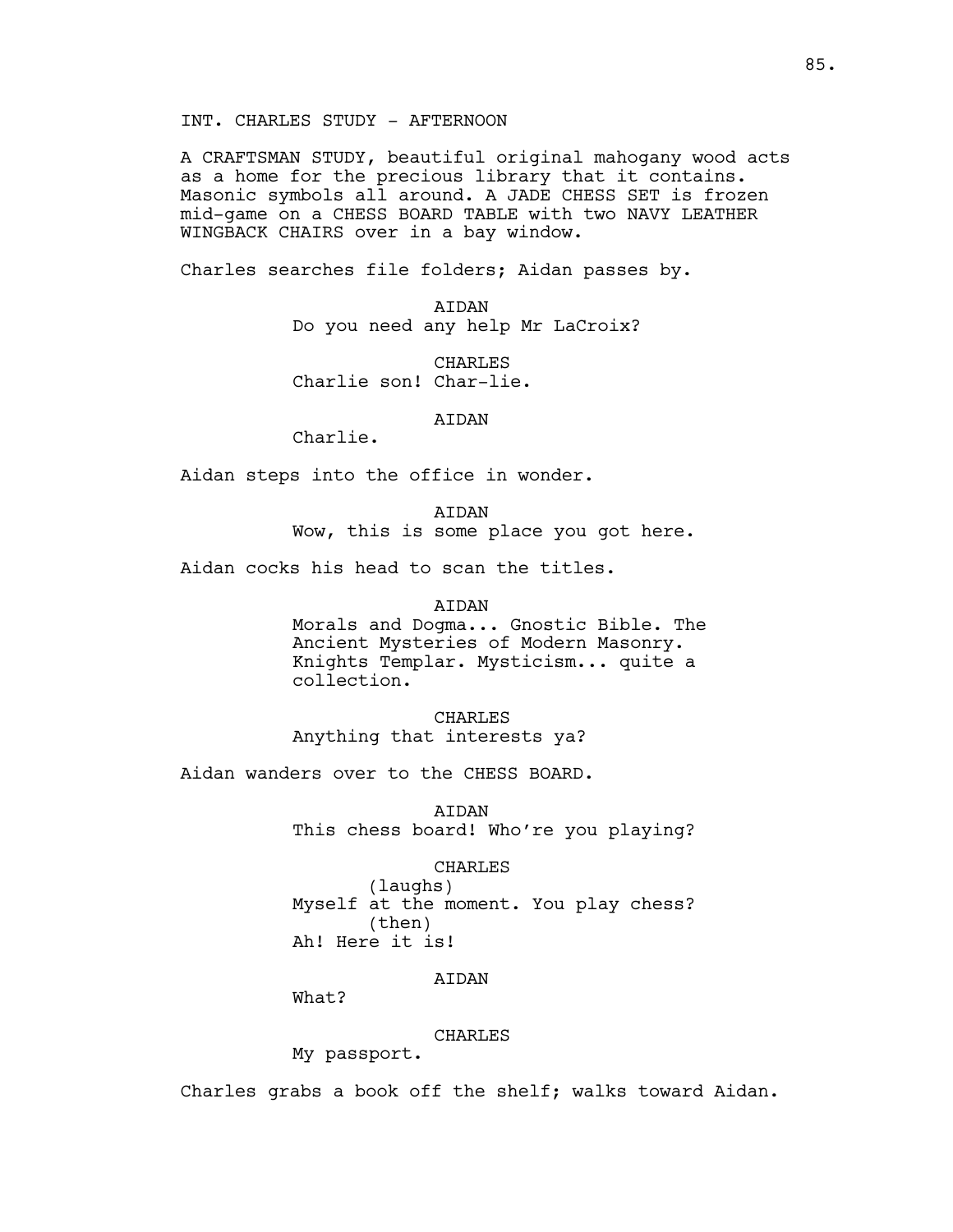INT. CHARLES STUDY - AFTERNOON

A CRAFTSMAN STUDY, beautiful original mahogany wood acts as a home for the precious library that it contains. Masonic symbols all around. A JADE CHESS SET is frozen mid-game on a CHESS BOARD TABLE with two NAVY LEATHER WINGBACK CHAIRS over in a bay window.

Charles searches file folders; Aidan passes by.

AIDAN Do you need any help Mr LaCroix?

**CHARLES** Charlie son! Char-lie.

## AIDAN

Charlie.

Aidan steps into the office in wonder.

AIDAN Wow, this is some place you got here.

Aidan cocks his head to scan the titles.

AIDAN

Morals and Dogma... Gnostic Bible. The Ancient Mysteries of Modern Masonry. Knights Templar. Mysticism... quite a collection.

CHARLES Anything that interests ya?

Aidan wanders over to the CHESS BOARD.

AIDAN This chess board! Who're you playing?

#### CHARLES

(laughs) Myself at the moment. You play chess? (then) Ah! Here it is!

## **ATDAN**

What?

### CHARLES

My passport.

Charles grabs a book off the shelf; walks toward Aidan.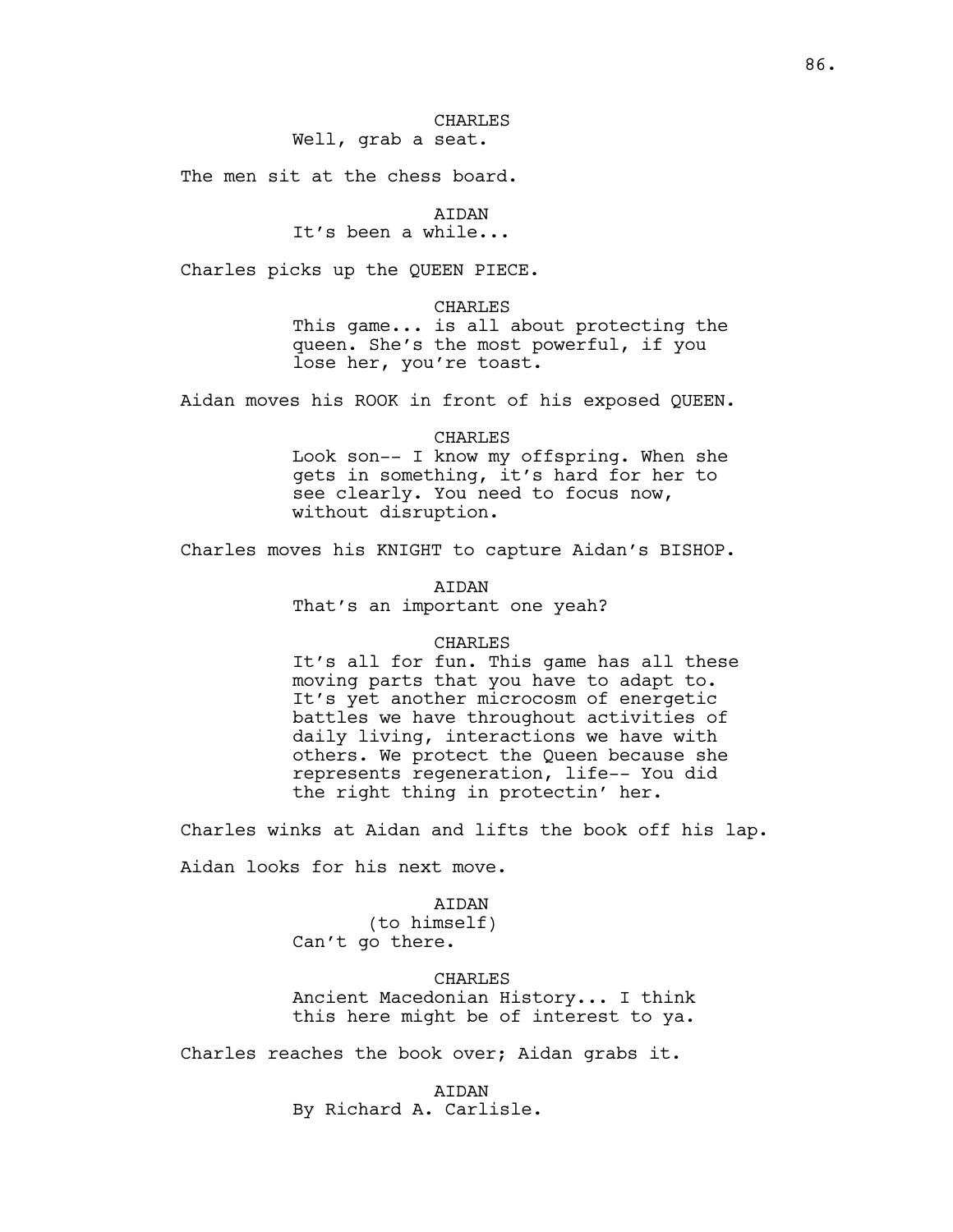## CHARLES Well, grab a seat.

The men sit at the chess board.

AIDAN

It's been a while...

Charles picks up the QUEEN PIECE.

#### CHARLES

This game... is all about protecting the queen. She's the most powerful, if you lose her, you're toast.

Aidan moves his ROOK in front of his exposed QUEEN.

### CHARLES

Look son-- I know my offspring. When she gets in something, it's hard for her to see clearly. You need to focus now, without disruption.

Charles moves his KNIGHT to capture Aidan's BISHOP.

AIDAN That's an important one yeah?

#### CHARLES

It's all for fun. This game has all these moving parts that you have to adapt to. It's yet another microcosm of energetic battles we have throughout activities of daily living, interactions we have with others. We protect the Queen because she represents regeneration, life-- You did the right thing in protectin' her.

Charles winks at Aidan and lifts the book off his lap.

Aidan looks for his next move.

## **ATDAN**

(to himself) Can't go there.

CHARLES

Ancient Macedonian History... I think this here might be of interest to ya.

Charles reaches the book over; Aidan grabs it.

#### AIDAN

By Richard A. Carlisle.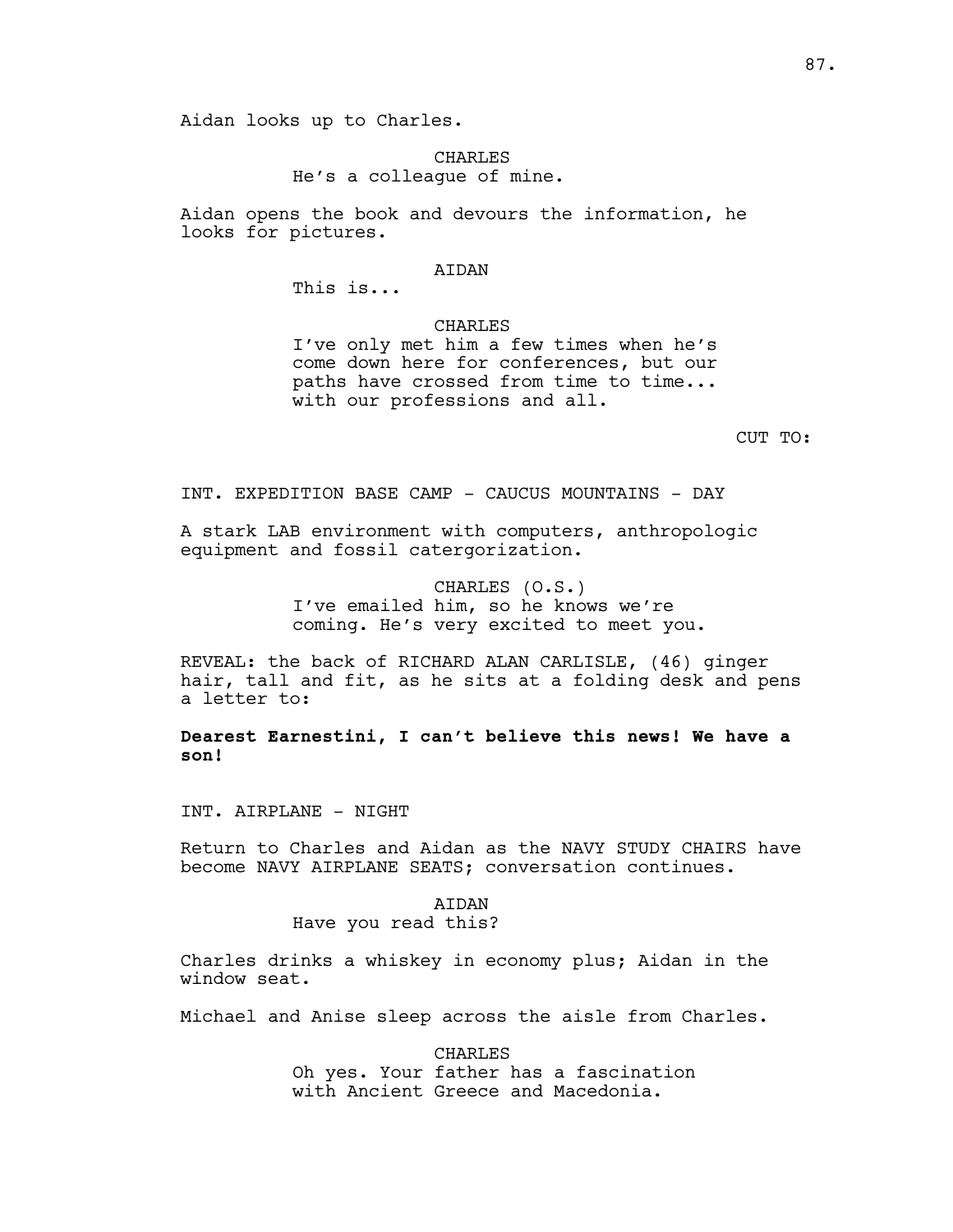### CHARLES He's a colleague of mine.

Aidan opens the book and devours the information, he looks for pictures.

#### AIDAN

This is...

CHARLES

I've only met him a few times when he's come down here for conferences, but our paths have crossed from time to time... with our professions and all.

CUT TO:

INT. EXPEDITION BASE CAMP - CAUCUS MOUNTAINS - DAY

A stark LAB environment with computers, anthropologic equipment and fossil catergorization.

> CHARLES (O.S.) I've emailed him, so he knows we're coming. He's very excited to meet you.

REVEAL: the back of RICHARD ALAN CARLISLE, (46) ginger hair, tall and fit, as he sits at a folding desk and pens a letter to:

**Dearest Earnestini, I can't believe this news! We have a son!**

INT. AIRPLANE - NIGHT

Return to Charles and Aidan as the NAVY STUDY CHAIRS have become NAVY AIRPLANE SEATS; conversation continues.

> AIDAN Have you read this?

Charles drinks a whiskey in economy plus; Aidan in the window seat.

Michael and Anise sleep across the aisle from Charles.

CHARLES Oh yes. Your father has a fascination with Ancient Greece and Macedonia.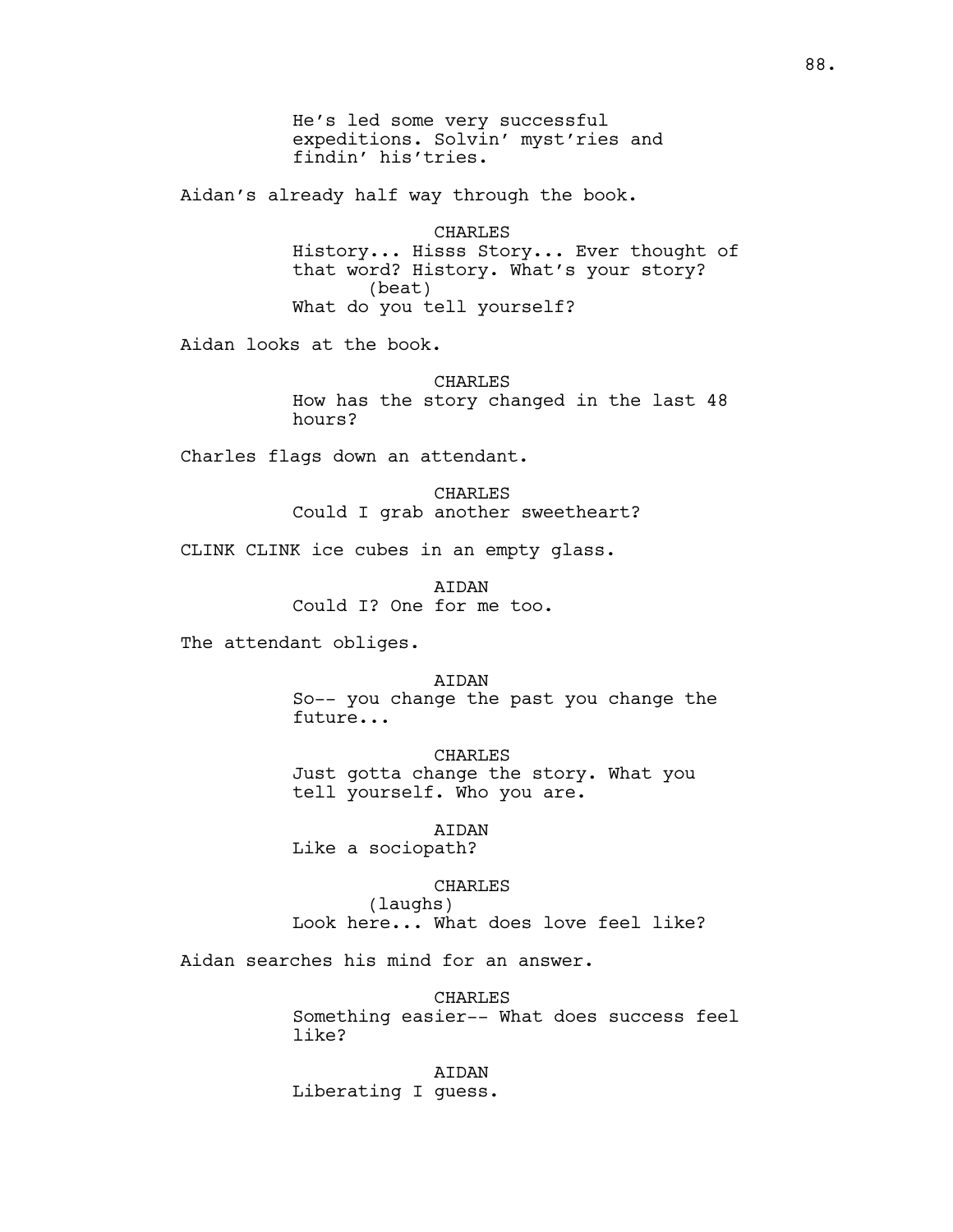He's led some very successful expeditions. Solvin' myst'ries and findin' his'tries.

Aidan's already half way through the book.

CHARLES History... Hisss Story... Ever thought of that word? History. What's your story? (beat) What do you tell yourself?

Aidan looks at the book.

CHARLES How has the story changed in the last 48 hours?

Charles flags down an attendant.

CHARLES Could I grab another sweetheart?

CLINK CLINK ice cubes in an empty glass.

AIDAN Could I? One for me too.

The attendant obliges.

#### AIDAN

So-- you change the past you change the future...

CHARLES Just gotta change the story. What you tell yourself. Who you are.

AIDAN Like a sociopath?

#### CHARLES

(laughs) Look here... What does love feel like?

Aidan searches his mind for an answer.

CHARLES Something easier-- What does success feel like?

AIDAN Liberating I guess.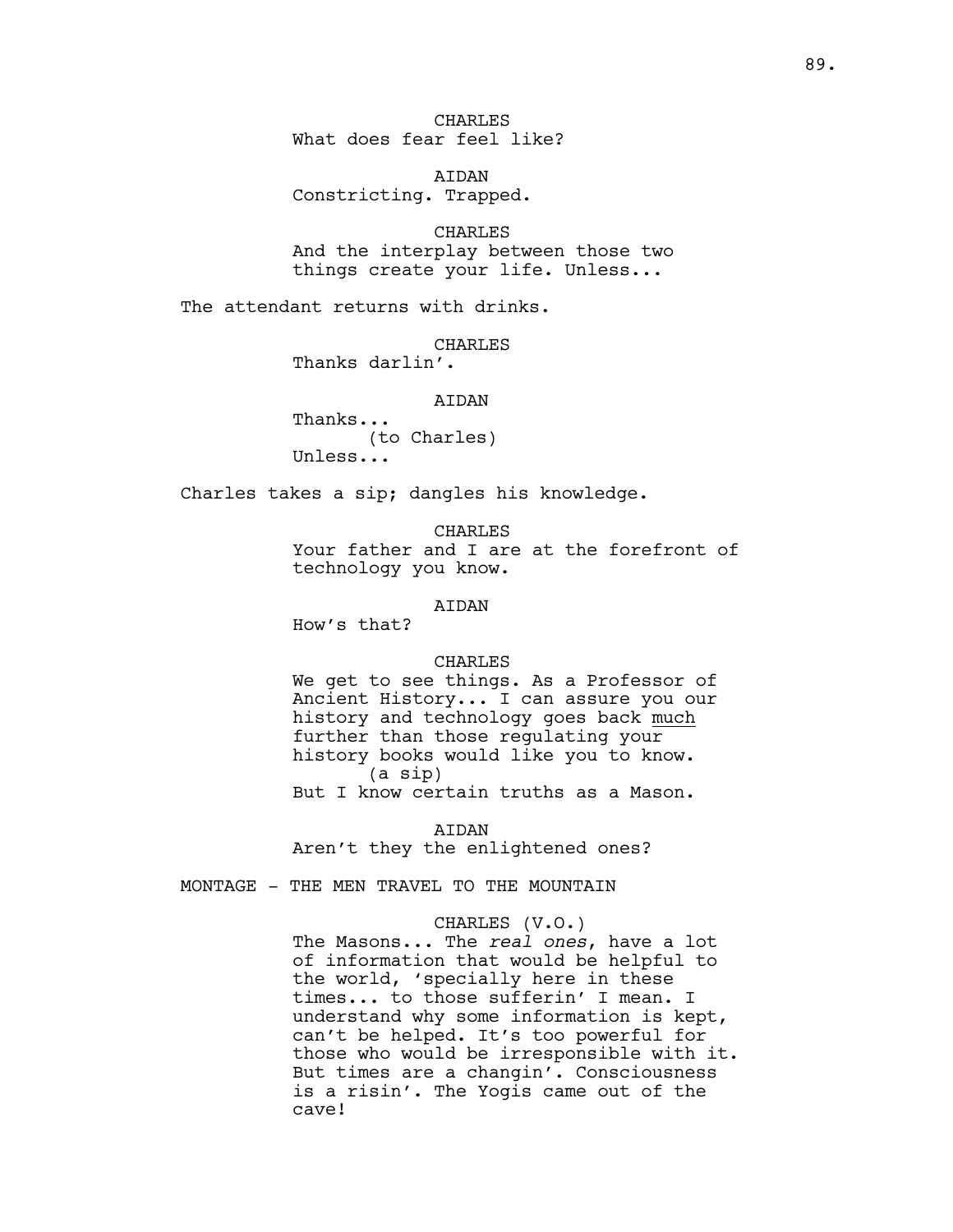**CHARLES** What does fear feel like?

AIDAN Constricting. Trapped.

CHARLES And the interplay between those two things create your life. Unless...

The attendant returns with drinks.

CHARLES

Thanks darlin'.

AIDAN

Thanks... (to Charles) Unless...

Charles takes a sip; dangles his knowledge.

**CHARLES** Your father and I are at the forefront of technology you know.

AIDAN

How's that?

#### CHARLES

We get to see things. As a Professor of Ancient History... I can assure you our history and technology goes back much further than those regulating your history books would like you to know. (a sip) But I know certain truths as a Mason.

AIDAN

Aren't they the enlightened ones?

MONTAGE - THE MEN TRAVEL TO THE MOUNTAIN

### CHARLES (V.O.)

The Masons... The *real ones*, have a lot of information that would be helpful to the world, 'specially here in these times... to those sufferin' I mean. I understand why some information is kept, can't be helped. It's too powerful for those who would be irresponsible with it. But times are a changin'. Consciousness is a risin'. The Yogis came out of the cave!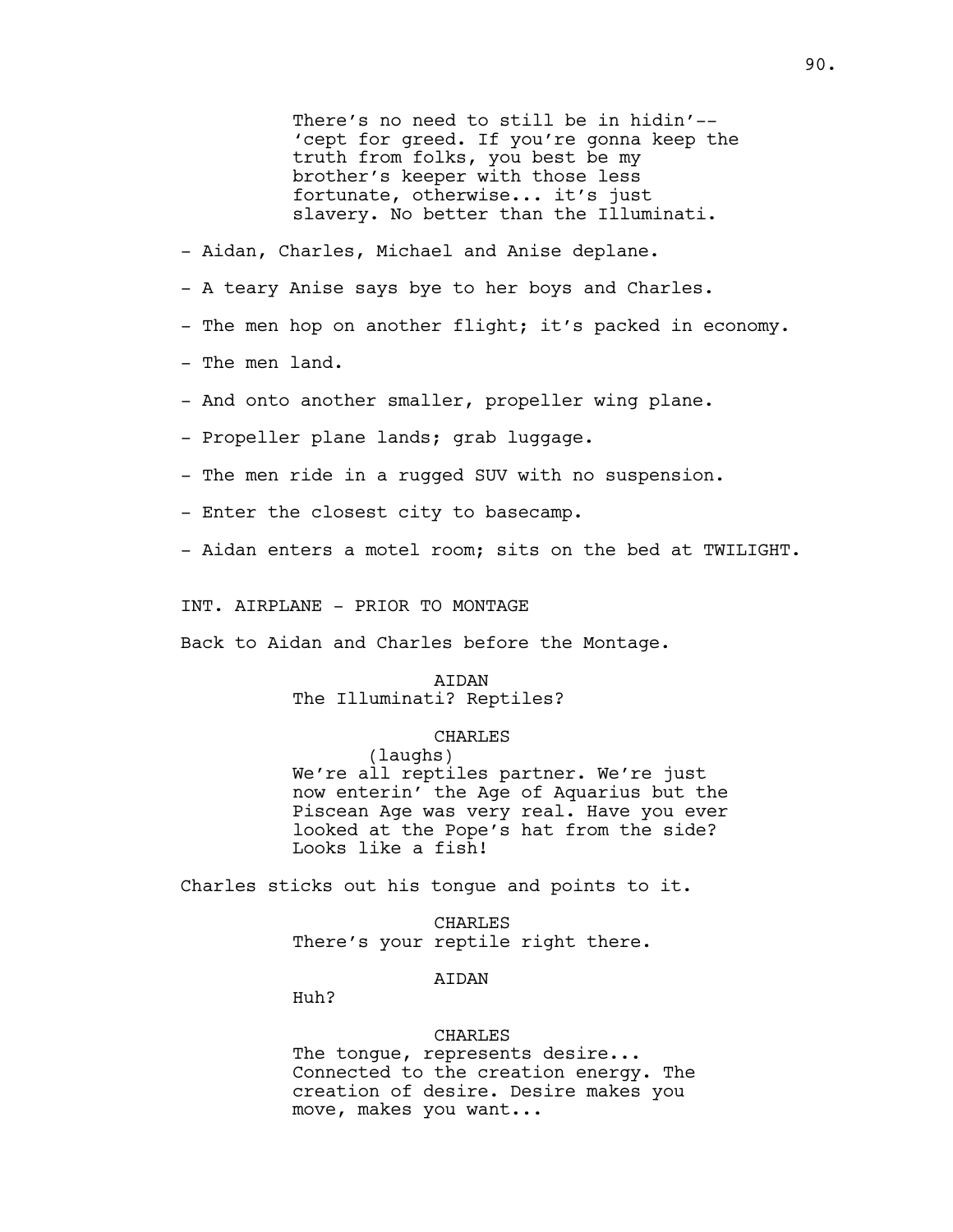There's no need to still be in hidin'-- 'cept for greed. If you're gonna keep the truth from folks, you best be my brother's keeper with those less fortunate, otherwise... it's just slavery. No better than the Illuminati.

- Aidan, Charles, Michael and Anise deplane.

- A teary Anise says bye to her boys and Charles.
- The men hop on another flight; it's packed in economy.
- The men land.
- And onto another smaller, propeller wing plane.
- Propeller plane lands; grab luggage.
- The men ride in a rugged SUV with no suspension.
- Enter the closest city to basecamp.
- Aidan enters a motel room; sits on the bed at TWILIGHT.

INT. AIRPLANE - PRIOR TO MONTAGE

Back to Aidan and Charles before the Montage.

#### AIDAN

## The Illuminati? Reptiles?

### CHARLES

(laughs) We're all reptiles partner. We're just now enterin' the Age of Aquarius but the Piscean Age was very real. Have you ever looked at the Pope's hat from the side? Looks like a fish!

Charles sticks out his tongue and points to it.

CHARLES There's your reptile right there.

### **ATDAN**

Huh?

#### CHARLES

The tongue, represents desire... Connected to the creation energy. The creation of desire. Desire makes you move, makes you want...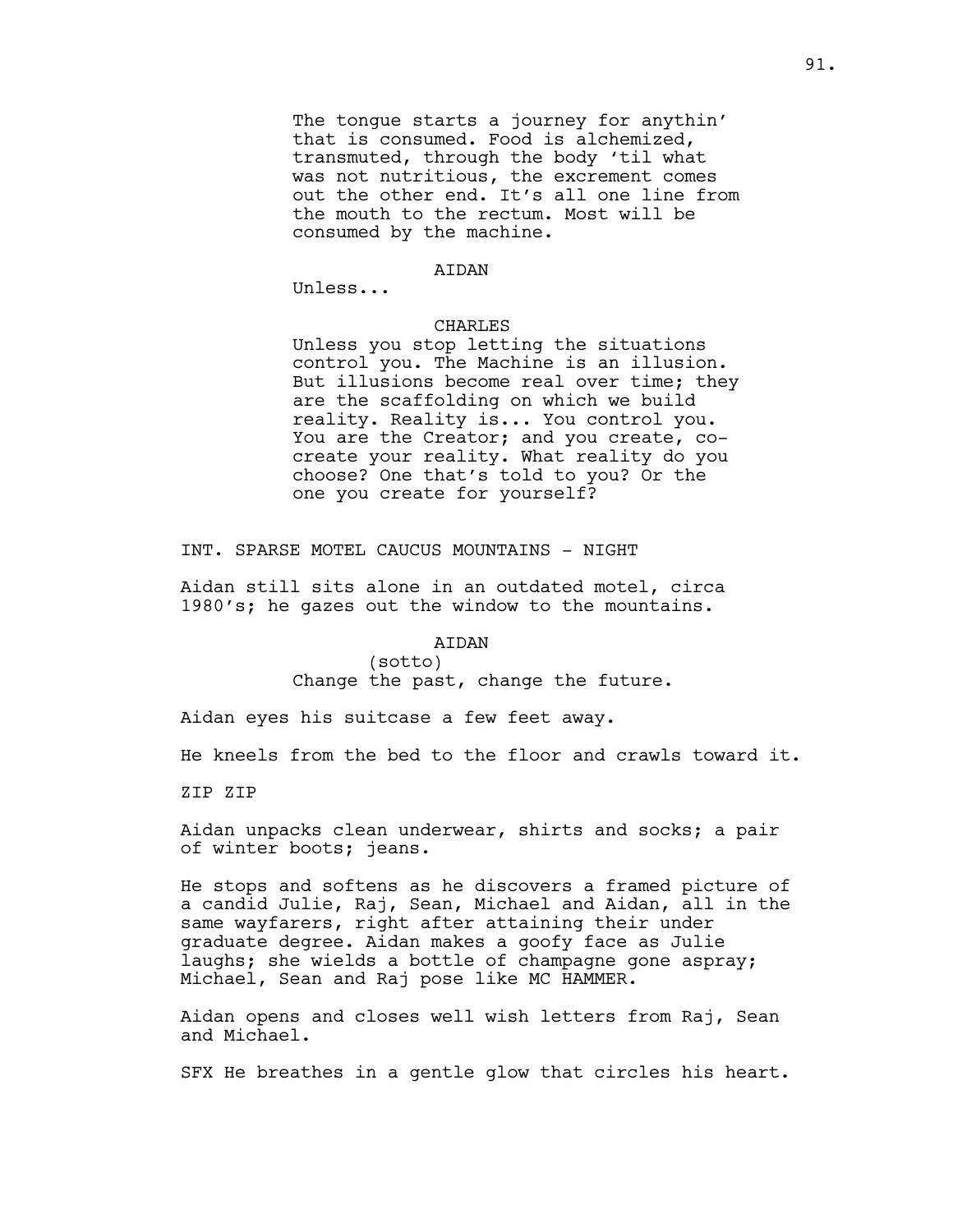The tongue starts a journey for anythin' that is consumed. Food is alchemized, transmuted, through the body 'til what was not nutritious, the excrement comes out the other end. It's all one line from the mouth to the rectum. Most will be consumed by the machine.

#### AIDAN

Unless...

#### CHARLES

Unless you stop letting the situations control you. The Machine is an illusion. But illusions become real over time; they are the scaffolding on which we build reality. Reality is... You control you. You are the Creator; and you create, cocreate your reality. What reality do you choose? One that's told to you? Or the one you create for yourself?

INT. SPARSE MOTEL CAUCUS MOUNTAINS - NIGHT

Aidan still sits alone in an outdated motel, circa 1980's; he gazes out the window to the mountains.

### AIDAN

(sotto) Change the past, change the future.

Aidan eyes his suitcase a few feet away.

He kneels from the bed to the floor and crawls toward it.

ZIP ZIP

Aidan unpacks clean underwear, shirts and socks; a pair of winter boots; jeans.

He stops and softens as he discovers a framed picture of a candid Julie, Raj, Sean, Michael and Aidan, all in the same wayfarers, right after attaining their under graduate degree. Aidan makes a goofy face as Julie laughs; she wields a bottle of champagne gone aspray; Michael, Sean and Raj pose like MC HAMMER.

Aidan opens and closes well wish letters from Raj, Sean and Michael.

SFX He breathes in a gentle glow that circles his heart.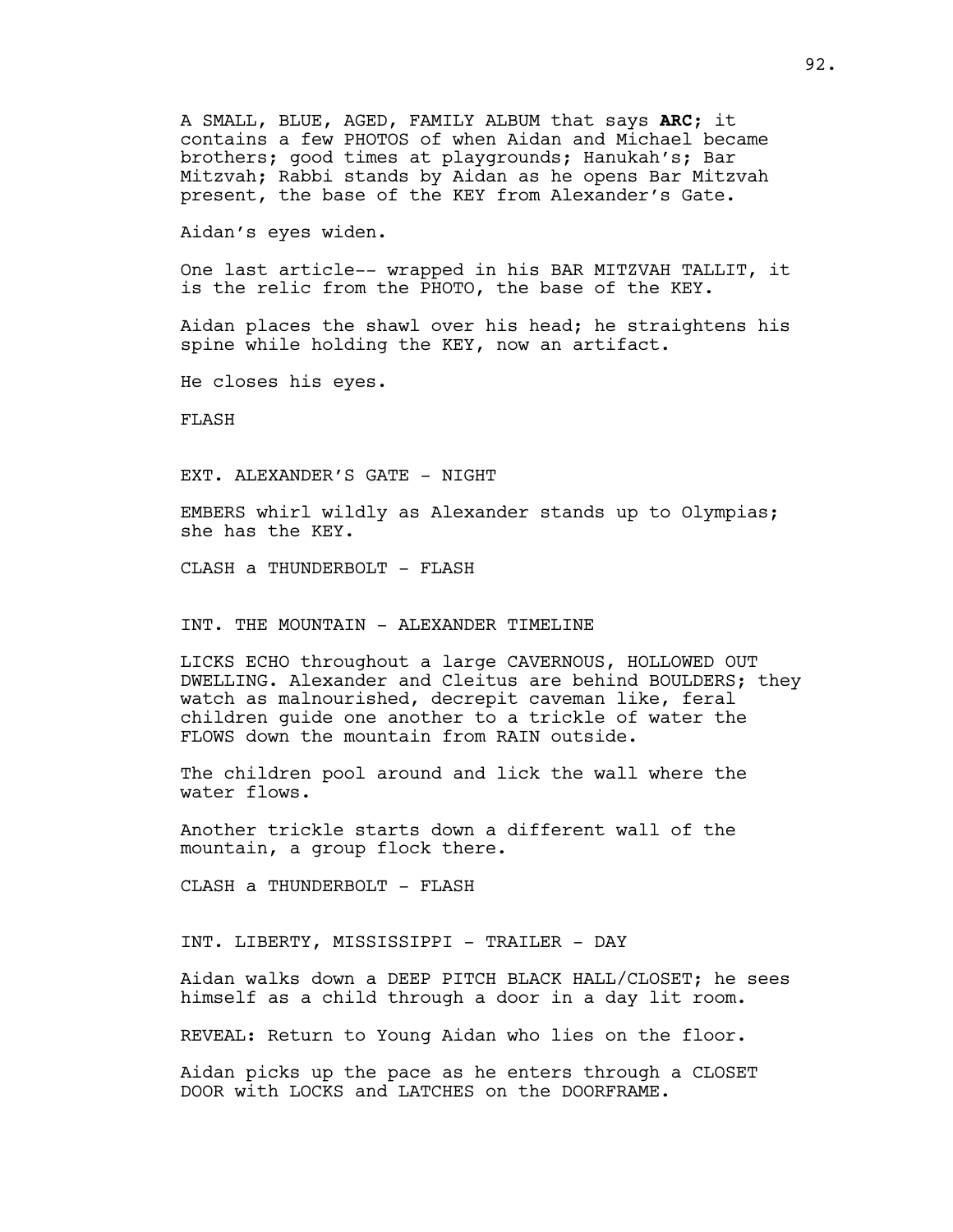A SMALL, BLUE, AGED, FAMILY ALBUM that says **ARC**; it contains a few PHOTOS of when Aidan and Michael became brothers; good times at playgrounds; Hanukah's; Bar Mitzvah; Rabbi stands by Aidan as he opens Bar Mitzvah present, the base of the KEY from Alexander's Gate.

Aidan's eyes widen.

One last article-- wrapped in his BAR MITZVAH TALLIT, it is the relic from the PHOTO, the base of the KEY.

Aidan places the shawl over his head; he straightens his spine while holding the KEY, now an artifact.

He closes his eyes.

FLASH

EXT. ALEXANDER'S GATE - NIGHT

EMBERS whirl wildly as Alexander stands up to Olympias; she has the KEY.

CLASH a THUNDERBOLT - FLASH

INT. THE MOUNTAIN - ALEXANDER TIMELINE

LICKS ECHO throughout a large CAVERNOUS, HOLLOWED OUT DWELLING. Alexander and Cleitus are behind BOULDERS; they watch as malnourished, decrepit caveman like, feral children guide one another to a trickle of water the FLOWS down the mountain from RAIN outside.

The children pool around and lick the wall where the water flows.

Another trickle starts down a different wall of the mountain, a group flock there.

CLASH a THUNDERBOLT - FLASH

INT. LIBERTY, MISSISSIPPI - TRAILER - DAY

Aidan walks down a DEEP PITCH BLACK HALL/CLOSET; he sees himself as a child through a door in a day lit room.

REVEAL: Return to Young Aidan who lies on the floor.

Aidan picks up the pace as he enters through a CLOSET DOOR with LOCKS and LATCHES on the DOORFRAME.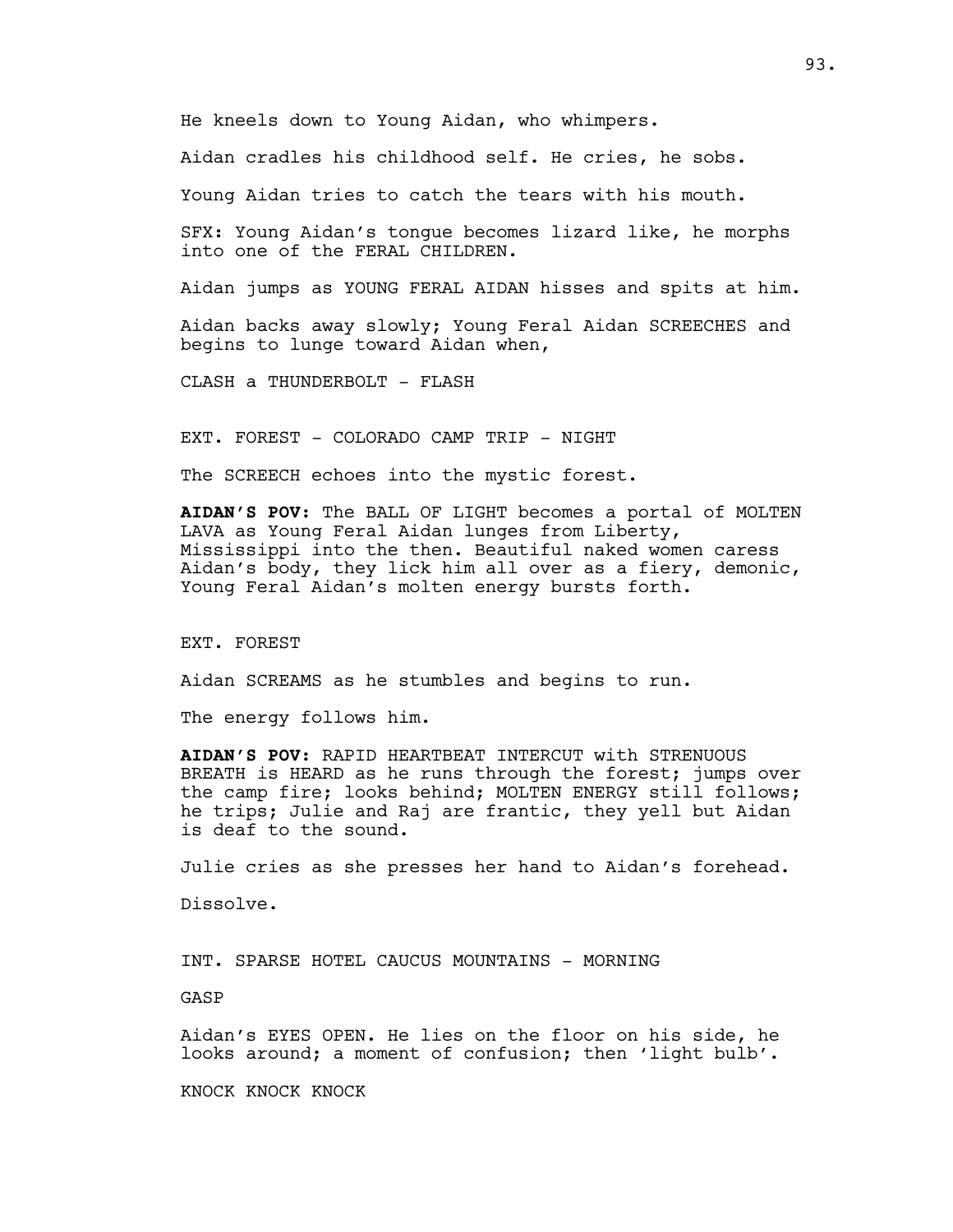He kneels down to Young Aidan, who whimpers.

Aidan cradles his childhood self. He cries, he sobs.

Young Aidan tries to catch the tears with his mouth.

SFX: Young Aidan's tongue becomes lizard like, he morphs into one of the FERAL CHILDREN.

Aidan jumps as YOUNG FERAL AIDAN hisses and spits at him.

Aidan backs away slowly; Young Feral Aidan SCREECHES and begins to lunge toward Aidan when,

CLASH a THUNDERBOLT - FLASH

EXT. FOREST - COLORADO CAMP TRIP - NIGHT

The SCREECH echoes into the mystic forest.

**AIDAN'S POV**: The BALL OF LIGHT becomes a portal of MOLTEN LAVA as Young Feral Aidan lunges from Liberty, Mississippi into the then. Beautiful naked women caress Aidan's body, they lick him all over as a fiery, demonic, Young Feral Aidan's molten energy bursts forth.

EXT. FOREST

Aidan SCREAMS as he stumbles and begins to run.

The energy follows him.

**AIDAN'S POV:** RAPID HEARTBEAT INTERCUT with STRENUOUS BREATH is HEARD as he runs through the forest; jumps over the camp fire; looks behind; MOLTEN ENERGY still follows; he trips; Julie and Raj are frantic, they yell but Aidan is deaf to the sound.

Julie cries as she presses her hand to Aidan's forehead.

Dissolve.

INT. SPARSE HOTEL CAUCUS MOUNTAINS - MORNING

GASP

Aidan's EYES OPEN. He lies on the floor on his side, he looks around; a moment of confusion; then 'light bulb'.

KNOCK KNOCK KNOCK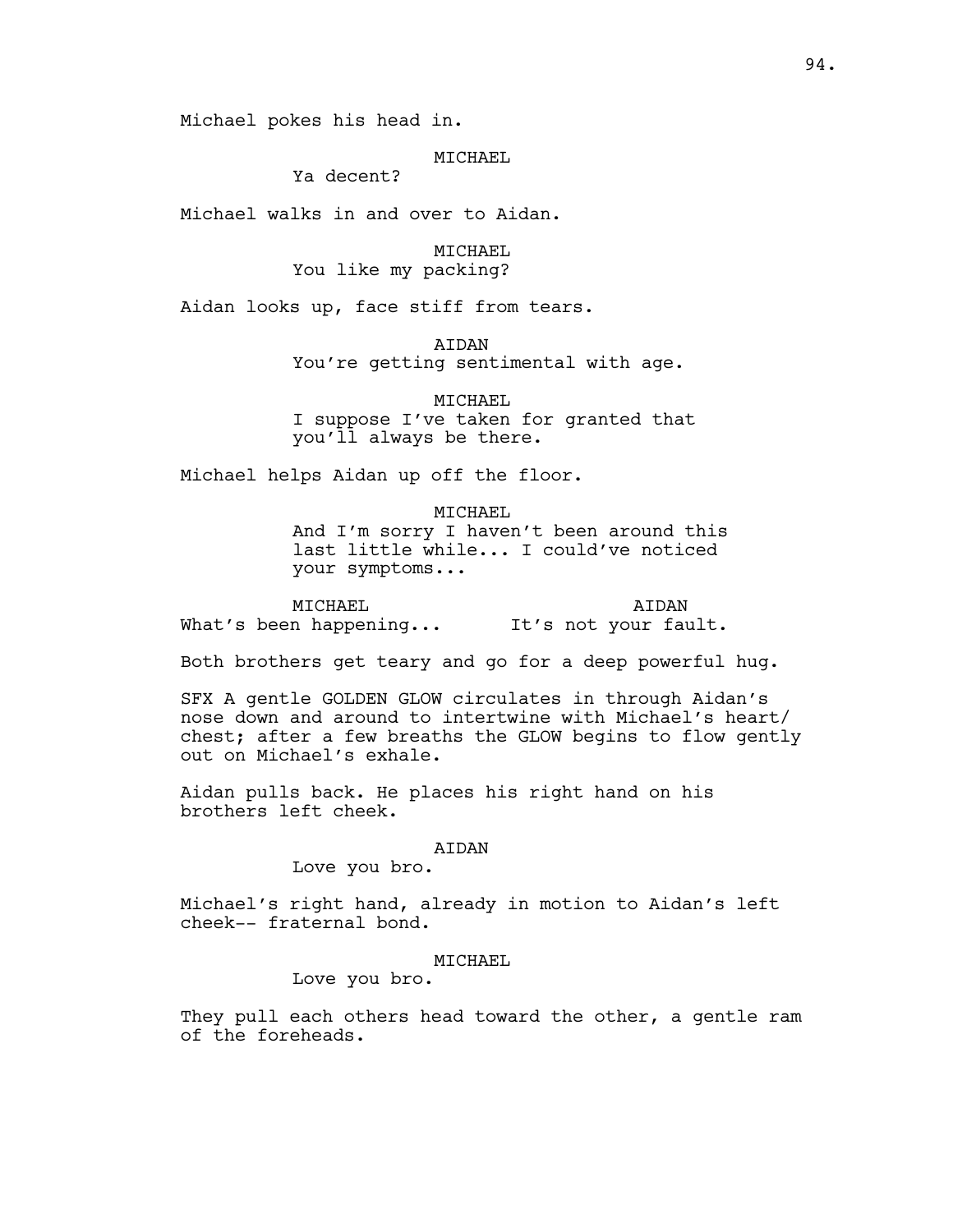Michael pokes his head in.

## MTCHAEL

Ya decent?

Michael walks in and over to Aidan.

MICHAEL You like my packing?

Aidan looks up, face stiff from tears.

AIDAN

You're getting sentimental with age.

MICHAEL I suppose I've taken for granted that you'll always be there.

Michael helps Aidan up off the floor.

MICHAEL

And I'm sorry I haven't been around this last little while... I could've noticed your symptoms...

MICHAEL What's been happening... AIDAN It's not your fault.

Both brothers get teary and go for a deep powerful hug.

SFX A gentle GOLDEN GLOW circulates in through Aidan's nose down and around to intertwine with Michael's heart/ chest; after a few breaths the GLOW begins to flow gently out on Michael's exhale.

Aidan pulls back. He places his right hand on his brothers left cheek.

### AIDAN

Love you bro.

Michael's right hand, already in motion to Aidan's left cheek-- fraternal bond.

### MICHAEL

Love you bro.

They pull each others head toward the other, a gentle ram of the foreheads.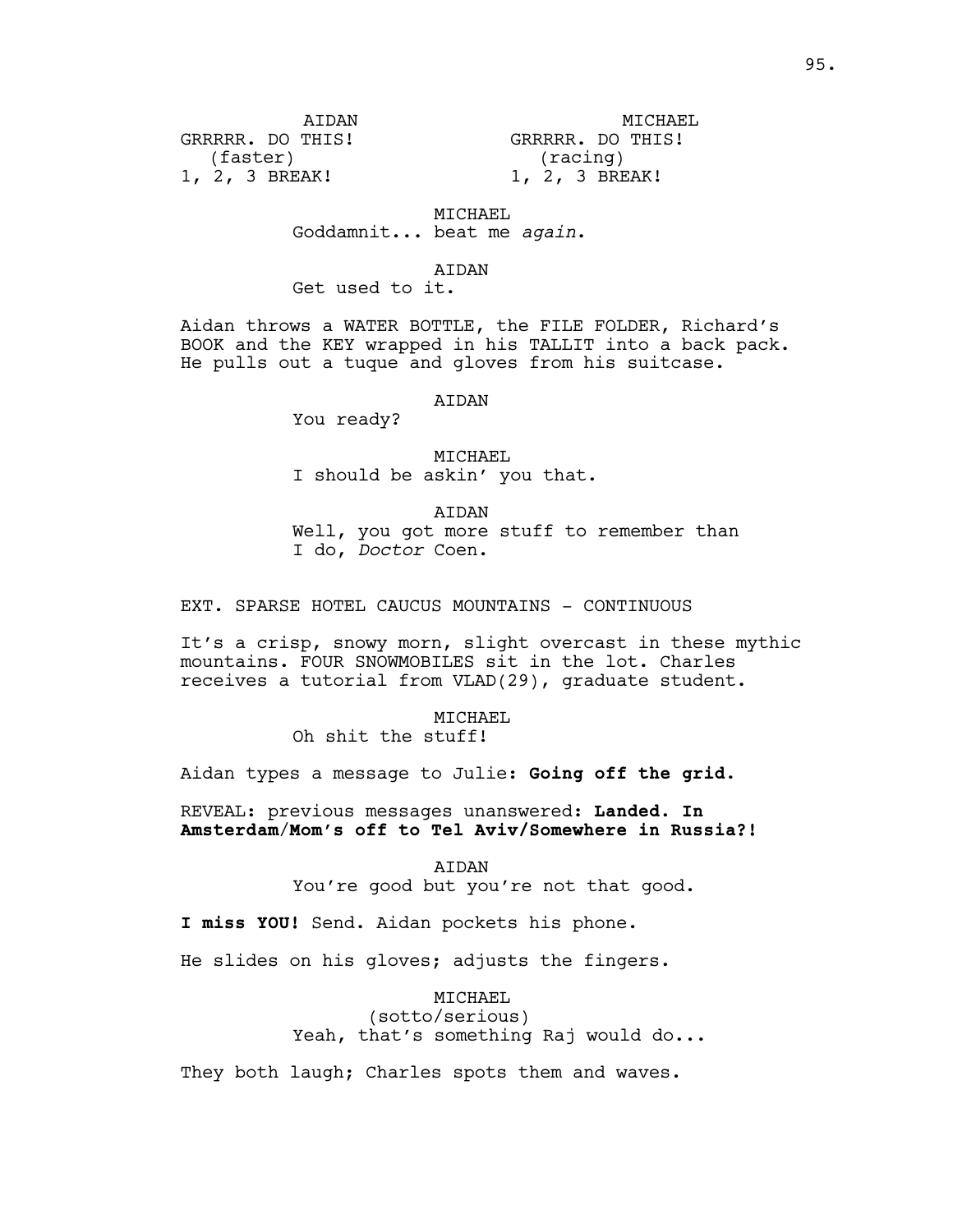ATDAN GRRRRR. DO THIS! (faster) 1, 2, 3 BREAK!

MICHAEL GRRRRR. DO THIS! (racing) 1, 2, 3 BREAK!

MICHAEL

Goddamnit... beat me *again*.

AIDAN

Get used to it.

Aidan throws a WATER BOTTLE, the FILE FOLDER, Richard's BOOK and the KEY wrapped in his TALLIT into a back pack. He pulls out a tuque and gloves from his suitcase.

AIDAN

You ready?

MICHAEL I should be askin' you that.

AIDAN

Well, you got more stuff to remember than I do, *Doctor* Coen.

EXT. SPARSE HOTEL CAUCUS MOUNTAINS - CONTINUOUS

It's a crisp, snowy morn, slight overcast in these mythic mountains. FOUR SNOWMOBILES sit in the lot. Charles receives a tutorial from VLAD(29), graduate student.

> MICHAEL Oh shit the stuff!

Aidan types a message to Julie: **Going off the grid.**

REVEAL: previous messages unanswered: **Landed. In Amsterdam**/**Mom's off to Tel Aviv/Somewhere in Russia?!**

AIDAN

You're good but you're not that good.

**I miss YOU!** Send. Aidan pockets his phone.

He slides on his gloves; adjusts the fingers.

MICHAEL

(sotto/serious) Yeah, that's something Raj would do...

They both laugh; Charles spots them and waves.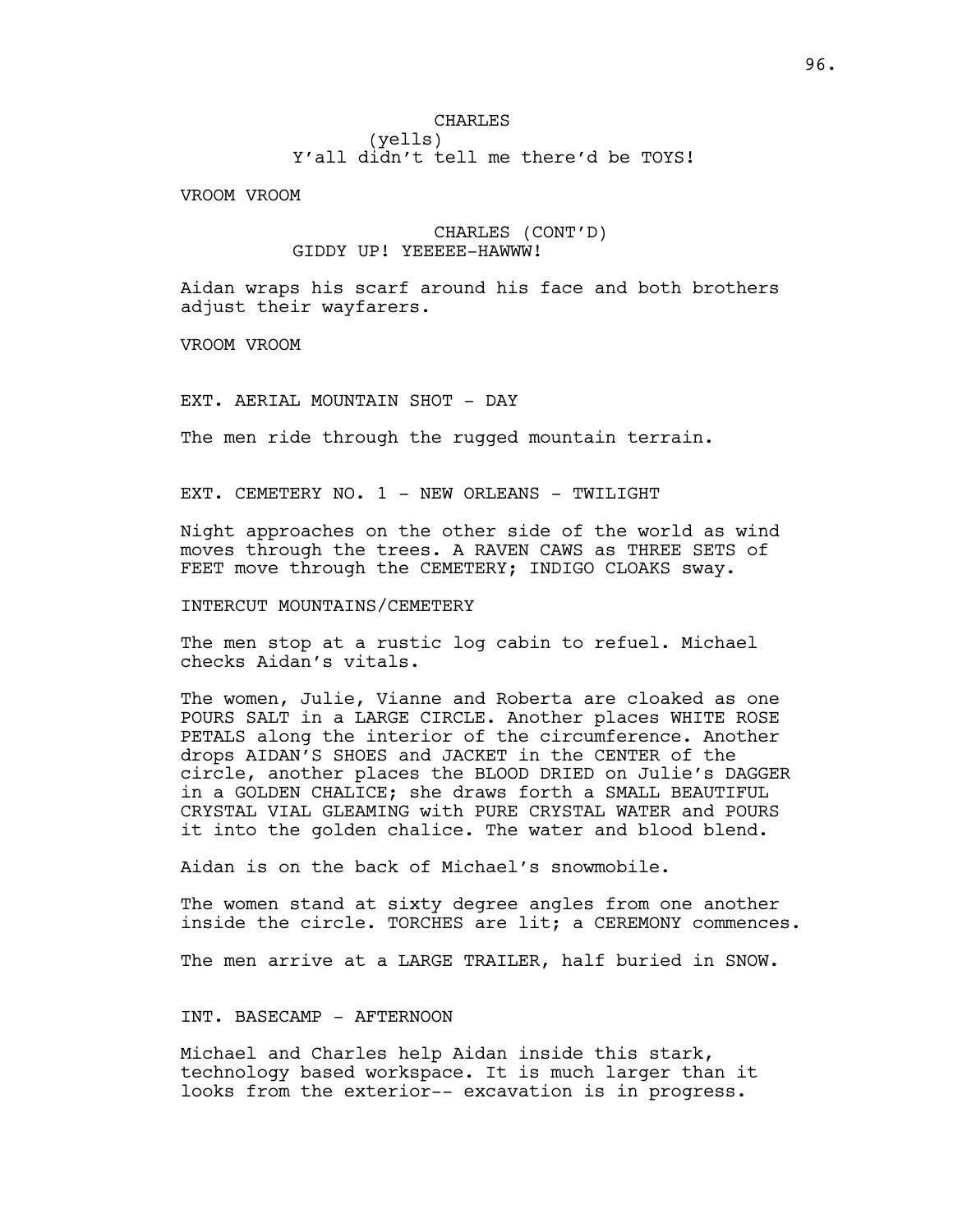## CHARLES (yells) Y'all didn't tell me there'd be TOYS!

VROOM VROOM

## CHARLES (CONT'D) GIDDY UP! YEEEEE-HAWWW!

Aidan wraps his scarf around his face and both brothers adjust their wayfarers.

VROOM VROOM

EXT. AERIAL MOUNTAIN SHOT - DAY

The men ride through the rugged mountain terrain.

EXT. CEMETERY NO. 1 - NEW ORLEANS - TWILIGHT

Night approaches on the other side of the world as wind moves through the trees. A RAVEN CAWS as THREE SETS of FEET move through the CEMETERY; INDIGO CLOAKS sway.

INTERCUT MOUNTAINS/CEMETERY

The men stop at a rustic log cabin to refuel. Michael checks Aidan's vitals.

The women, Julie, Vianne and Roberta are cloaked as one POURS SALT in a LARGE CIRCLE. Another places WHITE ROSE PETALS along the interior of the circumference. Another drops AIDAN'S SHOES and JACKET in the CENTER of the circle, another places the BLOOD DRIED on Julie's DAGGER in a GOLDEN CHALICE; she draws forth a SMALL BEAUTIFUL CRYSTAL VIAL GLEAMING with PURE CRYSTAL WATER and POURS it into the golden chalice. The water and blood blend.

Aidan is on the back of Michael's snowmobile.

The women stand at sixty degree angles from one another inside the circle. TORCHES are lit; a CEREMONY commences.

The men arrive at a LARGE TRAILER, half buried in SNOW.

INT. BASECAMP - AFTERNOON

Michael and Charles help Aidan inside this stark, technology based workspace. It is much larger than it looks from the exterior-- excavation is in progress.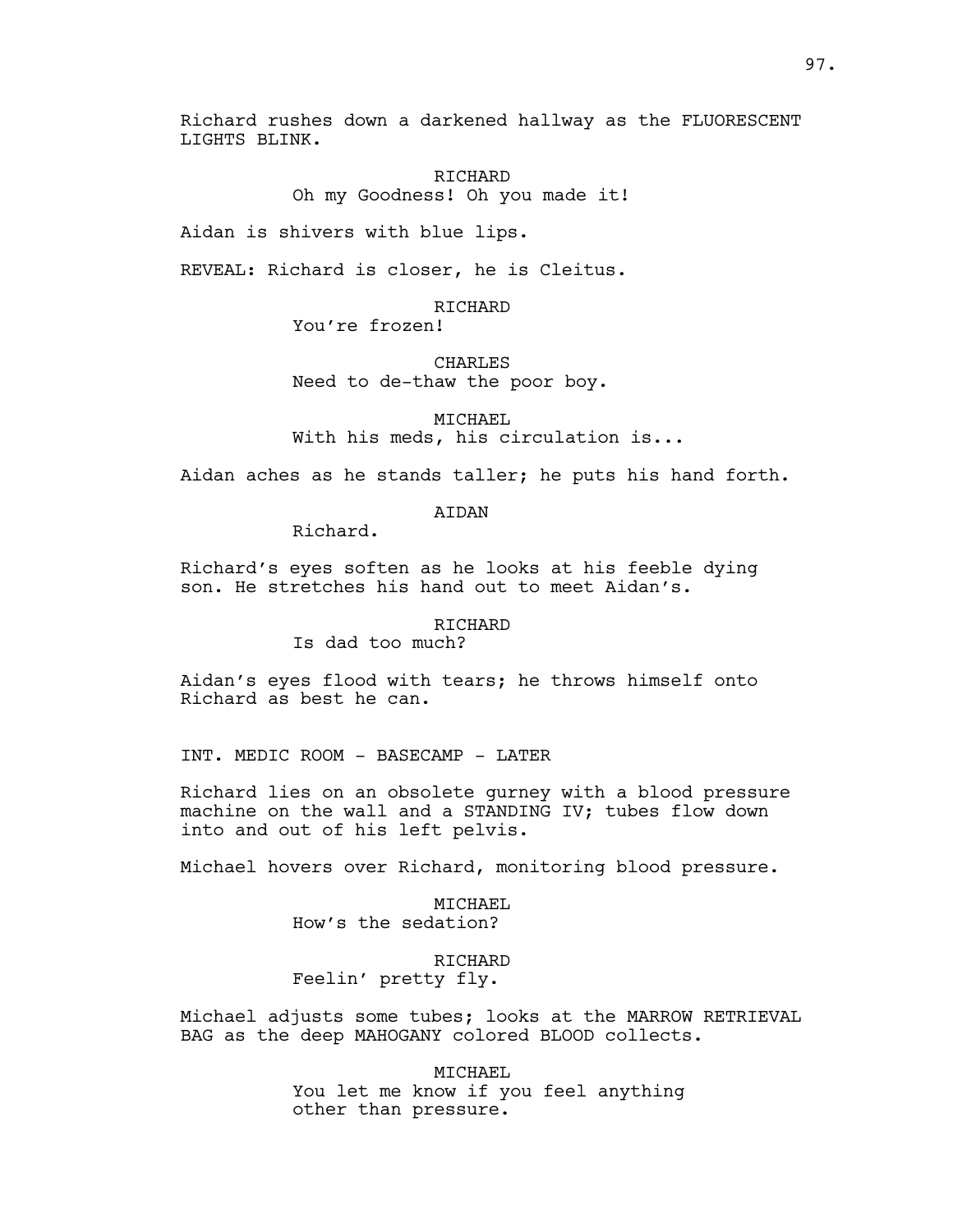Richard rushes down a darkened hallway as the FLUORESCENT LIGHTS BLINK.

> RICHARD Oh my Goodness! Oh you made it!

Aidan is shivers with blue lips.

REVEAL: Richard is closer, he is Cleitus.

RICHARD You're frozen!

**CHARLES** Need to de-thaw the poor boy.

MICHAEL

With his meds, his circulation is...

Aidan aches as he stands taller; he puts his hand forth.

AIDAN

Richard.

Richard's eyes soften as he looks at his feeble dying son. He stretches his hand out to meet Aidan's.

## RICHARD

Is dad too much?

Aidan's eyes flood with tears; he throws himself onto Richard as best he can.

INT. MEDIC ROOM - BASECAMP - LATER

Richard lies on an obsolete gurney with a blood pressure machine on the wall and a STANDING IV; tubes flow down into and out of his left pelvis.

Michael hovers over Richard, monitoring blood pressure.

MICHAEL How's the sedation?

RICHARD Feelin' pretty fly.

Michael adjusts some tubes; looks at the MARROW RETRIEVAL BAG as the deep MAHOGANY colored BLOOD collects.

> MICHAEL You let me know if you feel anything other than pressure.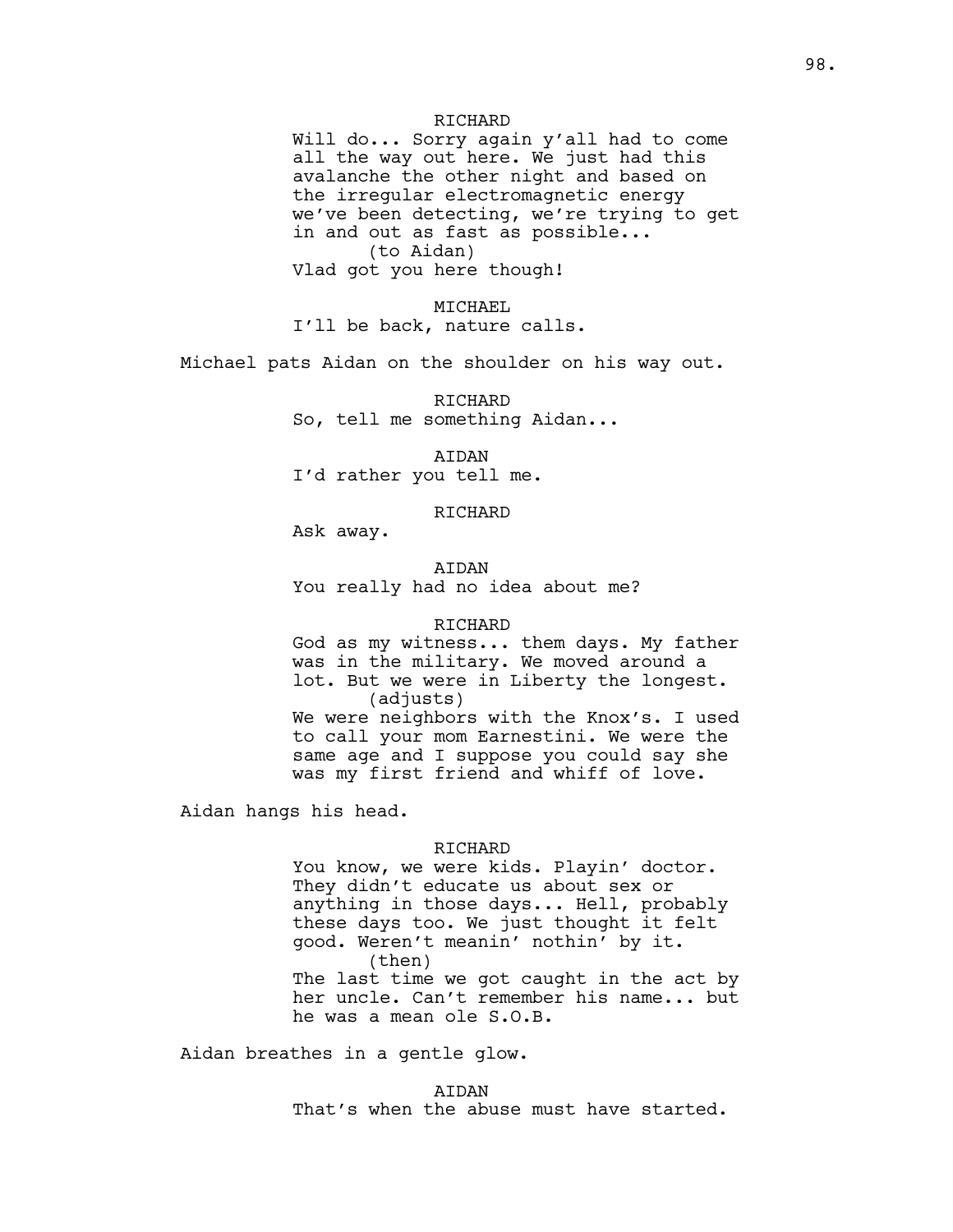### **RICHARD**

Will do... Sorry again y'all had to come all the way out here. We just had this avalanche the other night and based on the irregular electromagnetic energy we've been detecting, we're trying to get in and out as fast as possible... (to Aidan) Vlad got you here though!

MICHAEL I'll be back, nature calls.

Michael pats Aidan on the shoulder on his way out.

RICHARD So, tell me something Aidan...

AIDAN I'd rather you tell me.

RICHARD

Ask away.

**ATDAN** You really had no idea about me?

#### RICHARD

God as my witness... them days. My father was in the military. We moved around a lot. But we were in Liberty the longest. (adjusts) We were neighbors with the Knox's. I used to call your mom Earnestini. We were the same age and I suppose you could say she was my first friend and whiff of love.

Aidan hangs his head.

#### RICHARD

You know, we were kids. Playin' doctor. They didn't educate us about sex or anything in those days... Hell, probably these days too. We just thought it felt good. Weren't meanin' nothin' by it. (then) The last time we got caught in the act by her uncle. Can't remember his name... but he was a mean ole S.O.B.

Aidan breathes in a gentle glow.

AIDAN That's when the abuse must have started.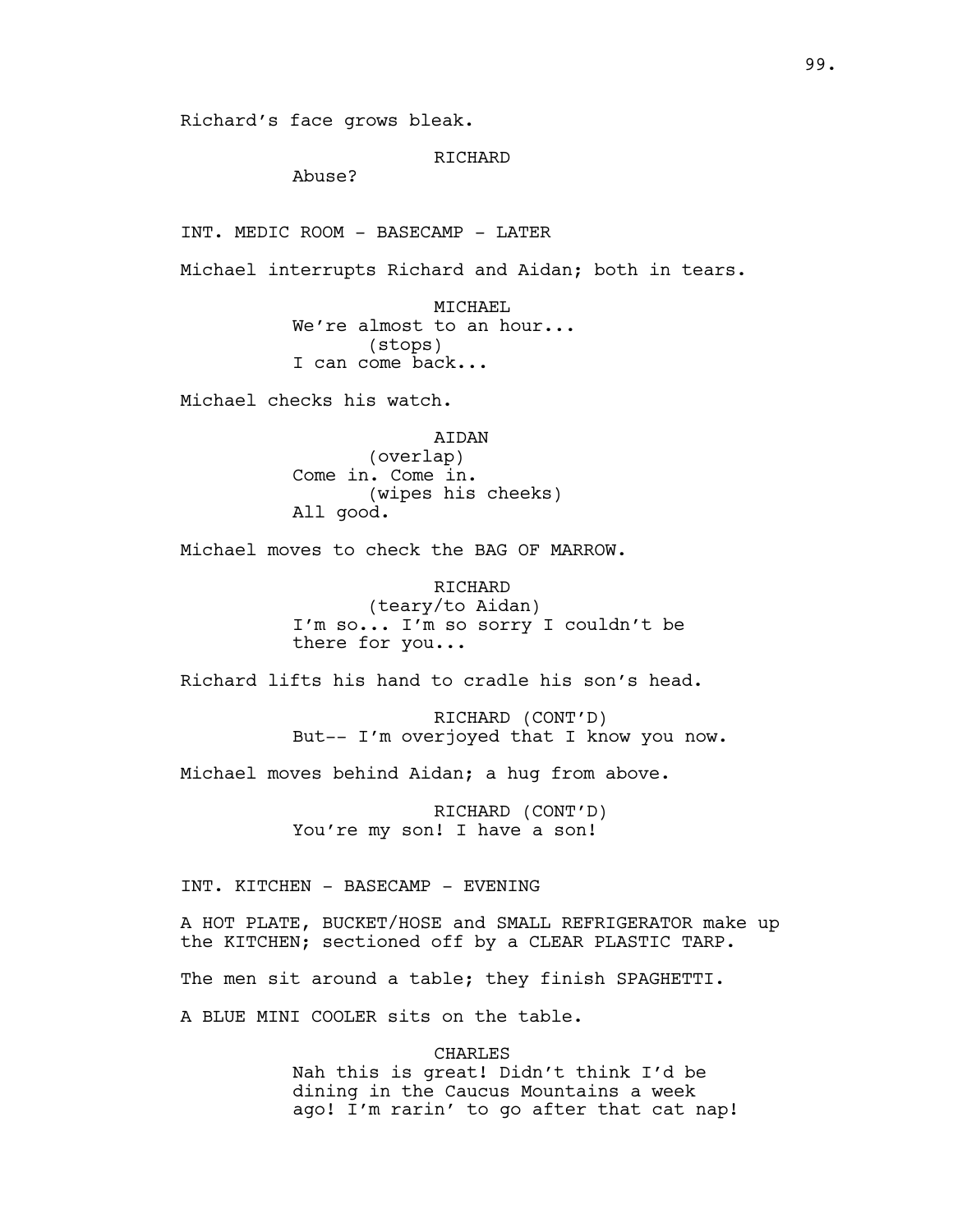Richard's face grows bleak.

### **RICHARD**

Abuse?

INT. MEDIC ROOM - BASECAMP - LATER

Michael interrupts Richard and Aidan; both in tears.

MICHAEL We're almost to an hour... (stops) I can come back...

Michael checks his watch.

AIDAN (overlap) Come in. Come in. (wipes his cheeks) All good.

Michael moves to check the BAG OF MARROW.

RICHARD (teary/to Aidan) I'm so... I'm so sorry I couldn't be there for you...

Richard lifts his hand to cradle his son's head.

RICHARD (CONT'D) But-- I'm overjoyed that I know you now.

Michael moves behind Aidan; a hug from above.

RICHARD (CONT'D) You're my son! I have a son!

INT. KITCHEN - BASECAMP - EVENING

A HOT PLATE, BUCKET/HOSE and SMALL REFRIGERATOR make up the KITCHEN; sectioned off by a CLEAR PLASTIC TARP.

The men sit around a table; they finish SPAGHETTI.

A BLUE MINI COOLER sits on the table.

CHARLES Nah this is great! Didn't think I'd be dining in the Caucus Mountains a week ago! I'm rarin' to go after that cat nap!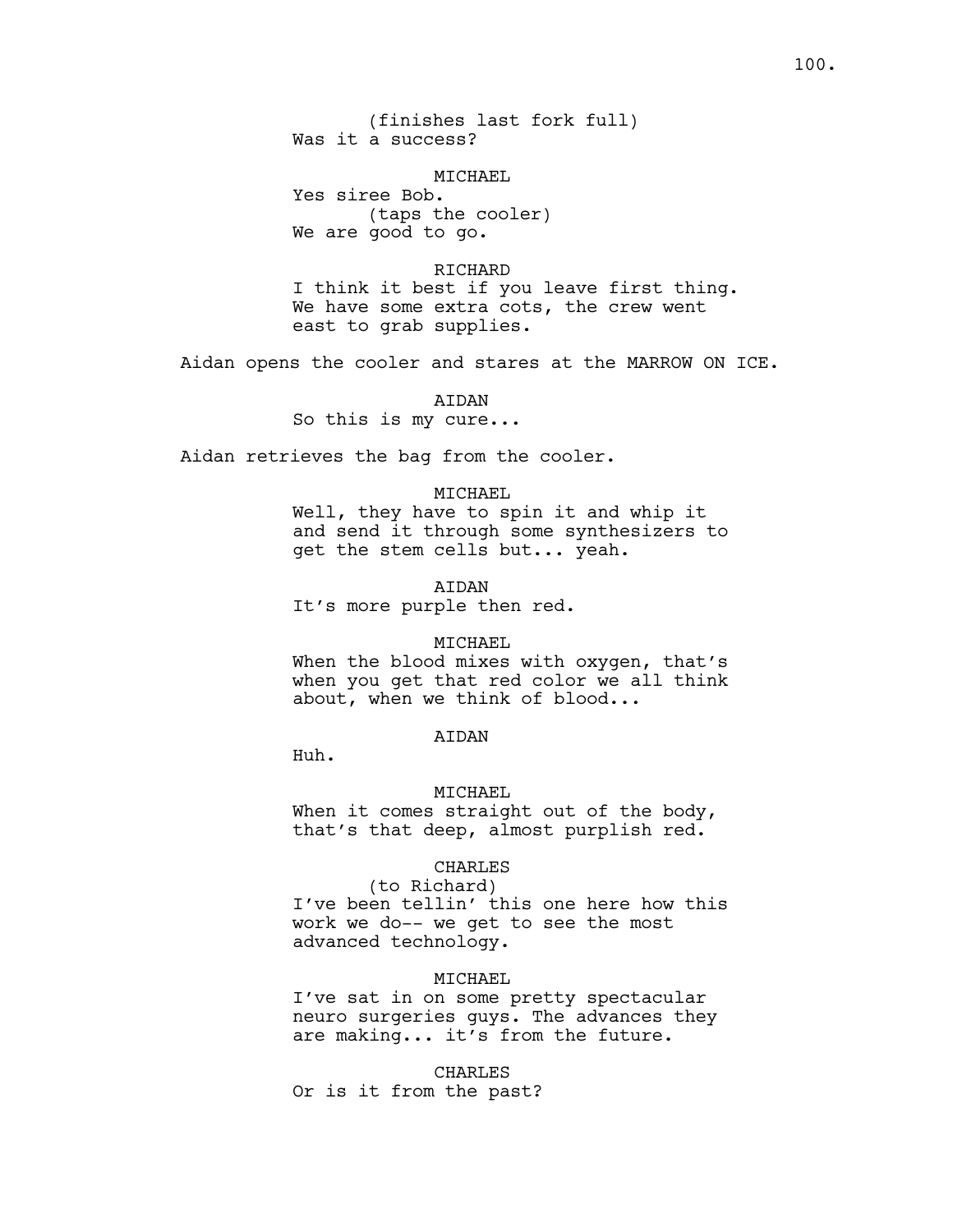MICHAEL

Yes siree Bob. (taps the cooler) We are good to go.

RICHARD I think it best if you leave first thing. We have some extra cots, the crew went east to grab supplies.

Aidan opens the cooler and stares at the MARROW ON ICE.

AIDAN So this is my cure...

Aidan retrieves the bag from the cooler.

### MICHAEL

Well, they have to spin it and whip it and send it through some synthesizers to get the stem cells but... yeah.

AIDAN

It's more purple then red.

#### MICHAEL

When the blood mixes with oxygen, that's when you get that red color we all think about, when we think of blood...

## AIDAN

Huh.

#### MICHAEL

When it comes straight out of the body, that's that deep, almost purplish red.

#### CHARLES

(to Richard) I've been tellin' this one here how this

work we do-- we get to see the most advanced technology.

### MICHAEL

I've sat in on some pretty spectacular neuro surgeries guys. The advances they are making... it's from the future.

CHARLES

Or is it from the past?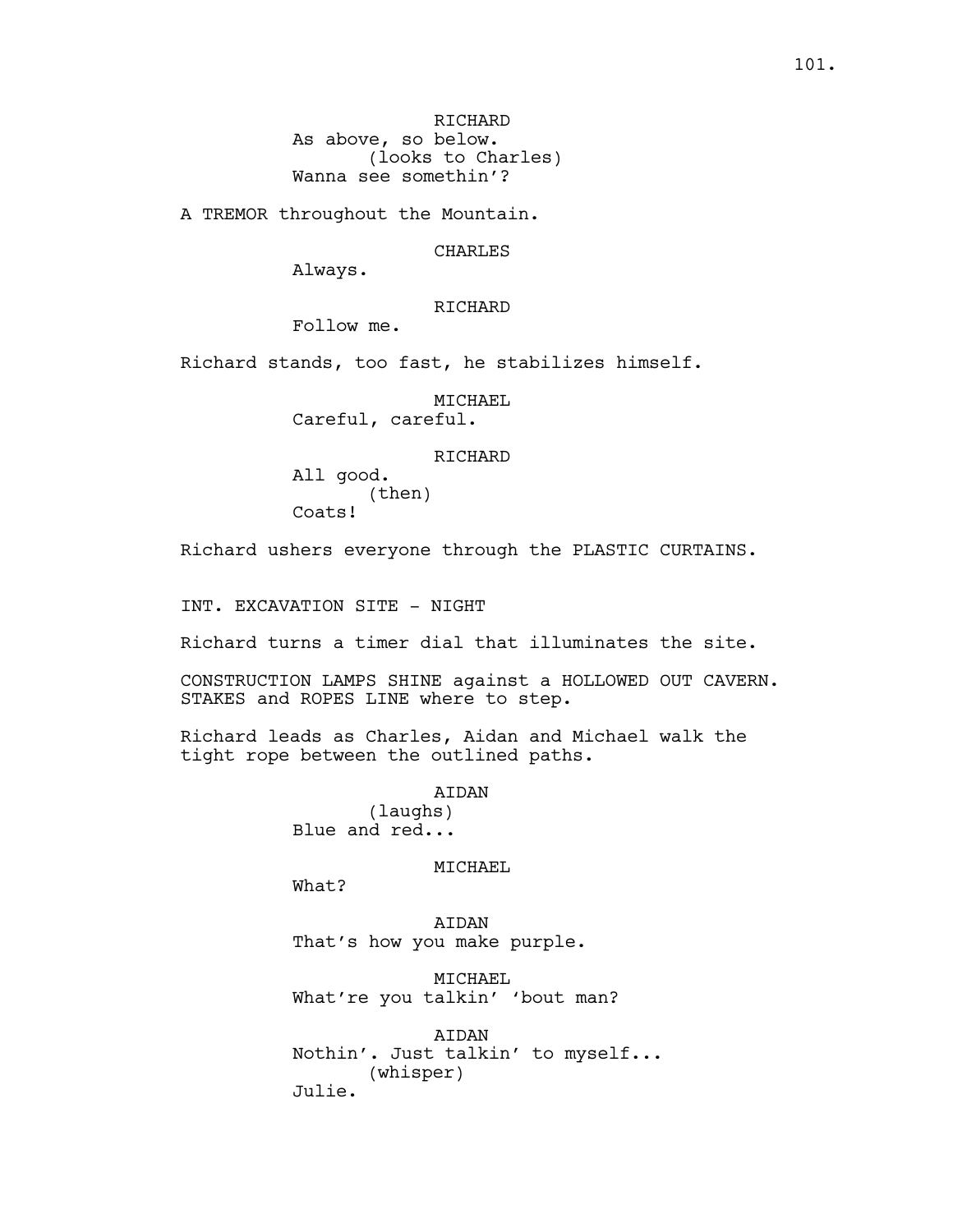A TREMOR throughout the Mountain.

CHARLES

Always.

# RICHARD

Follow me.

Richard stands, too fast, he stabilizes himself.

MICHAEL Careful, careful.

#### RICHARD

All good. (then) Coats!

Richard ushers everyone through the PLASTIC CURTAINS.

INT. EXCAVATION SITE - NIGHT

Richard turns a timer dial that illuminates the site.

CONSTRUCTION LAMPS SHINE against a HOLLOWED OUT CAVERN. STAKES and ROPES LINE where to step.

Richard leads as Charles, Aidan and Michael walk the tight rope between the outlined paths.

> AIDAN (laughs) Blue and red...

#### MICHAEL

What?

AIDAN That's how you make purple.

MICHAEL What're you talkin' 'bout man?

AIDAN Nothin'. Just talkin' to myself... (whisper) Julie.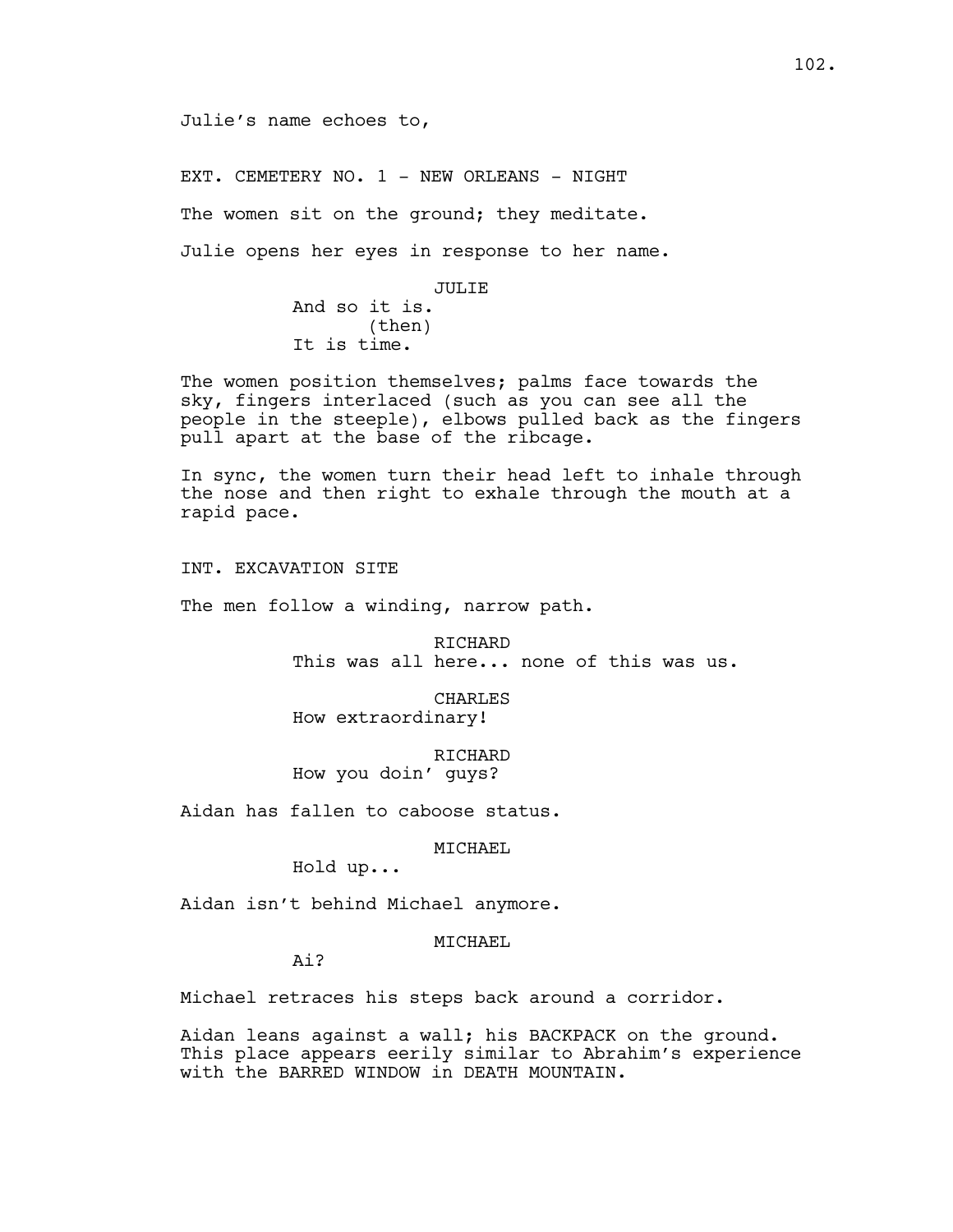Julie's name echoes to,

EXT. CEMETERY NO. 1 - NEW ORLEANS - NIGHT

The women sit on the ground; they meditate.

Julie opens her eyes in response to her name.

JULIE

And so it is. (then) It is time.

The women position themselves; palms face towards the sky, fingers interlaced (such as you can see all the people in the steeple), elbows pulled back as the fingers pull apart at the base of the ribcage.

In sync, the women turn their head left to inhale through the nose and then right to exhale through the mouth at a rapid pace.

INT. EXCAVATION SITE

The men follow a winding, narrow path.

RICHARD This was all here... none of this was us.

CHARLES How extraordinary!

RICHARD How you doin' guys?

Aidan has fallen to caboose status.

MICHAEL

Hold up...

Aidan isn't behind Michael anymore.

MTCHAEL

Ai?

Michael retraces his steps back around a corridor.

Aidan leans against a wall; his BACKPACK on the ground. This place appears eerily similar to Abrahim's experience with the BARRED WINDOW in DEATH MOUNTAIN.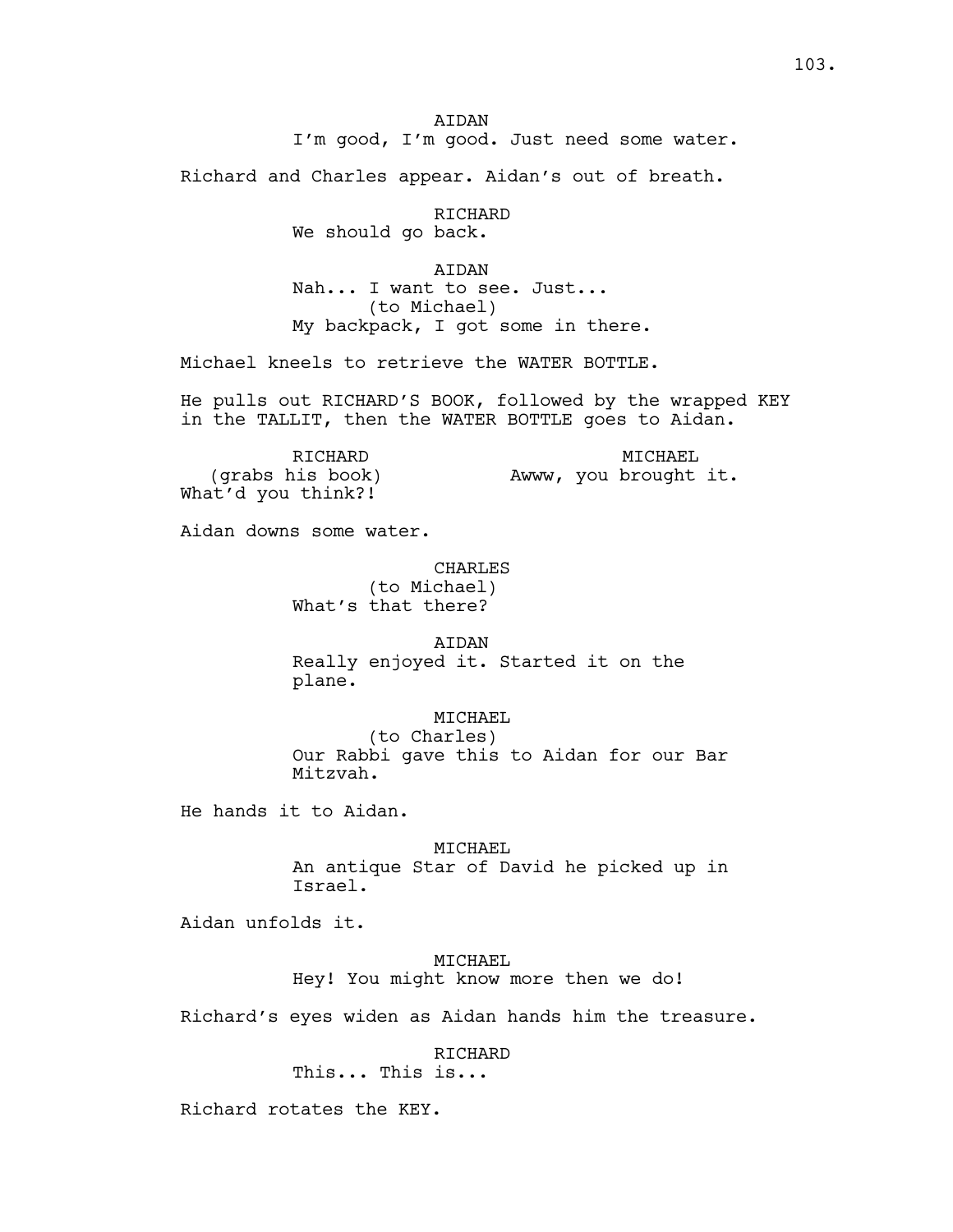**ATDAN** I'm good, I'm good. Just need some water.

Richard and Charles appear. Aidan's out of breath.

RICHARD

We should go back.

AIDAN Nah... I want to see. Just... (to Michael) My backpack, I got some in there.

Michael kneels to retrieve the WATER BOTTLE.

He pulls out RICHARD'S BOOK, followed by the wrapped KEY in the TALLIT, then the WATER BOTTLE goes to Aidan.

RICHARD (grabs his book) What'd you think?! MICHAEL Awww, you brought it.

Aidan downs some water.

## CHARLES

(to Michael) What's that there?

AIDAN Really enjoyed it. Started it on the plane.

### MICHAEL

(to Charles) Our Rabbi gave this to Aidan for our Bar Mitzvah.

He hands it to Aidan.

MICHAEL An antique Star of David he picked up in Israel.

Aidan unfolds it.

## MICHAEL

Hey! You might know more then we do!

Richard's eyes widen as Aidan hands him the treasure.

RICHARD

This... This is...

Richard rotates the KEY.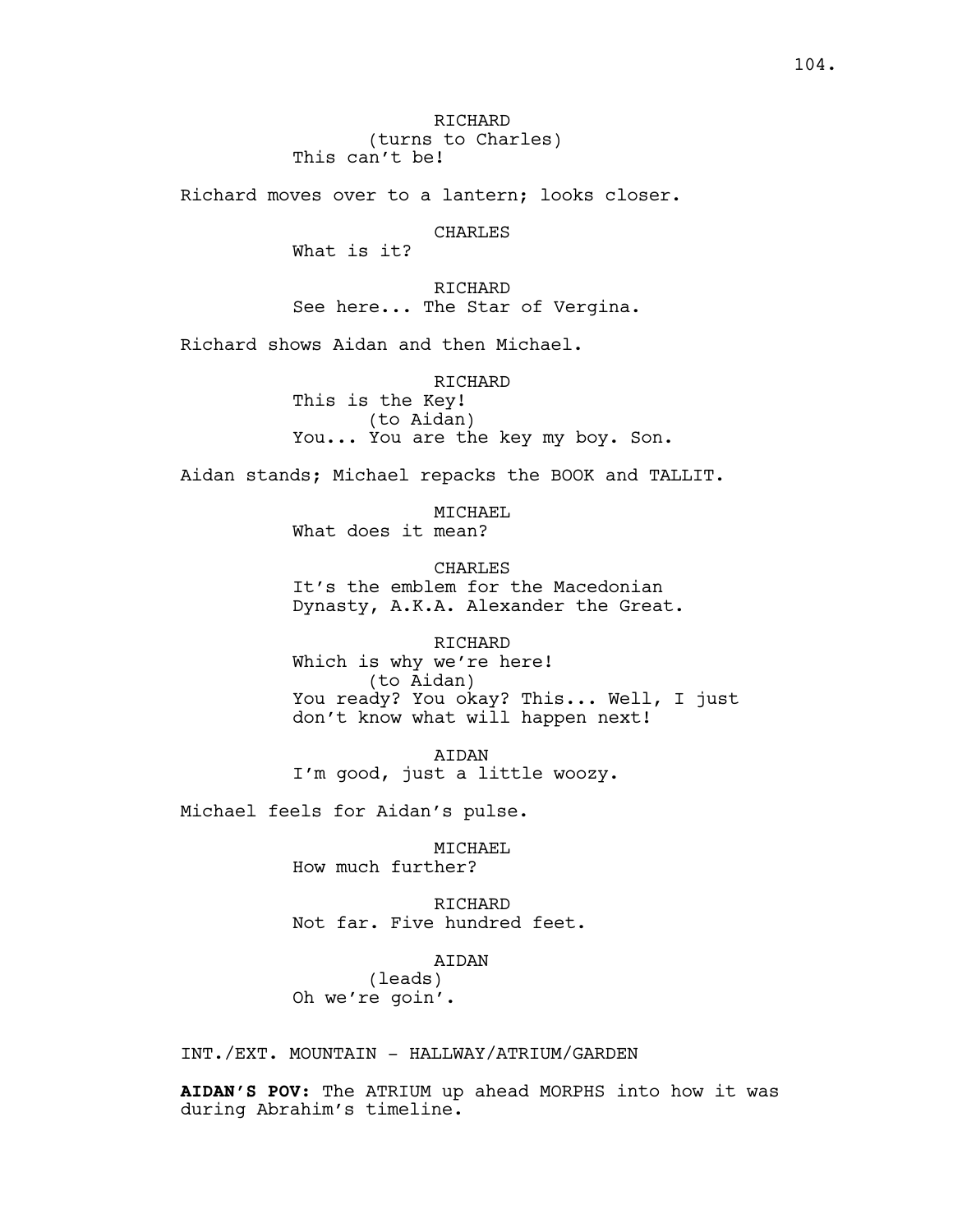RICHARD (turns to Charles) This can't be!

Richard moves over to a lantern; looks closer.

CHARLES

What is it?

RICHARD See here... The Star of Vergina.

Richard shows Aidan and then Michael.

RICHARD This is the Key! (to Aidan) You... You are the key my boy. Son.

Aidan stands; Michael repacks the BOOK and TALLIT.

MICHAEL What does it mean?

**CHARLES** It's the emblem for the Macedonian Dynasty, A.K.A. Alexander the Great.

RICHARD Which is why we're here! (to Aidan) You ready? You okay? This... Well, I just don't know what will happen next!

AIDAN I'm good, just a little woozy.

Michael feels for Aidan's pulse.

MICHAEL How much further?

RICHARD Not far. Five hundred feet.

AIDAN

(leads) Oh we're goin'.

INT./EXT. MOUNTAIN - HALLWAY/ATRIUM/GARDEN

**AIDAN'S POV:** The ATRIUM up ahead MORPHS into how it was during Abrahim's timeline.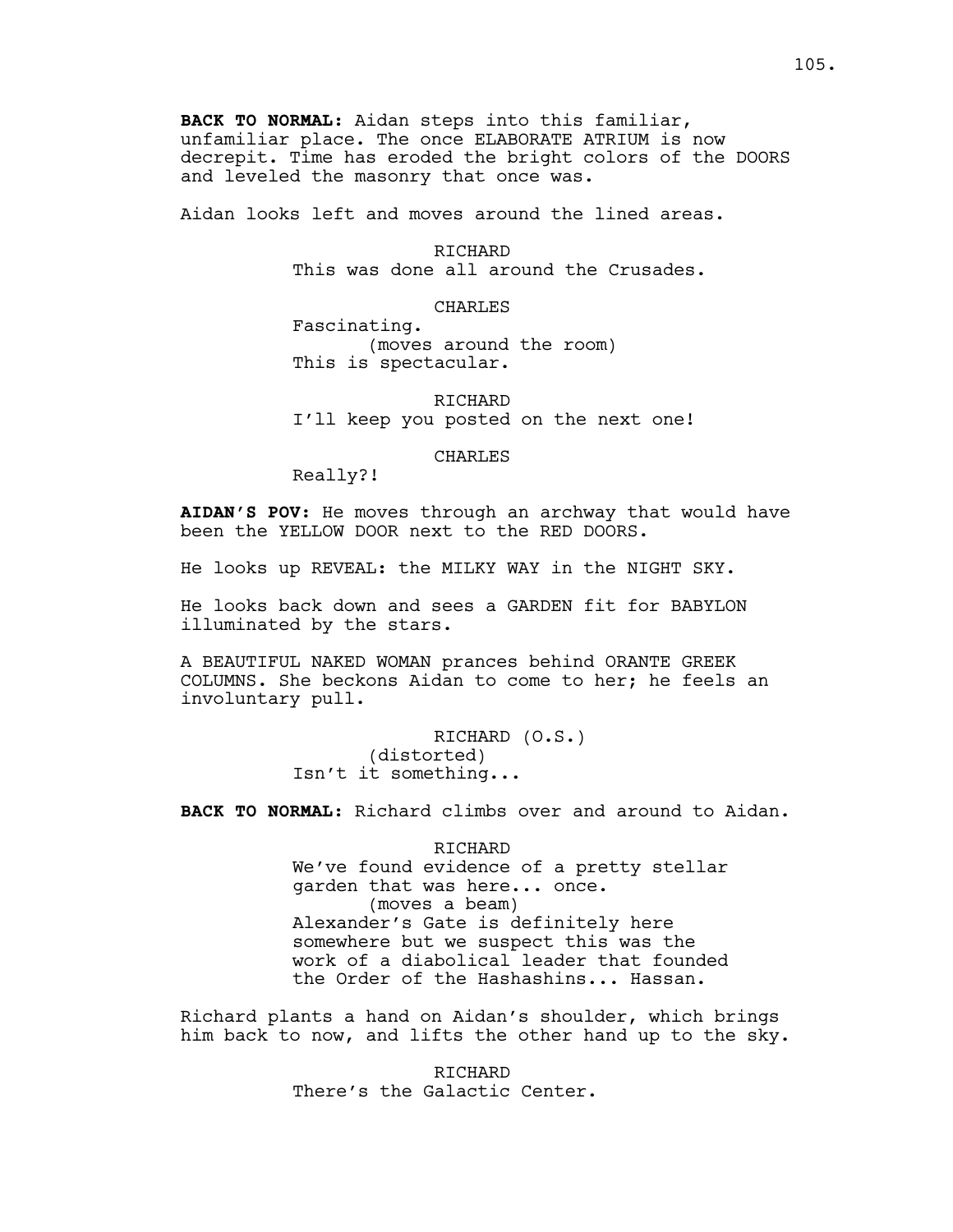**BACK TO NORMAL:** Aidan steps into this familiar, unfamiliar place. The once ELABORATE ATRIUM is now decrepit. Time has eroded the bright colors of the DOORS and leveled the masonry that once was.

Aidan looks left and moves around the lined areas.

RICHARD This was done all around the Crusades.

CHARLES

Fascinating. (moves around the room) This is spectacular.

RICHARD I'll keep you posted on the next one!

CHARLES

Really?!

**AIDAN'S POV:** He moves through an archway that would have been the YELLOW DOOR next to the RED DOORS.

He looks up REVEAL: the MILKY WAY in the NIGHT SKY.

He looks back down and sees a GARDEN fit for BABYLON illuminated by the stars.

A BEAUTIFUL NAKED WOMAN prances behind ORANTE GREEK COLUMNS. She beckons Aidan to come to her; he feels an involuntary pull.

> RICHARD (O.S.) (distorted) Isn't it something...

**BACK TO NORMAL**: Richard climbs over and around to Aidan.

RICHARD We've found evidence of a pretty stellar garden that was here... once. (moves a beam) Alexander's Gate is definitely here somewhere but we suspect this was the work of a diabolical leader that founded the Order of the Hashashins... Hassan.

Richard plants a hand on Aidan's shoulder, which brings him back to now, and lifts the other hand up to the sky.

> RICHARD There's the Galactic Center.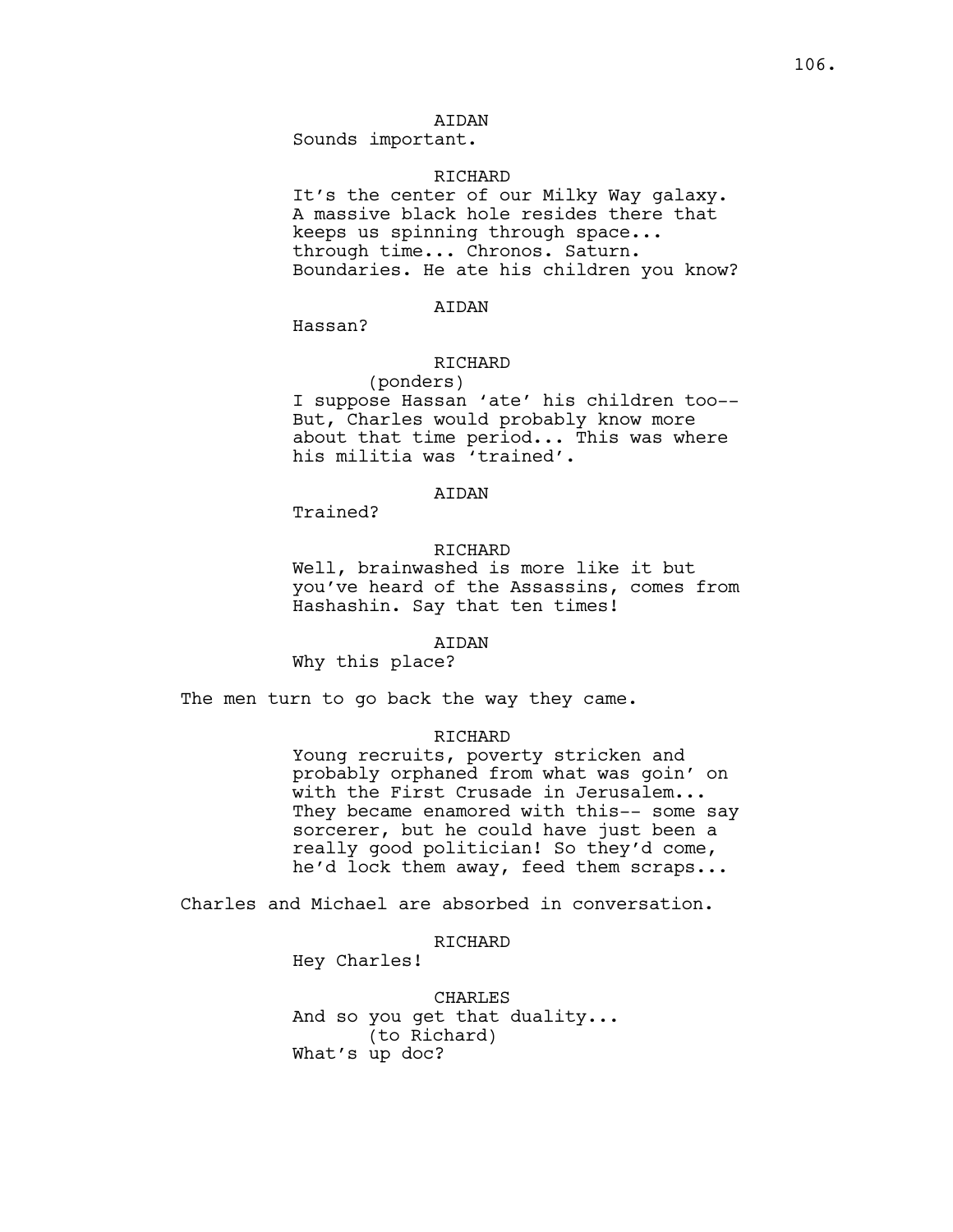## AIDAN

Sounds important.

#### RICHARD

It's the center of our Milky Way galaxy. A massive black hole resides there that keeps us spinning through space... through time... Chronos. Saturn. Boundaries. He ate his children you know?

### AIDAN

Hassan?

## RICHARD

(ponders) I suppose Hassan 'ate' his children too-- But, Charles would probably know more about that time period... This was where his militia was 'trained'.

## **ATDAN**

Trained?

## RICHARD

Well, brainwashed is more like it but you've heard of the Assassins, comes from Hashashin. Say that ten times!

#### AIDAN

Why this place?

The men turn to go back the way they came.

### RICHARD

Young recruits, poverty stricken and probably orphaned from what was goin' on with the First Crusade in Jerusalem... They became enamored with this-- some say sorcerer, but he could have just been a really good politician! So they'd come, he'd lock them away, feed them scraps...

Charles and Michael are absorbed in conversation.

## RICHARD

Hey Charles!

CHARLES And so you get that duality... (to Richard) What's up doc?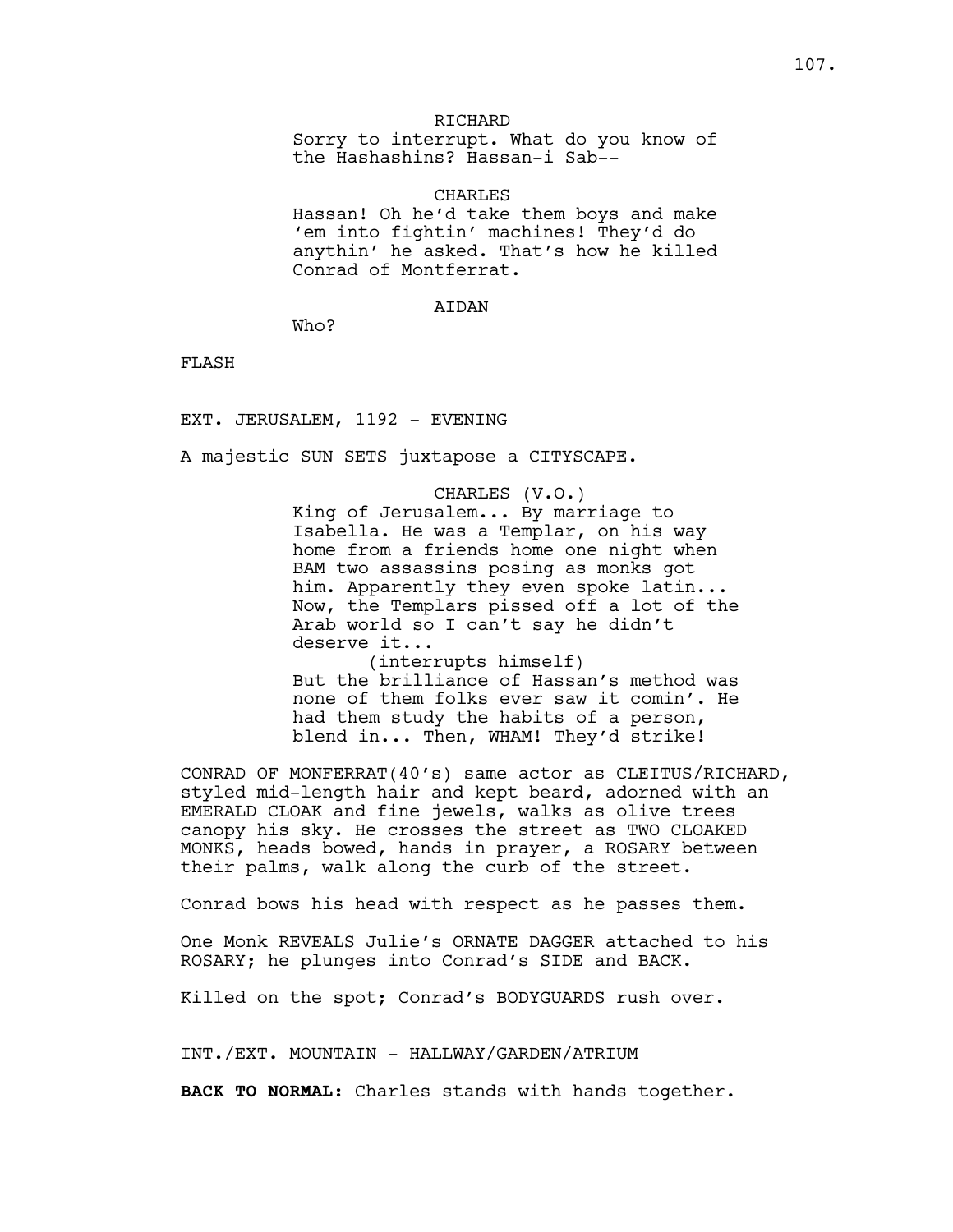### **RICHARD**

Sorry to interrupt. What do you know of the Hashashins? Hassan-i Sab--

### CHARLES

Hassan! Oh he'd take them boys and make 'em into fightin' machines! They'd do anythin' he asked. That's how he killed Conrad of Montferrat.

#### AIDAN

Who?

FLASH

EXT. JERUSALEM, 1192 - EVENING

A majestic SUN SETS juxtapose a CITYSCAPE.

CHARLES (V.O.) King of Jerusalem... By marriage to Isabella. He was a Templar, on his way home from a friends home one night when BAM two assassins posing as monks got him. Apparently they even spoke latin... Now, the Templars pissed off a lot of the Arab world so I can't say he didn't deserve it... (interrupts himself) But the brilliance of Hassan's method was

none of them folks ever saw it comin'. He had them study the habits of a person, blend in... Then, WHAM! They'd strike!

CONRAD OF MONFERRAT(40's) same actor as CLEITUS/RICHARD, styled mid-length hair and kept beard, adorned with an EMERALD CLOAK and fine jewels, walks as olive trees canopy his sky. He crosses the street as TWO CLOAKED MONKS, heads bowed, hands in prayer, a ROSARY between their palms, walk along the curb of the street.

Conrad bows his head with respect as he passes them.

One Monk REVEALS Julie's ORNATE DAGGER attached to his ROSARY; he plunges into Conrad's SIDE and BACK.

Killed on the spot; Conrad's BODYGUARDS rush over.

INT./EXT. MOUNTAIN - HALLWAY/GARDEN/ATRIUM

**BACK TO NORMAL:** Charles stands with hands together.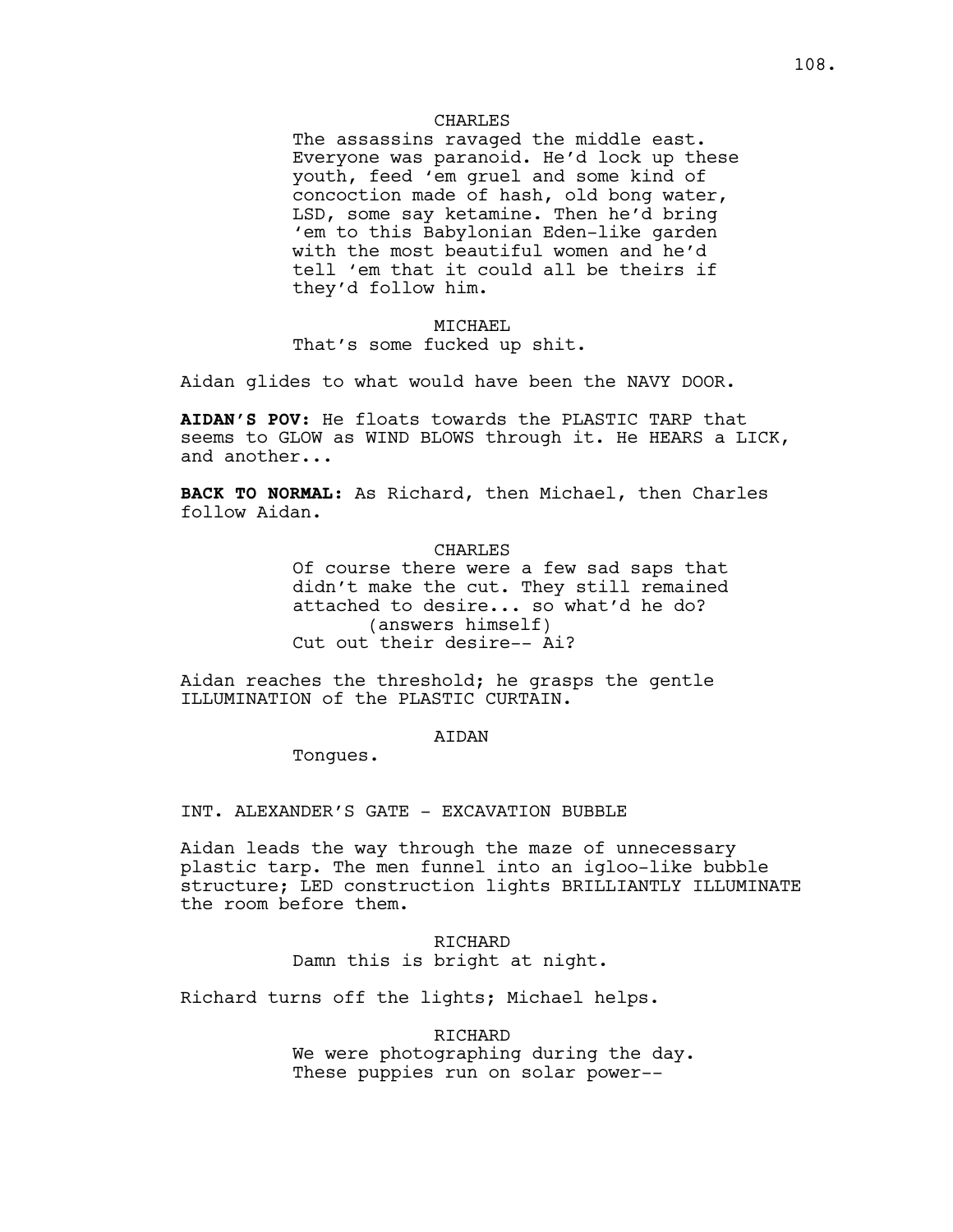# CHARLES

The assassins ravaged the middle east. Everyone was paranoid. He'd lock up these youth, feed 'em gruel and some kind of concoction made of hash, old bong water, LSD, some say ketamine. Then he'd bring 'em to this Babylonian Eden-like garden with the most beautiful women and he'd tell 'em that it could all be theirs if they'd follow him.

#### MICHAEL

That's some fucked up shit.

Aidan glides to what would have been the NAVY DOOR.

**AIDAN'S POV:** He floats towards the PLASTIC TARP that seems to GLOW as WIND BLOWS through it. He HEARS a LICK, and another...

**BACK TO NORMAL:** As Richard, then Michael, then Charles follow Aidan.

#### CHARLES

Of course there were a few sad saps that didn't make the cut. They still remained attached to desire... so what'd he do? (answers himself) Cut out their desire-- Ai?

Aidan reaches the threshold; he grasps the gentle ILLUMINATION of the PLASTIC CURTAIN.

# **ATDAN**

Tongues.

INT. ALEXANDER'S GATE - EXCAVATION BUBBLE

Aidan leads the way through the maze of unnecessary plastic tarp. The men funnel into an igloo-like bubble structure; LED construction lights BRILLIANTLY ILLUMINATE the room before them.

> RICHARD Damn this is bright at night.

Richard turns off the lights; Michael helps.

RICHARD We were photographing during the day. These puppies run on solar power--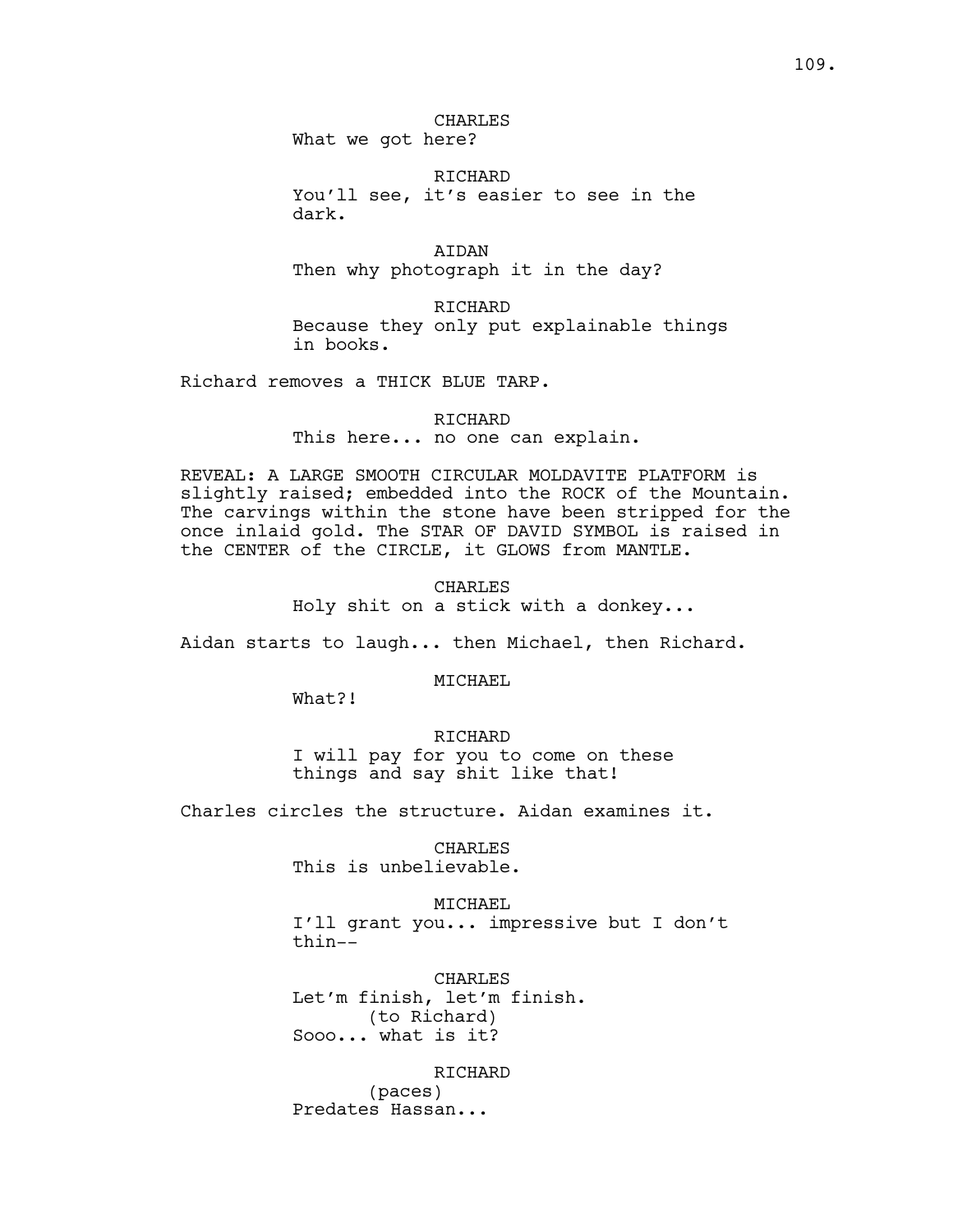## CHARLES What we got here?

RICHARD

You'll see, it's easier to see in the dark.

AIDAN Then why photograph it in the day?

RICHARD Because they only put explainable things in books.

Richard removes a THICK BLUE TARP.

# RICHARD

This here... no one can explain.

REVEAL: A LARGE SMOOTH CIRCULAR MOLDAVITE PLATFORM is slightly raised; embedded into the ROCK of the Mountain. The carvings within the stone have been stripped for the once inlaid gold. The STAR OF DAVID SYMBOL is raised in the CENTER of the CIRCLE, it GLOWS from MANTLE.

> CHARLES Holy shit on a stick with a donkey...

Aidan starts to laugh... then Michael, then Richard.

MICHAEL

What?!

RICHARD I will pay for you to come on these things and say shit like that!

Charles circles the structure. Aidan examines it.

CHARLES This is unbelievable.

MICHAEL I'll grant you... impressive but I don't thin--

CHARLES Let'm finish, let'm finish. (to Richard) Sooo... what is it?

RICHARD

(paces) Predates Hassan...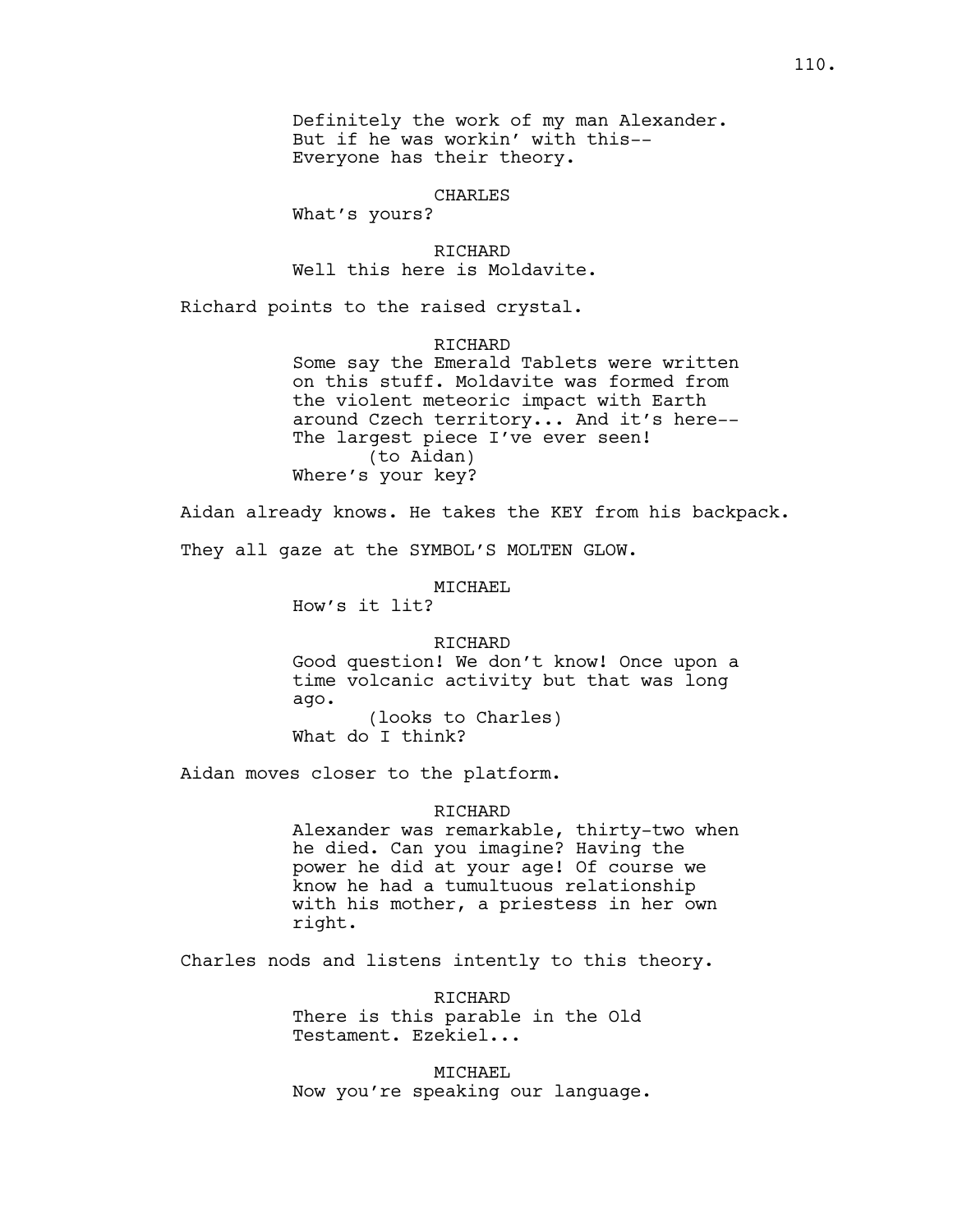Definitely the work of my man Alexander. But if he was workin' with this-- Everyone has their theory.

#### CHARLES

What's yours?

RICHARD Well this here is Moldavite.

Richard points to the raised crystal.

# RICHARD

Some say the Emerald Tablets were written on this stuff. Moldavite was formed from the violent meteoric impact with Earth around Czech territory... And it's here-- The largest piece I've ever seen! (to Aidan) Where's your key?

Aidan already knows. He takes the KEY from his backpack.

They all gaze at the SYMBOL'S MOLTEN GLOW.

MICHAEL

How's it lit?

## RICHARD

Good question! We don't know! Once upon a time volcanic activity but that was long ago. (looks to Charles) What do I think?

Aidan moves closer to the platform.

## RICHARD

Alexander was remarkable, thirty-two when he died. Can you imagine? Having the power he did at your age! Of course we know he had a tumultuous relationship with his mother, a priestess in her own right.

Charles nods and listens intently to this theory.

RICHARD There is this parable in the Old Testament. Ezekiel...

MICHAEL Now you're speaking our language.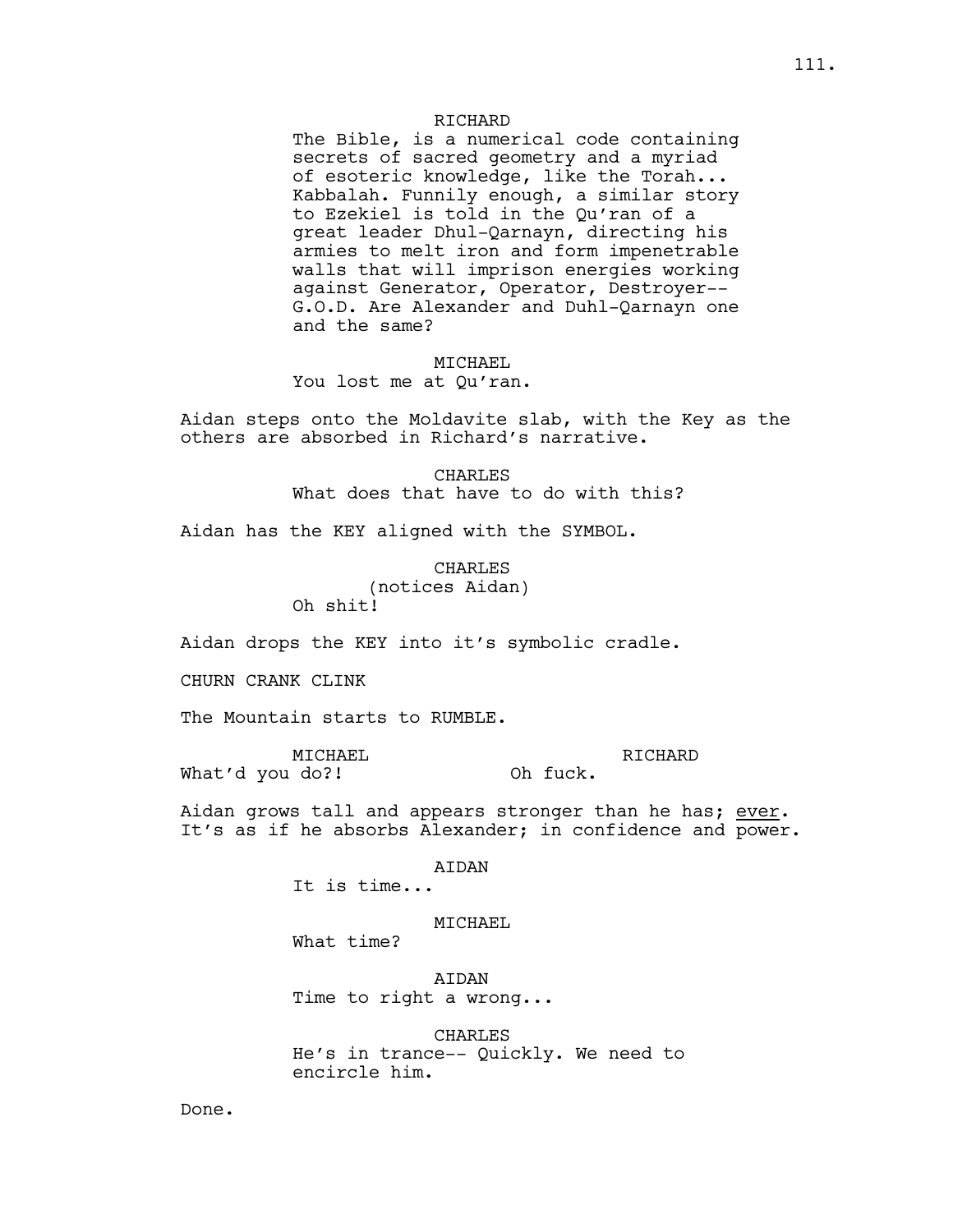# RICHARD

The Bible, is a numerical code containing secrets of sacred geometry and a myriad of esoteric knowledge, like the Torah... Kabbalah. Funnily enough, a similar story to Ezekiel is told in the Qu'ran of a great leader Dhul-Qarnayn, directing his armies to melt iron and form impenetrable walls that will imprison energies working against Generator, Operator, Destroyer-- G.O.D. Are Alexander and Duhl-Qarnayn one and the same?

### MICHAEL

## You lost me at Qu'ran.

Aidan steps onto the Moldavite slab, with the Key as the others are absorbed in Richard's narrative.

> CHARLES What does that have to do with this?

Aidan has the KEY aligned with the SYMBOL.

## CHARLES

(notices Aidan) Oh shit!

Aidan drops the KEY into it's symbolic cradle.

CHURN CRANK CLINK

The Mountain starts to RUMBLE.

MICHAEL What'd you do?! RICHARD Oh fuck.

Aidan grows tall and appears stronger than he has; ever. It's as if he absorbs Alexander; in confidence and power.

AIDAN

It is time...

## MICHAEL

What time?

AIDAN Time to right a wrong...

CHARLES He's in trance-- Quickly. We need to encircle him.

Done.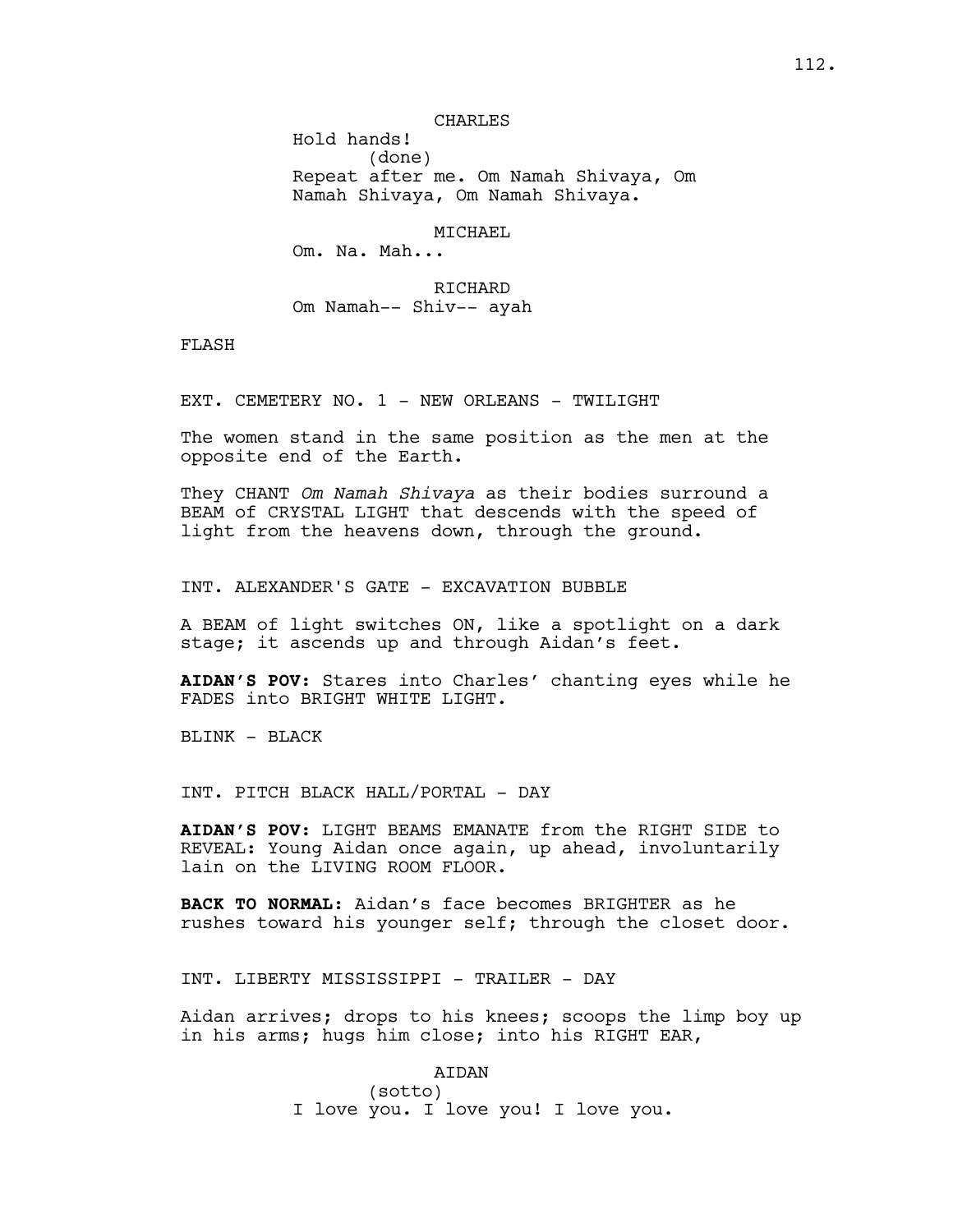Hold hands! (done) Repeat after me. Om Namah Shivaya, Om Namah Shivaya, Om Namah Shivaya.

#### MICHAEL

Om. Na. Mah...

RICHARD Om Namah-- Shiv-- ayah

FLASH

EXT. CEMETERY NO. 1 - NEW ORLEANS - TWILIGHT

The women stand in the same position as the men at the opposite end of the Earth.

They CHANT *Om Namah Shivaya* as their bodies surround a BEAM of CRYSTAL LIGHT that descends with the speed of light from the heavens down, through the ground.

INT. ALEXANDER'S GATE - EXCAVATION BUBBLE

A BEAM of light switches ON, like a spotlight on a dark stage; it ascends up and through Aidan's feet.

**AIDAN'S POV:** Stares into Charles' chanting eyes while he FADES into BRIGHT WHITE LIGHT.

BLINK - BLACK

INT. PITCH BLACK HALL/PORTAL - DAY

**AIDAN'S POV:** LIGHT BEAMS EMANATE from the RIGHT SIDE to REVEAL: Young Aidan once again, up ahead, involuntarily lain on the LIVING ROOM FLOOR.

**BACK TO NORMAL:** Aidan's face becomes BRIGHTER as he rushes toward his younger self; through the closet door.

INT. LIBERTY MISSISSIPPI - TRAILER - DAY

Aidan arrives; drops to his knees; scoops the limp boy up in his arms; hugs him close; into his RIGHT EAR,

AIDAN

(sotto) I love you. I love you! I love you.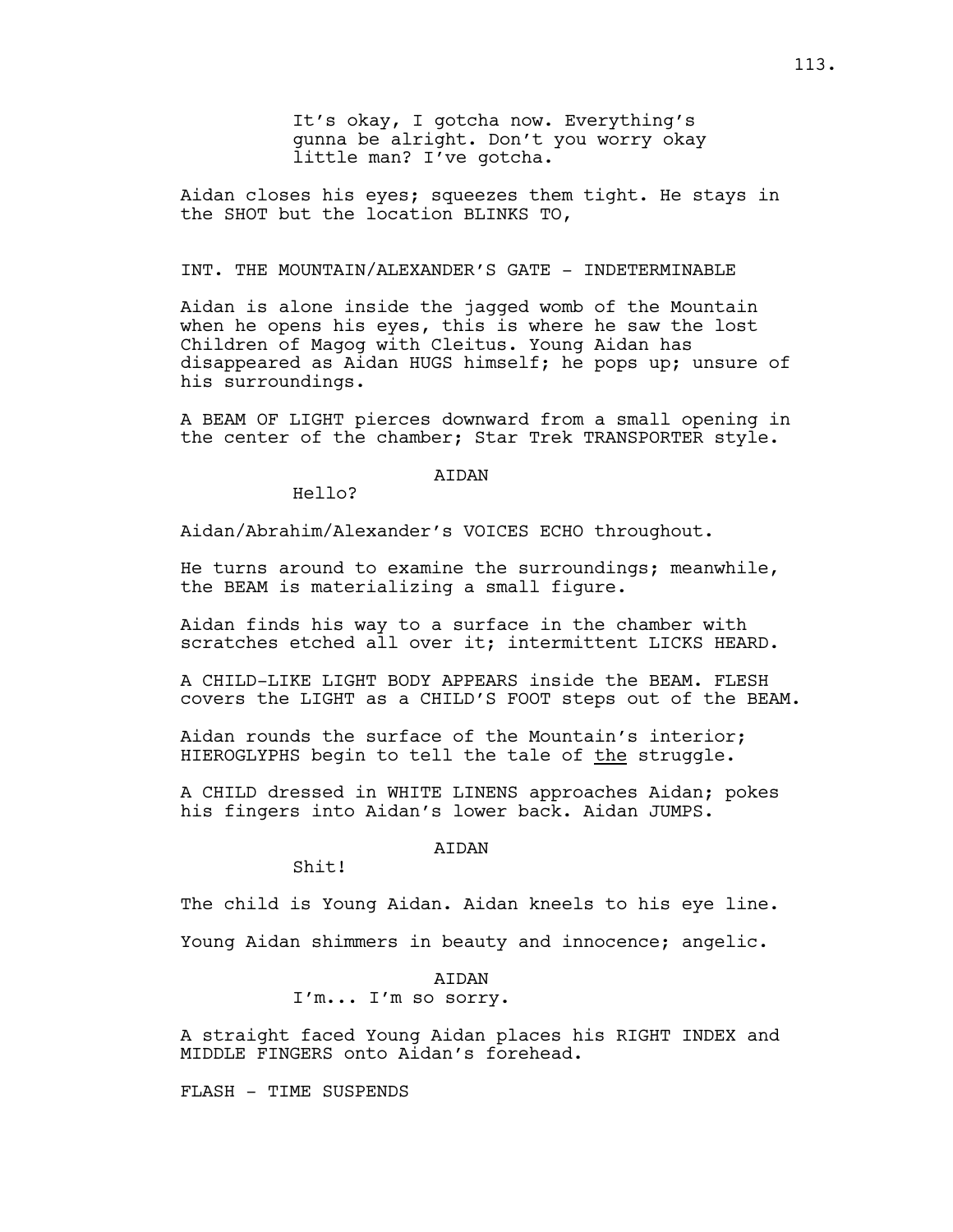It's okay, I gotcha now. Everything's gunna be alright. Don't you worry okay little man? I've gotcha.

Aidan closes his eyes; squeezes them tight. He stays in the SHOT but the location BLINKS TO,

# INT. THE MOUNTAIN/ALEXANDER'S GATE - INDETERMINABLE

Aidan is alone inside the jagged womb of the Mountain when he opens his eyes, this is where he saw the lost Children of Magog with Cleitus. Young Aidan has disappeared as Aidan HUGS himself; he pops up; unsure of his surroundings.

A BEAM OF LIGHT pierces downward from a small opening in the center of the chamber; Star Trek TRANSPORTER style.

# **ATDAN**

Hello?

Aidan/Abrahim/Alexander's VOICES ECHO throughout.

He turns around to examine the surroundings; meanwhile, the BEAM is materializing a small figure.

Aidan finds his way to a surface in the chamber with scratches etched all over it; intermittent LICKS HEARD.

A CHILD-LIKE LIGHT BODY APPEARS inside the BEAM. FLESH covers the LIGHT as a CHILD'S FOOT steps out of the BEAM.

Aidan rounds the surface of the Mountain's interior; HIEROGLYPHS begin to tell the tale of the struggle.

A CHILD dressed in WHITE LINENS approaches Aidan; pokes his fingers into Aidan's lower back. Aidan JUMPS.

# AIDAN

Shit!

The child is Young Aidan. Aidan kneels to his eye line.

Young Aidan shimmers in beauty and innocence; angelic.

**ATDAN** 

I'm... I'm so sorry.

A straight faced Young Aidan places his RIGHT INDEX and MIDDLE FINGERS onto Aidan's forehead.

FLASH - TIME SUSPENDS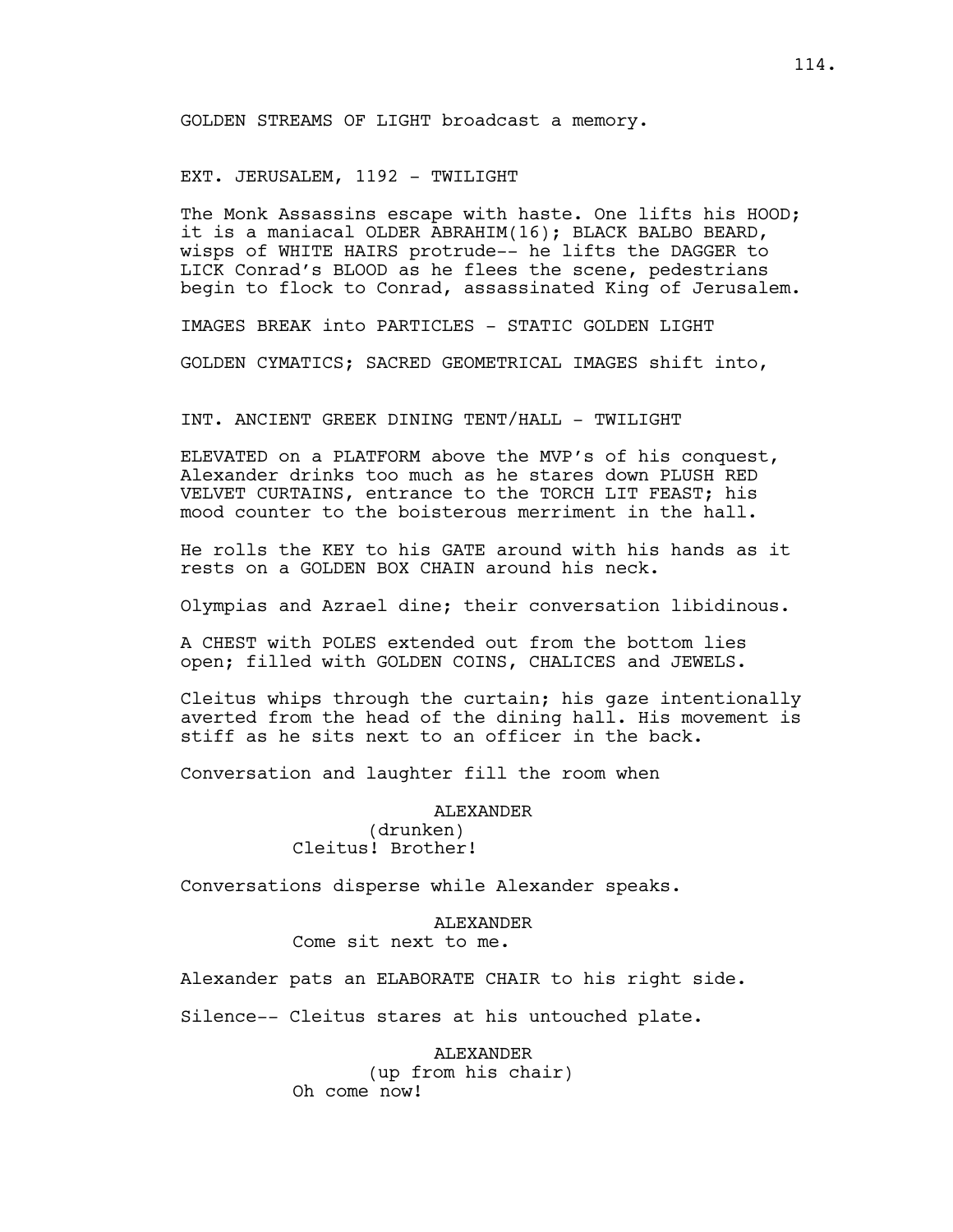GOLDEN STREAMS OF LIGHT broadcast a memory.

EXT. JERUSALEM, 1192 - TWILIGHT

The Monk Assassins escape with haste. One lifts his HOOD; it is a maniacal OLDER ABRAHIM(16); BLACK BALBO BEARD, wisps of WHITE HAIRS protrude-- he lifts the DAGGER to LICK Conrad's BLOOD as he flees the scene, pedestrians begin to flock to Conrad, assassinated King of Jerusalem.

IMAGES BREAK into PARTICLES - STATIC GOLDEN LIGHT

GOLDEN CYMATICS; SACRED GEOMETRICAL IMAGES shift into,

INT. ANCIENT GREEK DINING TENT/HALL - TWILIGHT

ELEVATED on a PLATFORM above the MVP's of his conquest, Alexander drinks too much as he stares down PLUSH RED VELVET CURTAINS, entrance to the TORCH LIT FEAST; his mood counter to the boisterous merriment in the hall.

He rolls the KEY to his GATE around with his hands as it rests on a GOLDEN BOX CHAIN around his neck.

Olympias and Azrael dine; their conversation libidinous.

A CHEST with POLES extended out from the bottom lies open; filled with GOLDEN COINS, CHALICES and JEWELS.

Cleitus whips through the curtain; his gaze intentionally averted from the head of the dining hall. His movement is stiff as he sits next to an officer in the back.

Conversation and laughter fill the room when

ALEXANDER (drunken) Cleitus! Brother!

Conversations disperse while Alexander speaks.

ALEXANDER Come sit next to me.

Alexander pats an ELABORATE CHAIR to his right side.

Silence-- Cleitus stares at his untouched plate.

ALEXANDER (up from his chair) Oh come now!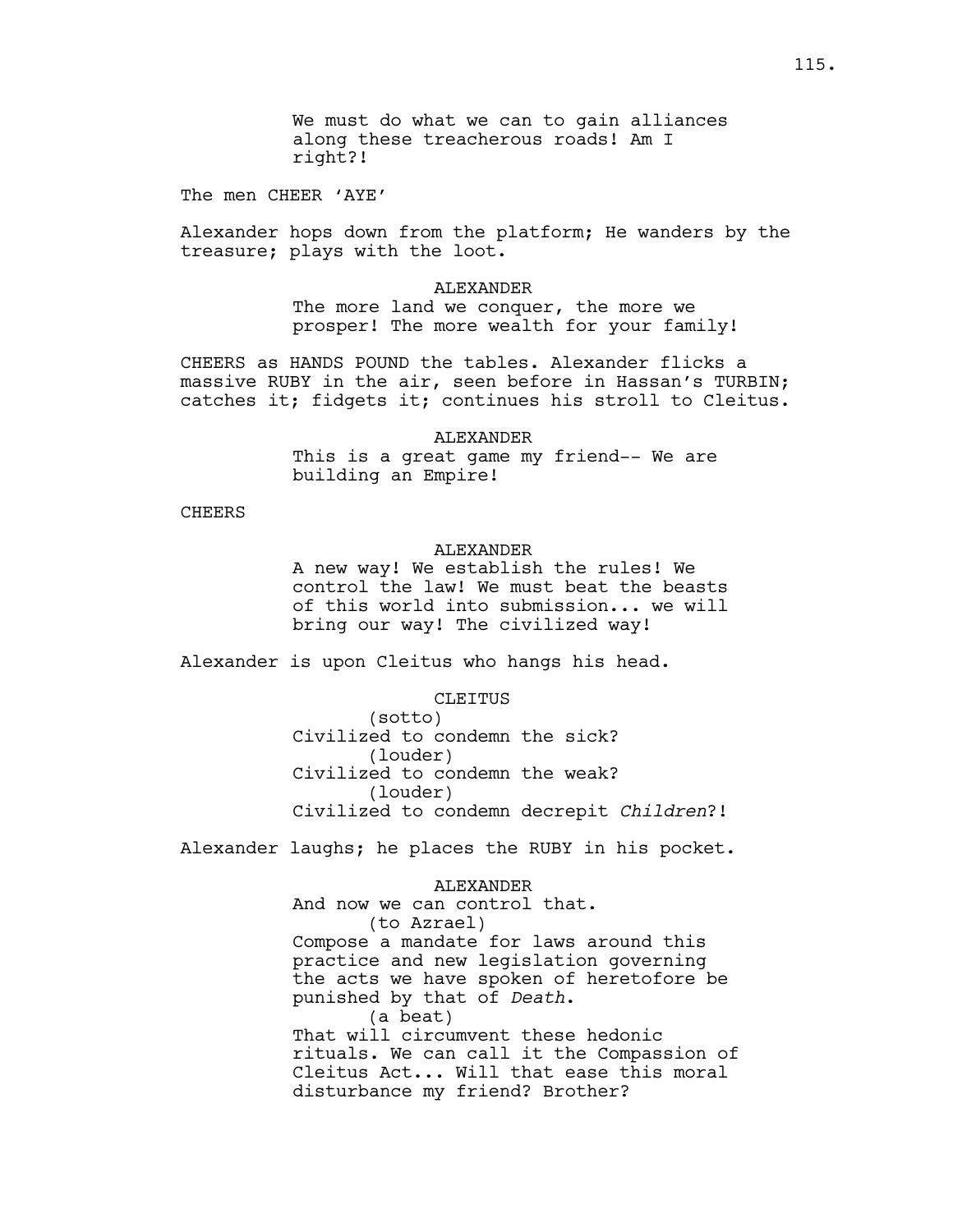We must do what we can to gain alliances along these treacherous roads! Am I right?!

The men CHEER 'AYE'

Alexander hops down from the platform; He wanders by the treasure; plays with the loot.

#### ALEXANDER

The more land we conquer, the more we prosper! The more wealth for your family!

CHEERS as HANDS POUND the tables. Alexander flicks a massive RUBY in the air, seen before in Hassan's TURBIN; catches it; fidgets it; continues his stroll to Cleitus.

#### ALEXANDER

This is a great game my friend-- We are building an Empire!

### CHEERS

## ALEXANDER

A new way! We establish the rules! We control the law! We must beat the beasts of this world into submission... we will bring our way! The civilized way!

Alexander is upon Cleitus who hangs his head.

#### CLEITUS

(sotto) Civilized to condemn the sick? (louder) Civilized to condemn the weak? (louder) Civilized to condemn decrepit *Children*?!

Alexander laughs; he places the RUBY in his pocket.

## ALEXANDER

And now we can control that. (to Azrael) Compose a mandate for laws around this practice and new legislation governing the acts we have spoken of heretofore be punished by that of *Death*. (a beat) That will circumvent these hedonic rituals. We can call it the Compassion of Cleitus Act... Will that ease this moral disturbance my friend? Brother?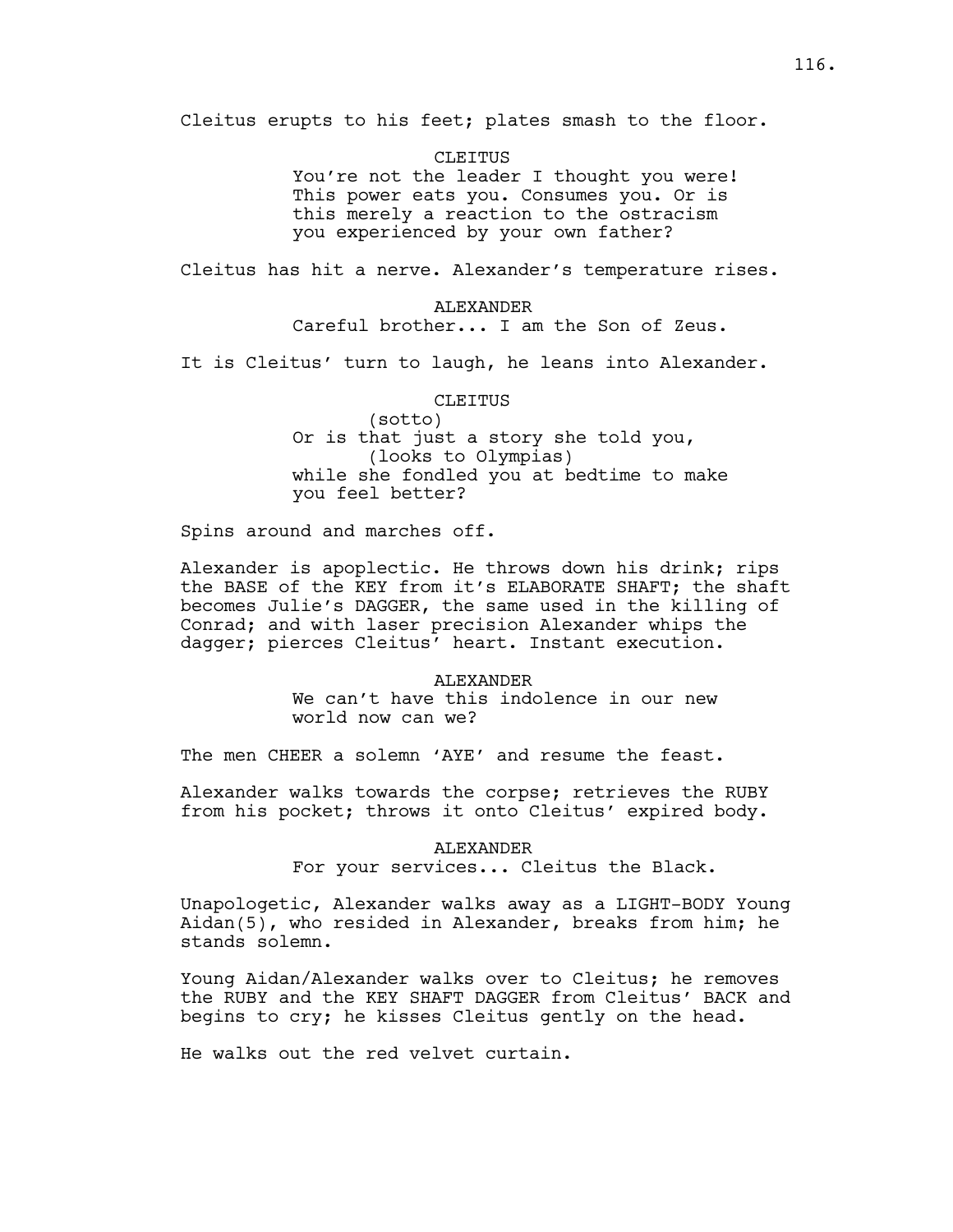Cleitus erupts to his feet; plates smash to the floor.

**CLEITUS** 

You're not the leader I thought you were! This power eats you. Consumes you. Or is this merely a reaction to the ostracism you experienced by your own father?

Cleitus has hit a nerve. Alexander's temperature rises.

ALEXANDER Careful brother... I am the Son of Zeus.

It is Cleitus' turn to laugh, he leans into Alexander.

#### CLEITUS

(sotto) Or is that just a story she told you, (looks to Olympias) while she fondled you at bedtime to make you feel better?

Spins around and marches off.

Alexander is apoplectic. He throws down his drink; rips the BASE of the KEY from it's ELABORATE SHAFT; the shaft becomes Julie's DAGGER, the same used in the killing of Conrad; and with laser precision Alexander whips the dagger; pierces Cleitus' heart. Instant execution.

#### ALEXANDER

We can't have this indolence in our new world now can we?

The men CHEER a solemn 'AYE' and resume the feast.

Alexander walks towards the corpse; retrieves the RUBY from his pocket; throws it onto Cleitus' expired body.

> ALEXANDER For your services... Cleitus the Black.

Unapologetic, Alexander walks away as a LIGHT-BODY Young Aidan(5), who resided in Alexander, breaks from him; he stands solemn.

Young Aidan/Alexander walks over to Cleitus; he removes the RUBY and the KEY SHAFT DAGGER from Cleitus' BACK and begins to cry; he kisses Cleitus gently on the head.

He walks out the red velvet curtain.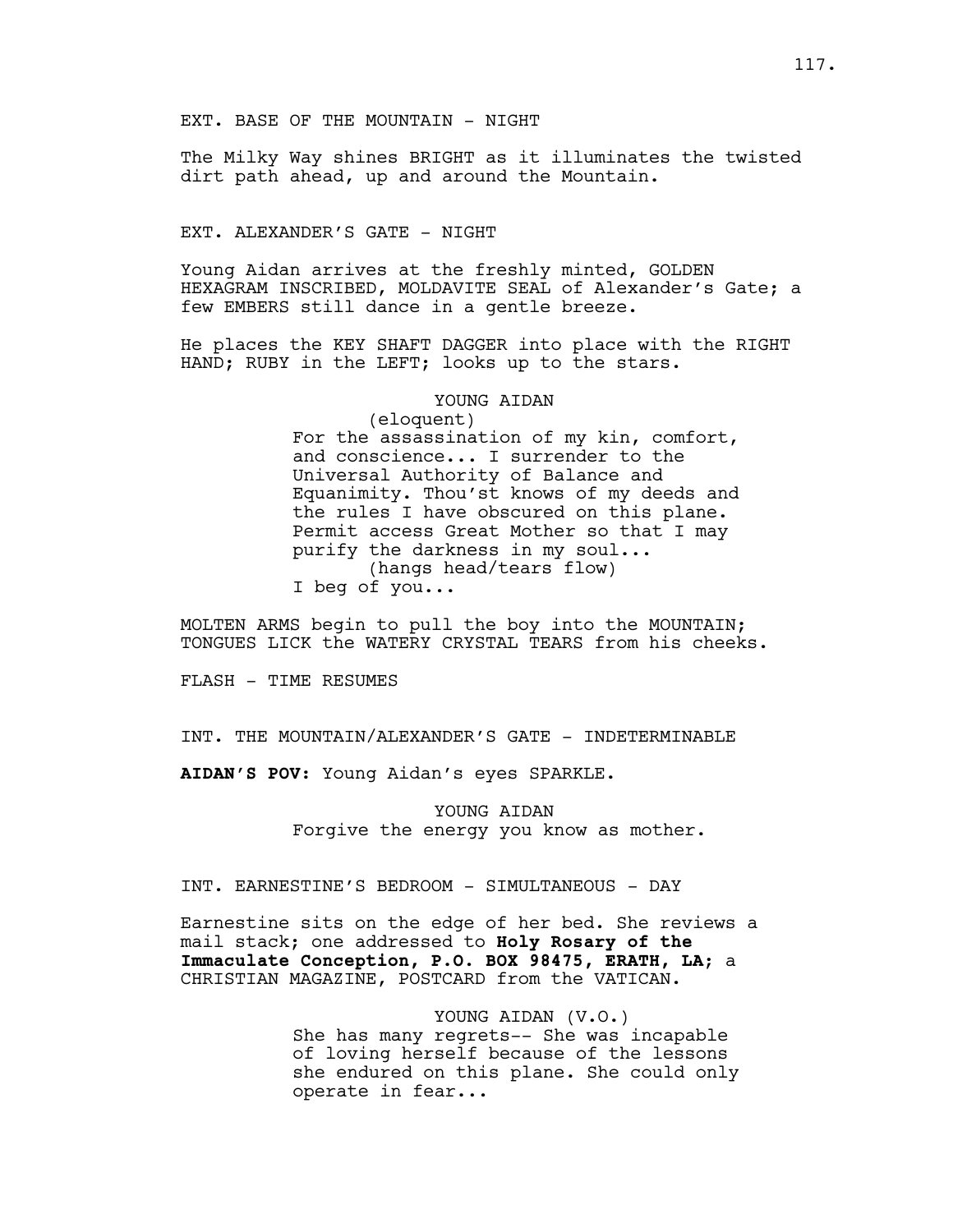The Milky Way shines BRIGHT as it illuminates the twisted dirt path ahead, up and around the Mountain.

EXT. ALEXANDER'S GATE - NIGHT

Young Aidan arrives at the freshly minted, GOLDEN HEXAGRAM INSCRIBED, MOLDAVITE SEAL of Alexander's Gate; a few EMBERS still dance in a gentle breeze.

He places the KEY SHAFT DAGGER into place with the RIGHT HAND; RUBY in the LEFT; looks up to the stars.

#### YOUNG AIDAN

(eloquent) For the assassination of my kin, comfort, and conscience... I surrender to the Universal Authority of Balance and Equanimity. Thou'st knows of my deeds and the rules I have obscured on this plane. Permit access Great Mother so that I may purify the darkness in my soul... (hangs head/tears flow) I beg of you...

MOLTEN ARMS begin to pull the boy into the MOUNTAIN; TONGUES LICK the WATERY CRYSTAL TEARS from his cheeks.

FLASH - TIME RESUMES

INT. THE MOUNTAIN/ALEXANDER'S GATE - INDETERMINABLE

**AIDAN'S POV:** Young Aidan's eyes SPARKLE.

YOUNG AIDAN Forgive the energy you know as mother.

INT. EARNESTINE'S BEDROOM - SIMULTANEOUS - DAY

Earnestine sits on the edge of her bed. She reviews a mail stack; one addressed to **Holy Rosary of the Immaculate Conception, P.O. BOX 98475, ERATH, LA**; a CHRISTIAN MAGAZINE, POSTCARD from the VATICAN.

> YOUNG AIDAN (V.O.) She has many regrets-- She was incapable of loving herself because of the lessons she endured on this plane. She could only operate in fear...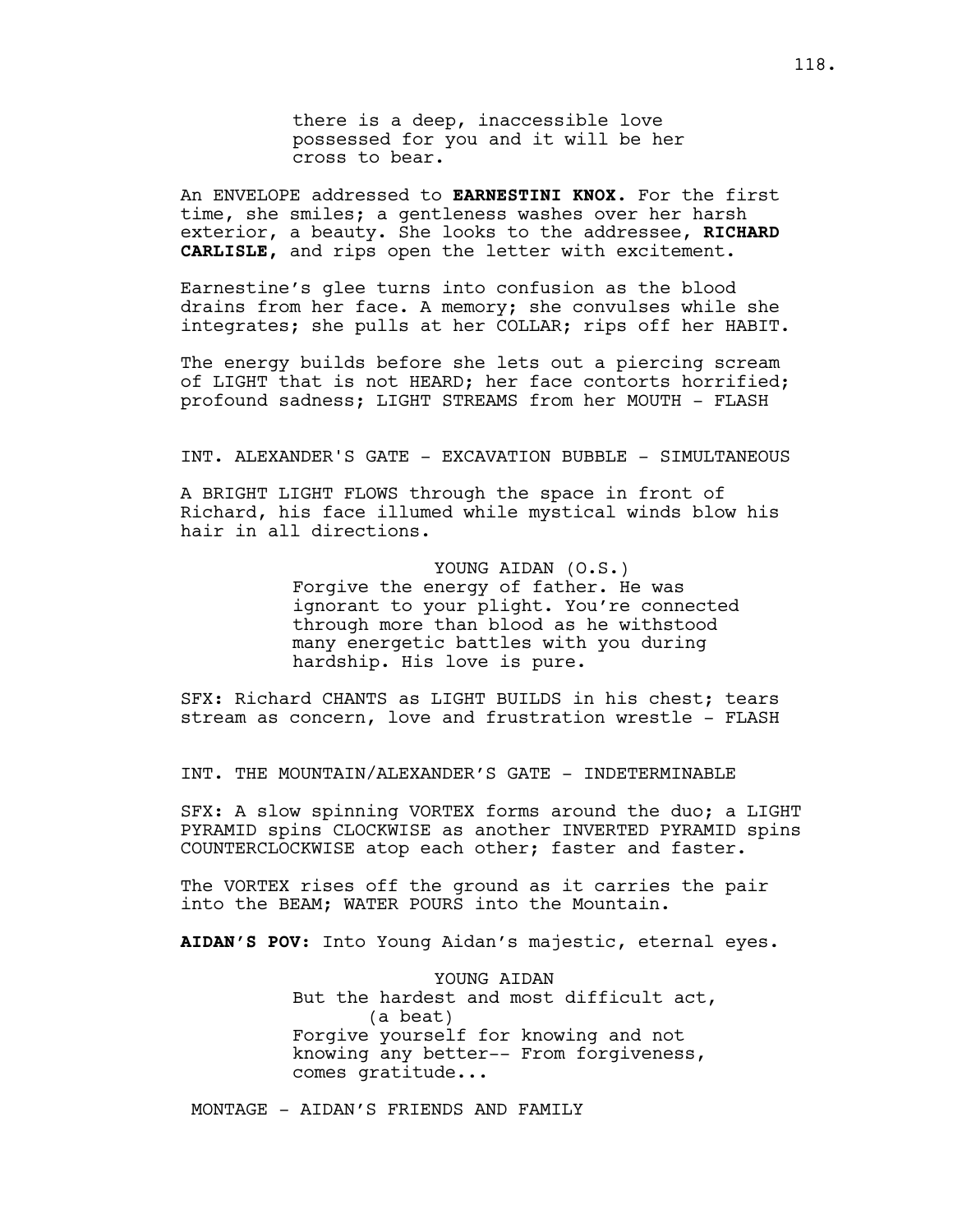there is a deep, inaccessible love possessed for you and it will be her cross to bear.

An ENVELOPE addressed to **EARNESTINI KNOX.** For the first time, she smiles; a gentleness washes over her harsh exterior, a beauty. She looks to the addressee, **RICHARD CARLISLE,** and rips open the letter with excitement.

Earnestine's glee turns into confusion as the blood drains from her face. A memory; she convulses while she integrates; she pulls at her COLLAR; rips off her HABIT.

The energy builds before she lets out a piercing scream of LIGHT that is not HEARD; her face contorts horrified; profound sadness; LIGHT STREAMS from her MOUTH - FLASH

#### INT. ALEXANDER'S GATE - EXCAVATION BUBBLE - SIMULTANEOUS

A BRIGHT LIGHT FLOWS through the space in front of Richard, his face illumed while mystical winds blow his hair in all directions.

# YOUNG AIDAN (O.S.)

Forgive the energy of father. He was ignorant to your plight. You're connected through more than blood as he withstood many energetic battles with you during hardship. His love is pure.

SFX: Richard CHANTS as LIGHT BUILDS in his chest; tears stream as concern, love and frustration wrestle - FLASH

INT. THE MOUNTAIN/ALEXANDER'S GATE - INDETERMINABLE

SFX: A slow spinning VORTEX forms around the duo; a LIGHT PYRAMID spins CLOCKWISE as another INVERTED PYRAMID spins COUNTERCLOCKWISE atop each other; faster and faster.

The VORTEX rises off the ground as it carries the pair into the BEAM; WATER POURS into the Mountain.

**AIDAN'S POV:** Into Young Aidan's majestic, eternal eyes.

YOUNG AIDAN But the hardest and most difficult act, (a beat) Forgive yourself for knowing and not knowing any better-- From forgiveness, comes gratitude...

MONTAGE - AIDAN'S FRIENDS AND FAMILY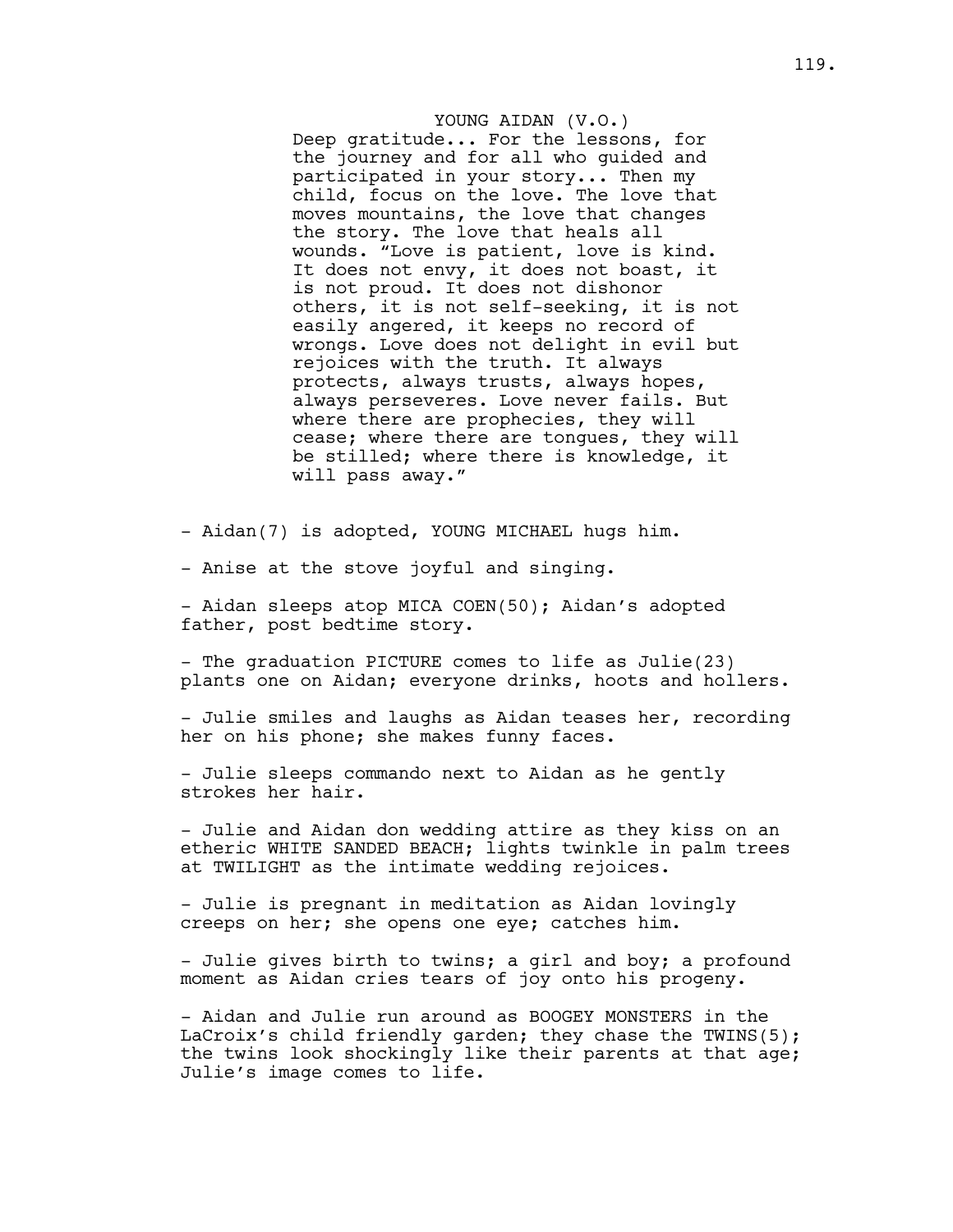### YOUNG AIDAN (V.O.)

Deep gratitude... For the lessons, for the journey and for all who guided and participated in your story... Then my child, focus on the love. The love that moves mountains, the love that changes the story. The love that heals all wounds. "Love is patient, love is kind. It does not envy, it does not boast, it is not proud. It does not dishonor others, it is not self-seeking, it is not easily angered, it keeps no record of wrongs. Love does not delight in evil but rejoices with the truth. It always protects, always trusts, always hopes, always perseveres. Love never fails. But where there are prophecies, they will cease; where there are tongues, they will be stilled; where there is knowledge, it will pass away."

- Aidan(7) is adopted, YOUNG MICHAEL hugs him.

- Anise at the stove joyful and singing.

- Aidan sleeps atop MICA COEN(50); Aidan's adopted father, post bedtime story.

- The graduation PICTURE comes to life as Julie(23) plants one on Aidan; everyone drinks, hoots and hollers.

- Julie smiles and laughs as Aidan teases her, recording her on his phone; she makes funny faces.

- Julie sleeps commando next to Aidan as he gently strokes her hair.

- Julie and Aidan don wedding attire as they kiss on an etheric WHITE SANDED BEACH; lights twinkle in palm trees at TWILIGHT as the intimate wedding rejoices.

- Julie is pregnant in meditation as Aidan lovingly creeps on her; she opens one eye; catches him.

- Julie gives birth to twins; a girl and boy; a profound moment as Aidan cries tears of joy onto his progeny.

- Aidan and Julie run around as BOOGEY MONSTERS in the LaCroix's child friendly garden; they chase the TWINS(5); the twins look shockingly like their parents at that age; Julie's image comes to life.